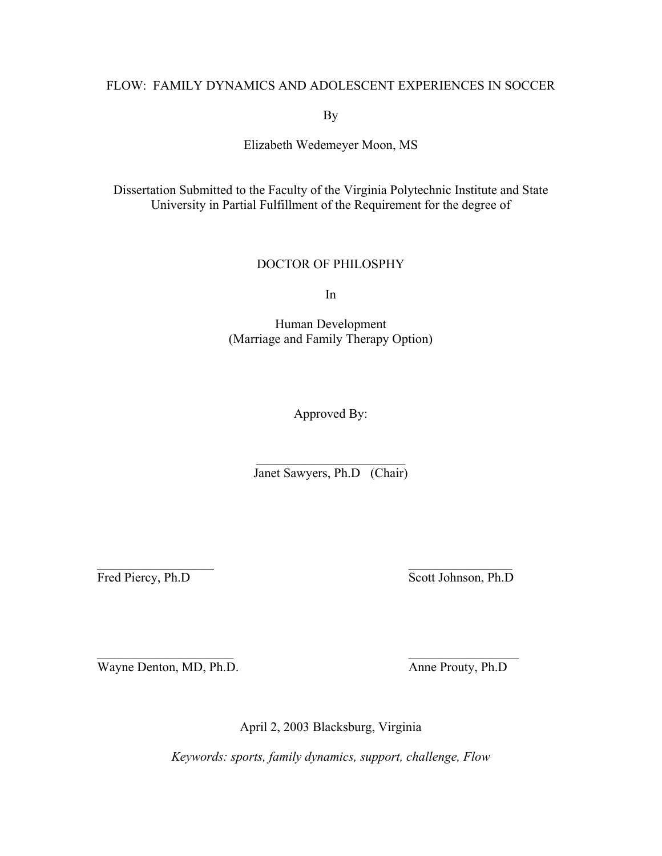# FLOW: FAMILY DYNAMICS AND ADOLESCENT EXPERIENCES IN SOCCER

By

Elizabeth Wedemeyer Moon, MS

Dissertation Submitted to the Faculty of the Virginia Polytechnic Institute and State University in Partial Fulfillment of the Requirement for the degree of

# DOCTOR OF PHILOSPHY

In

Human Development (Marriage and Family Therapy Option)

Approved By:

 $\mathcal{L}_\text{max}$  , where  $\mathcal{L}_\text{max}$  , we have the set of  $\mathcal{L}_\text{max}$ Janet Sawyers, Ph.D (Chair)

 $\mathcal{L}_\text{max}$  , and the contract of the contract of the contract of the contract of the contract of the contract of

 $\mathcal{L}_\text{max}$  and  $\mathcal{L}_\text{max}$  and  $\mathcal{L}_\text{max}$  and  $\mathcal{L}_\text{max}$ 

Fred Piercy, Ph.D Scott Johnson, Ph.D

Wayne Denton, MD, Ph.D. Anne Prouty, Ph.D

April 2, 2003 Blacksburg, Virginia

*Keywords: sports, family dynamics, support, challenge, Flow*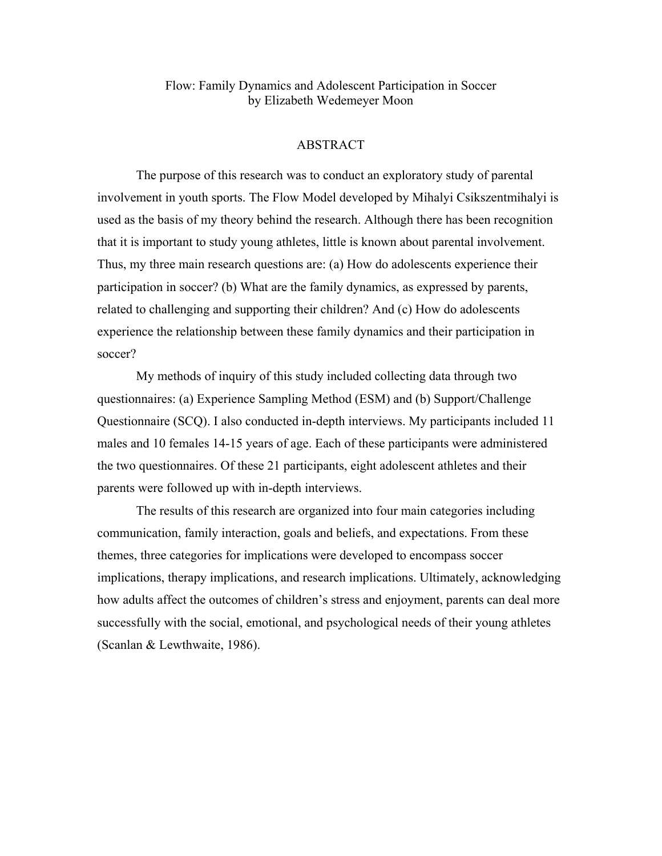Flow: Family Dynamics and Adolescent Participation in Soccer by Elizabeth Wedemeyer Moon

# ABSTRACT

 The purpose of this research was to conduct an exploratory study of parental involvement in youth sports. The Flow Model developed by Mihalyi Csikszentmihalyi is used as the basis of my theory behind the research. Although there has been recognition that it is important to study young athletes, little is known about parental involvement. Thus, my three main research questions are: (a) How do adolescents experience their participation in soccer? (b) What are the family dynamics, as expressed by parents, related to challenging and supporting their children? And (c) How do adolescents experience the relationship between these family dynamics and their participation in soccer?

 My methods of inquiry of this study included collecting data through two questionnaires: (a) Experience Sampling Method (ESM) and (b) Support/Challenge Questionnaire (SCQ). I also conducted in-depth interviews. My participants included 11 males and 10 females 14-15 years of age. Each of these participants were administered the two questionnaires. Of these 21 participants, eight adolescent athletes and their parents were followed up with in-depth interviews.

 The results of this research are organized into four main categories including communication, family interaction, goals and beliefs, and expectations. From these themes, three categories for implications were developed to encompass soccer implications, therapy implications, and research implications. Ultimately, acknowledging how adults affect the outcomes of children's stress and enjoyment, parents can deal more successfully with the social, emotional, and psychological needs of their young athletes (Scanlan & Lewthwaite, 1986).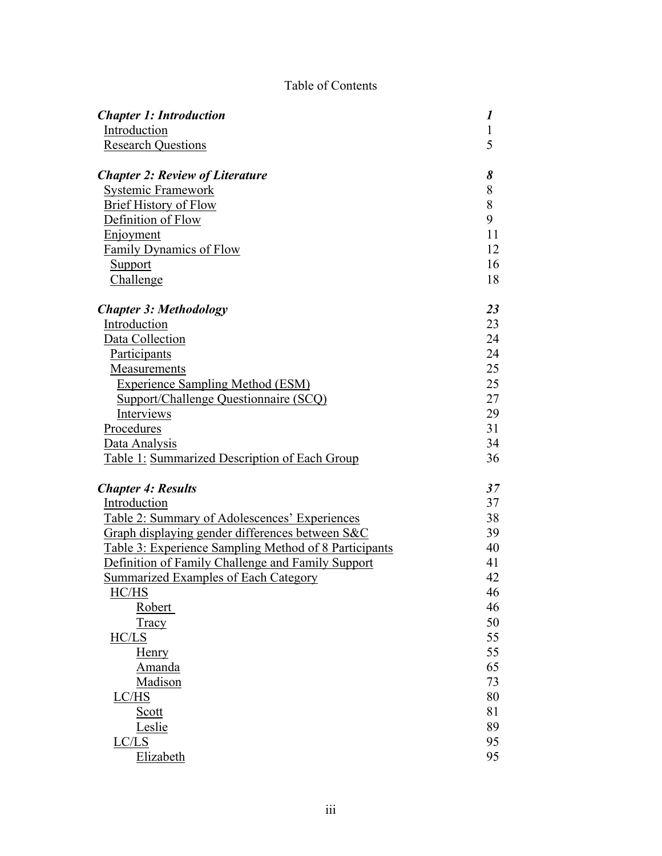# Table of Contents

| <b>Chapter 1: Introduction</b>                               | 1            |
|--------------------------------------------------------------|--------------|
| Introduction                                                 | $\mathbf{1}$ |
| <b>Research Questions</b>                                    | 5            |
| <b>Chapter 2: Review of Literature</b>                       | 8            |
| <b>Systemic Framework</b>                                    | 8            |
| <b>Brief History of Flow</b>                                 | 8            |
| Definition of Flow                                           | 9            |
| Enjoyment                                                    | 11           |
| <b>Family Dynamics of Flow</b>                               | 12           |
| <b>Support</b>                                               | 16           |
| Challenge                                                    | 18           |
| <b>Chapter 3: Methodology</b>                                | 23           |
| Introduction                                                 | 23           |
| Data Collection                                              | 24           |
| <b>Participants</b>                                          | 24           |
| <b>Measurements</b>                                          | 25           |
| <b>Experience Sampling Method (ESM)</b>                      | 25           |
| Support/Challenge Questionnaire (SCQ)                        | 27           |
| Interviews                                                   | 29           |
| Procedures                                                   | 31           |
| Data Analysis                                                | 34           |
| Table 1: Summarized Description of Each Group                | 36           |
| <b>Chapter 4: Results</b>                                    | 37           |
| Introduction                                                 | 37           |
| Table 2: Summary of Adolescences' Experiences                | 38           |
| Graph displaying gender differences between S&C              | 39           |
| <u>Table 3: Experience Sampling Method of 8 Participants</u> | 40           |
| Definition of Family Challenge and Family Support            | 41           |
| <b>Summarized Examples of Each Category</b>                  | 42           |
| HC/HS                                                        | 46           |
| Robert                                                       | 46           |
| Tracy                                                        | 50           |
| HC/LS                                                        | 55           |
| <b>Henry</b>                                                 | 55           |
| Amanda                                                       | 65           |
| Madison                                                      | 73           |
| LC/HS                                                        | 80           |
| <u>Scott</u>                                                 | 81           |
| Leslie                                                       | 89           |
| LC/LS                                                        | 95           |
| Elizabeth                                                    | 95           |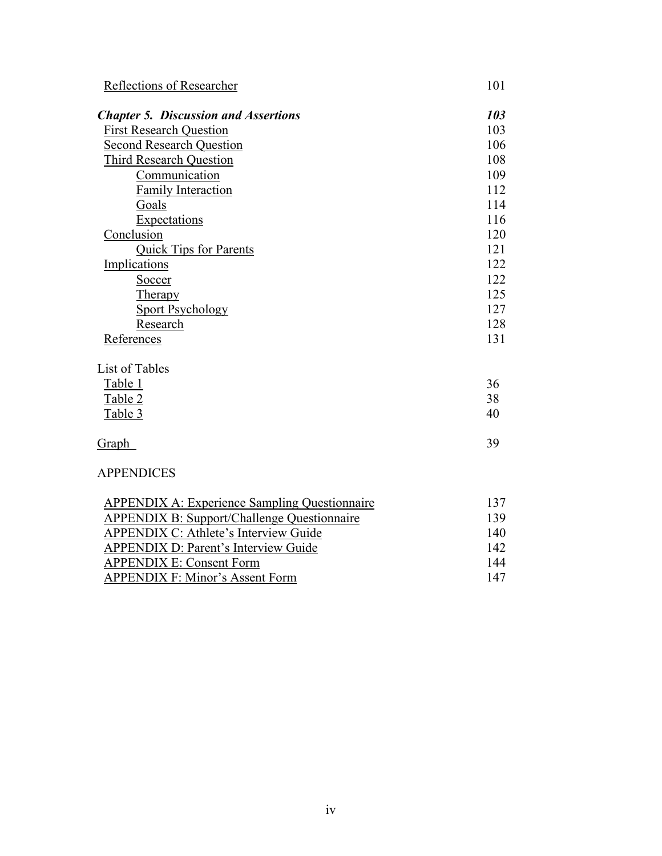| Reflections of Researcher                            | 101 |
|------------------------------------------------------|-----|
| <b>Chapter 5. Discussion and Assertions</b>          | 103 |
| <b>First Research Question</b>                       | 103 |
| <b>Second Research Question</b>                      | 106 |
| <b>Third Research Question</b>                       | 108 |
| Communication                                        | 109 |
| <b>Family Interaction</b>                            | 112 |
| Goals                                                | 114 |
| Expectations                                         | 116 |
| Conclusion                                           | 120 |
| Quick Tips for Parents                               | 121 |
| Implications                                         | 122 |
| Soccer                                               | 122 |
| Therapy                                              | 125 |
| <b>Sport Psychology</b>                              | 127 |
| Research                                             | 128 |
| References                                           | 131 |
| List of Tables                                       |     |
| Table 1                                              | 36  |
| Table 2                                              | 38  |
| Table 3                                              | 40  |
| <b>Graph</b>                                         | 39  |
| <b>APPENDICES</b>                                    |     |
| <b>APPENDIX A: Experience Sampling Questionnaire</b> | 137 |
| <b>APPENDIX B: Support/Challenge Questionnaire</b>   | 139 |
| <b>APPENDIX C: Athlete's Interview Guide</b>         | 140 |
| <b>APPENDIX D: Parent's Interview Guide</b>          | 142 |
| <b>APPENDIX E: Consent Form</b>                      | 144 |

APPENDIX F: Minor's Assent Form 147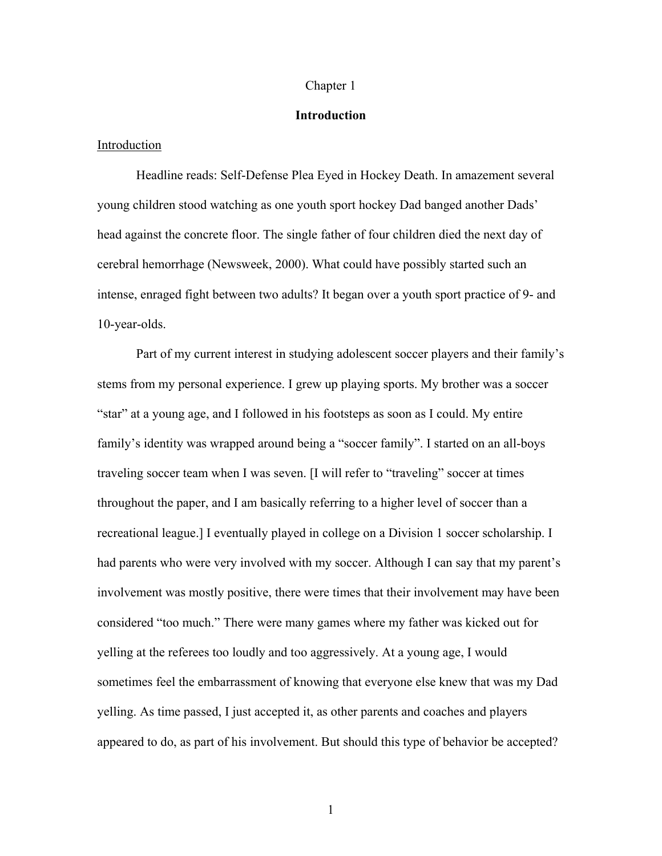#### Chapter 1

## **Introduction**

## Introduction

Headline reads: Self-Defense Plea Eyed in Hockey Death. In amazement several young children stood watching as one youth sport hockey Dad banged another Dads' head against the concrete floor. The single father of four children died the next day of cerebral hemorrhage (Newsweek, 2000). What could have possibly started such an intense, enraged fight between two adults? It began over a youth sport practice of 9- and 10-year-olds.

Part of my current interest in studying adolescent soccer players and their family's stems from my personal experience. I grew up playing sports. My brother was a soccer "star" at a young age, and I followed in his footsteps as soon as I could. My entire family's identity was wrapped around being a "soccer family". I started on an all-boys traveling soccer team when I was seven. [I will refer to "traveling" soccer at times throughout the paper, and I am basically referring to a higher level of soccer than a recreational league.] I eventually played in college on a Division 1 soccer scholarship. I had parents who were very involved with my soccer. Although I can say that my parent's involvement was mostly positive, there were times that their involvement may have been considered "too much." There were many games where my father was kicked out for yelling at the referees too loudly and too aggressively. At a young age, I would sometimes feel the embarrassment of knowing that everyone else knew that was my Dad yelling. As time passed, I just accepted it, as other parents and coaches and players appeared to do, as part of his involvement. But should this type of behavior be accepted?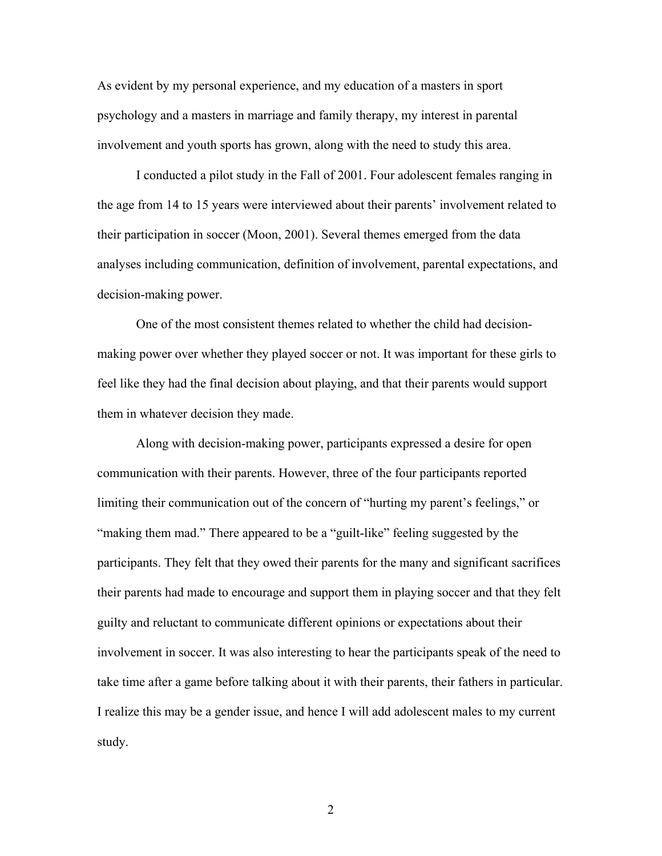As evident by my personal experience, and my education of a masters in sport psychology and a masters in marriage and family therapy, my interest in parental involvement and youth sports has grown, along with the need to study this area.

I conducted a pilot study in the Fall of 2001. Four adolescent females ranging in the age from 14 to 15 years were interviewed about their parents' involvement related to their participation in soccer (Moon, 2001). Several themes emerged from the data analyses including communication, definition of involvement, parental expectations, and decision-making power.

One of the most consistent themes related to whether the child had decisionmaking power over whether they played soccer or not. It was important for these girls to feel like they had the final decision about playing, and that their parents would support them in whatever decision they made.

Along with decision-making power, participants expressed a desire for open communication with their parents. However, three of the four participants reported limiting their communication out of the concern of "hurting my parent's feelings," or "making them mad." There appeared to be a "guilt-like" feeling suggested by the participants. They felt that they owed their parents for the many and significant sacrifices their parents had made to encourage and support them in playing soccer and that they felt guilty and reluctant to communicate different opinions or expectations about their involvement in soccer. It was also interesting to hear the participants speak of the need to take time after a game before talking about it with their parents, their fathers in particular. I realize this may be a gender issue, and hence I will add adolescent males to my current study.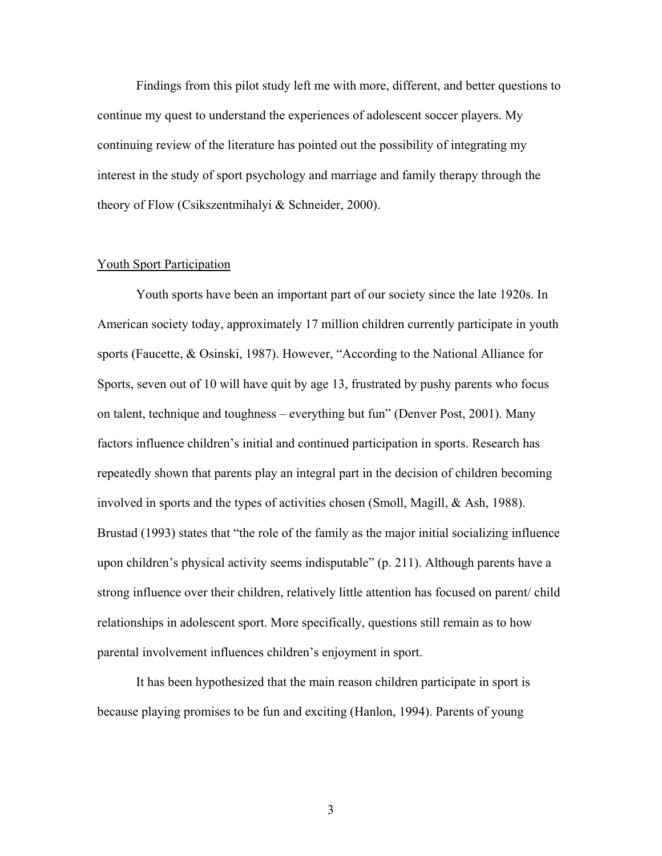Findings from this pilot study left me with more, different, and better questions to continue my quest to understand the experiences of adolescent soccer players. My continuing review of the literature has pointed out the possibility of integrating my interest in the study of sport psychology and marriage and family therapy through the theory of Flow (Csikszentmihalyi & Schneider, 2000).

#### Youth Sport Participation

Youth sports have been an important part of our society since the late 1920s. In American society today, approximately 17 million children currently participate in youth sports (Faucette, & Osinski, 1987). However, "According to the National Alliance for Sports, seven out of 10 will have quit by age 13, frustrated by pushy parents who focus on talent, technique and toughness – everything but fun" (Denver Post, 2001). Many factors influence children's initial and continued participation in sports. Research has repeatedly shown that parents play an integral part in the decision of children becoming involved in sports and the types of activities chosen (Smoll, Magill, & Ash, 1988). Brustad (1993) states that "the role of the family as the major initial socializing influence upon children's physical activity seems indisputable" (p. 211). Although parents have a strong influence over their children, relatively little attention has focused on parent/ child relationships in adolescent sport. More specifically, questions still remain as to how parental involvement influences children's enjoyment in sport.

It has been hypothesized that the main reason children participate in sport is because playing promises to be fun and exciting (Hanlon, 1994). Parents of young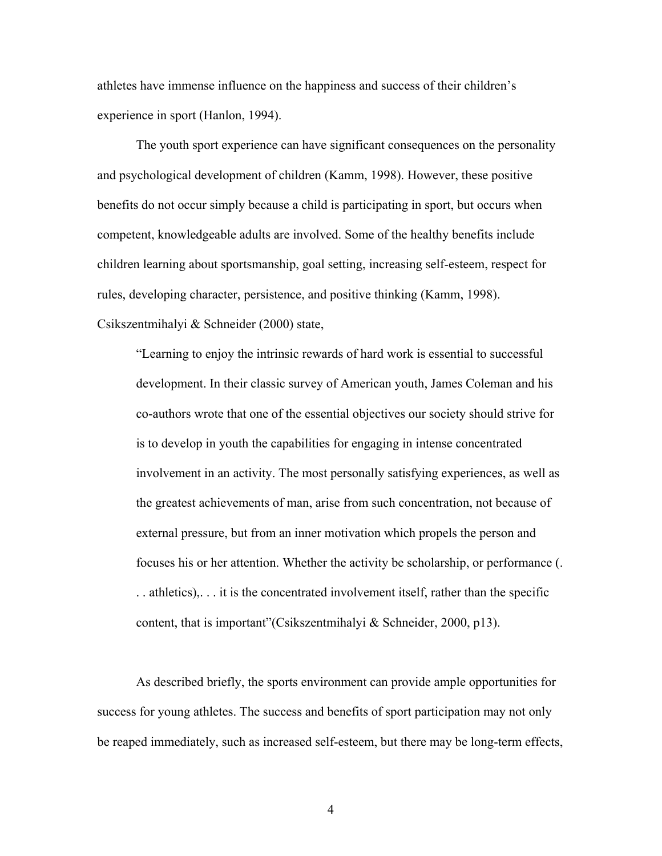athletes have immense influence on the happiness and success of their children's experience in sport (Hanlon, 1994).

The youth sport experience can have significant consequences on the personality and psychological development of children (Kamm, 1998). However, these positive benefits do not occur simply because a child is participating in sport, but occurs when competent, knowledgeable adults are involved. Some of the healthy benefits include children learning about sportsmanship, goal setting, increasing self-esteem, respect for rules, developing character, persistence, and positive thinking (Kamm, 1998). Csikszentmihalyi & Schneider (2000) state,

"Learning to enjoy the intrinsic rewards of hard work is essential to successful development. In their classic survey of American youth, James Coleman and his co-authors wrote that one of the essential objectives our society should strive for is to develop in youth the capabilities for engaging in intense concentrated involvement in an activity. The most personally satisfying experiences, as well as the greatest achievements of man, arise from such concentration, not because of external pressure, but from an inner motivation which propels the person and focuses his or her attention. Whether the activity be scholarship, or performance (. . . athletics),. . . it is the concentrated involvement itself, rather than the specific content, that is important"(Csikszentmihalyi & Schneider, 2000, p13).

As described briefly, the sports environment can provide ample opportunities for success for young athletes. The success and benefits of sport participation may not only be reaped immediately, such as increased self-esteem, but there may be long-term effects,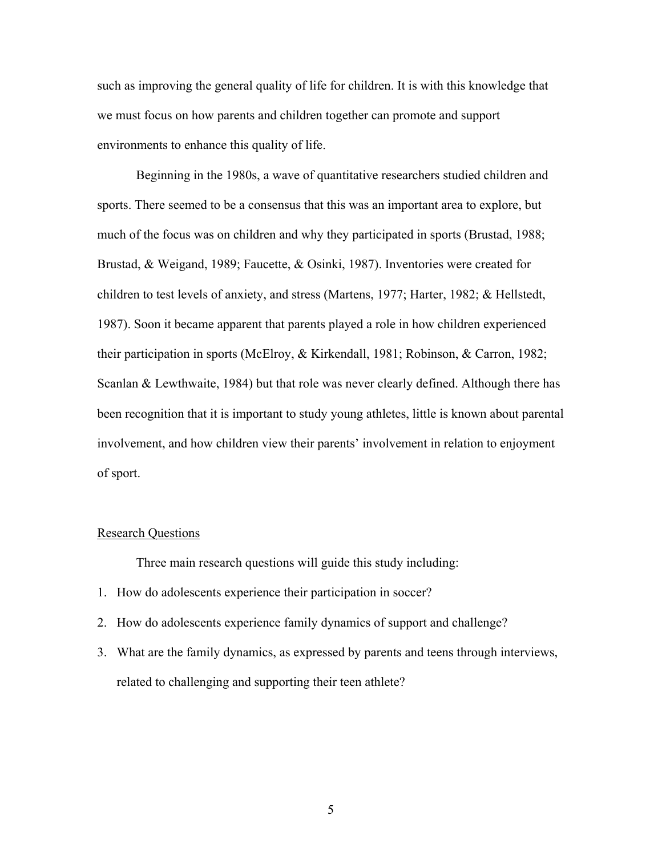such as improving the general quality of life for children. It is with this knowledge that we must focus on how parents and children together can promote and support environments to enhance this quality of life.

Beginning in the 1980s, a wave of quantitative researchers studied children and sports. There seemed to be a consensus that this was an important area to explore, but much of the focus was on children and why they participated in sports (Brustad, 1988; Brustad, & Weigand, 1989; Faucette, & Osinki, 1987). Inventories were created for children to test levels of anxiety, and stress (Martens, 1977; Harter, 1982; & Hellstedt, 1987). Soon it became apparent that parents played a role in how children experienced their participation in sports (McElroy, & Kirkendall, 1981; Robinson, & Carron, 1982; Scanlan & Lewthwaite, 1984) but that role was never clearly defined. Although there has been recognition that it is important to study young athletes, little is known about parental involvement, and how children view their parents' involvement in relation to enjoyment of sport.

## Research Questions

Three main research questions will guide this study including:

- 1. How do adolescents experience their participation in soccer?
- 2. How do adolescents experience family dynamics of support and challenge?
- 3. What are the family dynamics, as expressed by parents and teens through interviews, related to challenging and supporting their teen athlete?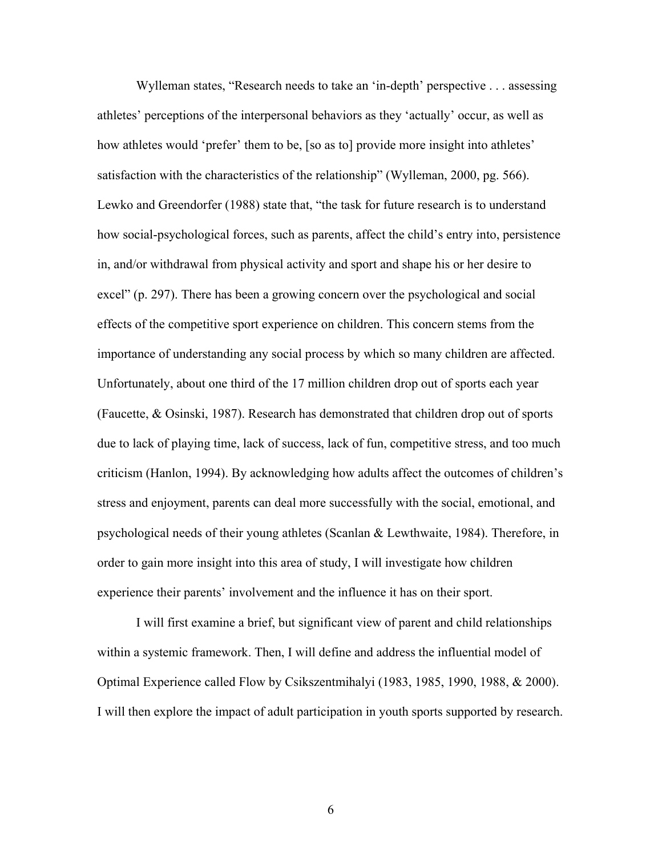Wylleman states, "Research needs to take an 'in-depth' perspective . . . assessing athletes' perceptions of the interpersonal behaviors as they 'actually' occur, as well as how athletes would 'prefer' them to be, [so as to] provide more insight into athletes' satisfaction with the characteristics of the relationship" (Wylleman, 2000, pg. 566). Lewko and Greendorfer (1988) state that, "the task for future research is to understand how social-psychological forces, such as parents, affect the child's entry into, persistence in, and/or withdrawal from physical activity and sport and shape his or her desire to excel" (p. 297). There has been a growing concern over the psychological and social effects of the competitive sport experience on children. This concern stems from the importance of understanding any social process by which so many children are affected. Unfortunately, about one third of the 17 million children drop out of sports each year (Faucette, & Osinski, 1987). Research has demonstrated that children drop out of sports due to lack of playing time, lack of success, lack of fun, competitive stress, and too much criticism (Hanlon, 1994). By acknowledging how adults affect the outcomes of children's stress and enjoyment, parents can deal more successfully with the social, emotional, and psychological needs of their young athletes (Scanlan & Lewthwaite, 1984). Therefore, in order to gain more insight into this area of study, I will investigate how children experience their parents' involvement and the influence it has on their sport.

I will first examine a brief, but significant view of parent and child relationships within a systemic framework. Then, I will define and address the influential model of Optimal Experience called Flow by Csikszentmihalyi (1983, 1985, 1990, 1988, & 2000). I will then explore the impact of adult participation in youth sports supported by research.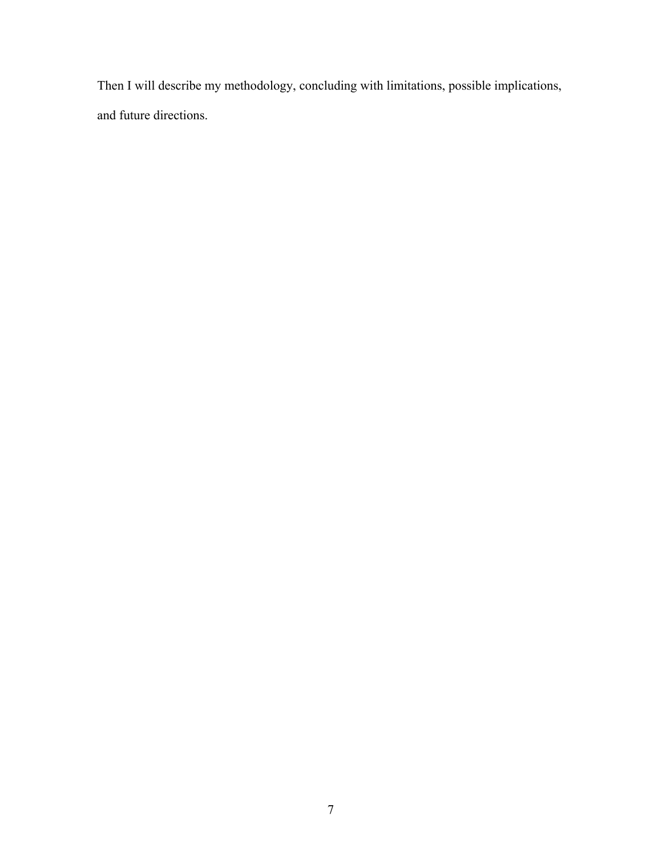Then I will describe my methodology, concluding with limitations, possible implications, and future directions.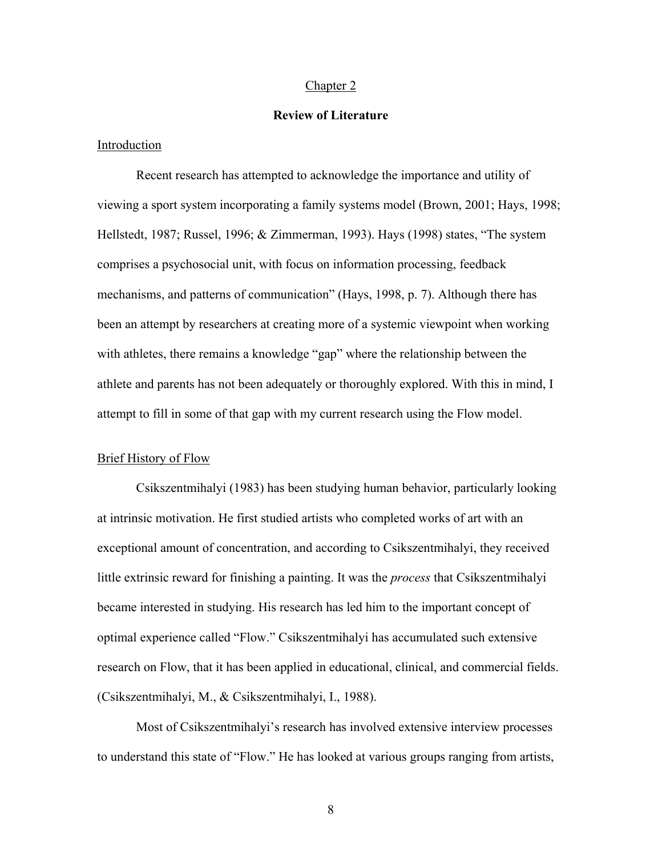#### Chapter 2

## **Review of Literature**

## Introduction

Recent research has attempted to acknowledge the importance and utility of viewing a sport system incorporating a family systems model (Brown, 2001; Hays, 1998; Hellstedt, 1987; Russel, 1996; & Zimmerman, 1993). Hays (1998) states, "The system comprises a psychosocial unit, with focus on information processing, feedback mechanisms, and patterns of communication" (Hays, 1998, p. 7). Although there has been an attempt by researchers at creating more of a systemic viewpoint when working with athletes, there remains a knowledge "gap" where the relationship between the athlete and parents has not been adequately or thoroughly explored. With this in mind, I attempt to fill in some of that gap with my current research using the Flow model.

#### Brief History of Flow

Csikszentmihalyi (1983) has been studying human behavior, particularly looking at intrinsic motivation. He first studied artists who completed works of art with an exceptional amount of concentration, and according to Csikszentmihalyi, they received little extrinsic reward for finishing a painting. It was the *process* that Csikszentmihalyi became interested in studying. His research has led him to the important concept of optimal experience called "Flow." Csikszentmihalyi has accumulated such extensive research on Flow, that it has been applied in educational, clinical, and commercial fields. (Csikszentmihalyi, M., & Csikszentmihalyi, I., 1988).

Most of Csikszentmihalyi's research has involved extensive interview processes to understand this state of "Flow." He has looked at various groups ranging from artists,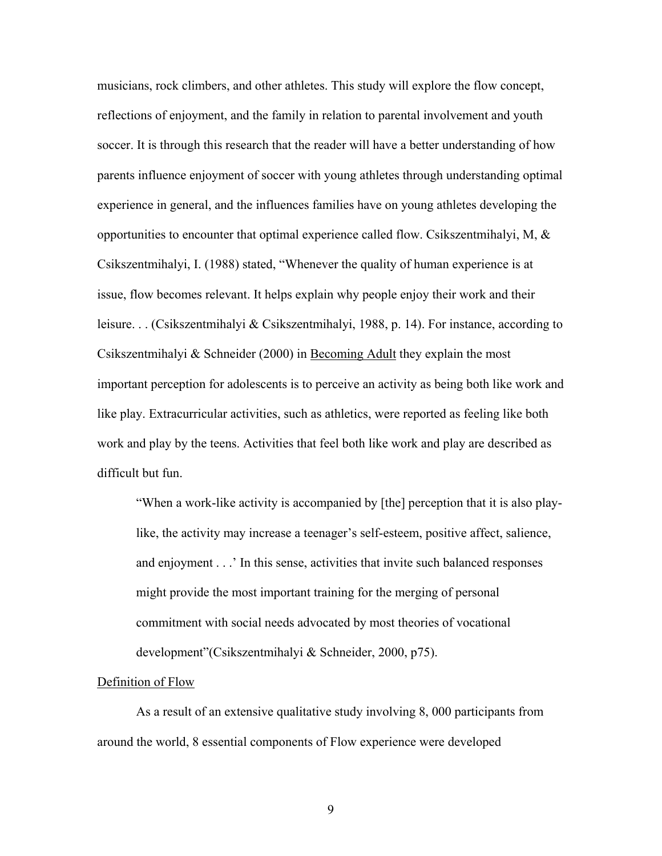musicians, rock climbers, and other athletes. This study will explore the flow concept, reflections of enjoyment, and the family in relation to parental involvement and youth soccer. It is through this research that the reader will have a better understanding of how parents influence enjoyment of soccer with young athletes through understanding optimal experience in general, and the influences families have on young athletes developing the opportunities to encounter that optimal experience called flow. Csikszentmihalyi, M,  $\&$ Csikszentmihalyi, I. (1988) stated, "Whenever the quality of human experience is at issue, flow becomes relevant. It helps explain why people enjoy their work and their leisure. . . (Csikszentmihalyi & Csikszentmihalyi, 1988, p. 14). For instance, according to Csikszentmihalyi  $&$  Schneider (2000) in Becoming Adult they explain the most important perception for adolescents is to perceive an activity as being both like work and like play. Extracurricular activities, such as athletics, were reported as feeling like both work and play by the teens. Activities that feel both like work and play are described as difficult but fun.

"When a work-like activity is accompanied by [the] perception that it is also playlike, the activity may increase a teenager's self-esteem, positive affect, salience, and enjoyment . . .' In this sense, activities that invite such balanced responses might provide the most important training for the merging of personal commitment with social needs advocated by most theories of vocational development"(Csikszentmihalyi & Schneider, 2000, p75).

#### Definition of Flow

As a result of an extensive qualitative study involving 8, 000 participants from around the world, 8 essential components of Flow experience were developed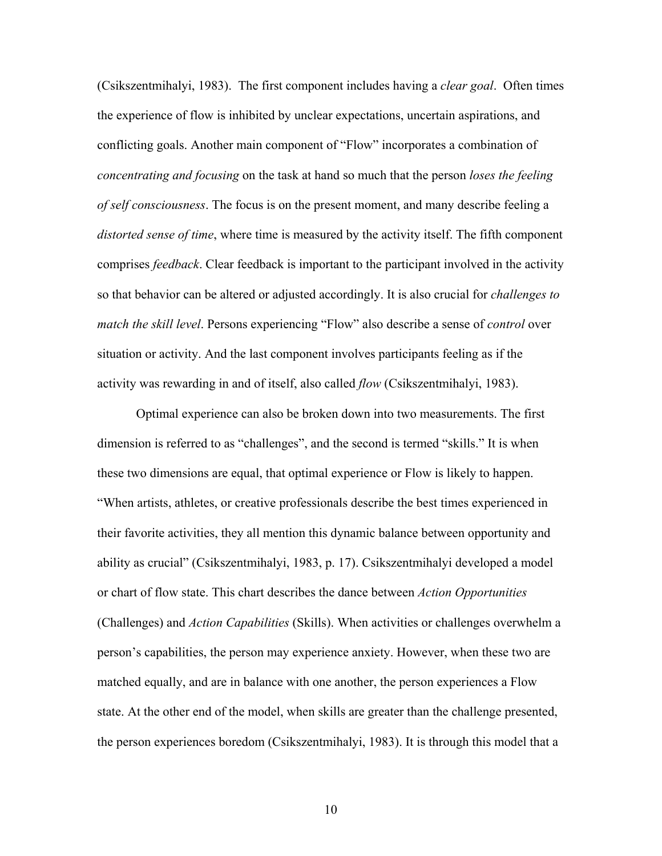(Csikszentmihalyi, 1983). The first component includes having a *clear goal*. Often times the experience of flow is inhibited by unclear expectations, uncertain aspirations, and conflicting goals. Another main component of "Flow" incorporates a combination of *concentrating and focusing* on the task at hand so much that the person *loses the feeling of self consciousness*. The focus is on the present moment, and many describe feeling a *distorted sense of time*, where time is measured by the activity itself. The fifth component comprises *feedback*. Clear feedback is important to the participant involved in the activity so that behavior can be altered or adjusted accordingly. It is also crucial for *challenges to match the skill level*. Persons experiencing "Flow" also describe a sense of *control* over situation or activity. And the last component involves participants feeling as if the activity was rewarding in and of itself, also called *flow* (Csikszentmihalyi, 1983).

Optimal experience can also be broken down into two measurements. The first dimension is referred to as "challenges", and the second is termed "skills." It is when these two dimensions are equal, that optimal experience or Flow is likely to happen. "When artists, athletes, or creative professionals describe the best times experienced in their favorite activities, they all mention this dynamic balance between opportunity and ability as crucial" (Csikszentmihalyi, 1983, p. 17). Csikszentmihalyi developed a model or chart of flow state. This chart describes the dance between *Action Opportunities* (Challenges) and *Action Capabilities* (Skills). When activities or challenges overwhelm a person's capabilities, the person may experience anxiety. However, when these two are matched equally, and are in balance with one another, the person experiences a Flow state. At the other end of the model, when skills are greater than the challenge presented, the person experiences boredom (Csikszentmihalyi, 1983). It is through this model that a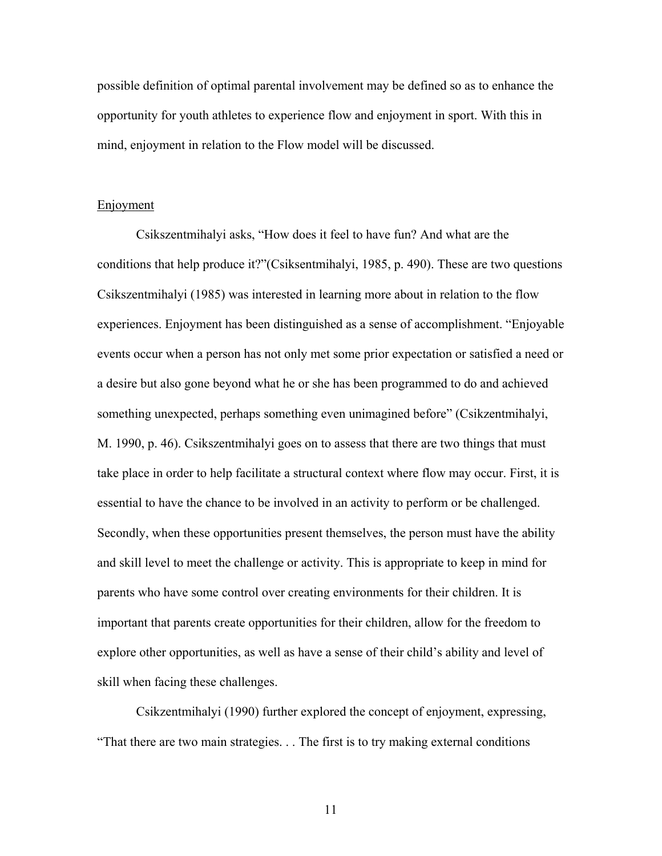possible definition of optimal parental involvement may be defined so as to enhance the opportunity for youth athletes to experience flow and enjoyment in sport. With this in mind, enjoyment in relation to the Flow model will be discussed.

#### **Enjoyment**

Csikszentmihalyi asks, "How does it feel to have fun? And what are the conditions that help produce it?"(Csiksentmihalyi, 1985, p. 490). These are two questions Csikszentmihalyi (1985) was interested in learning more about in relation to the flow experiences. Enjoyment has been distinguished as a sense of accomplishment. "Enjoyable events occur when a person has not only met some prior expectation or satisfied a need or a desire but also gone beyond what he or she has been programmed to do and achieved something unexpected, perhaps something even unimagined before" (Csikzentmihalyi, M. 1990, p. 46). Csikszentmihalyi goes on to assess that there are two things that must take place in order to help facilitate a structural context where flow may occur. First, it is essential to have the chance to be involved in an activity to perform or be challenged. Secondly, when these opportunities present themselves, the person must have the ability and skill level to meet the challenge or activity. This is appropriate to keep in mind for parents who have some control over creating environments for their children. It is important that parents create opportunities for their children, allow for the freedom to explore other opportunities, as well as have a sense of their child's ability and level of skill when facing these challenges.

Csikzentmihalyi (1990) further explored the concept of enjoyment, expressing, "That there are two main strategies. . . The first is to try making external conditions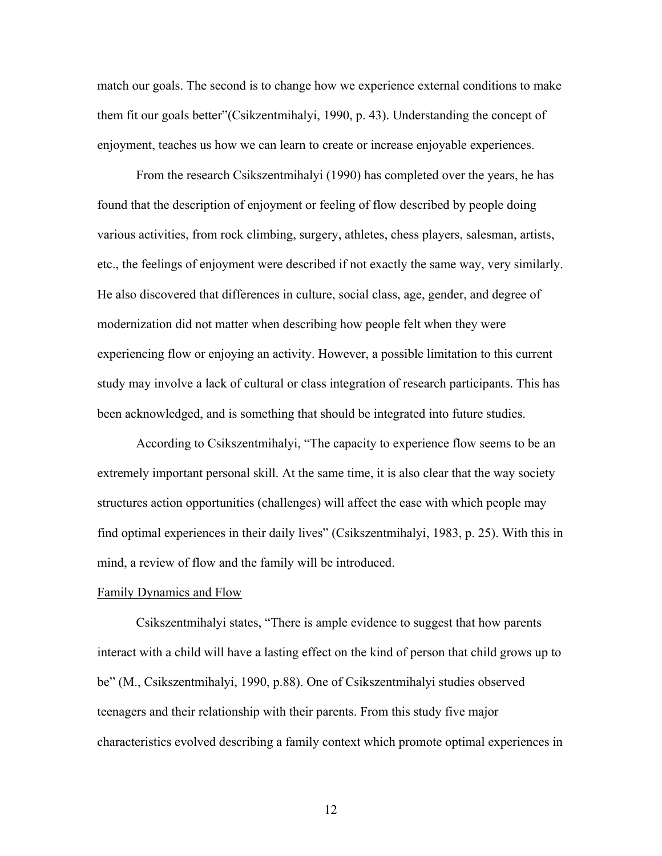match our goals. The second is to change how we experience external conditions to make them fit our goals better"(Csikzentmihalyi, 1990, p. 43). Understanding the concept of enjoyment, teaches us how we can learn to create or increase enjoyable experiences.

From the research Csikszentmihalyi (1990) has completed over the years, he has found that the description of enjoyment or feeling of flow described by people doing various activities, from rock climbing, surgery, athletes, chess players, salesman, artists, etc., the feelings of enjoyment were described if not exactly the same way, very similarly. He also discovered that differences in culture, social class, age, gender, and degree of modernization did not matter when describing how people felt when they were experiencing flow or enjoying an activity. However, a possible limitation to this current study may involve a lack of cultural or class integration of research participants. This has been acknowledged, and is something that should be integrated into future studies.

According to Csikszentmihalyi, "The capacity to experience flow seems to be an extremely important personal skill. At the same time, it is also clear that the way society structures action opportunities (challenges) will affect the ease with which people may find optimal experiences in their daily lives" (Csikszentmihalyi, 1983, p. 25). With this in mind, a review of flow and the family will be introduced.

#### Family Dynamics and Flow

Csikszentmihalyi states, "There is ample evidence to suggest that how parents interact with a child will have a lasting effect on the kind of person that child grows up to be" (M., Csikszentmihalyi, 1990, p.88). One of Csikszentmihalyi studies observed teenagers and their relationship with their parents. From this study five major characteristics evolved describing a family context which promote optimal experiences in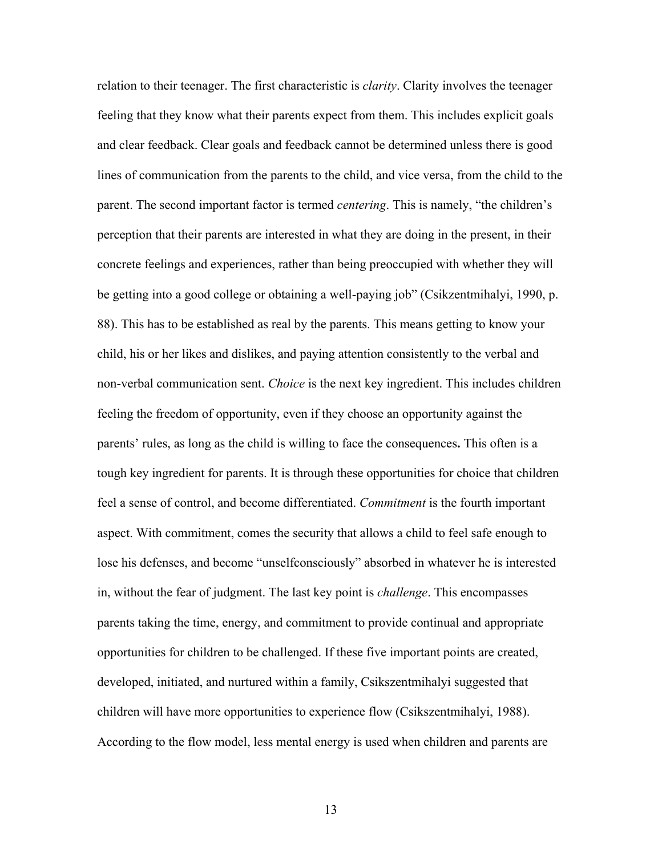relation to their teenager. The first characteristic is *clarity*. Clarity involves the teenager feeling that they know what their parents expect from them. This includes explicit goals and clear feedback. Clear goals and feedback cannot be determined unless there is good lines of communication from the parents to the child, and vice versa, from the child to the parent. The second important factor is termed *centering*. This is namely, "the children's perception that their parents are interested in what they are doing in the present, in their concrete feelings and experiences, rather than being preoccupied with whether they will be getting into a good college or obtaining a well-paying job" (Csikzentmihalyi, 1990, p. 88). This has to be established as real by the parents. This means getting to know your child, his or her likes and dislikes, and paying attention consistently to the verbal and non-verbal communication sent. *Choice* is the next key ingredient. This includes children feeling the freedom of opportunity, even if they choose an opportunity against the parents' rules, as long as the child is willing to face the consequences**.** This often is a tough key ingredient for parents. It is through these opportunities for choice that children feel a sense of control, and become differentiated. *Commitment* is the fourth important aspect. With commitment, comes the security that allows a child to feel safe enough to lose his defenses, and become "unselfconsciously" absorbed in whatever he is interested in, without the fear of judgment. The last key point is *challenge*. This encompasses parents taking the time, energy, and commitment to provide continual and appropriate opportunities for children to be challenged. If these five important points are created, developed, initiated, and nurtured within a family, Csikszentmihalyi suggested that children will have more opportunities to experience flow (Csikszentmihalyi, 1988). According to the flow model, less mental energy is used when children and parents are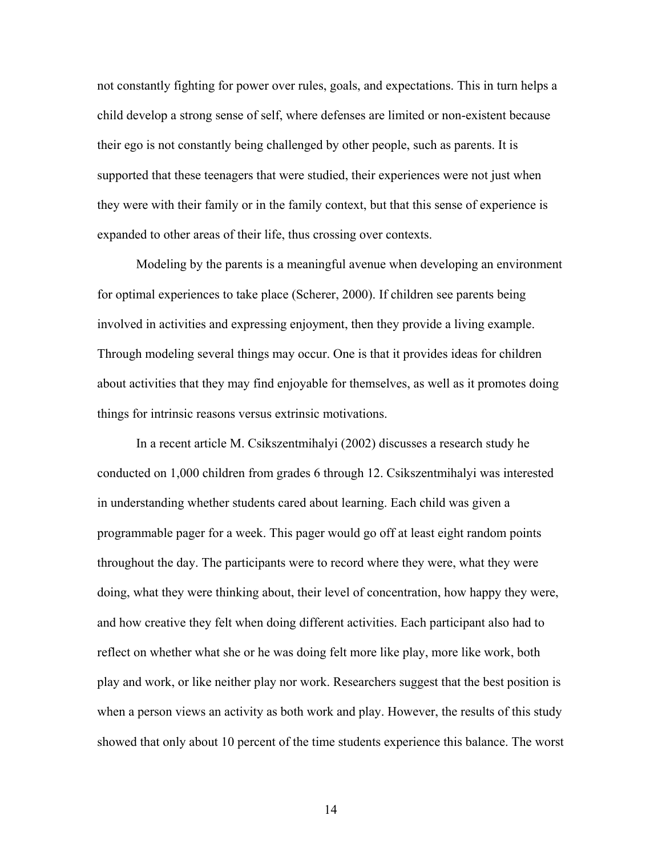not constantly fighting for power over rules, goals, and expectations. This in turn helps a child develop a strong sense of self, where defenses are limited or non-existent because their ego is not constantly being challenged by other people, such as parents. It is supported that these teenagers that were studied, their experiences were not just when they were with their family or in the family context, but that this sense of experience is expanded to other areas of their life, thus crossing over contexts.

Modeling by the parents is a meaningful avenue when developing an environment for optimal experiences to take place (Scherer, 2000). If children see parents being involved in activities and expressing enjoyment, then they provide a living example. Through modeling several things may occur. One is that it provides ideas for children about activities that they may find enjoyable for themselves, as well as it promotes doing things for intrinsic reasons versus extrinsic motivations.

In a recent article M. Csikszentmihalyi (2002) discusses a research study he conducted on 1,000 children from grades 6 through 12. Csikszentmihalyi was interested in understanding whether students cared about learning. Each child was given a programmable pager for a week. This pager would go off at least eight random points throughout the day. The participants were to record where they were, what they were doing, what they were thinking about, their level of concentration, how happy they were, and how creative they felt when doing different activities. Each participant also had to reflect on whether what she or he was doing felt more like play, more like work, both play and work, or like neither play nor work. Researchers suggest that the best position is when a person views an activity as both work and play. However, the results of this study showed that only about 10 percent of the time students experience this balance. The worst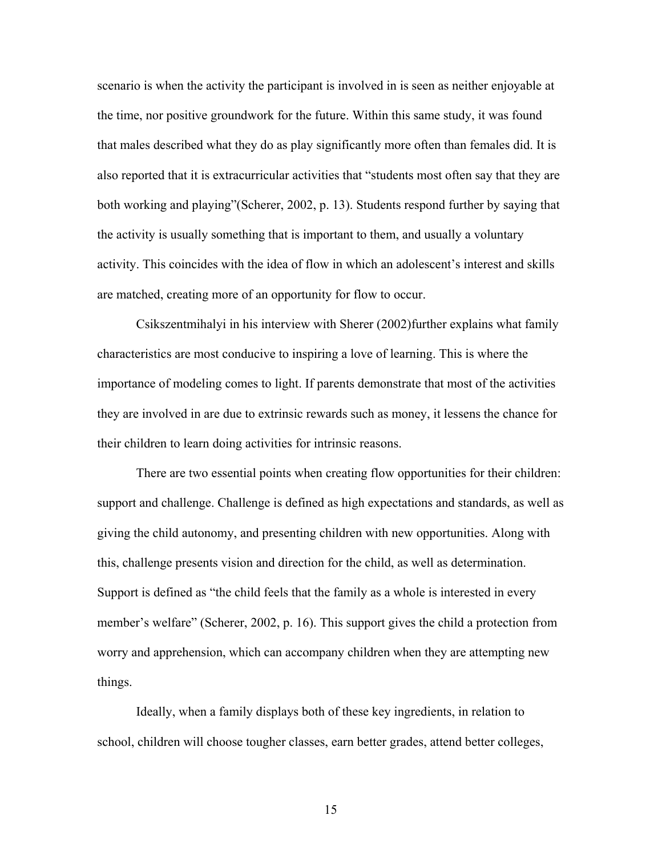scenario is when the activity the participant is involved in is seen as neither enjoyable at the time, nor positive groundwork for the future. Within this same study, it was found that males described what they do as play significantly more often than females did. It is also reported that it is extracurricular activities that "students most often say that they are both working and playing"(Scherer, 2002, p. 13). Students respond further by saying that the activity is usually something that is important to them, and usually a voluntary activity. This coincides with the idea of flow in which an adolescent's interest and skills are matched, creating more of an opportunity for flow to occur.

Csikszentmihalyi in his interview with Sherer (2002)further explains what family characteristics are most conducive to inspiring a love of learning. This is where the importance of modeling comes to light. If parents demonstrate that most of the activities they are involved in are due to extrinsic rewards such as money, it lessens the chance for their children to learn doing activities for intrinsic reasons.

There are two essential points when creating flow opportunities for their children: support and challenge. Challenge is defined as high expectations and standards, as well as giving the child autonomy, and presenting children with new opportunities. Along with this, challenge presents vision and direction for the child, as well as determination. Support is defined as "the child feels that the family as a whole is interested in every member's welfare" (Scherer, 2002, p. 16). This support gives the child a protection from worry and apprehension, which can accompany children when they are attempting new things.

Ideally, when a family displays both of these key ingredients, in relation to school, children will choose tougher classes, earn better grades, attend better colleges,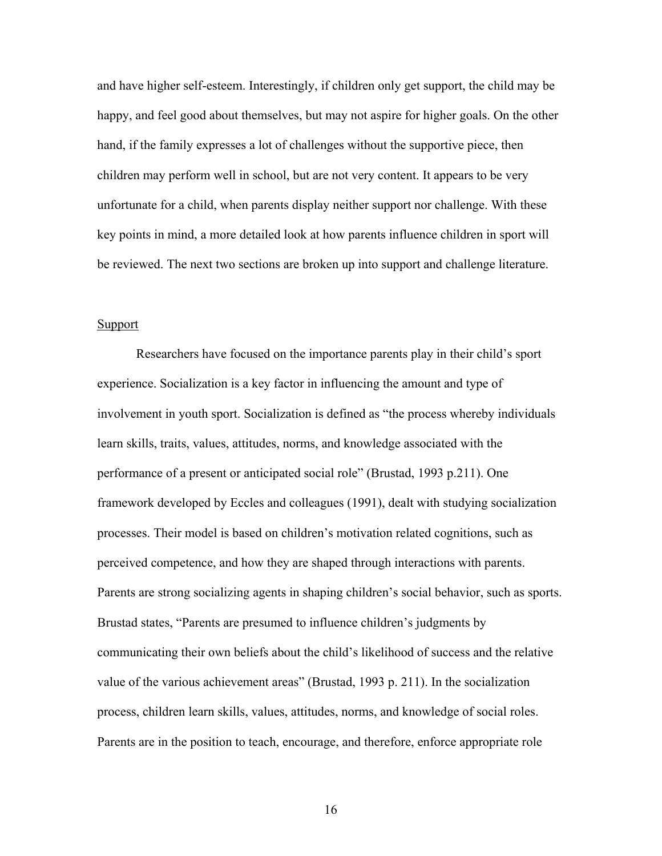and have higher self-esteem. Interestingly, if children only get support, the child may be happy, and feel good about themselves, but may not aspire for higher goals. On the other hand, if the family expresses a lot of challenges without the supportive piece, then children may perform well in school, but are not very content. It appears to be very unfortunate for a child, when parents display neither support nor challenge. With these key points in mind, a more detailed look at how parents influence children in sport will be reviewed. The next two sections are broken up into support and challenge literature.

## Support

Researchers have focused on the importance parents play in their child's sport experience. Socialization is a key factor in influencing the amount and type of involvement in youth sport. Socialization is defined as "the process whereby individuals learn skills, traits, values, attitudes, norms, and knowledge associated with the performance of a present or anticipated social role" (Brustad, 1993 p.211). One framework developed by Eccles and colleagues (1991), dealt with studying socialization processes. Their model is based on children's motivation related cognitions, such as perceived competence, and how they are shaped through interactions with parents. Parents are strong socializing agents in shaping children's social behavior, such as sports. Brustad states, "Parents are presumed to influence children's judgments by communicating their own beliefs about the child's likelihood of success and the relative value of the various achievement areas" (Brustad, 1993 p. 211). In the socialization process, children learn skills, values, attitudes, norms, and knowledge of social roles. Parents are in the position to teach, encourage, and therefore, enforce appropriate role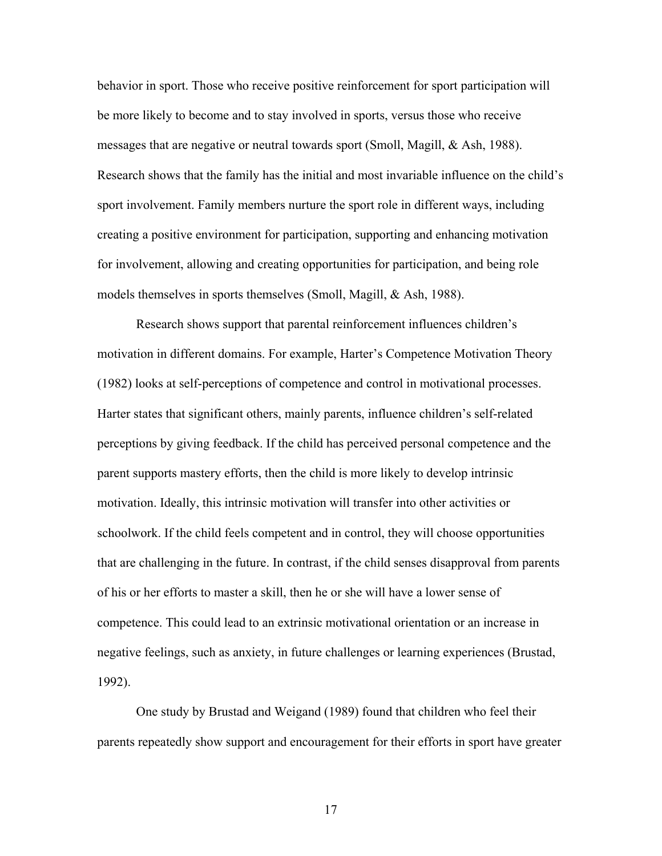behavior in sport. Those who receive positive reinforcement for sport participation will be more likely to become and to stay involved in sports, versus those who receive messages that are negative or neutral towards sport (Smoll, Magill, & Ash, 1988). Research shows that the family has the initial and most invariable influence on the child's sport involvement. Family members nurture the sport role in different ways, including creating a positive environment for participation, supporting and enhancing motivation for involvement, allowing and creating opportunities for participation, and being role models themselves in sports themselves (Smoll, Magill, & Ash, 1988).

Research shows support that parental reinforcement influences children's motivation in different domains. For example, Harter's Competence Motivation Theory (1982) looks at self-perceptions of competence and control in motivational processes. Harter states that significant others, mainly parents, influence children's self-related perceptions by giving feedback. If the child has perceived personal competence and the parent supports mastery efforts, then the child is more likely to develop intrinsic motivation. Ideally, this intrinsic motivation will transfer into other activities or schoolwork. If the child feels competent and in control, they will choose opportunities that are challenging in the future. In contrast, if the child senses disapproval from parents of his or her efforts to master a skill, then he or she will have a lower sense of competence. This could lead to an extrinsic motivational orientation or an increase in negative feelings, such as anxiety, in future challenges or learning experiences (Brustad, 1992).

One study by Brustad and Weigand (1989) found that children who feel their parents repeatedly show support and encouragement for their efforts in sport have greater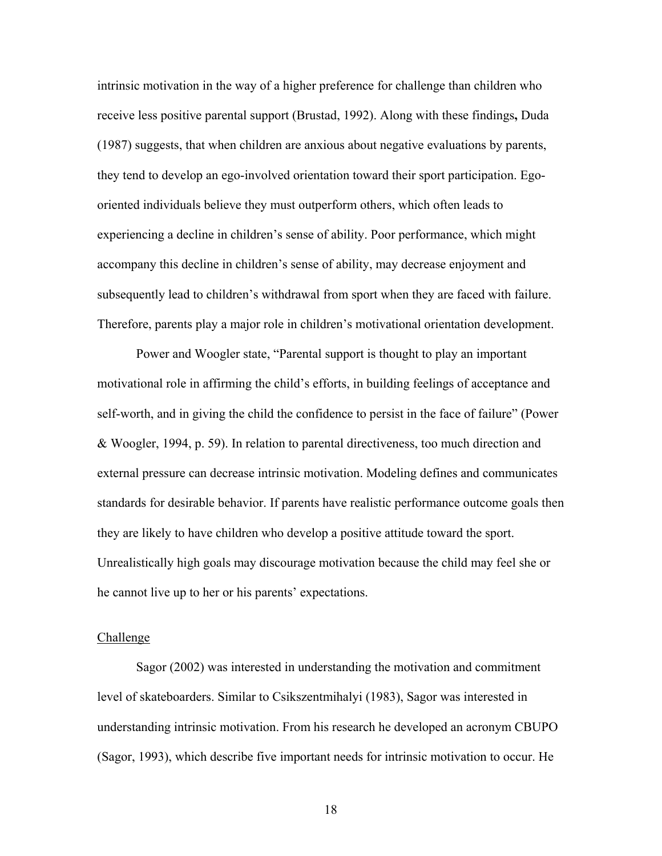intrinsic motivation in the way of a higher preference for challenge than children who receive less positive parental support (Brustad, 1992). Along with these findings**,** Duda (1987) suggests, that when children are anxious about negative evaluations by parents, they tend to develop an ego-involved orientation toward their sport participation. Egooriented individuals believe they must outperform others, which often leads to experiencing a decline in children's sense of ability. Poor performance, which might accompany this decline in children's sense of ability, may decrease enjoyment and subsequently lead to children's withdrawal from sport when they are faced with failure. Therefore, parents play a major role in children's motivational orientation development.

Power and Woogler state, "Parental support is thought to play an important motivational role in affirming the child's efforts, in building feelings of acceptance and self-worth, and in giving the child the confidence to persist in the face of failure" (Power & Woogler, 1994, p. 59). In relation to parental directiveness, too much direction and external pressure can decrease intrinsic motivation. Modeling defines and communicates standards for desirable behavior. If parents have realistic performance outcome goals then they are likely to have children who develop a positive attitude toward the sport. Unrealistically high goals may discourage motivation because the child may feel she or he cannot live up to her or his parents' expectations.

#### Challenge

Sagor (2002) was interested in understanding the motivation and commitment level of skateboarders. Similar to Csikszentmihalyi (1983), Sagor was interested in understanding intrinsic motivation. From his research he developed an acronym CBUPO (Sagor, 1993), which describe five important needs for intrinsic motivation to occur. He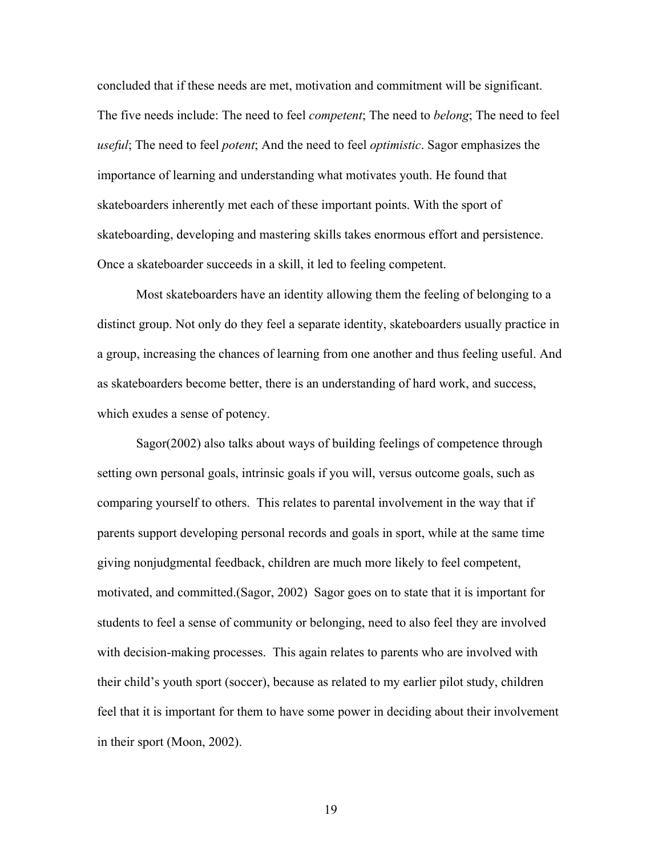concluded that if these needs are met, motivation and commitment will be significant. The five needs include: The need to feel *competent*; The need to *belong*; The need to feel *useful*; The need to feel *potent*; And the need to feel *optimistic*. Sagor emphasizes the importance of learning and understanding what motivates youth. He found that skateboarders inherently met each of these important points. With the sport of skateboarding, developing and mastering skills takes enormous effort and persistence. Once a skateboarder succeeds in a skill, it led to feeling competent.

Most skateboarders have an identity allowing them the feeling of belonging to a distinct group. Not only do they feel a separate identity, skateboarders usually practice in a group, increasing the chances of learning from one another and thus feeling useful. And as skateboarders become better, there is an understanding of hard work, and success, which exudes a sense of potency.

Sagor(2002) also talks about ways of building feelings of competence through setting own personal goals, intrinsic goals if you will, versus outcome goals, such as comparing yourself to others. This relates to parental involvement in the way that if parents support developing personal records and goals in sport, while at the same time giving nonjudgmental feedback, children are much more likely to feel competent, motivated, and committed.(Sagor, 2002) Sagor goes on to state that it is important for students to feel a sense of community or belonging, need to also feel they are involved with decision-making processes. This again relates to parents who are involved with their child's youth sport (soccer), because as related to my earlier pilot study, children feel that it is important for them to have some power in deciding about their involvement in their sport (Moon, 2002).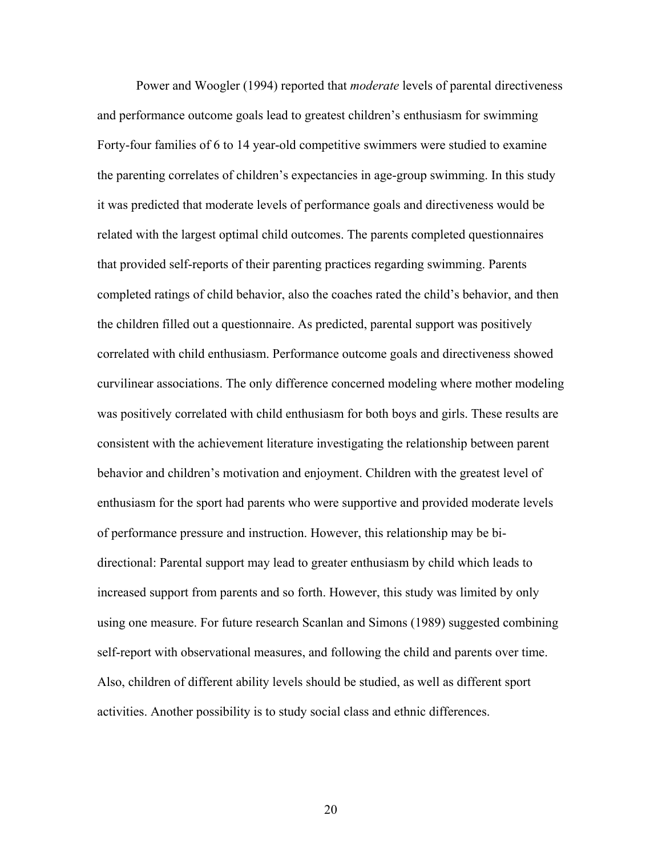Power and Woogler (1994) reported that *moderate* levels of parental directiveness and performance outcome goals lead to greatest children's enthusiasm for swimming Forty-four families of 6 to 14 year-old competitive swimmers were studied to examine the parenting correlates of children's expectancies in age-group swimming. In this study it was predicted that moderate levels of performance goals and directiveness would be related with the largest optimal child outcomes. The parents completed questionnaires that provided self-reports of their parenting practices regarding swimming. Parents completed ratings of child behavior, also the coaches rated the child's behavior, and then the children filled out a questionnaire. As predicted, parental support was positively correlated with child enthusiasm. Performance outcome goals and directiveness showed curvilinear associations. The only difference concerned modeling where mother modeling was positively correlated with child enthusiasm for both boys and girls. These results are consistent with the achievement literature investigating the relationship between parent behavior and children's motivation and enjoyment. Children with the greatest level of enthusiasm for the sport had parents who were supportive and provided moderate levels of performance pressure and instruction. However, this relationship may be bidirectional: Parental support may lead to greater enthusiasm by child which leads to increased support from parents and so forth. However, this study was limited by only using one measure. For future research Scanlan and Simons (1989) suggested combining self-report with observational measures, and following the child and parents over time. Also, children of different ability levels should be studied, as well as different sport activities. Another possibility is to study social class and ethnic differences.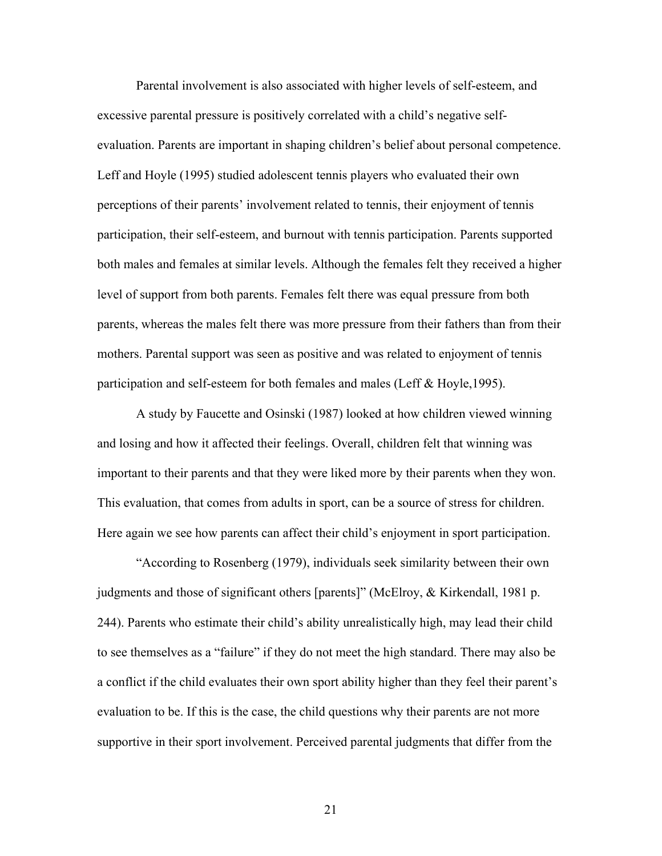Parental involvement is also associated with higher levels of self-esteem, and excessive parental pressure is positively correlated with a child's negative selfevaluation. Parents are important in shaping children's belief about personal competence. Leff and Hoyle (1995) studied adolescent tennis players who evaluated their own perceptions of their parents' involvement related to tennis, their enjoyment of tennis participation, their self-esteem, and burnout with tennis participation. Parents supported both males and females at similar levels. Although the females felt they received a higher level of support from both parents. Females felt there was equal pressure from both parents, whereas the males felt there was more pressure from their fathers than from their mothers. Parental support was seen as positive and was related to enjoyment of tennis participation and self-esteem for both females and males (Leff & Hoyle,1995).

A study by Faucette and Osinski (1987) looked at how children viewed winning and losing and how it affected their feelings. Overall, children felt that winning was important to their parents and that they were liked more by their parents when they won. This evaluation, that comes from adults in sport, can be a source of stress for children. Here again we see how parents can affect their child's enjoyment in sport participation.

"According to Rosenberg (1979), individuals seek similarity between their own judgments and those of significant others [parents]" (McElroy, & Kirkendall, 1981 p. 244). Parents who estimate their child's ability unrealistically high, may lead their child to see themselves as a "failure" if they do not meet the high standard. There may also be a conflict if the child evaluates their own sport ability higher than they feel their parent's evaluation to be. If this is the case, the child questions why their parents are not more supportive in their sport involvement. Perceived parental judgments that differ from the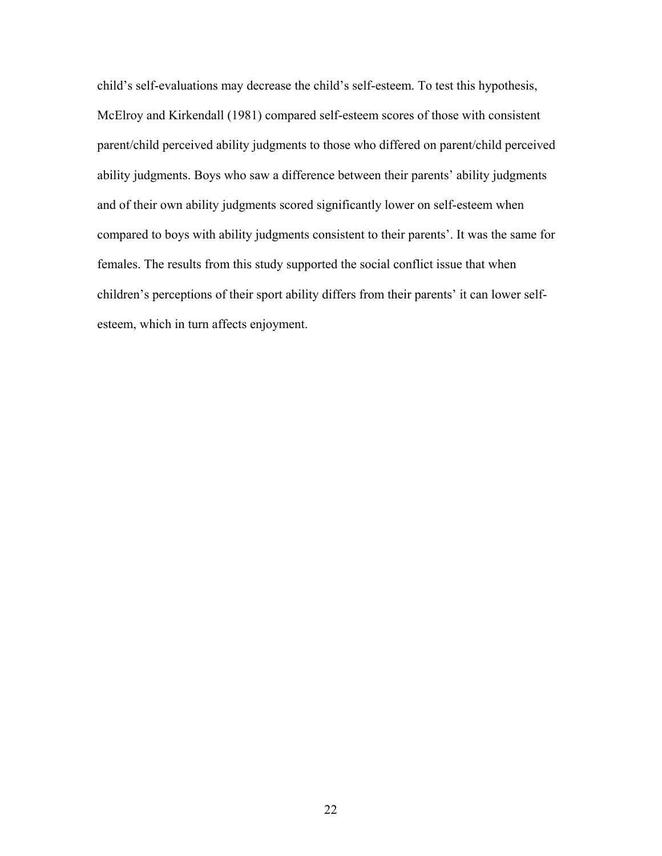child's self-evaluations may decrease the child's self-esteem. To test this hypothesis, McElroy and Kirkendall (1981) compared self-esteem scores of those with consistent parent/child perceived ability judgments to those who differed on parent/child perceived ability judgments. Boys who saw a difference between their parents' ability judgments and of their own ability judgments scored significantly lower on self-esteem when compared to boys with ability judgments consistent to their parents'. It was the same for females. The results from this study supported the social conflict issue that when children's perceptions of their sport ability differs from their parents' it can lower selfesteem, which in turn affects enjoyment.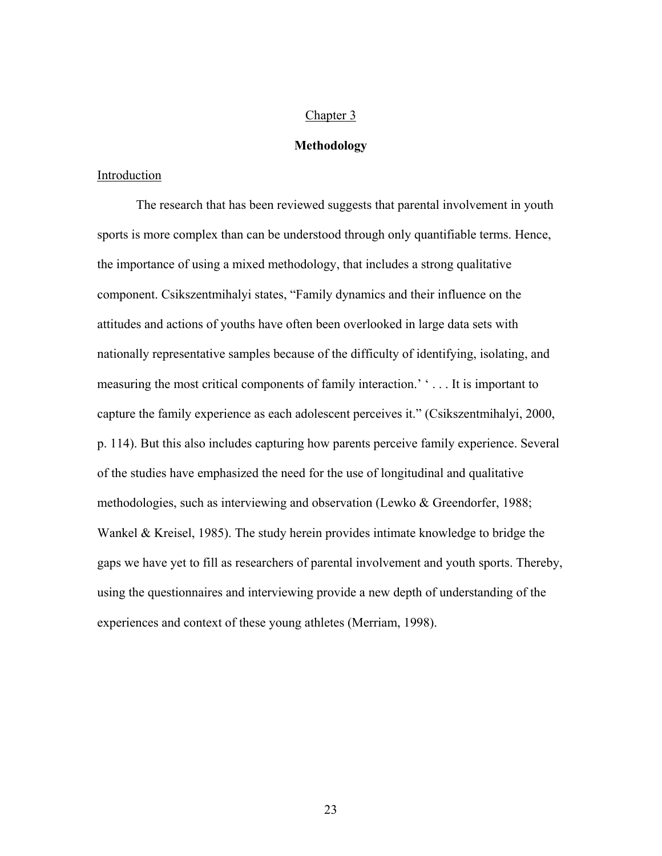## Chapter 3

## **Methodology**

## Introduction

The research that has been reviewed suggests that parental involvement in youth sports is more complex than can be understood through only quantifiable terms. Hence, the importance of using a mixed methodology, that includes a strong qualitative component. Csikszentmihalyi states, "Family dynamics and their influence on the attitudes and actions of youths have often been overlooked in large data sets with nationally representative samples because of the difficulty of identifying, isolating, and measuring the most critical components of family interaction.' ' . . . It is important to capture the family experience as each adolescent perceives it." (Csikszentmihalyi, 2000, p. 114). But this also includes capturing how parents perceive family experience. Several of the studies have emphasized the need for the use of longitudinal and qualitative methodologies, such as interviewing and observation (Lewko & Greendorfer, 1988; Wankel & Kreisel, 1985). The study herein provides intimate knowledge to bridge the gaps we have yet to fill as researchers of parental involvement and youth sports. Thereby, using the questionnaires and interviewing provide a new depth of understanding of the experiences and context of these young athletes (Merriam, 1998).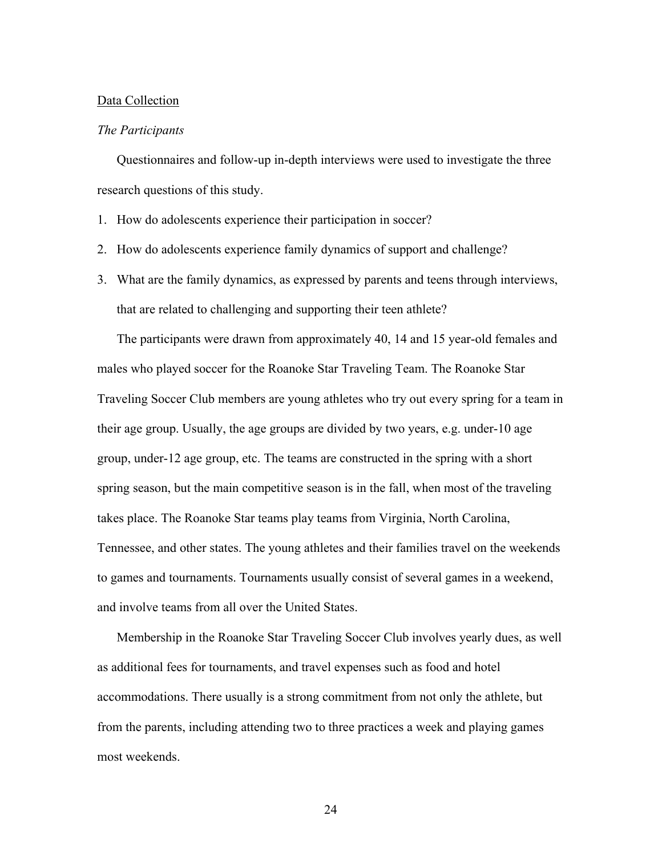#### Data Collection

### *The Participants*

Questionnaires and follow-up in-depth interviews were used to investigate the three research questions of this study.

- 1. How do adolescents experience their participation in soccer?
- 2. How do adolescents experience family dynamics of support and challenge?
- 3. What are the family dynamics, as expressed by parents and teens through interviews, that are related to challenging and supporting their teen athlete?

The participants were drawn from approximately 40, 14 and 15 year-old females and males who played soccer for the Roanoke Star Traveling Team. The Roanoke Star Traveling Soccer Club members are young athletes who try out every spring for a team in their age group. Usually, the age groups are divided by two years, e.g. under-10 age group, under-12 age group, etc. The teams are constructed in the spring with a short spring season, but the main competitive season is in the fall, when most of the traveling takes place. The Roanoke Star teams play teams from Virginia, North Carolina, Tennessee, and other states. The young athletes and their families travel on the weekends to games and tournaments. Tournaments usually consist of several games in a weekend, and involve teams from all over the United States.

Membership in the Roanoke Star Traveling Soccer Club involves yearly dues, as well as additional fees for tournaments, and travel expenses such as food and hotel accommodations. There usually is a strong commitment from not only the athlete, but from the parents, including attending two to three practices a week and playing games most weekends.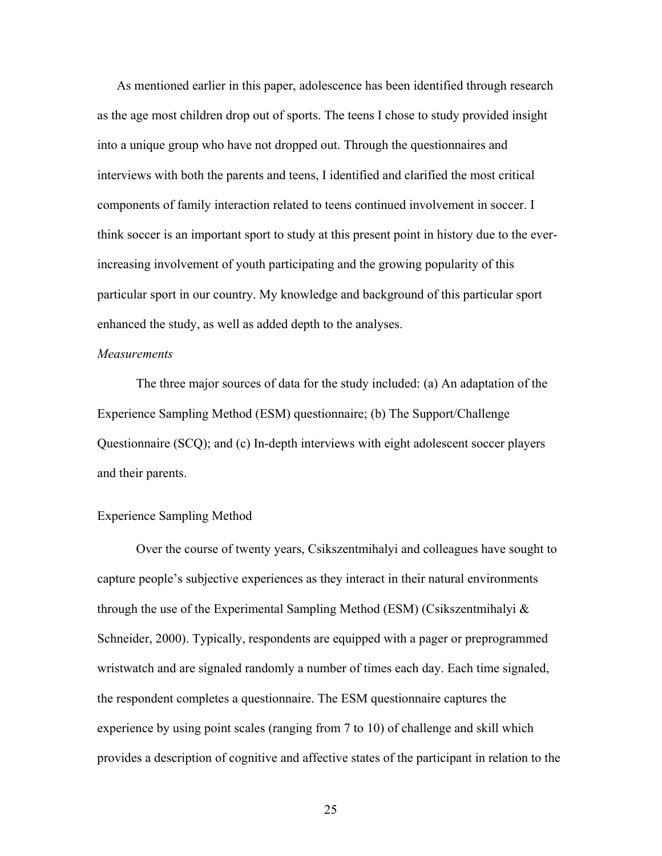As mentioned earlier in this paper, adolescence has been identified through research as the age most children drop out of sports. The teens I chose to study provided insight into a unique group who have not dropped out. Through the questionnaires and interviews with both the parents and teens, I identified and clarified the most critical components of family interaction related to teens continued involvement in soccer. I think soccer is an important sport to study at this present point in history due to the everincreasing involvement of youth participating and the growing popularity of this particular sport in our country. My knowledge and background of this particular sport enhanced the study, as well as added depth to the analyses.

### *Measurements*

The three major sources of data for the study included: (a) An adaptation of the Experience Sampling Method (ESM) questionnaire; (b) The Support/Challenge Questionnaire (SCQ); and (c) In-depth interviews with eight adolescent soccer players and their parents.

#### Experience Sampling Method

Over the course of twenty years, Csikszentmihalyi and colleagues have sought to capture people's subjective experiences as they interact in their natural environments through the use of the Experimental Sampling Method (ESM) (Csikszentmihalyi & Schneider, 2000). Typically, respondents are equipped with a pager or preprogrammed wristwatch and are signaled randomly a number of times each day. Each time signaled, the respondent completes a questionnaire. The ESM questionnaire captures the experience by using point scales (ranging from 7 to 10) of challenge and skill which provides a description of cognitive and affective states of the participant in relation to the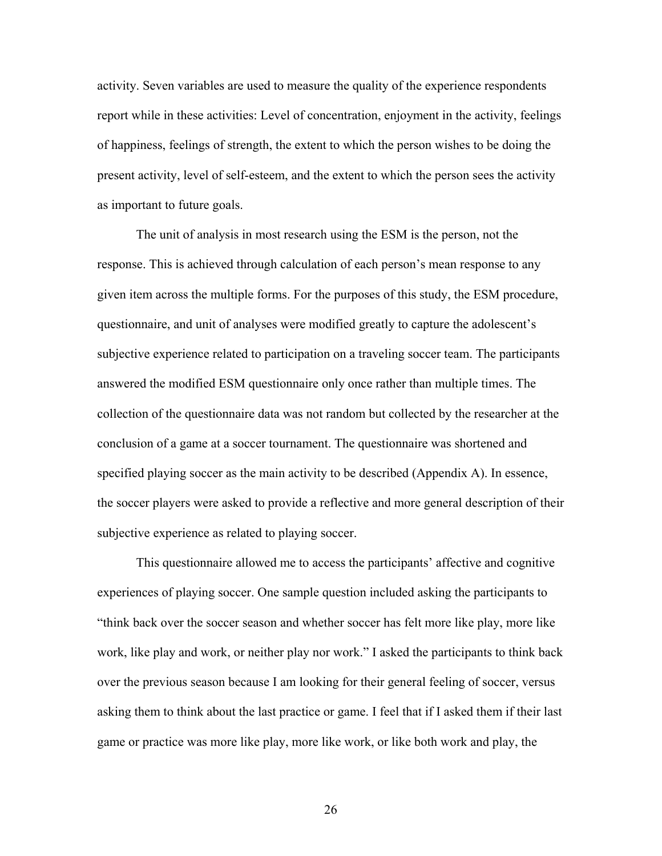activity. Seven variables are used to measure the quality of the experience respondents report while in these activities: Level of concentration, enjoyment in the activity, feelings of happiness, feelings of strength, the extent to which the person wishes to be doing the present activity, level of self-esteem, and the extent to which the person sees the activity as important to future goals.

The unit of analysis in most research using the ESM is the person, not the response. This is achieved through calculation of each person's mean response to any given item across the multiple forms. For the purposes of this study, the ESM procedure, questionnaire, and unit of analyses were modified greatly to capture the adolescent's subjective experience related to participation on a traveling soccer team. The participants answered the modified ESM questionnaire only once rather than multiple times. The collection of the questionnaire data was not random but collected by the researcher at the conclusion of a game at a soccer tournament. The questionnaire was shortened and specified playing soccer as the main activity to be described (Appendix A). In essence, the soccer players were asked to provide a reflective and more general description of their subjective experience as related to playing soccer.

This questionnaire allowed me to access the participants' affective and cognitive experiences of playing soccer. One sample question included asking the participants to "think back over the soccer season and whether soccer has felt more like play, more like work, like play and work, or neither play nor work." I asked the participants to think back over the previous season because I am looking for their general feeling of soccer, versus asking them to think about the last practice or game. I feel that if I asked them if their last game or practice was more like play, more like work, or like both work and play, the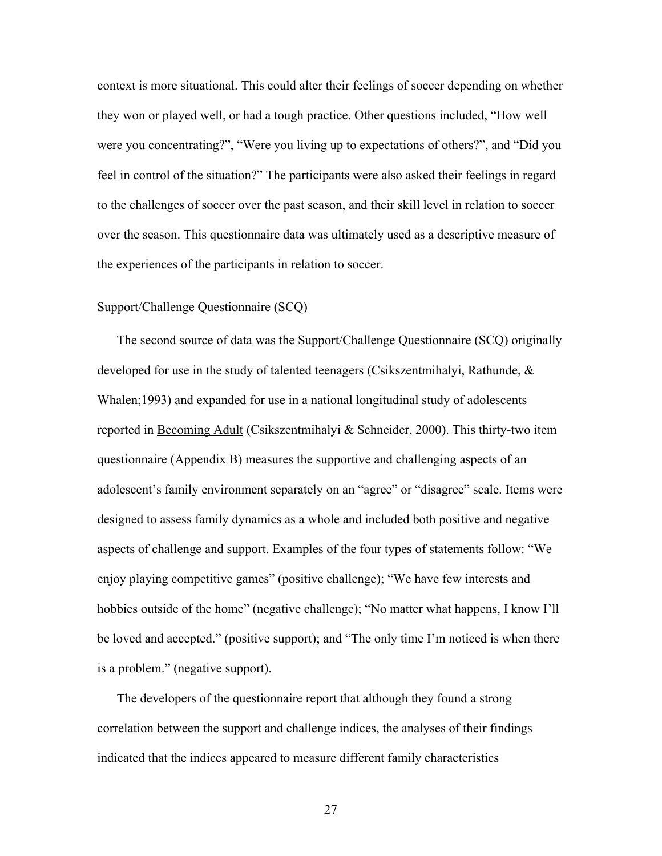context is more situational. This could alter their feelings of soccer depending on whether they won or played well, or had a tough practice. Other questions included, "How well were you concentrating?", "Were you living up to expectations of others?", and "Did you feel in control of the situation?" The participants were also asked their feelings in regard to the challenges of soccer over the past season, and their skill level in relation to soccer over the season. This questionnaire data was ultimately used as a descriptive measure of the experiences of the participants in relation to soccer.

## Support/Challenge Questionnaire (SCQ)

The second source of data was the Support/Challenge Questionnaire (SCQ) originally developed for use in the study of talented teenagers (Csikszentmihalyi, Rathunde, & Whalen;1993) and expanded for use in a national longitudinal study of adolescents reported in Becoming Adult (Csikszentmihalyi & Schneider, 2000). This thirty-two item questionnaire (Appendix B) measures the supportive and challenging aspects of an adolescent's family environment separately on an "agree" or "disagree" scale. Items were designed to assess family dynamics as a whole and included both positive and negative aspects of challenge and support. Examples of the four types of statements follow: "We enjoy playing competitive games" (positive challenge); "We have few interests and hobbies outside of the home" (negative challenge); "No matter what happens, I know I'll be loved and accepted." (positive support); and "The only time I'm noticed is when there is a problem." (negative support).

The developers of the questionnaire report that although they found a strong correlation between the support and challenge indices, the analyses of their findings indicated that the indices appeared to measure different family characteristics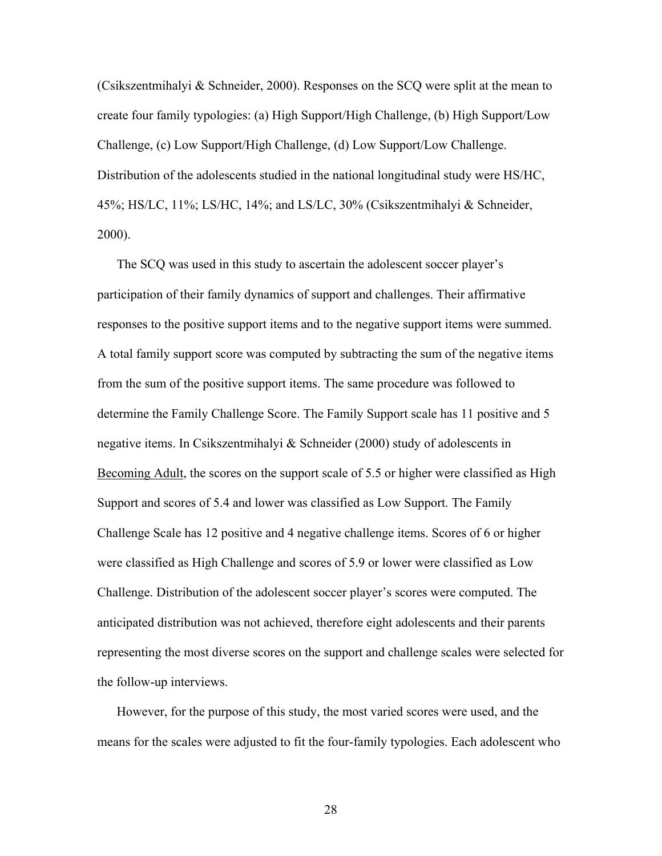(Csikszentmihalyi & Schneider, 2000). Responses on the SCQ were split at the mean to create four family typologies: (a) High Support/High Challenge, (b) High Support/Low Challenge, (c) Low Support/High Challenge, (d) Low Support/Low Challenge. Distribution of the adolescents studied in the national longitudinal study were HS/HC, 45%; HS/LC, 11%; LS/HC, 14%; and LS/LC, 30% (Csikszentmihalyi & Schneider, 2000).

The SCQ was used in this study to ascertain the adolescent soccer player's participation of their family dynamics of support and challenges. Their affirmative responses to the positive support items and to the negative support items were summed. A total family support score was computed by subtracting the sum of the negative items from the sum of the positive support items. The same procedure was followed to determine the Family Challenge Score. The Family Support scale has 11 positive and 5 negative items. In Csikszentmihalyi & Schneider (2000) study of adolescents in Becoming Adult, the scores on the support scale of 5.5 or higher were classified as High Support and scores of 5.4 and lower was classified as Low Support. The Family Challenge Scale has 12 positive and 4 negative challenge items. Scores of 6 or higher were classified as High Challenge and scores of 5.9 or lower were classified as Low Challenge. Distribution of the adolescent soccer player's scores were computed. The anticipated distribution was not achieved, therefore eight adolescents and their parents representing the most diverse scores on the support and challenge scales were selected for the follow-up interviews.

However, for the purpose of this study, the most varied scores were used, and the means for the scales were adjusted to fit the four-family typologies. Each adolescent who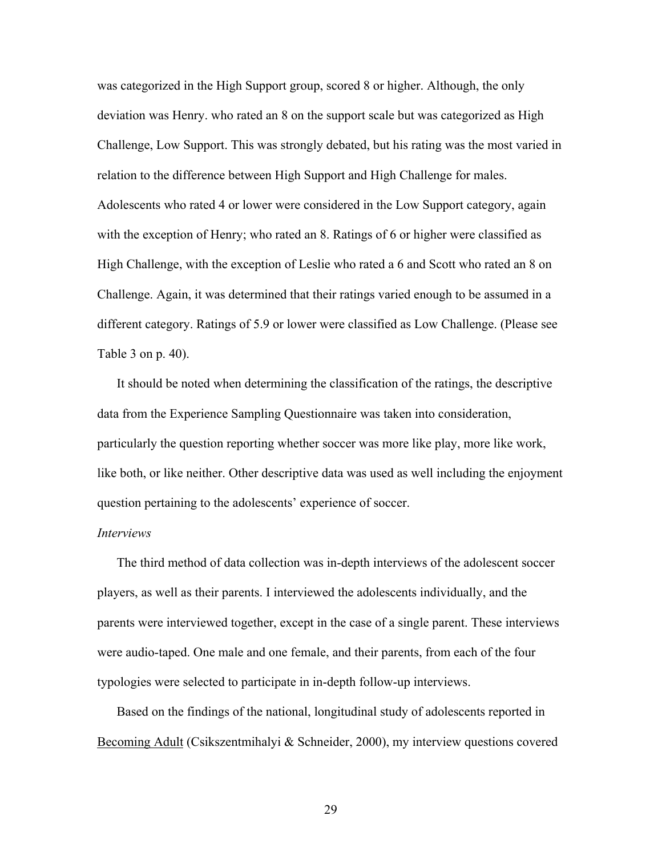was categorized in the High Support group, scored 8 or higher. Although, the only deviation was Henry. who rated an 8 on the support scale but was categorized as High Challenge, Low Support. This was strongly debated, but his rating was the most varied in relation to the difference between High Support and High Challenge for males. Adolescents who rated 4 or lower were considered in the Low Support category, again with the exception of Henry; who rated an 8. Ratings of 6 or higher were classified as High Challenge, with the exception of Leslie who rated a 6 and Scott who rated an 8 on Challenge. Again, it was determined that their ratings varied enough to be assumed in a different category. Ratings of 5.9 or lower were classified as Low Challenge. (Please see Table 3 on p. 40).

It should be noted when determining the classification of the ratings, the descriptive data from the Experience Sampling Questionnaire was taken into consideration, particularly the question reporting whether soccer was more like play, more like work, like both, or like neither. Other descriptive data was used as well including the enjoyment question pertaining to the adolescents' experience of soccer.

#### *Interviews*

The third method of data collection was in-depth interviews of the adolescent soccer players, as well as their parents. I interviewed the adolescents individually, and the parents were interviewed together, except in the case of a single parent. These interviews were audio-taped. One male and one female, and their parents, from each of the four typologies were selected to participate in in-depth follow-up interviews.

Based on the findings of the national, longitudinal study of adolescents reported in Becoming Adult (Csikszentmihalyi & Schneider, 2000), my interview questions covered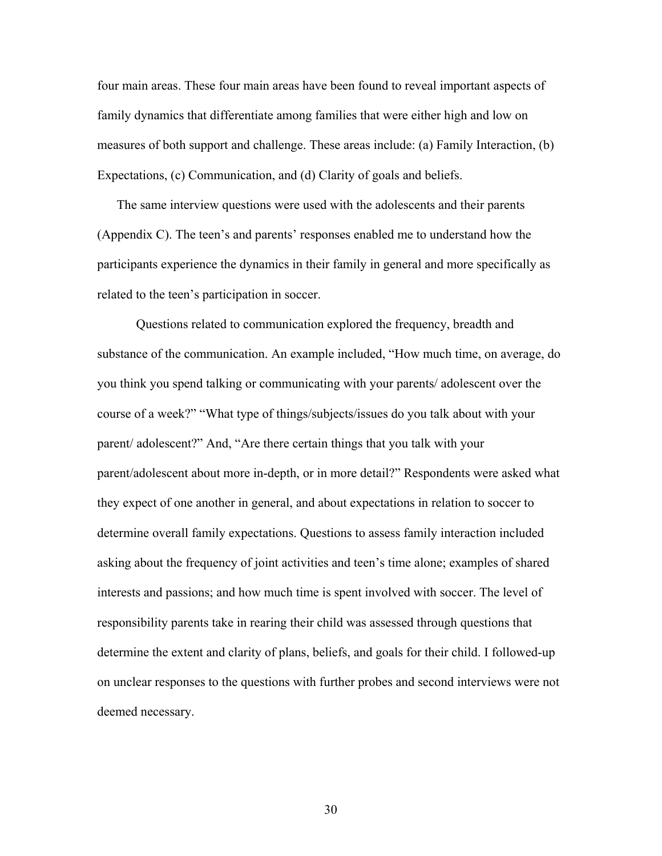four main areas. These four main areas have been found to reveal important aspects of family dynamics that differentiate among families that were either high and low on measures of both support and challenge. These areas include: (a) Family Interaction, (b) Expectations, (c) Communication, and (d) Clarity of goals and beliefs.

The same interview questions were used with the adolescents and their parents (Appendix C). The teen's and parents' responses enabled me to understand how the participants experience the dynamics in their family in general and more specifically as related to the teen's participation in soccer.

 Questions related to communication explored the frequency, breadth and substance of the communication. An example included, "How much time, on average, do you think you spend talking or communicating with your parents/ adolescent over the course of a week?" "What type of things/subjects/issues do you talk about with your parent/ adolescent?" And, "Are there certain things that you talk with your parent/adolescent about more in-depth, or in more detail?" Respondents were asked what they expect of one another in general, and about expectations in relation to soccer to determine overall family expectations. Questions to assess family interaction included asking about the frequency of joint activities and teen's time alone; examples of shared interests and passions; and how much time is spent involved with soccer. The level of responsibility parents take in rearing their child was assessed through questions that determine the extent and clarity of plans, beliefs, and goals for their child. I followed-up on unclear responses to the questions with further probes and second interviews were not deemed necessary.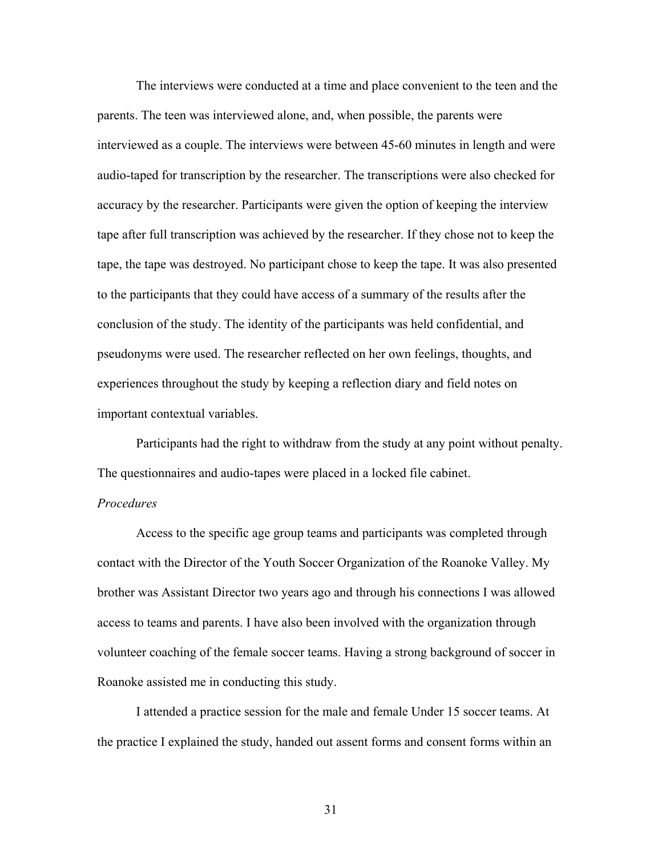The interviews were conducted at a time and place convenient to the teen and the parents. The teen was interviewed alone, and, when possible, the parents were interviewed as a couple. The interviews were between 45-60 minutes in length and were audio-taped for transcription by the researcher. The transcriptions were also checked for accuracy by the researcher. Participants were given the option of keeping the interview tape after full transcription was achieved by the researcher. If they chose not to keep the tape, the tape was destroyed. No participant chose to keep the tape. It was also presented to the participants that they could have access of a summary of the results after the conclusion of the study. The identity of the participants was held confidential, and pseudonyms were used. The researcher reflected on her own feelings, thoughts, and experiences throughout the study by keeping a reflection diary and field notes on important contextual variables.

 Participants had the right to withdraw from the study at any point without penalty. The questionnaires and audio-tapes were placed in a locked file cabinet.

#### *Procedures*

Access to the specific age group teams and participants was completed through contact with the Director of the Youth Soccer Organization of the Roanoke Valley. My brother was Assistant Director two years ago and through his connections I was allowed access to teams and parents. I have also been involved with the organization through volunteer coaching of the female soccer teams. Having a strong background of soccer in Roanoke assisted me in conducting this study.

I attended a practice session for the male and female Under 15 soccer teams. At the practice I explained the study, handed out assent forms and consent forms within an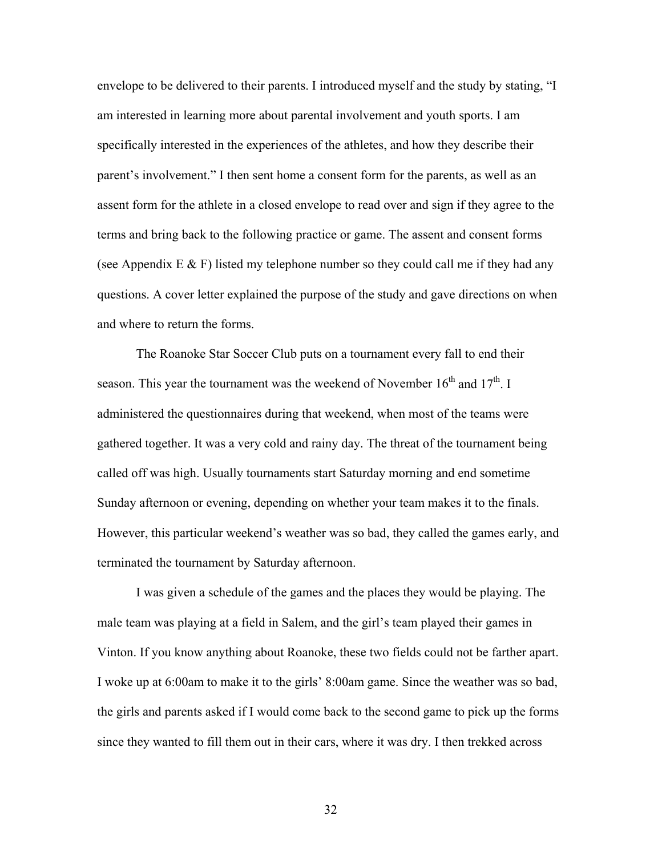envelope to be delivered to their parents. I introduced myself and the study by stating, "I am interested in learning more about parental involvement and youth sports. I am specifically interested in the experiences of the athletes, and how they describe their parent's involvement." I then sent home a consent form for the parents, as well as an assent form for the athlete in a closed envelope to read over and sign if they agree to the terms and bring back to the following practice or game. The assent and consent forms (see Appendix  $E \& F$ ) listed my telephone number so they could call me if they had any questions. A cover letter explained the purpose of the study and gave directions on when and where to return the forms.

The Roanoke Star Soccer Club puts on a tournament every fall to end their season. This year the tournament was the weekend of November  $16<sup>th</sup>$  and  $17<sup>th</sup>$ . I administered the questionnaires during that weekend, when most of the teams were gathered together. It was a very cold and rainy day. The threat of the tournament being called off was high. Usually tournaments start Saturday morning and end sometime Sunday afternoon or evening, depending on whether your team makes it to the finals. However, this particular weekend's weather was so bad, they called the games early, and terminated the tournament by Saturday afternoon.

 I was given a schedule of the games and the places they would be playing. The male team was playing at a field in Salem, and the girl's team played their games in Vinton. If you know anything about Roanoke, these two fields could not be farther apart. I woke up at 6:00am to make it to the girls' 8:00am game. Since the weather was so bad, the girls and parents asked if I would come back to the second game to pick up the forms since they wanted to fill them out in their cars, where it was dry. I then trekked across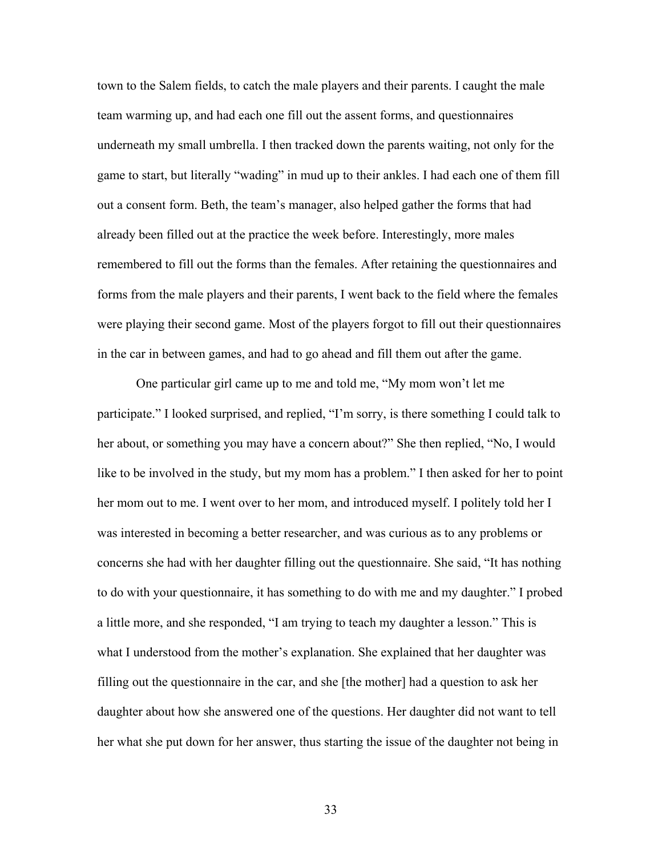town to the Salem fields, to catch the male players and their parents. I caught the male team warming up, and had each one fill out the assent forms, and questionnaires underneath my small umbrella. I then tracked down the parents waiting, not only for the game to start, but literally "wading" in mud up to their ankles. I had each one of them fill out a consent form. Beth, the team's manager, also helped gather the forms that had already been filled out at the practice the week before. Interestingly, more males remembered to fill out the forms than the females. After retaining the questionnaires and forms from the male players and their parents, I went back to the field where the females were playing their second game. Most of the players forgot to fill out their questionnaires in the car in between games, and had to go ahead and fill them out after the game.

 One particular girl came up to me and told me, "My mom won't let me participate." I looked surprised, and replied, "I'm sorry, is there something I could talk to her about, or something you may have a concern about?" She then replied, "No, I would like to be involved in the study, but my mom has a problem." I then asked for her to point her mom out to me. I went over to her mom, and introduced myself. I politely told her I was interested in becoming a better researcher, and was curious as to any problems or concerns she had with her daughter filling out the questionnaire. She said, "It has nothing to do with your questionnaire, it has something to do with me and my daughter." I probed a little more, and she responded, "I am trying to teach my daughter a lesson." This is what I understood from the mother's explanation. She explained that her daughter was filling out the questionnaire in the car, and she [the mother] had a question to ask her daughter about how she answered one of the questions. Her daughter did not want to tell her what she put down for her answer, thus starting the issue of the daughter not being in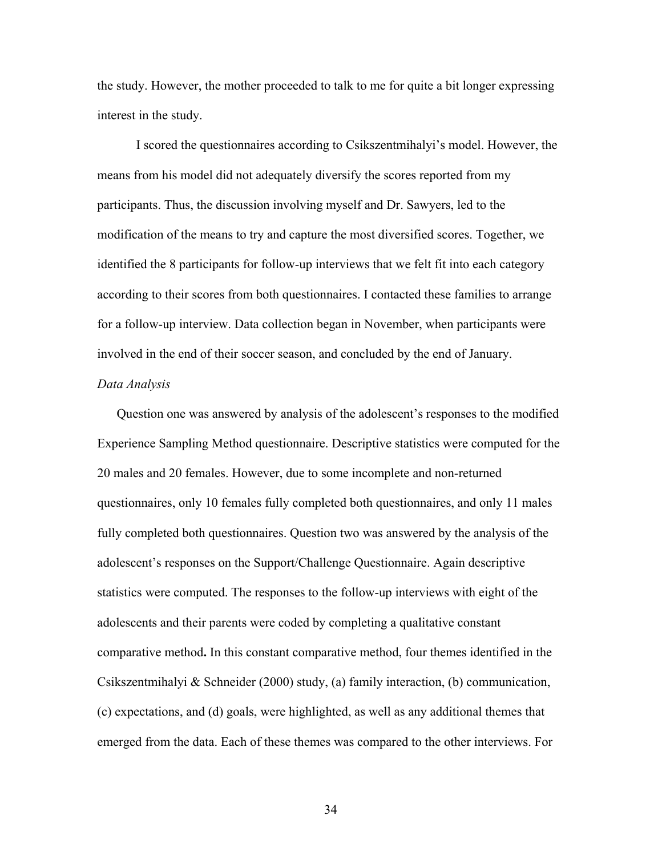the study. However, the mother proceeded to talk to me for quite a bit longer expressing interest in the study.

I scored the questionnaires according to Csikszentmihalyi's model. However, the means from his model did not adequately diversify the scores reported from my participants. Thus, the discussion involving myself and Dr. Sawyers, led to the modification of the means to try and capture the most diversified scores. Together, we identified the 8 participants for follow-up interviews that we felt fit into each category according to their scores from both questionnaires. I contacted these families to arrange for a follow-up interview. Data collection began in November, when participants were involved in the end of their soccer season, and concluded by the end of January.

#### *Data Analysis*

Question one was answered by analysis of the adolescent's responses to the modified Experience Sampling Method questionnaire. Descriptive statistics were computed for the 20 males and 20 females. However, due to some incomplete and non-returned questionnaires, only 10 females fully completed both questionnaires, and only 11 males fully completed both questionnaires. Question two was answered by the analysis of the adolescent's responses on the Support/Challenge Questionnaire. Again descriptive statistics were computed. The responses to the follow-up interviews with eight of the adolescents and their parents were coded by completing a qualitative constant comparative method**.** In this constant comparative method, four themes identified in the Csikszentmihalyi & Schneider (2000) study, (a) family interaction, (b) communication, (c) expectations, and (d) goals, were highlighted, as well as any additional themes that emerged from the data. Each of these themes was compared to the other interviews. For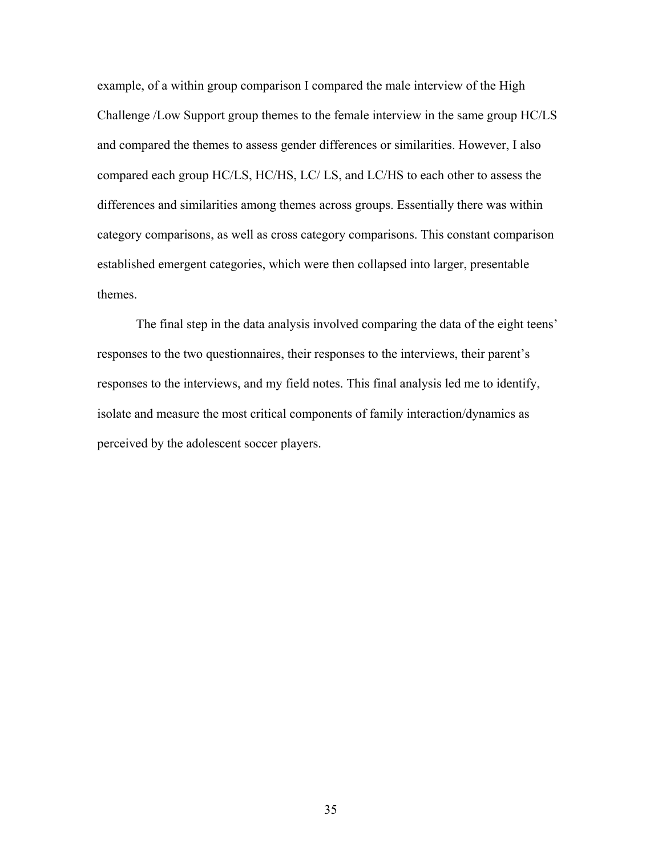example, of a within group comparison I compared the male interview of the High Challenge /Low Support group themes to the female interview in the same group HC/LS and compared the themes to assess gender differences or similarities. However, I also compared each group HC/LS, HC/HS, LC/ LS, and LC/HS to each other to assess the differences and similarities among themes across groups. Essentially there was within category comparisons, as well as cross category comparisons. This constant comparison established emergent categories, which were then collapsed into larger, presentable themes.

 The final step in the data analysis involved comparing the data of the eight teens' responses to the two questionnaires, their responses to the interviews, their parent's responses to the interviews, and my field notes. This final analysis led me to identify, isolate and measure the most critical components of family interaction/dynamics as perceived by the adolescent soccer players.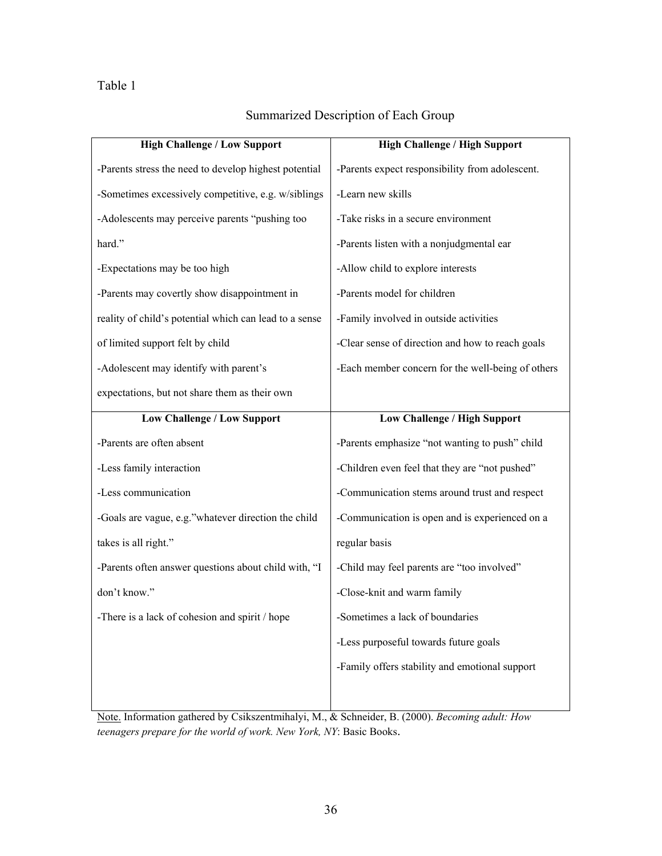## Table 1

| Summarized Description of Each Group |
|--------------------------------------|
|--------------------------------------|

| <b>High Challenge / Low Support</b>                    | <b>High Challenge / High Support</b>              |  |  |  |
|--------------------------------------------------------|---------------------------------------------------|--|--|--|
| -Parents stress the need to develop highest potential  | -Parents expect responsibility from adolescent.   |  |  |  |
| -Sometimes excessively competitive, e.g. w/siblings    | -Learn new skills                                 |  |  |  |
| -Adolescents may perceive parents "pushing too         | -Take risks in a secure environment               |  |  |  |
| hard."                                                 | -Parents listen with a nonjudgmental ear          |  |  |  |
| -Expectations may be too high                          | -Allow child to explore interests                 |  |  |  |
| -Parents may covertly show disappointment in           | -Parents model for children                       |  |  |  |
| reality of child's potential which can lead to a sense | -Family involved in outside activities            |  |  |  |
| of limited support felt by child                       | -Clear sense of direction and how to reach goals  |  |  |  |
| -Adolescent may identify with parent's                 | -Each member concern for the well-being of others |  |  |  |
| expectations, but not share them as their own          |                                                   |  |  |  |
| <b>Low Challenge / Low Support</b>                     | <b>Low Challenge / High Support</b>               |  |  |  |
| -Parents are often absent                              | -Parents emphasize "not wanting to push" child    |  |  |  |
| -Less family interaction                               | -Children even feel that they are "not pushed"    |  |  |  |
| -Less communication                                    | -Communication stems around trust and respect     |  |  |  |
| -Goals are vague, e.g."whatever direction the child    | -Communication is open and is experienced on a    |  |  |  |
| takes is all right."                                   | regular basis                                     |  |  |  |
| -Parents often answer questions about child with, "I   | -Child may feel parents are "too involved"        |  |  |  |
| don't know."                                           | -Close-knit and warm family                       |  |  |  |
| -There is a lack of cohesion and spirit / hope         | -Sometimes a lack of boundaries                   |  |  |  |
|                                                        | -Less purposeful towards future goals             |  |  |  |
|                                                        | -Family offers stability and emotional support    |  |  |  |
|                                                        |                                                   |  |  |  |
|                                                        |                                                   |  |  |  |

Note. Information gathered by Csikszentmihalyi, M., & Schneider, B. (2000). *Becoming adult: How teenagers prepare for the world of work. New York, NY*: Basic Books.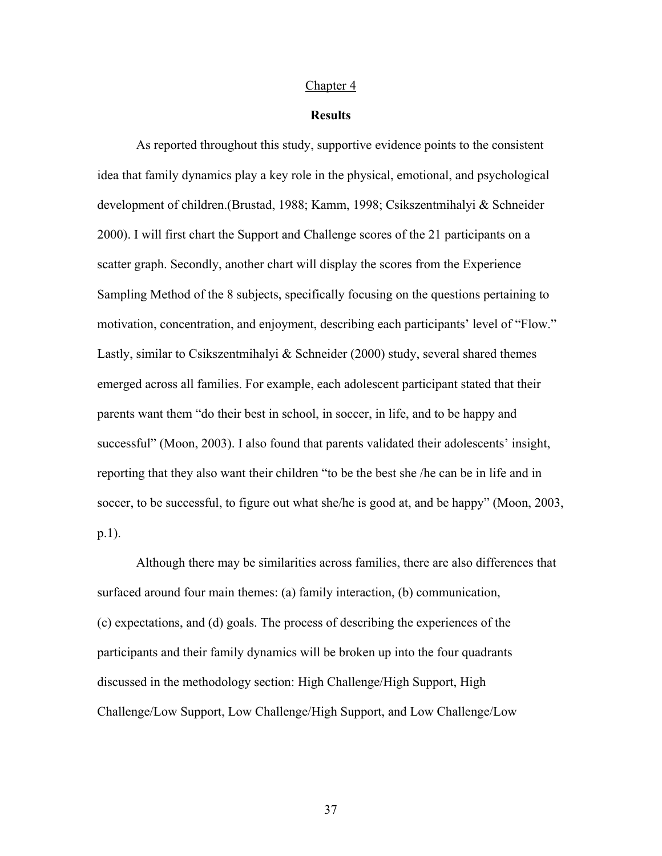#### Chapter 4

### **Results**

 As reported throughout this study, supportive evidence points to the consistent idea that family dynamics play a key role in the physical, emotional, and psychological development of children.(Brustad, 1988; Kamm, 1998; Csikszentmihalyi & Schneider 2000). I will first chart the Support and Challenge scores of the 21 participants on a scatter graph. Secondly, another chart will display the scores from the Experience Sampling Method of the 8 subjects, specifically focusing on the questions pertaining to motivation, concentration, and enjoyment, describing each participants' level of "Flow." Lastly, similar to Csikszentmihalyi & Schneider (2000) study, several shared themes emerged across all families. For example, each adolescent participant stated that their parents want them "do their best in school, in soccer, in life, and to be happy and successful" (Moon, 2003). I also found that parents validated their adolescents' insight, reporting that they also want their children "to be the best she /he can be in life and in soccer, to be successful, to figure out what she/he is good at, and be happy" (Moon, 2003, p.1).

Although there may be similarities across families, there are also differences that surfaced around four main themes: (a) family interaction, (b) communication, (c) expectations, and (d) goals. The process of describing the experiences of the participants and their family dynamics will be broken up into the four quadrants discussed in the methodology section: High Challenge/High Support, High Challenge/Low Support, Low Challenge/High Support, and Low Challenge/Low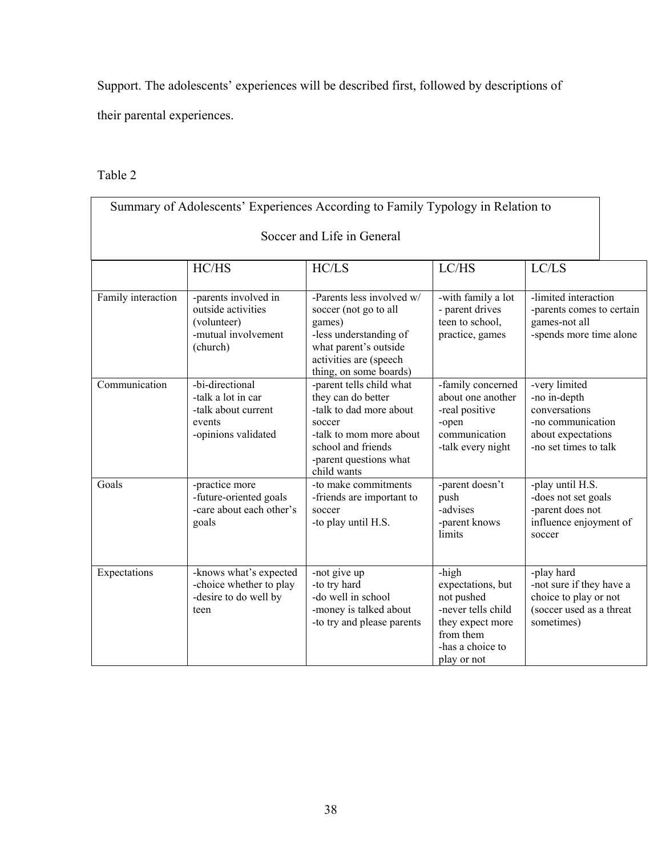Support. The adolescents' experiences will be described first, followed by descriptions of

their parental experiences.

## Table 2

|                            |                                                                                               | Summary of Adolescents' Experiences According to Family Typology in Relation to                                                                                               |                                                                                                                                    |                                                                                                                    |  |  |  |  |
|----------------------------|-----------------------------------------------------------------------------------------------|-------------------------------------------------------------------------------------------------------------------------------------------------------------------------------|------------------------------------------------------------------------------------------------------------------------------------|--------------------------------------------------------------------------------------------------------------------|--|--|--|--|
| Soccer and Life in General |                                                                                               |                                                                                                                                                                               |                                                                                                                                    |                                                                                                                    |  |  |  |  |
|                            | HC/HS                                                                                         | HC/LS                                                                                                                                                                         | LC/HS                                                                                                                              | LC/LS                                                                                                              |  |  |  |  |
| Family interaction         | -parents involved in<br>outside activities<br>(volunteer)<br>-mutual involvement<br>(church)  | -Parents less involved w/<br>soccer (not go to all<br>games)<br>-less understanding of<br>what parent's outside<br>activities are (speech<br>thing, on some boards)           | -with family a lot<br>- parent drives<br>teen to school,<br>practice, games                                                        | -limited interaction<br>-parents comes to certain<br>games-not all<br>-spends more time alone                      |  |  |  |  |
| Communication              | -bi-directional<br>-talk a lot in car<br>-talk about current<br>events<br>-opinions validated | -parent tells child what<br>they can do better<br>-talk to dad more about<br>soccer<br>-talk to mom more about<br>school and friends<br>-parent questions what<br>child wants | -family concerned<br>about one another<br>-real positive<br>-open<br>communication<br>-talk every night                            | -very limited<br>-no in-depth<br>conversations<br>-no communication<br>about expectations<br>-no set times to talk |  |  |  |  |
| Goals                      | -practice more<br>-future-oriented goals<br>-care about each other's<br>goals                 | -to make commitments<br>-friends are important to<br>soccer<br>-to play until H.S.                                                                                            | -parent doesn't<br>push<br>-advises<br>-parent knows<br>limits                                                                     | -play until H.S.<br>-does not set goals<br>-parent does not<br>influence enjoyment of<br>soccer                    |  |  |  |  |
| Expectations               | -knows what's expected<br>-choice whether to play<br>-desire to do well by<br>teen            | -not give up<br>-to try hard<br>-do well in school<br>-money is talked about<br>-to try and please parents                                                                    | -high<br>expectations, but<br>not pushed<br>-never tells child<br>they expect more<br>from them<br>-has a choice to<br>play or not | -play hard<br>-not sure if they have a<br>choice to play or not<br>(soccer used as a threat<br>sometimes)          |  |  |  |  |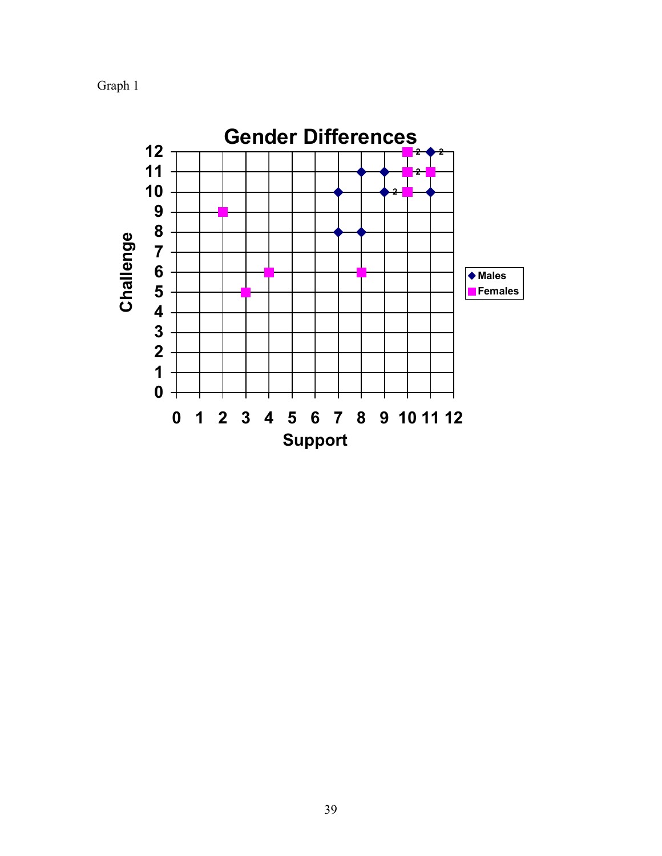Graph 1

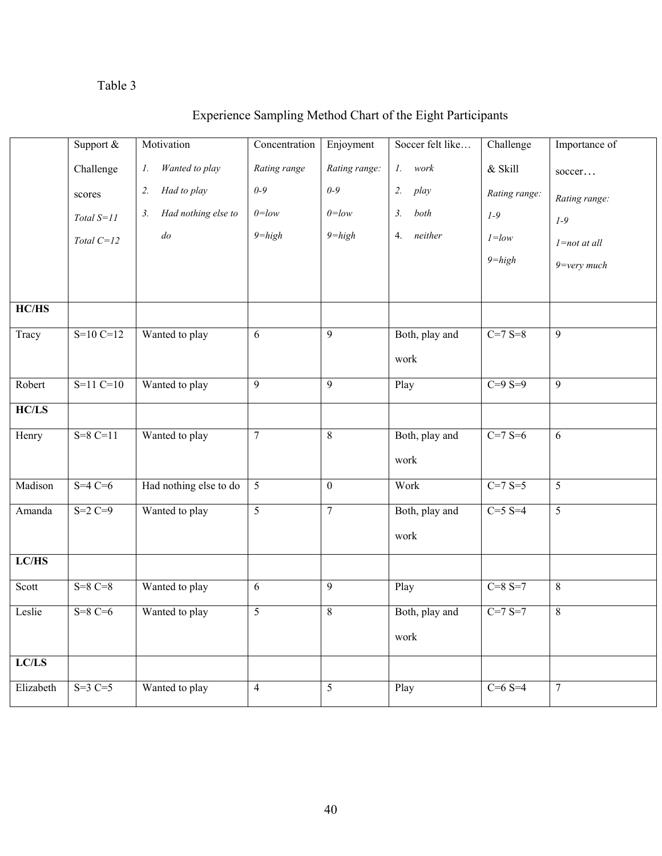# Table 3

|             | Support $&$  | Motivation                | Concentration  | Enjoyment      | Soccer felt like | Challenge     | Importance of    |
|-------------|--------------|---------------------------|----------------|----------------|------------------|---------------|------------------|
|             | Challenge    | Wanted to play<br>1.      | Rating range   | Rating range:  | 1.<br>work       | $\&$ Skill    | soccer           |
|             | scores       | Had to play<br>2.         | $0 - 9$        | $0-9$          | 2.<br>play       | Rating range: | Rating range:    |
|             | Total $S=11$ | Had nothing else to<br>3. | $0=low$        | $0=low$        | both<br>3.       | $1-9$         | $1-9$            |
|             | Total $C=12$ | $d\sigma$                 | $9 = high$     | $9 = high$     | neither<br>4.    | $1 = low$     | $l = not$ at all |
|             |              |                           |                |                |                  | $9 = high$    | $9=$ very much   |
|             |              |                           |                |                |                  |               |                  |
| HC/HS       |              |                           |                |                |                  |               |                  |
| Tracy       | $S=10 C=12$  | Wanted to play            | 6              | 9              | Both, play and   | $C=7 S=8$     | $\overline{9}$   |
|             |              |                           |                |                | work             |               |                  |
| Robert      | $S=11 C=10$  | Wanted to play            | $\overline{9}$ | $\overline{9}$ | Play             | $C=9 S=9$     | $\overline{9}$   |
| $HC/LS$     |              |                           |                |                |                  |               |                  |
| Henry       | $S=8C=11$    | Wanted to play            | $\tau$         | 8              | Both, play and   | $C=7 S=6$     | 6                |
|             |              |                           |                |                | work             |               |                  |
| Madison     | $S=4C=6$     | Had nothing else to do    | $\overline{5}$ | $\overline{0}$ | Work             | $C=7 S=5$     | $\overline{5}$   |
| Amanda      | $S=2C=9$     | Wanted to play            | 5              | $\overline{7}$ | Both, play and   | $C = 5 S = 4$ | $\overline{5}$   |
|             |              |                           |                |                | work             |               |                  |
| ${LC}/{HS}$ |              |                           |                |                |                  |               |                  |
| Scott       | $S=8C=8$     | Wanted to play            | 6              | $\overline{9}$ | Play             | $C = 8 S = 7$ | $\overline{8}$   |
| Leslie      | $S=8C=6$     | Wanted to play            | $\overline{5}$ | $\overline{8}$ | Both, play and   | $C=7 S=7$     | 8                |
|             |              |                           |                |                | work             |               |                  |
| LC/LS       |              |                           |                |                |                  |               |                  |
| Elizabeth   | $S=3C=5$     | Wanted to play            | $\overline{4}$ | 5              | Play             | $C = 6 S = 4$ | $\tau$           |

# Experience Sampling Method Chart of the Eight Participants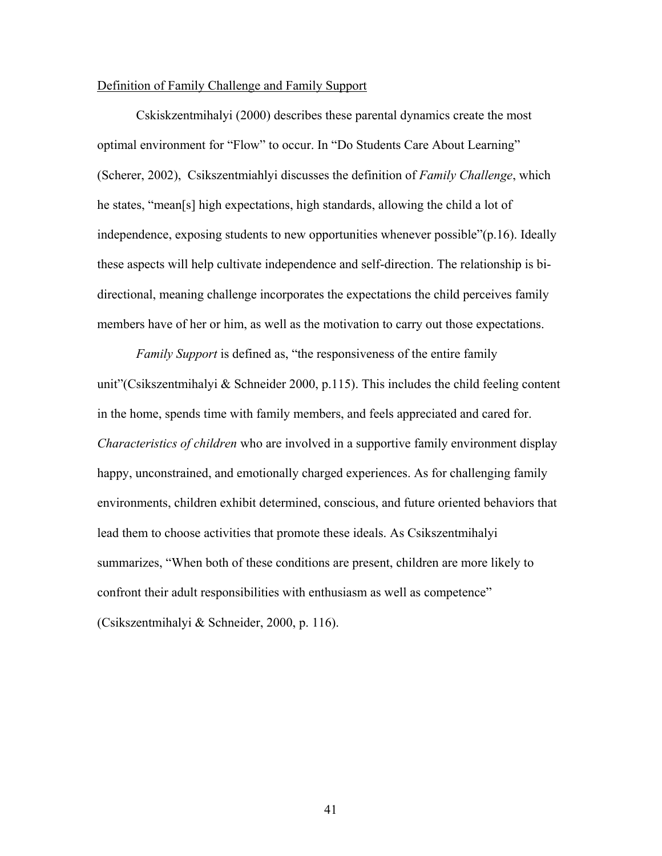### Definition of Family Challenge and Family Support

 Cskiskzentmihalyi (2000) describes these parental dynamics create the most optimal environment for "Flow" to occur. In "Do Students Care About Learning" (Scherer, 2002), Csikszentmiahlyi discusses the definition of *Family Challenge*, which he states, "mean[s] high expectations, high standards, allowing the child a lot of independence, exposing students to new opportunities whenever possible"(p.16). Ideally these aspects will help cultivate independence and self-direction. The relationship is bidirectional, meaning challenge incorporates the expectations the child perceives family members have of her or him, as well as the motivation to carry out those expectations.

*Family Support* is defined as, "the responsiveness of the entire family unit"(Csikszentmihalyi & Schneider 2000, p.115). This includes the child feeling content in the home, spends time with family members, and feels appreciated and cared for. *Characteristics of children* who are involved in a supportive family environment display happy, unconstrained, and emotionally charged experiences. As for challenging family environments, children exhibit determined, conscious, and future oriented behaviors that lead them to choose activities that promote these ideals. As Csikszentmihalyi summarizes, "When both of these conditions are present, children are more likely to confront their adult responsibilities with enthusiasm as well as competence" (Csikszentmihalyi & Schneider, 2000, p. 116).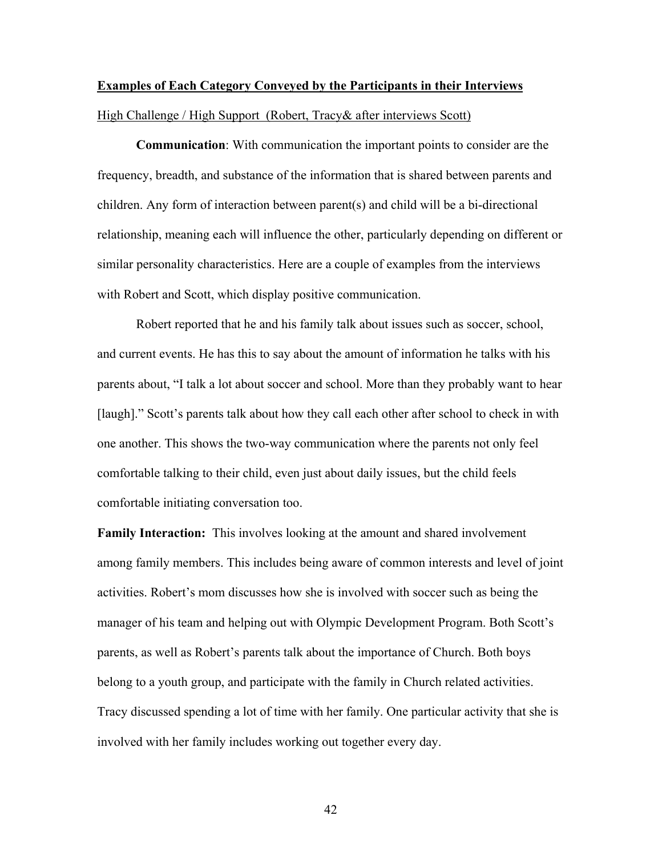# **Examples of Each Category Conveyed by the Participants in their Interviews** High Challenge / High Support (Robert, Tracy& after interviews Scott)

**Communication**: With communication the important points to consider are the frequency, breadth, and substance of the information that is shared between parents and children. Any form of interaction between parent(s) and child will be a bi-directional relationship, meaning each will influence the other, particularly depending on different or similar personality characteristics. Here are a couple of examples from the interviews with Robert and Scott, which display positive communication.

Robert reported that he and his family talk about issues such as soccer, school, and current events. He has this to say about the amount of information he talks with his parents about, "I talk a lot about soccer and school. More than they probably want to hear [laugh]." Scott's parents talk about how they call each other after school to check in with one another. This shows the two-way communication where the parents not only feel comfortable talking to their child, even just about daily issues, but the child feels comfortable initiating conversation too.

**Family Interaction:** This involves looking at the amount and shared involvement among family members. This includes being aware of common interests and level of joint activities. Robert's mom discusses how she is involved with soccer such as being the manager of his team and helping out with Olympic Development Program. Both Scott's parents, as well as Robert's parents talk about the importance of Church. Both boys belong to a youth group, and participate with the family in Church related activities. Tracy discussed spending a lot of time with her family. One particular activity that she is involved with her family includes working out together every day.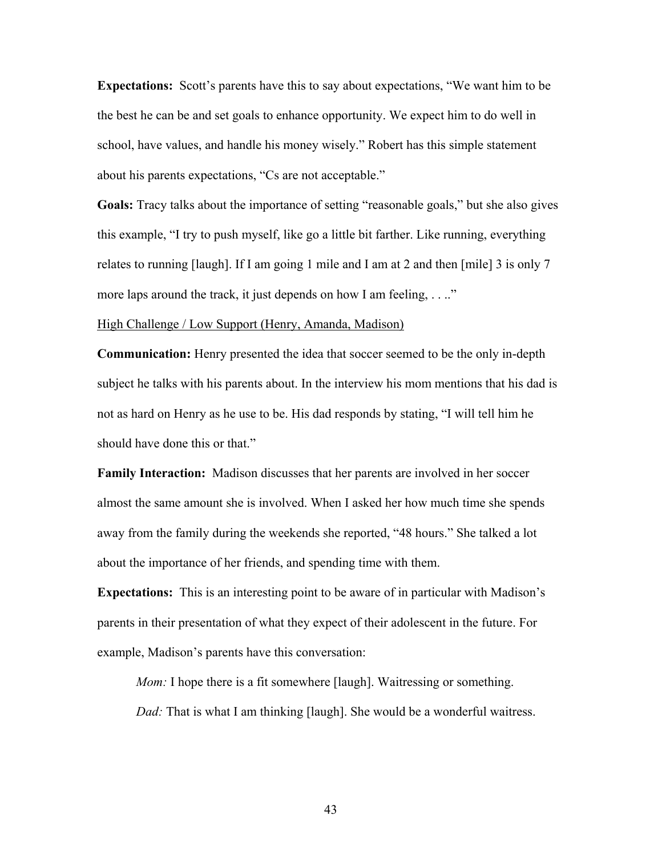**Expectations:** Scott's parents have this to say about expectations, "We want him to be the best he can be and set goals to enhance opportunity. We expect him to do well in school, have values, and handle his money wisely." Robert has this simple statement about his parents expectations, "Cs are not acceptable."

**Goals:** Tracy talks about the importance of setting "reasonable goals," but she also gives this example, "I try to push myself, like go a little bit farther. Like running, everything relates to running [laugh]. If I am going 1 mile and I am at 2 and then [mile] 3 is only 7 more laps around the track, it just depends on how I am feeling, ...."

### High Challenge / Low Support (Henry, Amanda, Madison)

**Communication:** Henry presented the idea that soccer seemed to be the only in-depth subject he talks with his parents about. In the interview his mom mentions that his dad is not as hard on Henry as he use to be. His dad responds by stating, "I will tell him he should have done this or that."

**Family Interaction:** Madison discusses that her parents are involved in her soccer almost the same amount she is involved. When I asked her how much time she spends away from the family during the weekends she reported, "48 hours." She talked a lot about the importance of her friends, and spending time with them.

**Expectations:** This is an interesting point to be aware of in particular with Madison's parents in their presentation of what they expect of their adolescent in the future. For example, Madison's parents have this conversation:

*Mom:* I hope there is a fit somewhere [laugh]. Waitressing or something.

*Dad:* That is what I am thinking [laugh]. She would be a wonderful waitress.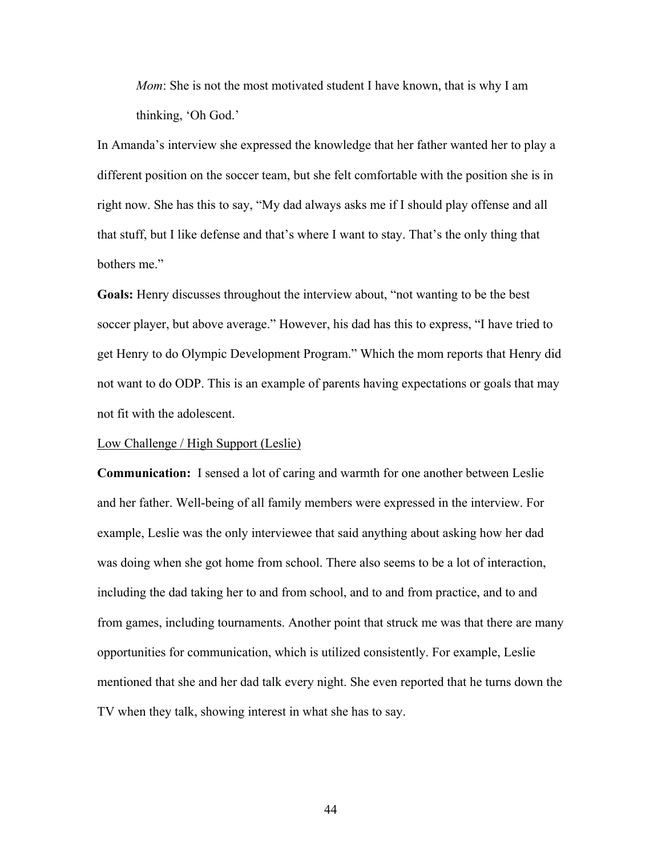*Mom*: She is not the most motivated student I have known, that is why I am thinking, 'Oh God.'

In Amanda's interview she expressed the knowledge that her father wanted her to play a different position on the soccer team, but she felt comfortable with the position she is in right now. She has this to say, "My dad always asks me if I should play offense and all that stuff, but I like defense and that's where I want to stay. That's the only thing that bothers me."

**Goals:** Henry discusses throughout the interview about, "not wanting to be the best soccer player, but above average." However, his dad has this to express, "I have tried to get Henry to do Olympic Development Program." Which the mom reports that Henry did not want to do ODP. This is an example of parents having expectations or goals that may not fit with the adolescent.

### Low Challenge / High Support (Leslie)

**Communication:** I sensed a lot of caring and warmth for one another between Leslie and her father. Well-being of all family members were expressed in the interview. For example, Leslie was the only interviewee that said anything about asking how her dad was doing when she got home from school. There also seems to be a lot of interaction, including the dad taking her to and from school, and to and from practice, and to and from games, including tournaments. Another point that struck me was that there are many opportunities for communication, which is utilized consistently. For example, Leslie mentioned that she and her dad talk every night. She even reported that he turns down the TV when they talk, showing interest in what she has to say.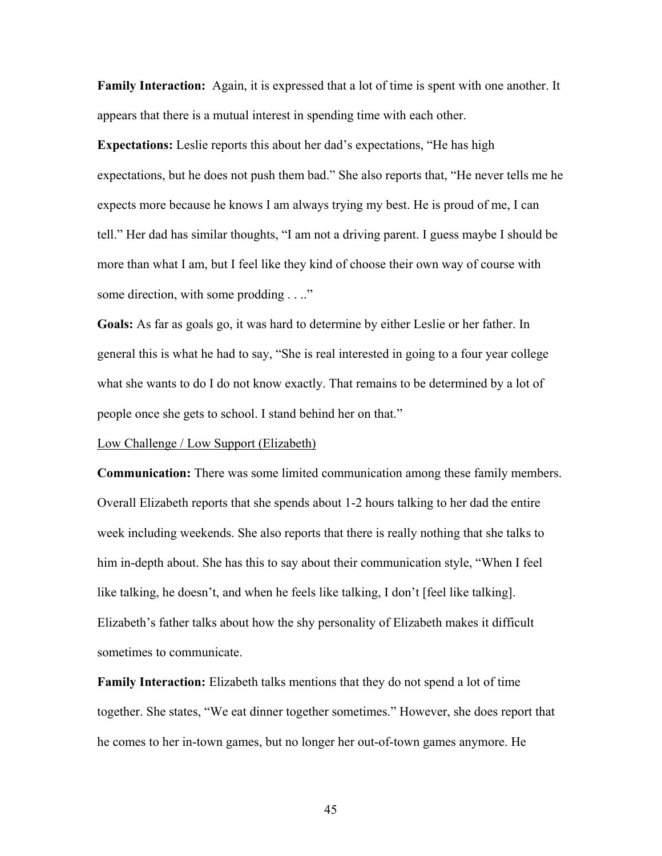**Family Interaction:** Again, it is expressed that a lot of time is spent with one another. It appears that there is a mutual interest in spending time with each other.

**Expectations:** Leslie reports this about her dad's expectations, "He has high expectations, but he does not push them bad." She also reports that, "He never tells me he expects more because he knows I am always trying my best. He is proud of me, I can tell." Her dad has similar thoughts, "I am not a driving parent. I guess maybe I should be more than what I am, but I feel like they kind of choose their own way of course with some direction, with some prodding . . .."

**Goals:** As far as goals go, it was hard to determine by either Leslie or her father. In general this is what he had to say, "She is real interested in going to a four year college what she wants to do I do not know exactly. That remains to be determined by a lot of people once she gets to school. I stand behind her on that."

### Low Challenge / Low Support (Elizabeth)

**Communication:** There was some limited communication among these family members. Overall Elizabeth reports that she spends about 1-2 hours talking to her dad the entire week including weekends. She also reports that there is really nothing that she talks to him in-depth about. She has this to say about their communication style, "When I feel like talking, he doesn't, and when he feels like talking, I don't [feel like talking]. Elizabeth's father talks about how the shy personality of Elizabeth makes it difficult sometimes to communicate.

**Family Interaction:** Elizabeth talks mentions that they do not spend a lot of time together. She states, "We eat dinner together sometimes." However, she does report that he comes to her in-town games, but no longer her out-of-town games anymore. He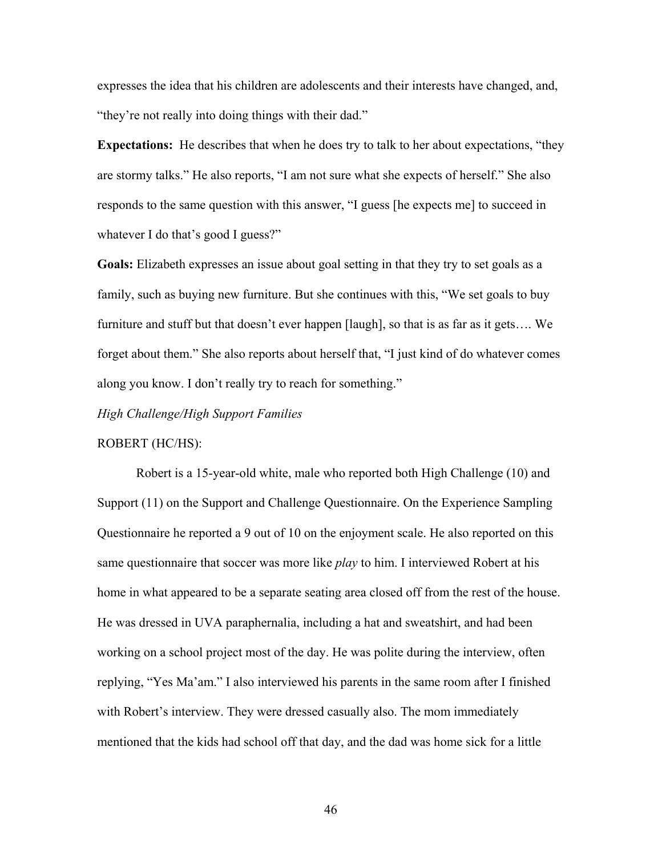expresses the idea that his children are adolescents and their interests have changed, and, "they're not really into doing things with their dad."

**Expectations:** He describes that when he does try to talk to her about expectations, "they are stormy talks." He also reports, "I am not sure what she expects of herself." She also responds to the same question with this answer, "I guess [he expects me] to succeed in whatever I do that's good I guess?"

**Goals:** Elizabeth expresses an issue about goal setting in that they try to set goals as a family, such as buying new furniture. But she continues with this, "We set goals to buy furniture and stuff but that doesn't ever happen [laugh], so that is as far as it gets…. We forget about them." She also reports about herself that, "I just kind of do whatever comes along you know. I don't really try to reach for something."

*High Challenge/High Support Families* 

#### ROBERT (HC/HS):

Robert is a 15-year-old white, male who reported both High Challenge (10) and Support (11) on the Support and Challenge Questionnaire. On the Experience Sampling Questionnaire he reported a 9 out of 10 on the enjoyment scale. He also reported on this same questionnaire that soccer was more like *play* to him. I interviewed Robert at his home in what appeared to be a separate seating area closed off from the rest of the house. He was dressed in UVA paraphernalia, including a hat and sweatshirt, and had been working on a school project most of the day. He was polite during the interview, often replying, "Yes Ma'am." I also interviewed his parents in the same room after I finished with Robert's interview. They were dressed casually also. The mom immediately mentioned that the kids had school off that day, and the dad was home sick for a little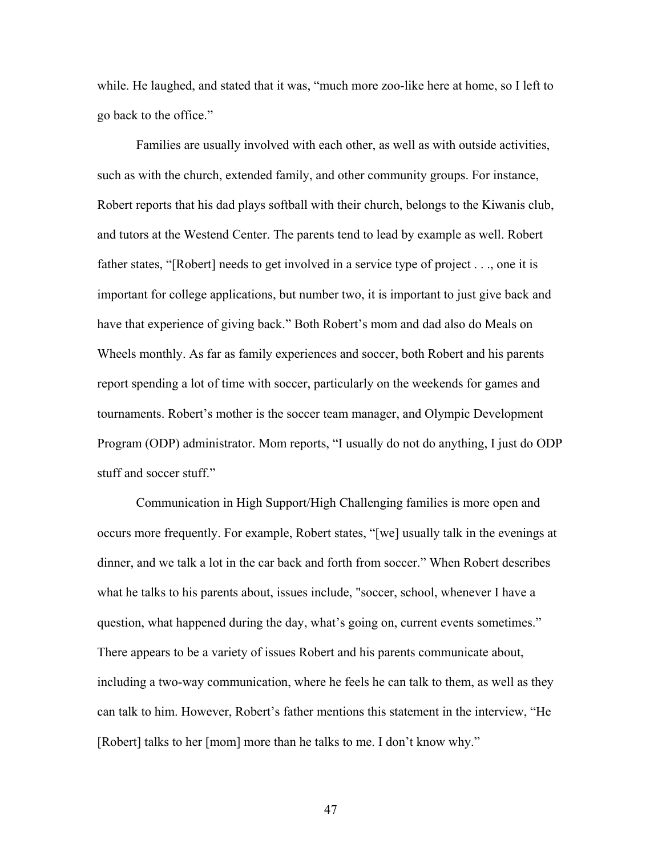while. He laughed, and stated that it was, "much more zoo-like here at home, so I left to go back to the office."

Families are usually involved with each other, as well as with outside activities, such as with the church, extended family, and other community groups. For instance, Robert reports that his dad plays softball with their church, belongs to the Kiwanis club, and tutors at the Westend Center. The parents tend to lead by example as well. Robert father states, "[Robert] needs to get involved in a service type of project . . ., one it is important for college applications, but number two, it is important to just give back and have that experience of giving back." Both Robert's mom and dad also do Meals on Wheels monthly. As far as family experiences and soccer, both Robert and his parents report spending a lot of time with soccer, particularly on the weekends for games and tournaments. Robert's mother is the soccer team manager, and Olympic Development Program (ODP) administrator. Mom reports, "I usually do not do anything, I just do ODP stuff and soccer stuff."

Communication in High Support/High Challenging families is more open and occurs more frequently. For example, Robert states, "[we] usually talk in the evenings at dinner, and we talk a lot in the car back and forth from soccer." When Robert describes what he talks to his parents about, issues include, "soccer, school, whenever I have a question, what happened during the day, what's going on, current events sometimes." There appears to be a variety of issues Robert and his parents communicate about, including a two-way communication, where he feels he can talk to them, as well as they can talk to him. However, Robert's father mentions this statement in the interview, "He [Robert] talks to her [mom] more than he talks to me. I don't know why."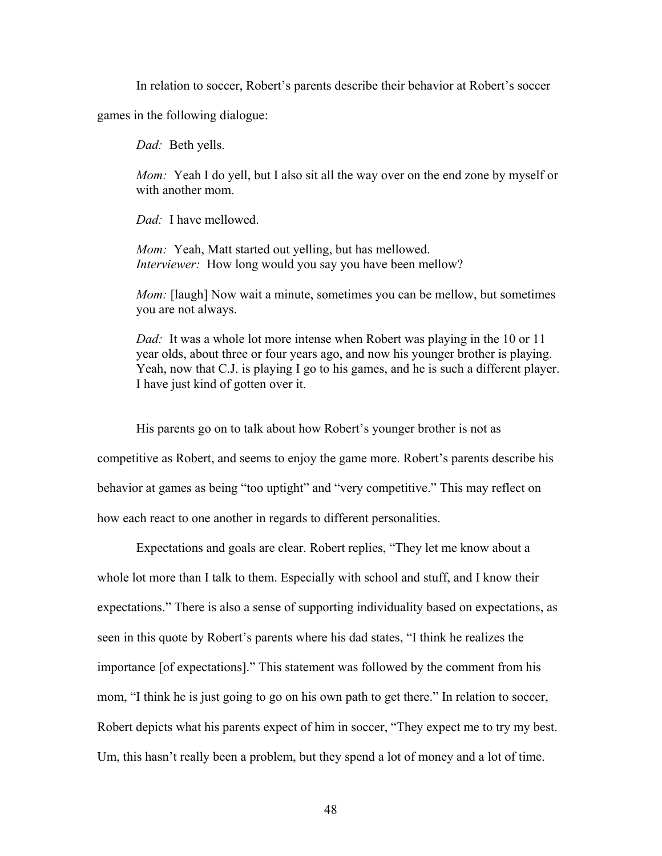In relation to soccer, Robert's parents describe their behavior at Robert's soccer

games in the following dialogue:

*Dad:* Beth yells.

*Mom:* Yeah I do yell, but I also sit all the way over on the end zone by myself or with another mom.

*Dad:* I have mellowed.

*Mom:* Yeah, Matt started out yelling, but has mellowed. *Interviewer:* How long would you say you have been mellow?

*Mom:* [laugh] Now wait a minute, sometimes you can be mellow, but sometimes you are not always.

*Dad:* It was a whole lot more intense when Robert was playing in the 10 or 11 year olds, about three or four years ago, and now his younger brother is playing. Yeah, now that C.J. is playing I go to his games, and he is such a different player. I have just kind of gotten over it.

His parents go on to talk about how Robert's younger brother is not as competitive as Robert, and seems to enjoy the game more. Robert's parents describe his behavior at games as being "too uptight" and "very competitive." This may reflect on how each react to one another in regards to different personalities.

 Expectations and goals are clear. Robert replies, "They let me know about a whole lot more than I talk to them. Especially with school and stuff, and I know their expectations." There is also a sense of supporting individuality based on expectations, as seen in this quote by Robert's parents where his dad states, "I think he realizes the importance [of expectations]." This statement was followed by the comment from his mom, "I think he is just going to go on his own path to get there." In relation to soccer, Robert depicts what his parents expect of him in soccer, "They expect me to try my best. Um, this hasn't really been a problem, but they spend a lot of money and a lot of time.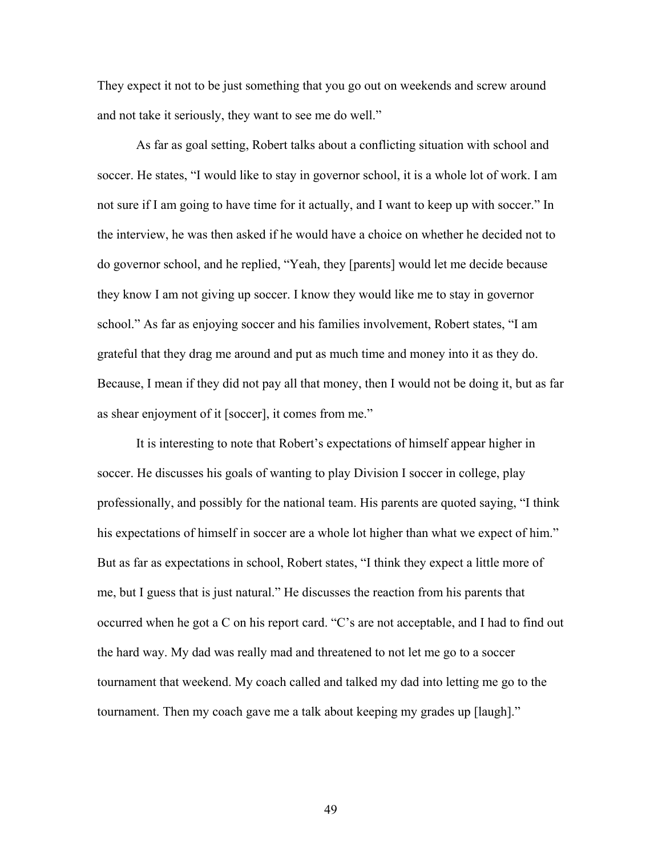They expect it not to be just something that you go out on weekends and screw around and not take it seriously, they want to see me do well."

As far as goal setting, Robert talks about a conflicting situation with school and soccer. He states, "I would like to stay in governor school, it is a whole lot of work. I am not sure if I am going to have time for it actually, and I want to keep up with soccer." In the interview, he was then asked if he would have a choice on whether he decided not to do governor school, and he replied, "Yeah, they [parents] would let me decide because they know I am not giving up soccer. I know they would like me to stay in governor school." As far as enjoying soccer and his families involvement, Robert states, "I am grateful that they drag me around and put as much time and money into it as they do. Because, I mean if they did not pay all that money, then I would not be doing it, but as far as shear enjoyment of it [soccer], it comes from me."

It is interesting to note that Robert's expectations of himself appear higher in soccer. He discusses his goals of wanting to play Division I soccer in college, play professionally, and possibly for the national team. His parents are quoted saying, "I think his expectations of himself in soccer are a whole lot higher than what we expect of him." But as far as expectations in school, Robert states, "I think they expect a little more of me, but I guess that is just natural." He discusses the reaction from his parents that occurred when he got a C on his report card. "C's are not acceptable, and I had to find out the hard way. My dad was really mad and threatened to not let me go to a soccer tournament that weekend. My coach called and talked my dad into letting me go to the tournament. Then my coach gave me a talk about keeping my grades up [laugh]."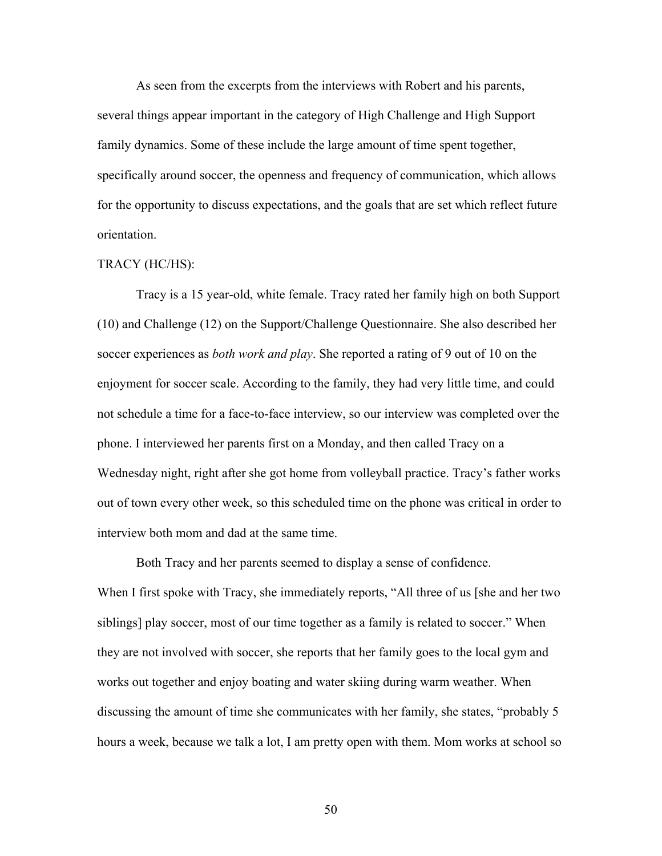As seen from the excerpts from the interviews with Robert and his parents, several things appear important in the category of High Challenge and High Support family dynamics. Some of these include the large amount of time spent together, specifically around soccer, the openness and frequency of communication, which allows for the opportunity to discuss expectations, and the goals that are set which reflect future orientation.

### TRACY (HC/HS):

Tracy is a 15 year-old, white female. Tracy rated her family high on both Support (10) and Challenge (12) on the Support/Challenge Questionnaire. She also described her soccer experiences as *both work and play*. She reported a rating of 9 out of 10 on the enjoyment for soccer scale. According to the family, they had very little time, and could not schedule a time for a face-to-face interview, so our interview was completed over the phone. I interviewed her parents first on a Monday, and then called Tracy on a Wednesday night, right after she got home from volleyball practice. Tracy's father works out of town every other week, so this scheduled time on the phone was critical in order to interview both mom and dad at the same time.

Both Tracy and her parents seemed to display a sense of confidence. When I first spoke with Tracy, she immediately reports, "All three of us [she and her two siblings] play soccer, most of our time together as a family is related to soccer." When they are not involved with soccer, she reports that her family goes to the local gym and works out together and enjoy boating and water skiing during warm weather. When discussing the amount of time she communicates with her family, she states, "probably 5 hours a week, because we talk a lot, I am pretty open with them. Mom works at school so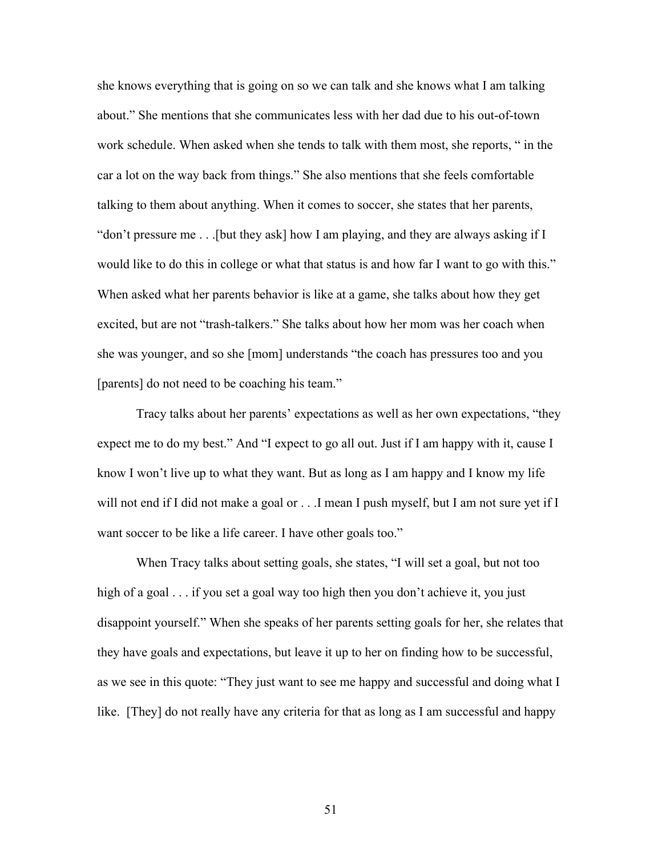she knows everything that is going on so we can talk and she knows what I am talking about." She mentions that she communicates less with her dad due to his out-of-town work schedule. When asked when she tends to talk with them most, she reports, " in the car a lot on the way back from things." She also mentions that she feels comfortable talking to them about anything. When it comes to soccer, she states that her parents, "don't pressure me . . .[but they ask] how I am playing, and they are always asking if I would like to do this in college or what that status is and how far I want to go with this." When asked what her parents behavior is like at a game, she talks about how they get excited, but are not "trash-talkers." She talks about how her mom was her coach when she was younger, and so she [mom] understands "the coach has pressures too and you [parents] do not need to be coaching his team."

 Tracy talks about her parents' expectations as well as her own expectations, "they expect me to do my best." And "I expect to go all out. Just if I am happy with it, cause I know I won't live up to what they want. But as long as I am happy and I know my life will not end if I did not make a goal or . . .I mean I push myself, but I am not sure yet if I want soccer to be like a life career. I have other goals too."

 When Tracy talks about setting goals, she states, "I will set a goal, but not too high of a goal . . . if you set a goal way too high then you don't achieve it, you just disappoint yourself." When she speaks of her parents setting goals for her, she relates that they have goals and expectations, but leave it up to her on finding how to be successful, as we see in this quote: "They just want to see me happy and successful and doing what I like. [They] do not really have any criteria for that as long as I am successful and happy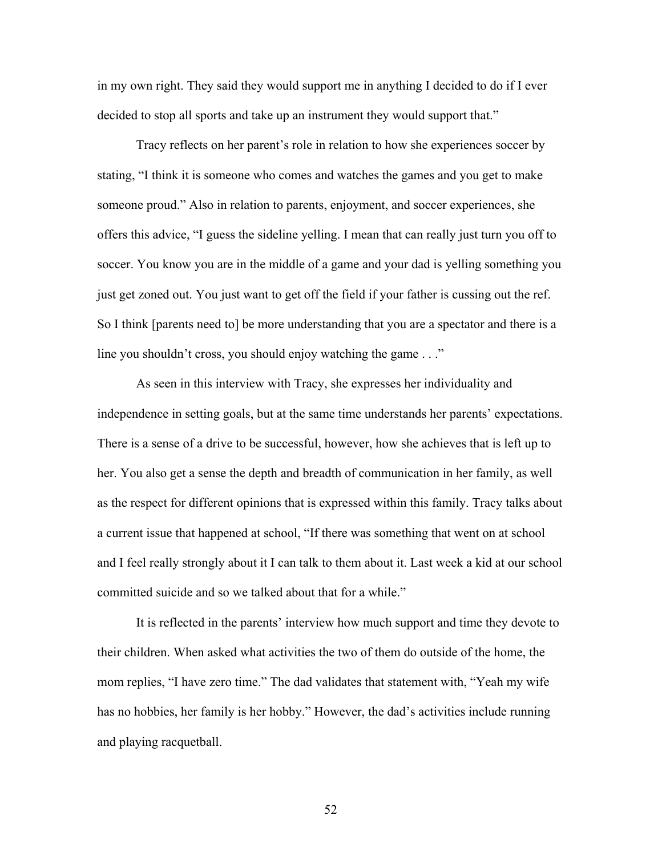in my own right. They said they would support me in anything I decided to do if I ever decided to stop all sports and take up an instrument they would support that."

 Tracy reflects on her parent's role in relation to how she experiences soccer by stating, "I think it is someone who comes and watches the games and you get to make someone proud." Also in relation to parents, enjoyment, and soccer experiences, she offers this advice, "I guess the sideline yelling. I mean that can really just turn you off to soccer. You know you are in the middle of a game and your dad is yelling something you just get zoned out. You just want to get off the field if your father is cussing out the ref. So I think [parents need to] be more understanding that you are a spectator and there is a line you shouldn't cross, you should enjoy watching the game . . ."

 As seen in this interview with Tracy, she expresses her individuality and independence in setting goals, but at the same time understands her parents' expectations. There is a sense of a drive to be successful, however, how she achieves that is left up to her. You also get a sense the depth and breadth of communication in her family, as well as the respect for different opinions that is expressed within this family. Tracy talks about a current issue that happened at school, "If there was something that went on at school and I feel really strongly about it I can talk to them about it. Last week a kid at our school committed suicide and so we talked about that for a while."

 It is reflected in the parents' interview how much support and time they devote to their children. When asked what activities the two of them do outside of the home, the mom replies, "I have zero time." The dad validates that statement with, "Yeah my wife has no hobbies, her family is her hobby." However, the dad's activities include running and playing racquetball.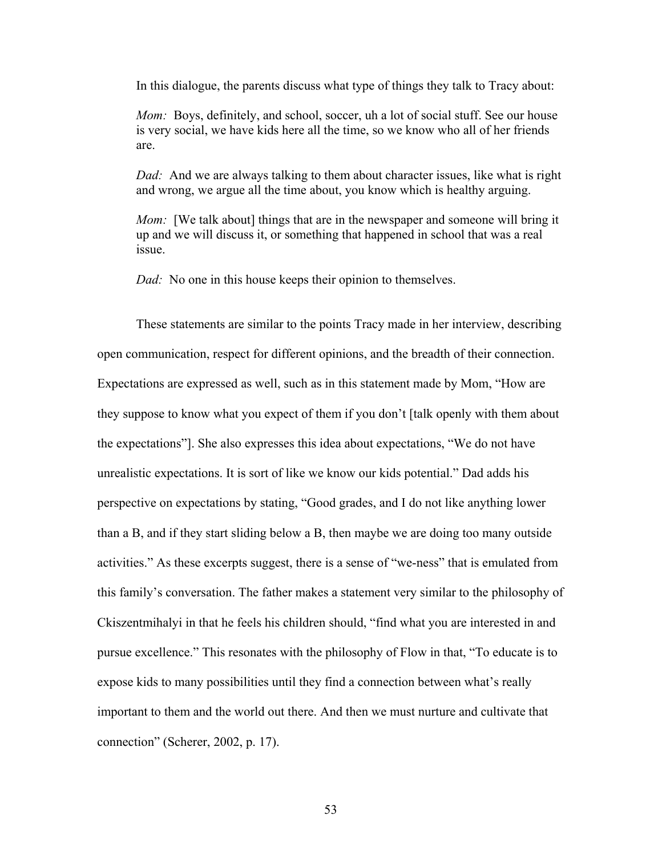In this dialogue, the parents discuss what type of things they talk to Tracy about:

*Mom:* Boys, definitely, and school, soccer, uh a lot of social stuff. See our house is very social, we have kids here all the time, so we know who all of her friends are.

*Dad:* And we are always talking to them about character issues, like what is right and wrong, we argue all the time about, you know which is healthy arguing.

*Mom:* [We talk about] things that are in the newspaper and someone will bring it up and we will discuss it, or something that happened in school that was a real issue.

*Dad:* No one in this house keeps their opinion to themselves.

These statements are similar to the points Tracy made in her interview, describing open communication, respect for different opinions, and the breadth of their connection. Expectations are expressed as well, such as in this statement made by Mom, "How are they suppose to know what you expect of them if you don't [talk openly with them about the expectations"]. She also expresses this idea about expectations, "We do not have unrealistic expectations. It is sort of like we know our kids potential." Dad adds his perspective on expectations by stating, "Good grades, and I do not like anything lower than a B, and if they start sliding below a B, then maybe we are doing too many outside activities." As these excerpts suggest, there is a sense of "we-ness" that is emulated from this family's conversation. The father makes a statement very similar to the philosophy of Ckiszentmihalyi in that he feels his children should, "find what you are interested in and pursue excellence." This resonates with the philosophy of Flow in that, "To educate is to expose kids to many possibilities until they find a connection between what's really important to them and the world out there. And then we must nurture and cultivate that connection" (Scherer, 2002, p. 17).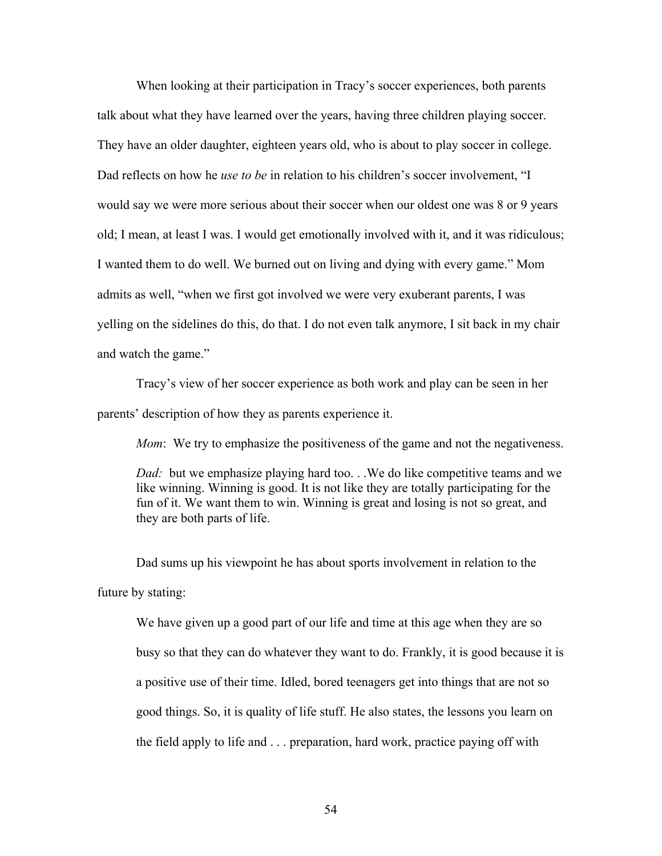When looking at their participation in Tracy's soccer experiences, both parents talk about what they have learned over the years, having three children playing soccer. They have an older daughter, eighteen years old, who is about to play soccer in college. Dad reflects on how he *use to be* in relation to his children's soccer involvement, "I would say we were more serious about their soccer when our oldest one was 8 or 9 years old; I mean, at least I was. I would get emotionally involved with it, and it was ridiculous; I wanted them to do well. We burned out on living and dying with every game." Mom admits as well, "when we first got involved we were very exuberant parents, I was yelling on the sidelines do this, do that. I do not even talk anymore, I sit back in my chair and watch the game."

Tracy's view of her soccer experience as both work and play can be seen in her parents' description of how they as parents experience it.

*Mom*: We try to emphasize the positiveness of the game and not the negativeness.

*Dad:* but we emphasize playing hard too...We do like competitive teams and we like winning. Winning is good. It is not like they are totally participating for the fun of it. We want them to win. Winning is great and losing is not so great, and they are both parts of life.

Dad sums up his viewpoint he has about sports involvement in relation to the future by stating:

We have given up a good part of our life and time at this age when they are so busy so that they can do whatever they want to do. Frankly, it is good because it is a positive use of their time. Idled, bored teenagers get into things that are not so good things. So, it is quality of life stuff. He also states, the lessons you learn on the field apply to life and . . . preparation, hard work, practice paying off with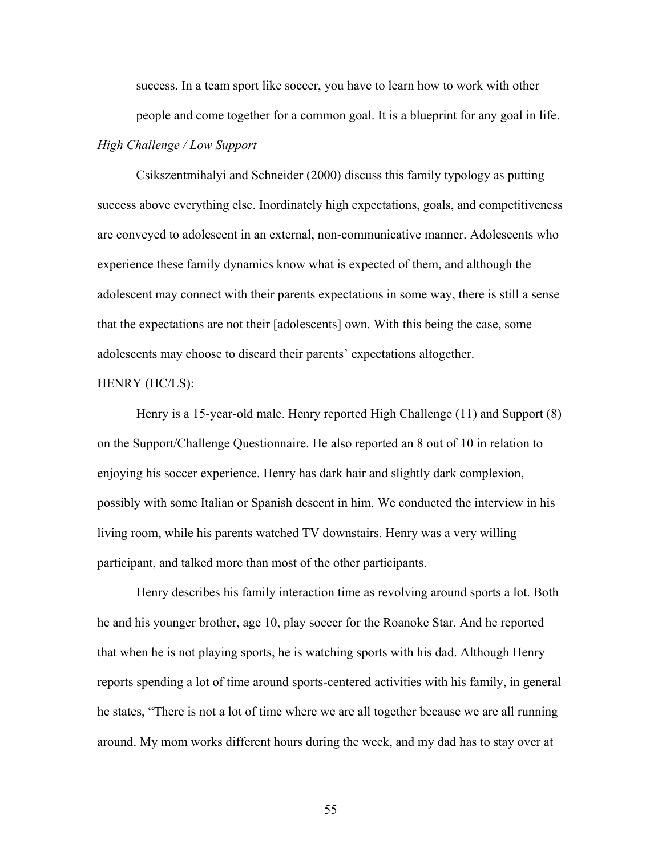success. In a team sport like soccer, you have to learn how to work with other people and come together for a common goal. It is a blueprint for any goal in life. *High Challenge / Low Support* 

Csikszentmihalyi and Schneider (2000) discuss this family typology as putting success above everything else. Inordinately high expectations, goals, and competitiveness are conveyed to adolescent in an external, non-communicative manner. Adolescents who experience these family dynamics know what is expected of them, and although the adolescent may connect with their parents expectations in some way, there is still a sense that the expectations are not their [adolescents] own. With this being the case, some adolescents may choose to discard their parents' expectations altogether.

### HENRY (HC/LS):

Henry is a 15-year-old male. Henry reported High Challenge (11) and Support (8) on the Support/Challenge Questionnaire. He also reported an 8 out of 10 in relation to enjoying his soccer experience. Henry has dark hair and slightly dark complexion, possibly with some Italian or Spanish descent in him. We conducted the interview in his living room, while his parents watched TV downstairs. Henry was a very willing participant, and talked more than most of the other participants.

Henry describes his family interaction time as revolving around sports a lot. Both he and his younger brother, age 10, play soccer for the Roanoke Star. And he reported that when he is not playing sports, he is watching sports with his dad. Although Henry reports spending a lot of time around sports-centered activities with his family, in general he states, "There is not a lot of time where we are all together because we are all running around. My mom works different hours during the week, and my dad has to stay over at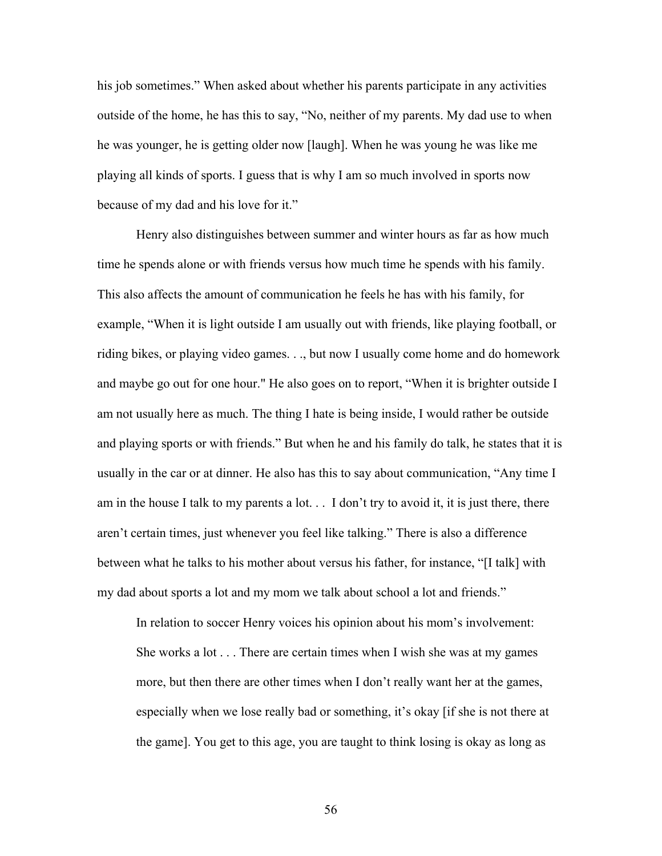his job sometimes." When asked about whether his parents participate in any activities outside of the home, he has this to say, "No, neither of my parents. My dad use to when he was younger, he is getting older now [laugh]. When he was young he was like me playing all kinds of sports. I guess that is why I am so much involved in sports now because of my dad and his love for it."

Henry also distinguishes between summer and winter hours as far as how much time he spends alone or with friends versus how much time he spends with his family. This also affects the amount of communication he feels he has with his family, for example, "When it is light outside I am usually out with friends, like playing football, or riding bikes, or playing video games. . ., but now I usually come home and do homework and maybe go out for one hour." He also goes on to report, "When it is brighter outside I am not usually here as much. The thing I hate is being inside, I would rather be outside and playing sports or with friends." But when he and his family do talk, he states that it is usually in the car or at dinner. He also has this to say about communication, "Any time I am in the house I talk to my parents a lot. . . I don't try to avoid it, it is just there, there aren't certain times, just whenever you feel like talking." There is also a difference between what he talks to his mother about versus his father, for instance, "[I talk] with my dad about sports a lot and my mom we talk about school a lot and friends."

In relation to soccer Henry voices his opinion about his mom's involvement: She works a lot . . . There are certain times when I wish she was at my games more, but then there are other times when I don't really want her at the games, especially when we lose really bad or something, it's okay [if she is not there at the game]. You get to this age, you are taught to think losing is okay as long as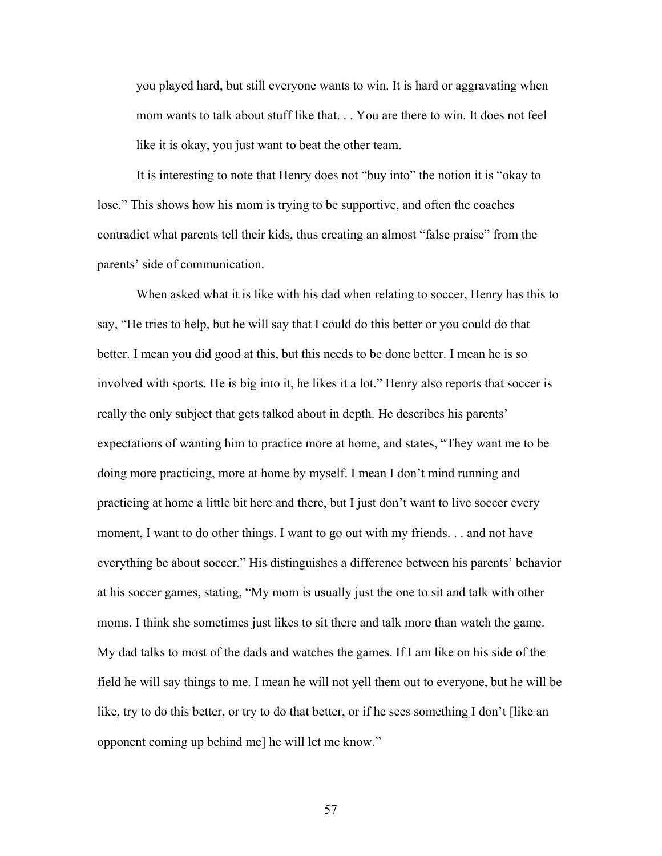you played hard, but still everyone wants to win. It is hard or aggravating when mom wants to talk about stuff like that. . . You are there to win. It does not feel like it is okay, you just want to beat the other team.

It is interesting to note that Henry does not "buy into" the notion it is "okay to lose." This shows how his mom is trying to be supportive, and often the coaches contradict what parents tell their kids, thus creating an almost "false praise" from the parents' side of communication.

When asked what it is like with his dad when relating to soccer, Henry has this to say, "He tries to help, but he will say that I could do this better or you could do that better. I mean you did good at this, but this needs to be done better. I mean he is so involved with sports. He is big into it, he likes it a lot." Henry also reports that soccer is really the only subject that gets talked about in depth. He describes his parents' expectations of wanting him to practice more at home, and states, "They want me to be doing more practicing, more at home by myself. I mean I don't mind running and practicing at home a little bit here and there, but I just don't want to live soccer every moment, I want to do other things. I want to go out with my friends. . . and not have everything be about soccer." His distinguishes a difference between his parents' behavior at his soccer games, stating, "My mom is usually just the one to sit and talk with other moms. I think she sometimes just likes to sit there and talk more than watch the game. My dad talks to most of the dads and watches the games. If I am like on his side of the field he will say things to me. I mean he will not yell them out to everyone, but he will be like, try to do this better, or try to do that better, or if he sees something I don't [like an opponent coming up behind me] he will let me know."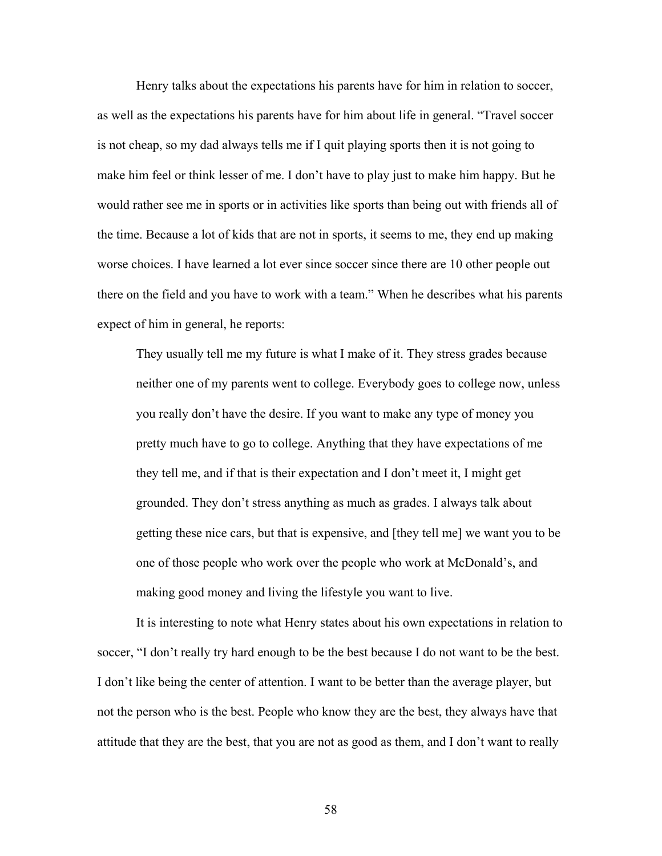Henry talks about the expectations his parents have for him in relation to soccer, as well as the expectations his parents have for him about life in general. "Travel soccer is not cheap, so my dad always tells me if I quit playing sports then it is not going to make him feel or think lesser of me. I don't have to play just to make him happy. But he would rather see me in sports or in activities like sports than being out with friends all of the time. Because a lot of kids that are not in sports, it seems to me, they end up making worse choices. I have learned a lot ever since soccer since there are 10 other people out there on the field and you have to work with a team." When he describes what his parents expect of him in general, he reports:

They usually tell me my future is what I make of it. They stress grades because neither one of my parents went to college. Everybody goes to college now, unless you really don't have the desire. If you want to make any type of money you pretty much have to go to college. Anything that they have expectations of me they tell me, and if that is their expectation and I don't meet it, I might get grounded. They don't stress anything as much as grades. I always talk about getting these nice cars, but that is expensive, and [they tell me] we want you to be one of those people who work over the people who work at McDonald's, and making good money and living the lifestyle you want to live.

 It is interesting to note what Henry states about his own expectations in relation to soccer, "I don't really try hard enough to be the best because I do not want to be the best. I don't like being the center of attention. I want to be better than the average player, but not the person who is the best. People who know they are the best, they always have that attitude that they are the best, that you are not as good as them, and I don't want to really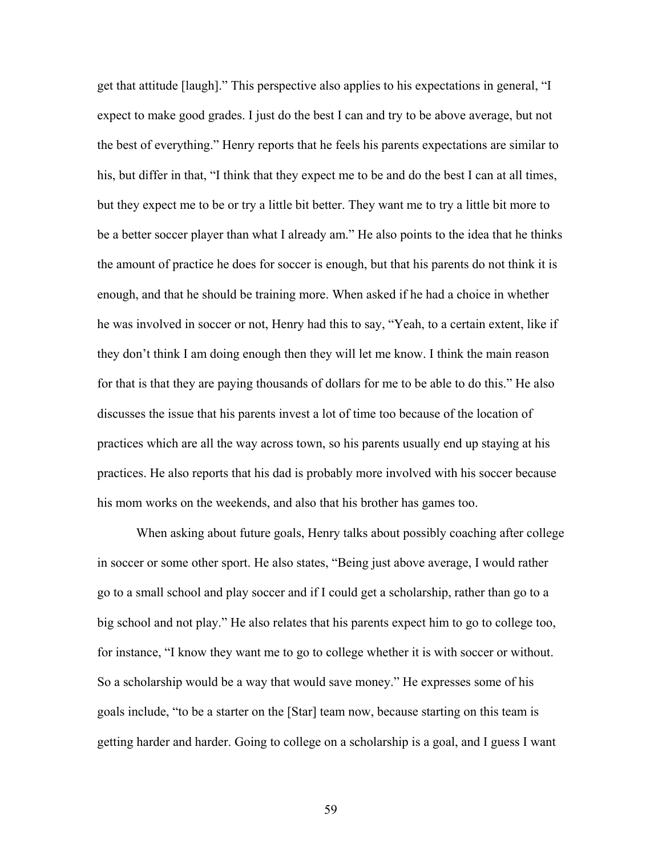get that attitude [laugh]." This perspective also applies to his expectations in general, "I expect to make good grades. I just do the best I can and try to be above average, but not the best of everything." Henry reports that he feels his parents expectations are similar to his, but differ in that, "I think that they expect me to be and do the best I can at all times, but they expect me to be or try a little bit better. They want me to try a little bit more to be a better soccer player than what I already am." He also points to the idea that he thinks the amount of practice he does for soccer is enough, but that his parents do not think it is enough, and that he should be training more. When asked if he had a choice in whether he was involved in soccer or not, Henry had this to say, "Yeah, to a certain extent, like if they don't think I am doing enough then they will let me know. I think the main reason for that is that they are paying thousands of dollars for me to be able to do this." He also discusses the issue that his parents invest a lot of time too because of the location of practices which are all the way across town, so his parents usually end up staying at his practices. He also reports that his dad is probably more involved with his soccer because his mom works on the weekends, and also that his brother has games too.

 When asking about future goals, Henry talks about possibly coaching after college in soccer or some other sport. He also states, "Being just above average, I would rather go to a small school and play soccer and if I could get a scholarship, rather than go to a big school and not play." He also relates that his parents expect him to go to college too, for instance, "I know they want me to go to college whether it is with soccer or without. So a scholarship would be a way that would save money." He expresses some of his goals include, "to be a starter on the [Star] team now, because starting on this team is getting harder and harder. Going to college on a scholarship is a goal, and I guess I want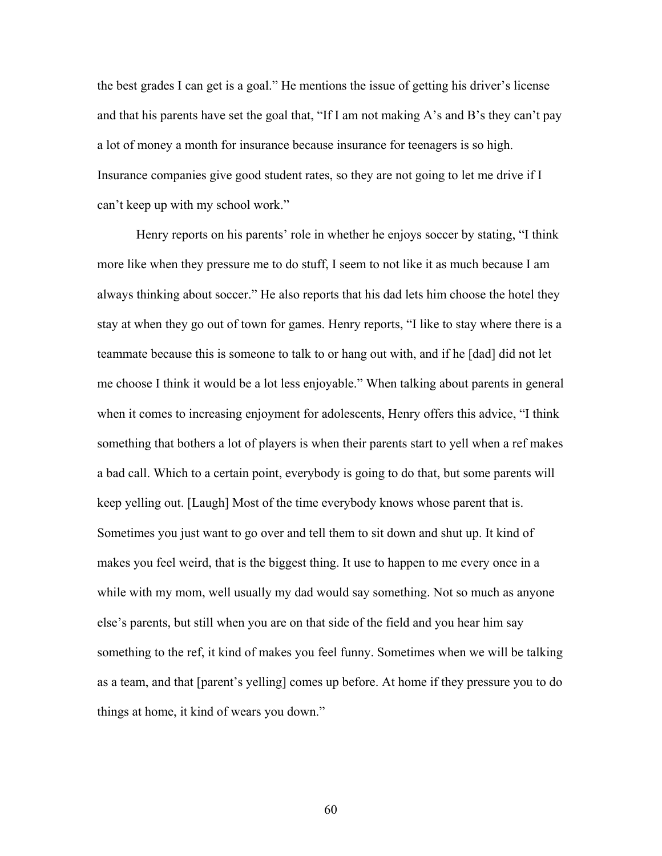the best grades I can get is a goal." He mentions the issue of getting his driver's license and that his parents have set the goal that, "If I am not making A's and B's they can't pay a lot of money a month for insurance because insurance for teenagers is so high. Insurance companies give good student rates, so they are not going to let me drive if I can't keep up with my school work."

 Henry reports on his parents' role in whether he enjoys soccer by stating, "I think more like when they pressure me to do stuff, I seem to not like it as much because I am always thinking about soccer." He also reports that his dad lets him choose the hotel they stay at when they go out of town for games. Henry reports, "I like to stay where there is a teammate because this is someone to talk to or hang out with, and if he [dad] did not let me choose I think it would be a lot less enjoyable." When talking about parents in general when it comes to increasing enjoyment for adolescents, Henry offers this advice, "I think something that bothers a lot of players is when their parents start to yell when a ref makes a bad call. Which to a certain point, everybody is going to do that, but some parents will keep yelling out. [Laugh] Most of the time everybody knows whose parent that is. Sometimes you just want to go over and tell them to sit down and shut up. It kind of makes you feel weird, that is the biggest thing. It use to happen to me every once in a while with my mom, well usually my dad would say something. Not so much as anyone else's parents, but still when you are on that side of the field and you hear him say something to the ref, it kind of makes you feel funny. Sometimes when we will be talking as a team, and that [parent's yelling] comes up before. At home if they pressure you to do things at home, it kind of wears you down."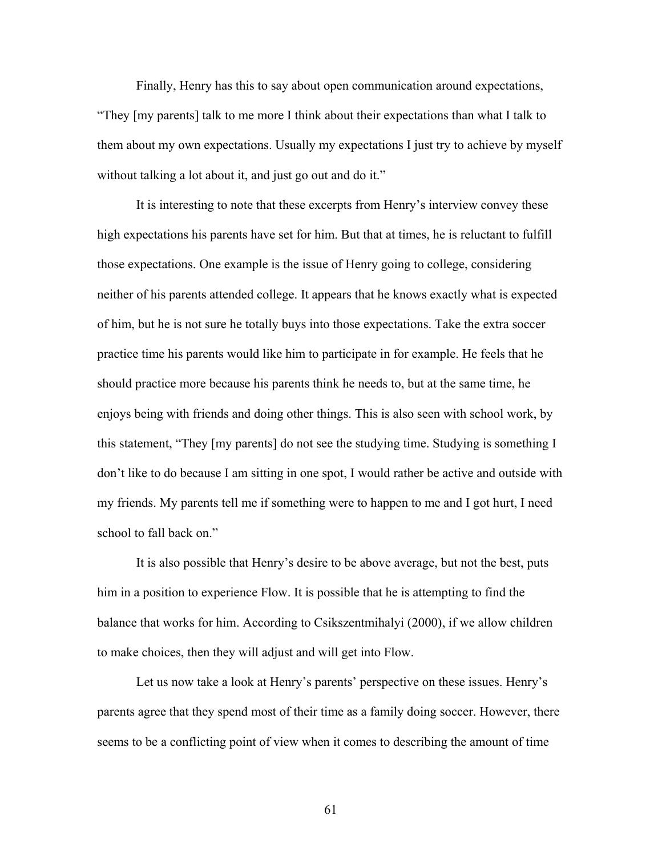Finally, Henry has this to say about open communication around expectations, "They [my parents] talk to me more I think about their expectations than what I talk to them about my own expectations. Usually my expectations I just try to achieve by myself without talking a lot about it, and just go out and do it."

 It is interesting to note that these excerpts from Henry's interview convey these high expectations his parents have set for him. But that at times, he is reluctant to fulfill those expectations. One example is the issue of Henry going to college, considering neither of his parents attended college. It appears that he knows exactly what is expected of him, but he is not sure he totally buys into those expectations. Take the extra soccer practice time his parents would like him to participate in for example. He feels that he should practice more because his parents think he needs to, but at the same time, he enjoys being with friends and doing other things. This is also seen with school work, by this statement, "They [my parents] do not see the studying time. Studying is something I don't like to do because I am sitting in one spot, I would rather be active and outside with my friends. My parents tell me if something were to happen to me and I got hurt, I need school to fall back on."

 It is also possible that Henry's desire to be above average, but not the best, puts him in a position to experience Flow. It is possible that he is attempting to find the balance that works for him. According to Csikszentmihalyi (2000), if we allow children to make choices, then they will adjust and will get into Flow.

 Let us now take a look at Henry's parents' perspective on these issues. Henry's parents agree that they spend most of their time as a family doing soccer. However, there seems to be a conflicting point of view when it comes to describing the amount of time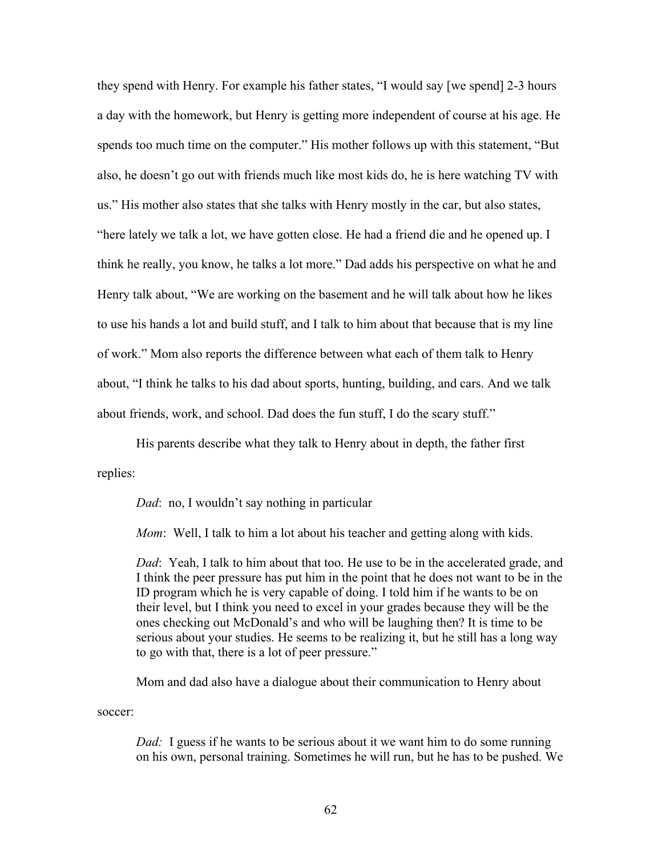they spend with Henry. For example his father states, "I would say [we spend] 2-3 hours a day with the homework, but Henry is getting more independent of course at his age. He spends too much time on the computer." His mother follows up with this statement, "But also, he doesn't go out with friends much like most kids do, he is here watching TV with us." His mother also states that she talks with Henry mostly in the car, but also states, "here lately we talk a lot, we have gotten close. He had a friend die and he opened up. I think he really, you know, he talks a lot more." Dad adds his perspective on what he and Henry talk about, "We are working on the basement and he will talk about how he likes to use his hands a lot and build stuff, and I talk to him about that because that is my line of work." Mom also reports the difference between what each of them talk to Henry about, "I think he talks to his dad about sports, hunting, building, and cars. And we talk about friends, work, and school. Dad does the fun stuff, I do the scary stuff."

 His parents describe what they talk to Henry about in depth, the father first replies:

*Dad*: no, I wouldn't say nothing in particular

*Mom*: Well, I talk to him a lot about his teacher and getting along with kids.

*Dad*: Yeah, I talk to him about that too. He use to be in the accelerated grade, and I think the peer pressure has put him in the point that he does not want to be in the ID program which he is very capable of doing. I told him if he wants to be on their level, but I think you need to excel in your grades because they will be the ones checking out McDonald's and who will be laughing then? It is time to be serious about your studies. He seems to be realizing it, but he still has a long way to go with that, there is a lot of peer pressure."

Mom and dad also have a dialogue about their communication to Henry about

soccer:

*Dad:* I guess if he wants to be serious about it we want him to do some running on his own, personal training. Sometimes he will run, but he has to be pushed. We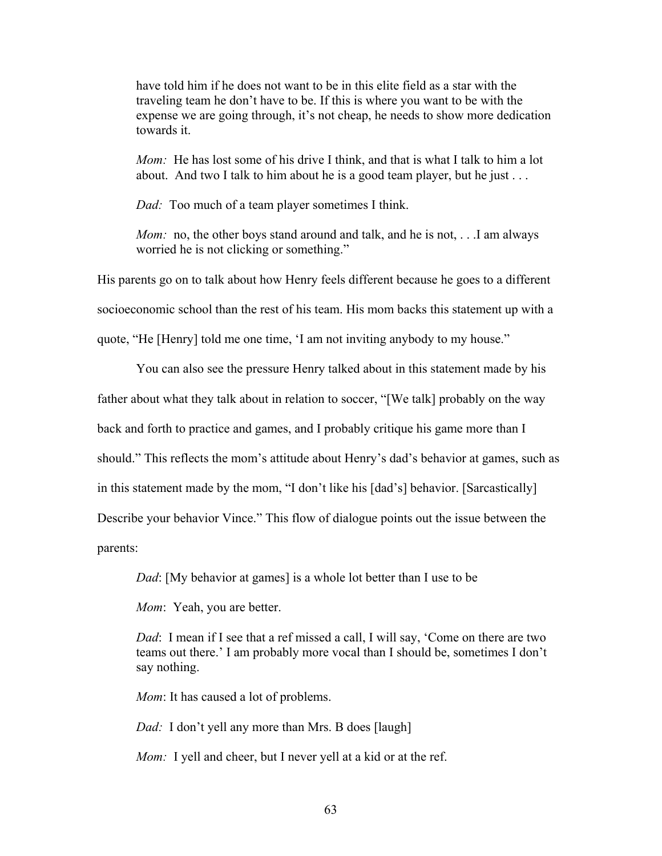have told him if he does not want to be in this elite field as a star with the traveling team he don't have to be. If this is where you want to be with the expense we are going through, it's not cheap, he needs to show more dedication towards it.

*Mom:* He has lost some of his drive I think, and that is what I talk to him a lot about. And two I talk to him about he is a good team player, but he just . . .

*Dad:* Too much of a team player sometimes I think.

*Mom:* no, the other boys stand around and talk, and he is not, ... I am always worried he is not clicking or something."

His parents go on to talk about how Henry feels different because he goes to a different socioeconomic school than the rest of his team. His mom backs this statement up with a quote, "He [Henry] told me one time, 'I am not inviting anybody to my house."

 You can also see the pressure Henry talked about in this statement made by his father about what they talk about in relation to soccer, "[We talk] probably on the way back and forth to practice and games, and I probably critique his game more than I should." This reflects the mom's attitude about Henry's dad's behavior at games, such as in this statement made by the mom, "I don't like his [dad's] behavior. [Sarcastically] Describe your behavior Vince." This flow of dialogue points out the issue between the parents:

*Dad*: [My behavior at games] is a whole lot better than I use to be

*Mom*: Yeah, you are better.

*Dad*: I mean if I see that a ref missed a call, I will say, 'Come on there are two teams out there.' I am probably more vocal than I should be, sometimes I don't say nothing.

*Mom*: It has caused a lot of problems.

*Dad:* I don't yell any more than Mrs. B does [laugh]

*Mom:* I yell and cheer, but I never yell at a kid or at the ref.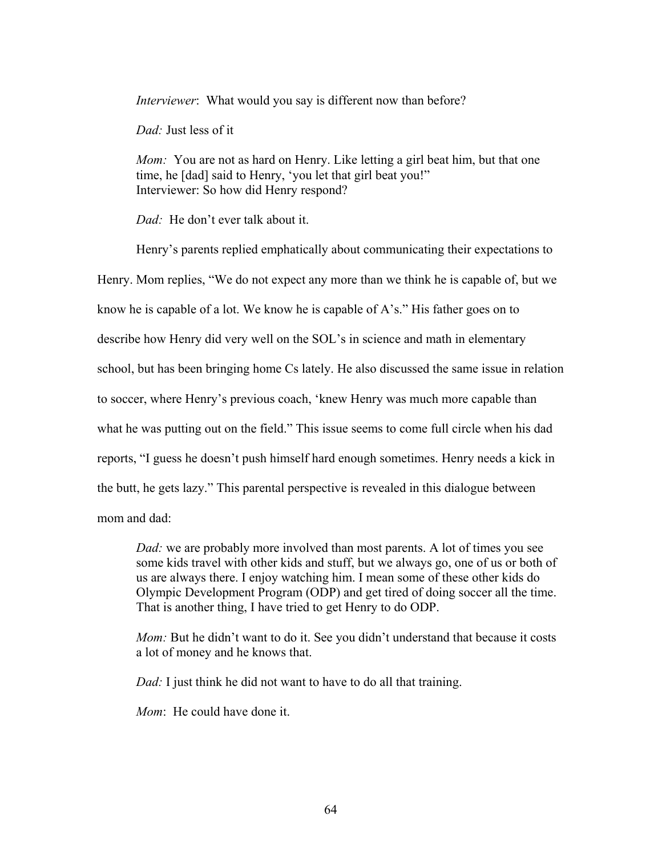*Interviewer*: What would you say is different now than before?

*Dad:* Just less of it

*Mom:* You are not as hard on Henry. Like letting a girl beat him, but that one time, he [dad] said to Henry, 'you let that girl beat you!" Interviewer: So how did Henry respond?

*Dad:* He don't ever talk about it.

Henry's parents replied emphatically about communicating their expectations to

Henry. Mom replies, "We do not expect any more than we think he is capable of, but we

know he is capable of a lot. We know he is capable of A's." His father goes on to

describe how Henry did very well on the SOL's in science and math in elementary

school, but has been bringing home Cs lately. He also discussed the same issue in relation

to soccer, where Henry's previous coach, 'knew Henry was much more capable than

what he was putting out on the field." This issue seems to come full circle when his dad

reports, "I guess he doesn't push himself hard enough sometimes. Henry needs a kick in

the butt, he gets lazy." This parental perspective is revealed in this dialogue between

mom and dad:

*Dad:* we are probably more involved than most parents. A lot of times you see some kids travel with other kids and stuff, but we always go, one of us or both of us are always there. I enjoy watching him. I mean some of these other kids do Olympic Development Program (ODP) and get tired of doing soccer all the time. That is another thing, I have tried to get Henry to do ODP.

*Mom:* But he didn't want to do it. See you didn't understand that because it costs a lot of money and he knows that.

*Dad:* I just think he did not want to have to do all that training.

*Mom*: He could have done it.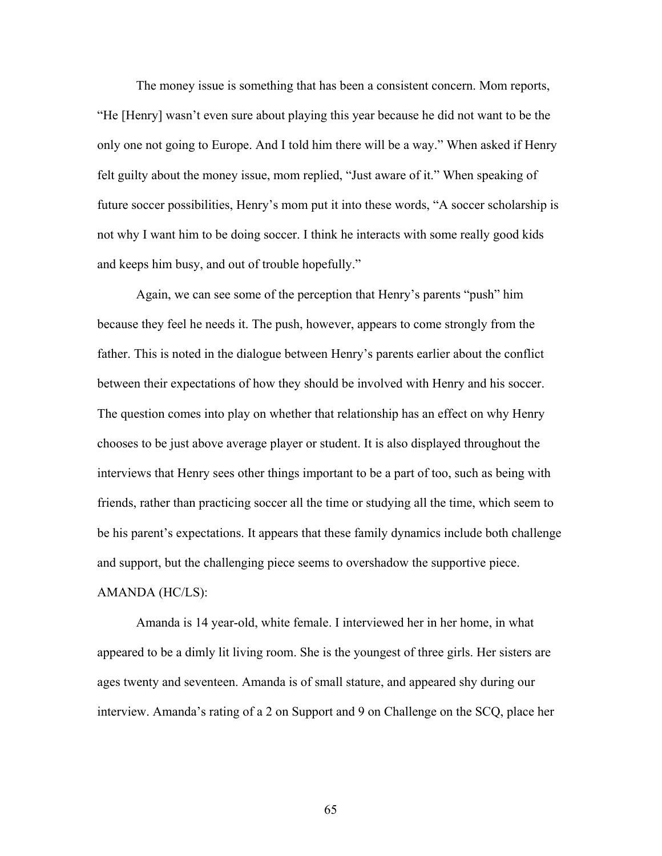The money issue is something that has been a consistent concern. Mom reports, "He [Henry] wasn't even sure about playing this year because he did not want to be the only one not going to Europe. And I told him there will be a way." When asked if Henry felt guilty about the money issue, mom replied, "Just aware of it." When speaking of future soccer possibilities, Henry's mom put it into these words, "A soccer scholarship is not why I want him to be doing soccer. I think he interacts with some really good kids and keeps him busy, and out of trouble hopefully."

 Again, we can see some of the perception that Henry's parents "push" him because they feel he needs it. The push, however, appears to come strongly from the father. This is noted in the dialogue between Henry's parents earlier about the conflict between their expectations of how they should be involved with Henry and his soccer. The question comes into play on whether that relationship has an effect on why Henry chooses to be just above average player or student. It is also displayed throughout the interviews that Henry sees other things important to be a part of too, such as being with friends, rather than practicing soccer all the time or studying all the time, which seem to be his parent's expectations. It appears that these family dynamics include both challenge and support, but the challenging piece seems to overshadow the supportive piece. AMANDA (HC/LS):

Amanda is 14 year-old, white female. I interviewed her in her home, in what appeared to be a dimly lit living room. She is the youngest of three girls. Her sisters are ages twenty and seventeen. Amanda is of small stature, and appeared shy during our interview. Amanda's rating of a 2 on Support and 9 on Challenge on the SCQ, place her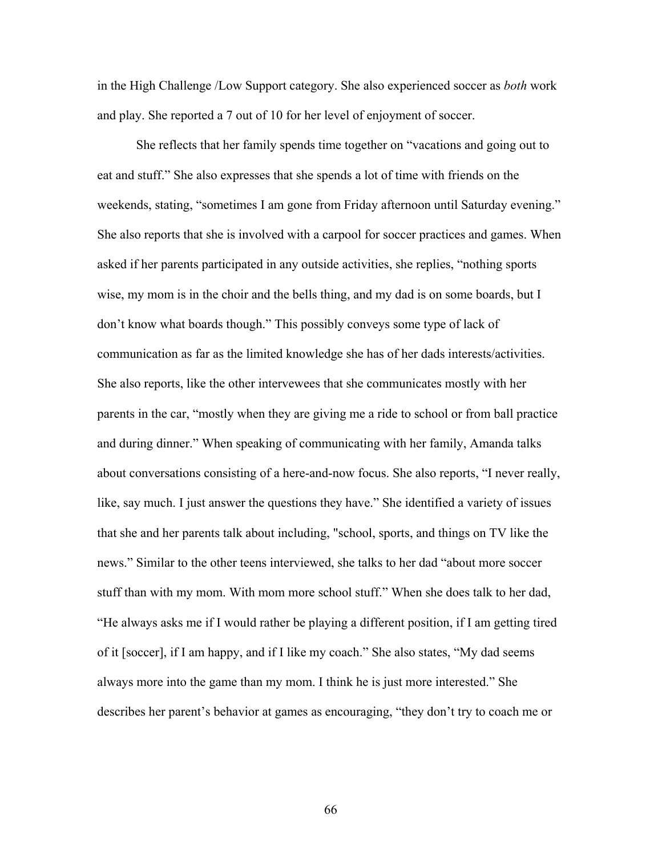in the High Challenge /Low Support category. She also experienced soccer as *both* work and play. She reported a 7 out of 10 for her level of enjoyment of soccer.

She reflects that her family spends time together on "vacations and going out to eat and stuff." She also expresses that she spends a lot of time with friends on the weekends, stating, "sometimes I am gone from Friday afternoon until Saturday evening." She also reports that she is involved with a carpool for soccer practices and games. When asked if her parents participated in any outside activities, she replies, "nothing sports wise, my mom is in the choir and the bells thing, and my dad is on some boards, but I don't know what boards though." This possibly conveys some type of lack of communication as far as the limited knowledge she has of her dads interests/activities. She also reports, like the other intervewees that she communicates mostly with her parents in the car, "mostly when they are giving me a ride to school or from ball practice and during dinner." When speaking of communicating with her family, Amanda talks about conversations consisting of a here-and-now focus. She also reports, "I never really, like, say much. I just answer the questions they have." She identified a variety of issues that she and her parents talk about including, "school, sports, and things on TV like the news." Similar to the other teens interviewed, she talks to her dad "about more soccer stuff than with my mom. With mom more school stuff." When she does talk to her dad, "He always asks me if I would rather be playing a different position, if I am getting tired of it [soccer], if I am happy, and if I like my coach." She also states, "My dad seems always more into the game than my mom. I think he is just more interested." She describes her parent's behavior at games as encouraging, "they don't try to coach me or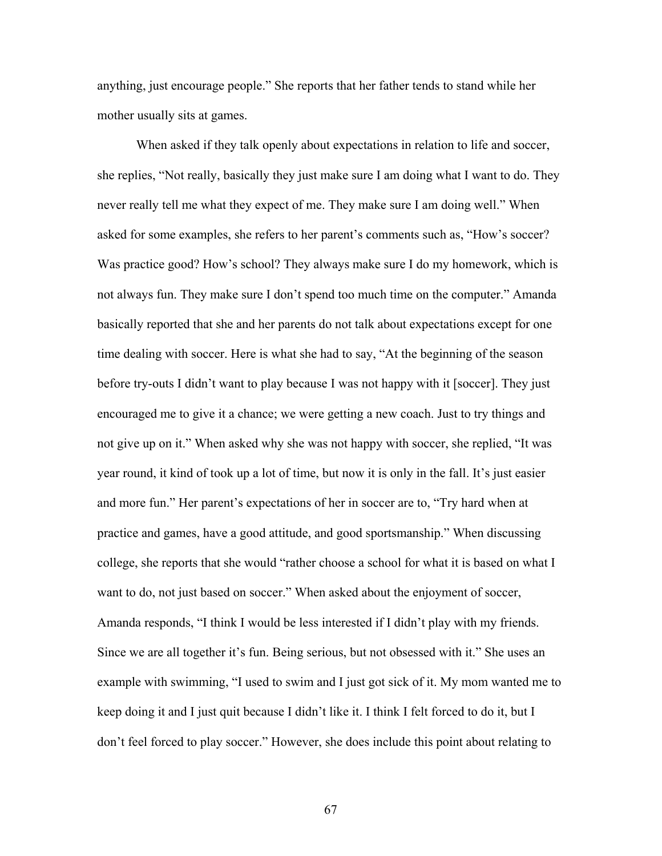anything, just encourage people." She reports that her father tends to stand while her mother usually sits at games.

 When asked if they talk openly about expectations in relation to life and soccer, she replies, "Not really, basically they just make sure I am doing what I want to do. They never really tell me what they expect of me. They make sure I am doing well." When asked for some examples, she refers to her parent's comments such as, "How's soccer? Was practice good? How's school? They always make sure I do my homework, which is not always fun. They make sure I don't spend too much time on the computer." Amanda basically reported that she and her parents do not talk about expectations except for one time dealing with soccer. Here is what she had to say, "At the beginning of the season before try-outs I didn't want to play because I was not happy with it [soccer]. They just encouraged me to give it a chance; we were getting a new coach. Just to try things and not give up on it." When asked why she was not happy with soccer, she replied, "It was year round, it kind of took up a lot of time, but now it is only in the fall. It's just easier and more fun." Her parent's expectations of her in soccer are to, "Try hard when at practice and games, have a good attitude, and good sportsmanship." When discussing college, she reports that she would "rather choose a school for what it is based on what I want to do, not just based on soccer." When asked about the enjoyment of soccer, Amanda responds, "I think I would be less interested if I didn't play with my friends. Since we are all together it's fun. Being serious, but not obsessed with it." She uses an example with swimming, "I used to swim and I just got sick of it. My mom wanted me to keep doing it and I just quit because I didn't like it. I think I felt forced to do it, but I don't feel forced to play soccer." However, she does include this point about relating to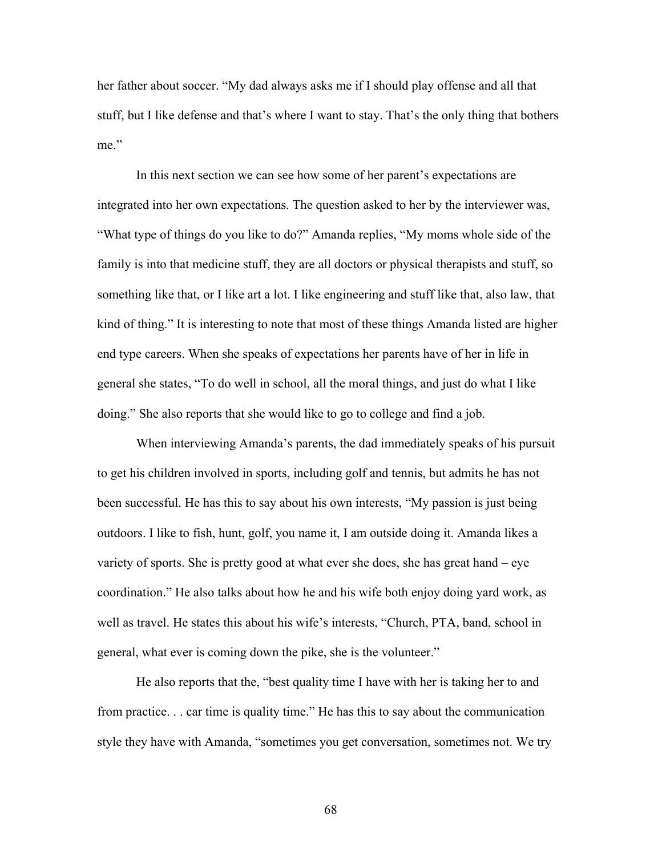her father about soccer. "My dad always asks me if I should play offense and all that stuff, but I like defense and that's where I want to stay. That's the only thing that bothers me."

In this next section we can see how some of her parent's expectations are integrated into her own expectations. The question asked to her by the interviewer was, "What type of things do you like to do?" Amanda replies, "My moms whole side of the family is into that medicine stuff, they are all doctors or physical therapists and stuff, so something like that, or I like art a lot. I like engineering and stuff like that, also law, that kind of thing." It is interesting to note that most of these things Amanda listed are higher end type careers. When she speaks of expectations her parents have of her in life in general she states, "To do well in school, all the moral things, and just do what I like doing." She also reports that she would like to go to college and find a job.

 When interviewing Amanda's parents, the dad immediately speaks of his pursuit to get his children involved in sports, including golf and tennis, but admits he has not been successful. He has this to say about his own interests, "My passion is just being outdoors. I like to fish, hunt, golf, you name it, I am outside doing it. Amanda likes a variety of sports. She is pretty good at what ever she does, she has great hand – eye coordination." He also talks about how he and his wife both enjoy doing yard work, as well as travel. He states this about his wife's interests, "Church, PTA, band, school in general, what ever is coming down the pike, she is the volunteer."

 He also reports that the, "best quality time I have with her is taking her to and from practice. . . car time is quality time." He has this to say about the communication style they have with Amanda, "sometimes you get conversation, sometimes not. We try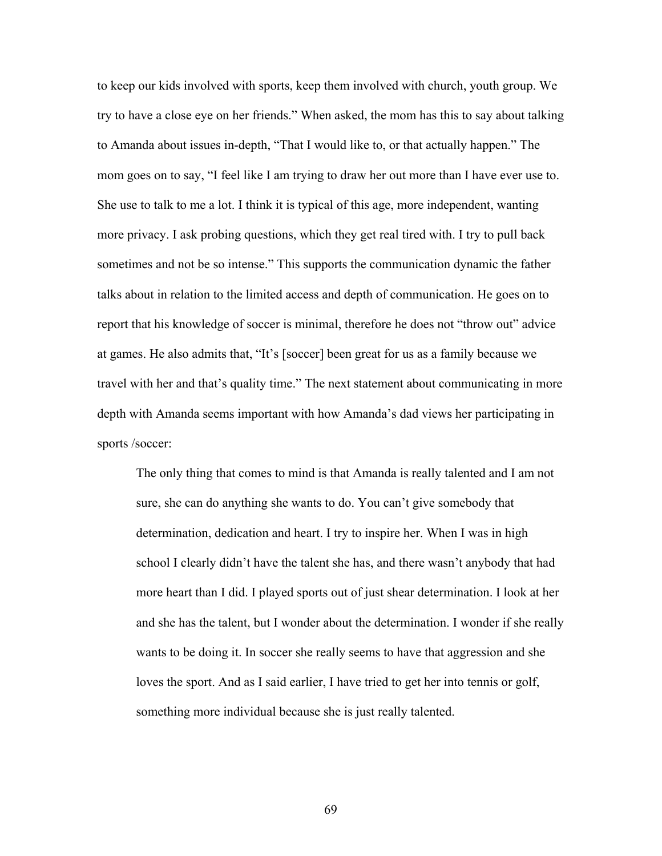to keep our kids involved with sports, keep them involved with church, youth group. We try to have a close eye on her friends." When asked, the mom has this to say about talking to Amanda about issues in-depth, "That I would like to, or that actually happen." The mom goes on to say, "I feel like I am trying to draw her out more than I have ever use to. She use to talk to me a lot. I think it is typical of this age, more independent, wanting more privacy. I ask probing questions, which they get real tired with. I try to pull back sometimes and not be so intense." This supports the communication dynamic the father talks about in relation to the limited access and depth of communication. He goes on to report that his knowledge of soccer is minimal, therefore he does not "throw out" advice at games. He also admits that, "It's [soccer] been great for us as a family because we travel with her and that's quality time." The next statement about communicating in more depth with Amanda seems important with how Amanda's dad views her participating in sports /soccer:

The only thing that comes to mind is that Amanda is really talented and I am not sure, she can do anything she wants to do. You can't give somebody that determination, dedication and heart. I try to inspire her. When I was in high school I clearly didn't have the talent she has, and there wasn't anybody that had more heart than I did. I played sports out of just shear determination. I look at her and she has the talent, but I wonder about the determination. I wonder if she really wants to be doing it. In soccer she really seems to have that aggression and she loves the sport. And as I said earlier, I have tried to get her into tennis or golf, something more individual because she is just really talented.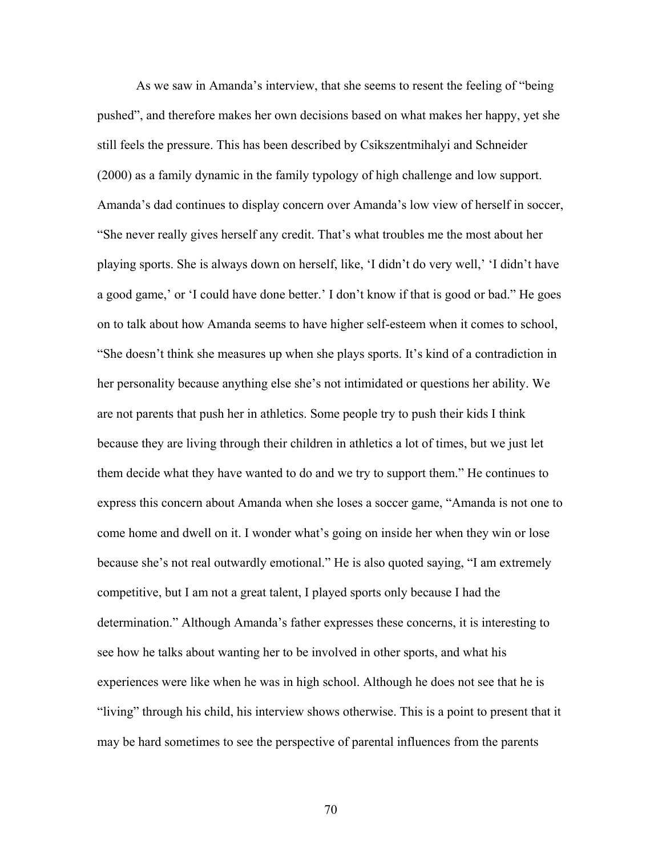As we saw in Amanda's interview, that she seems to resent the feeling of "being pushed", and therefore makes her own decisions based on what makes her happy, yet she still feels the pressure. This has been described by Csikszentmihalyi and Schneider (2000) as a family dynamic in the family typology of high challenge and low support. Amanda's dad continues to display concern over Amanda's low view of herself in soccer, "She never really gives herself any credit. That's what troubles me the most about her playing sports. She is always down on herself, like, 'I didn't do very well,' 'I didn't have a good game,' or 'I could have done better.' I don't know if that is good or bad." He goes on to talk about how Amanda seems to have higher self-esteem when it comes to school, "She doesn't think she measures up when she plays sports. It's kind of a contradiction in her personality because anything else she's not intimidated or questions her ability. We are not parents that push her in athletics. Some people try to push their kids I think because they are living through their children in athletics a lot of times, but we just let them decide what they have wanted to do and we try to support them." He continues to express this concern about Amanda when she loses a soccer game, "Amanda is not one to come home and dwell on it. I wonder what's going on inside her when they win or lose because she's not real outwardly emotional." He is also quoted saying, "I am extremely competitive, but I am not a great talent, I played sports only because I had the determination." Although Amanda's father expresses these concerns, it is interesting to see how he talks about wanting her to be involved in other sports, and what his experiences were like when he was in high school. Although he does not see that he is "living" through his child, his interview shows otherwise. This is a point to present that it may be hard sometimes to see the perspective of parental influences from the parents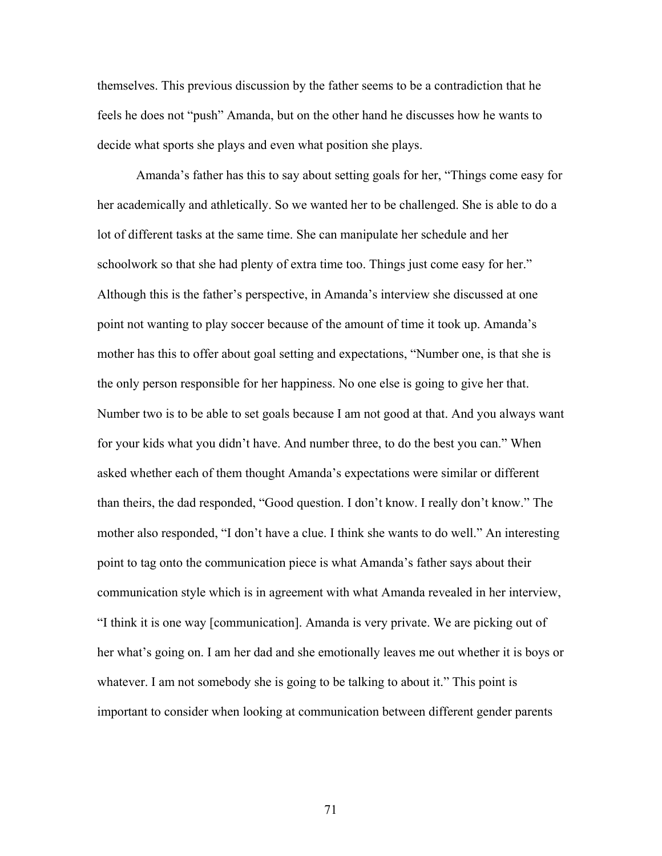themselves. This previous discussion by the father seems to be a contradiction that he feels he does not "push" Amanda, but on the other hand he discusses how he wants to decide what sports she plays and even what position she plays.

Amanda's father has this to say about setting goals for her, "Things come easy for her academically and athletically. So we wanted her to be challenged. She is able to do a lot of different tasks at the same time. She can manipulate her schedule and her schoolwork so that she had plenty of extra time too. Things just come easy for her." Although this is the father's perspective, in Amanda's interview she discussed at one point not wanting to play soccer because of the amount of time it took up. Amanda's mother has this to offer about goal setting and expectations, "Number one, is that she is the only person responsible for her happiness. No one else is going to give her that. Number two is to be able to set goals because I am not good at that. And you always want for your kids what you didn't have. And number three, to do the best you can." When asked whether each of them thought Amanda's expectations were similar or different than theirs, the dad responded, "Good question. I don't know. I really don't know." The mother also responded, "I don't have a clue. I think she wants to do well." An interesting point to tag onto the communication piece is what Amanda's father says about their communication style which is in agreement with what Amanda revealed in her interview, "I think it is one way [communication]. Amanda is very private. We are picking out of her what's going on. I am her dad and she emotionally leaves me out whether it is boys or whatever. I am not somebody she is going to be talking to about it." This point is important to consider when looking at communication between different gender parents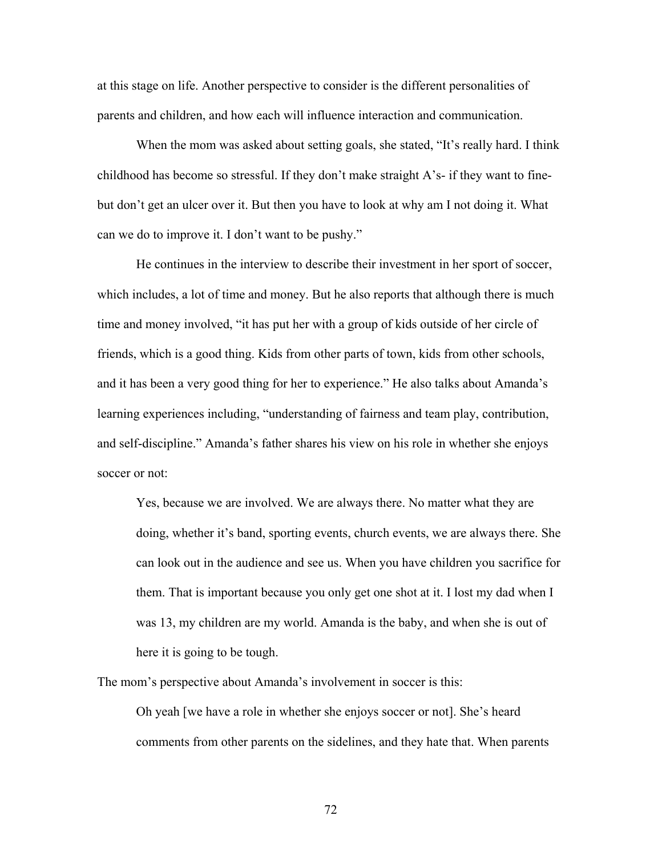at this stage on life. Another perspective to consider is the different personalities of parents and children, and how each will influence interaction and communication.

When the mom was asked about setting goals, she stated, "It's really hard. I think childhood has become so stressful. If they don't make straight A's- if they want to finebut don't get an ulcer over it. But then you have to look at why am I not doing it. What can we do to improve it. I don't want to be pushy."

 He continues in the interview to describe their investment in her sport of soccer, which includes, a lot of time and money. But he also reports that although there is much time and money involved, "it has put her with a group of kids outside of her circle of friends, which is a good thing. Kids from other parts of town, kids from other schools, and it has been a very good thing for her to experience." He also talks about Amanda's learning experiences including, "understanding of fairness and team play, contribution, and self-discipline." Amanda's father shares his view on his role in whether she enjoys soccer or not:

Yes, because we are involved. We are always there. No matter what they are doing, whether it's band, sporting events, church events, we are always there. She can look out in the audience and see us. When you have children you sacrifice for them. That is important because you only get one shot at it. I lost my dad when I was 13, my children are my world. Amanda is the baby, and when she is out of here it is going to be tough.

The mom's perspective about Amanda's involvement in soccer is this:

Oh yeah [we have a role in whether she enjoys soccer or not]. She's heard comments from other parents on the sidelines, and they hate that. When parents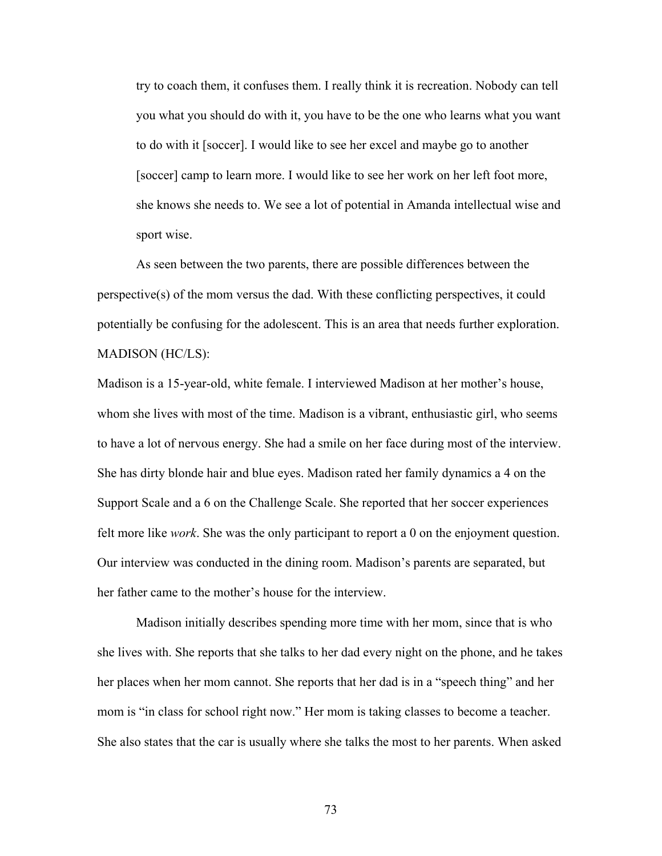try to coach them, it confuses them. I really think it is recreation. Nobody can tell you what you should do with it, you have to be the one who learns what you want to do with it [soccer]. I would like to see her excel and maybe go to another [soccer] camp to learn more. I would like to see her work on her left foot more, she knows she needs to. We see a lot of potential in Amanda intellectual wise and sport wise.

 As seen between the two parents, there are possible differences between the perspective(s) of the mom versus the dad. With these conflicting perspectives, it could potentially be confusing for the adolescent. This is an area that needs further exploration. MADISON (HC/LS):

Madison is a 15-year-old, white female. I interviewed Madison at her mother's house, whom she lives with most of the time. Madison is a vibrant, enthusiastic girl, who seems to have a lot of nervous energy. She had a smile on her face during most of the interview. She has dirty blonde hair and blue eyes. Madison rated her family dynamics a 4 on the Support Scale and a 6 on the Challenge Scale. She reported that her soccer experiences felt more like *work*. She was the only participant to report a 0 on the enjoyment question. Our interview was conducted in the dining room. Madison's parents are separated, but her father came to the mother's house for the interview.

Madison initially describes spending more time with her mom, since that is who she lives with. She reports that she talks to her dad every night on the phone, and he takes her places when her mom cannot. She reports that her dad is in a "speech thing" and her mom is "in class for school right now." Her mom is taking classes to become a teacher. She also states that the car is usually where she talks the most to her parents. When asked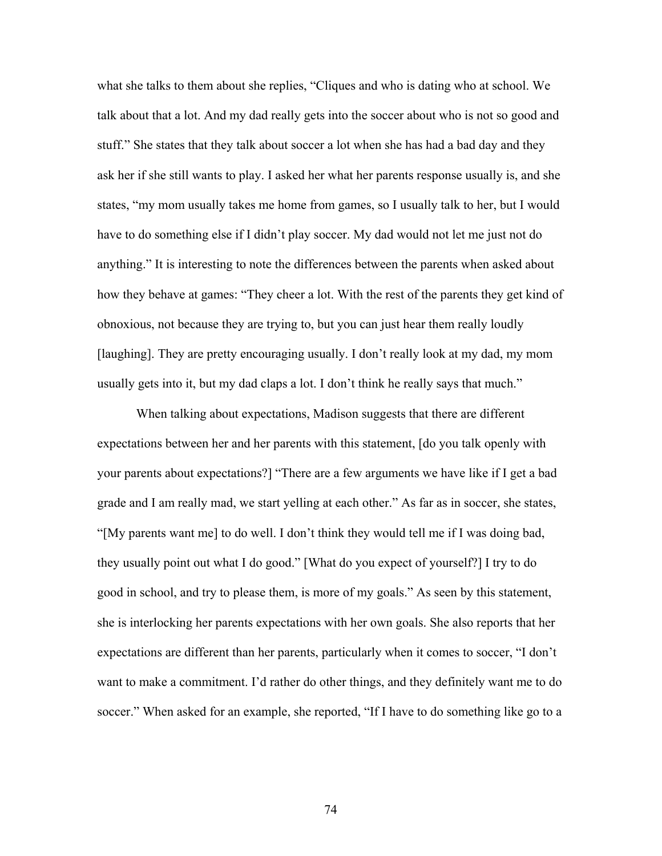what she talks to them about she replies, "Cliques and who is dating who at school. We talk about that a lot. And my dad really gets into the soccer about who is not so good and stuff." She states that they talk about soccer a lot when she has had a bad day and they ask her if she still wants to play. I asked her what her parents response usually is, and she states, "my mom usually takes me home from games, so I usually talk to her, but I would have to do something else if I didn't play soccer. My dad would not let me just not do anything." It is interesting to note the differences between the parents when asked about how they behave at games: "They cheer a lot. With the rest of the parents they get kind of obnoxious, not because they are trying to, but you can just hear them really loudly [laughing]. They are pretty encouraging usually. I don't really look at my dad, my mom usually gets into it, but my dad claps a lot. I don't think he really says that much."

 When talking about expectations, Madison suggests that there are different expectations between her and her parents with this statement, [do you talk openly with your parents about expectations?] "There are a few arguments we have like if I get a bad grade and I am really mad, we start yelling at each other." As far as in soccer, she states, "[My parents want me] to do well. I don't think they would tell me if I was doing bad, they usually point out what I do good." [What do you expect of yourself?] I try to do good in school, and try to please them, is more of my goals." As seen by this statement, she is interlocking her parents expectations with her own goals. She also reports that her expectations are different than her parents, particularly when it comes to soccer, "I don't want to make a commitment. I'd rather do other things, and they definitely want me to do soccer." When asked for an example, she reported, "If I have to do something like go to a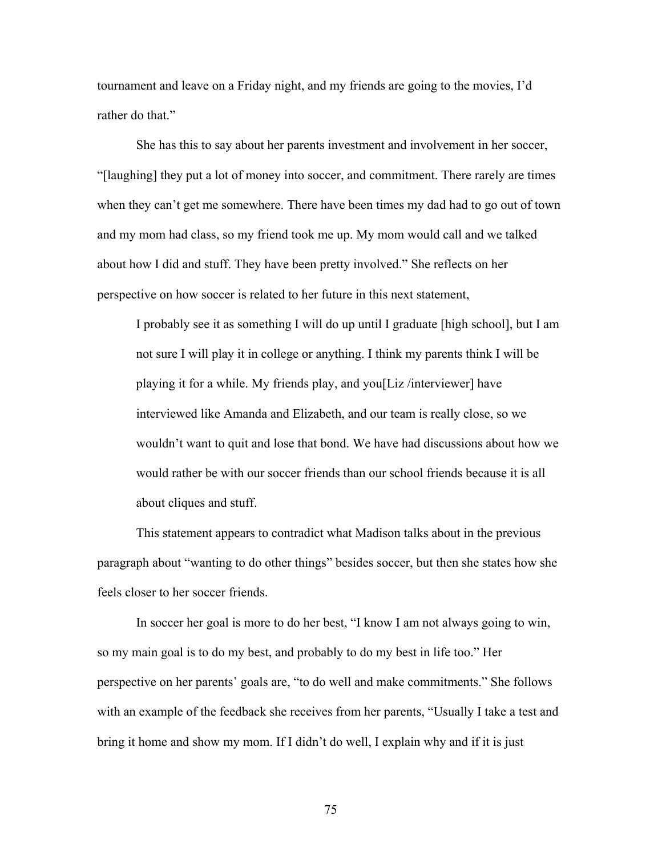tournament and leave on a Friday night, and my friends are going to the movies, I'd rather do that."

 She has this to say about her parents investment and involvement in her soccer, "[laughing] they put a lot of money into soccer, and commitment. There rarely are times when they can't get me somewhere. There have been times my dad had to go out of town and my mom had class, so my friend took me up. My mom would call and we talked about how I did and stuff. They have been pretty involved." She reflects on her perspective on how soccer is related to her future in this next statement,

I probably see it as something I will do up until I graduate [high school], but I am not sure I will play it in college or anything. I think my parents think I will be playing it for a while. My friends play, and you[Liz /interviewer] have interviewed like Amanda and Elizabeth, and our team is really close, so we wouldn't want to quit and lose that bond. We have had discussions about how we would rather be with our soccer friends than our school friends because it is all about cliques and stuff.

 This statement appears to contradict what Madison talks about in the previous paragraph about "wanting to do other things" besides soccer, but then she states how she feels closer to her soccer friends.

In soccer her goal is more to do her best, "I know I am not always going to win, so my main goal is to do my best, and probably to do my best in life too." Her perspective on her parents' goals are, "to do well and make commitments." She follows with an example of the feedback she receives from her parents, "Usually I take a test and bring it home and show my mom. If I didn't do well, I explain why and if it is just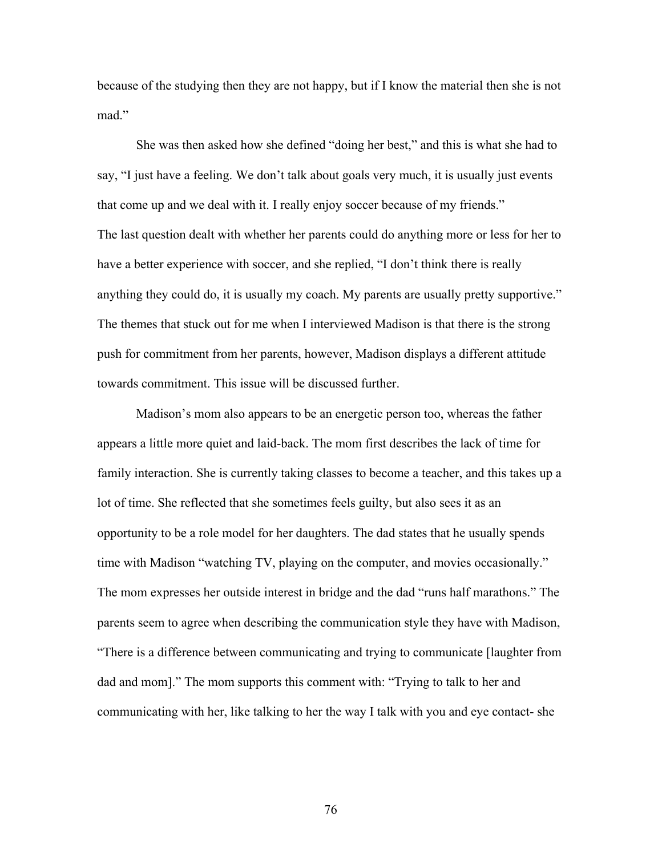because of the studying then they are not happy, but if I know the material then she is not mad."

She was then asked how she defined "doing her best," and this is what she had to say, "I just have a feeling. We don't talk about goals very much, it is usually just events that come up and we deal with it. I really enjoy soccer because of my friends." The last question dealt with whether her parents could do anything more or less for her to have a better experience with soccer, and she replied, "I don't think there is really anything they could do, it is usually my coach. My parents are usually pretty supportive." The themes that stuck out for me when I interviewed Madison is that there is the strong push for commitment from her parents, however, Madison displays a different attitude towards commitment. This issue will be discussed further.

 Madison's mom also appears to be an energetic person too, whereas the father appears a little more quiet and laid-back. The mom first describes the lack of time for family interaction. She is currently taking classes to become a teacher, and this takes up a lot of time. She reflected that she sometimes feels guilty, but also sees it as an opportunity to be a role model for her daughters. The dad states that he usually spends time with Madison "watching TV, playing on the computer, and movies occasionally." The mom expresses her outside interest in bridge and the dad "runs half marathons." The parents seem to agree when describing the communication style they have with Madison, "There is a difference between communicating and trying to communicate [laughter from dad and mom]." The mom supports this comment with: "Trying to talk to her and communicating with her, like talking to her the way I talk with you and eye contact- she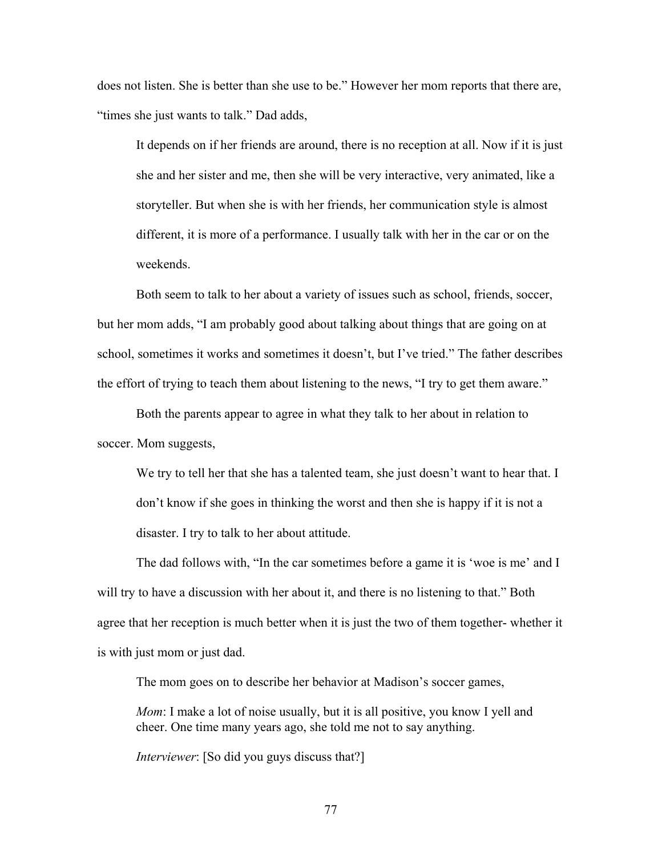does not listen. She is better than she use to be." However her mom reports that there are, "times she just wants to talk." Dad adds,

It depends on if her friends are around, there is no reception at all. Now if it is just she and her sister and me, then she will be very interactive, very animated, like a storyteller. But when she is with her friends, her communication style is almost different, it is more of a performance. I usually talk with her in the car or on the weekends.

Both seem to talk to her about a variety of issues such as school, friends, soccer, but her mom adds, "I am probably good about talking about things that are going on at school, sometimes it works and sometimes it doesn't, but I've tried." The father describes the effort of trying to teach them about listening to the news, "I try to get them aware."

 Both the parents appear to agree in what they talk to her about in relation to soccer. Mom suggests,

We try to tell her that she has a talented team, she just doesn't want to hear that. I don't know if she goes in thinking the worst and then she is happy if it is not a disaster. I try to talk to her about attitude.

The dad follows with, "In the car sometimes before a game it is 'woe is me' and I will try to have a discussion with her about it, and there is no listening to that." Both agree that her reception is much better when it is just the two of them together- whether it is with just mom or just dad.

The mom goes on to describe her behavior at Madison's soccer games,

*Mom*: I make a lot of noise usually, but it is all positive, you know I yell and cheer. One time many years ago, she told me not to say anything.

*Interviewer*: [So did you guys discuss that?]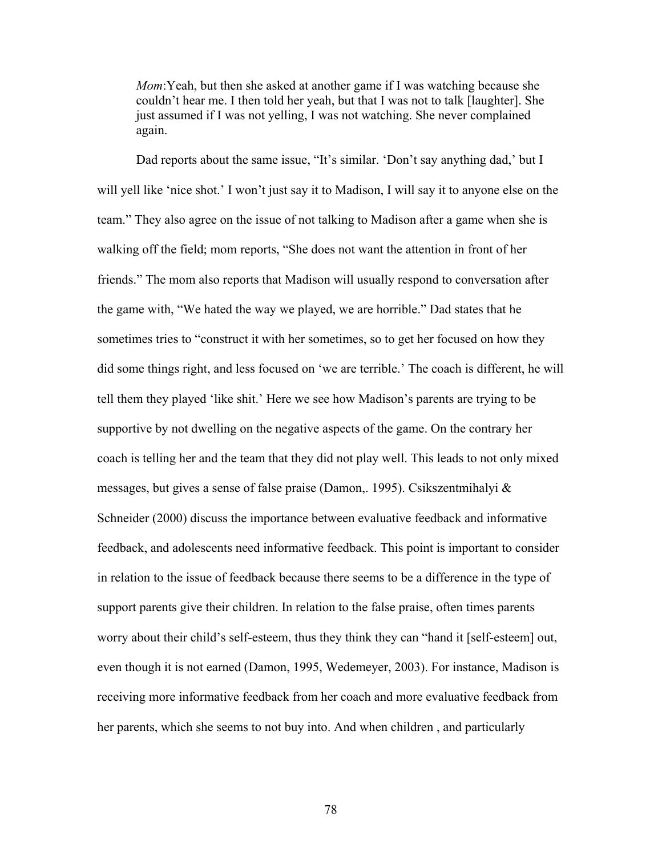*Mom*:Yeah, but then she asked at another game if I was watching because she couldn't hear me. I then told her yeah, but that I was not to talk [laughter]. She just assumed if I was not yelling, I was not watching. She never complained again.

Dad reports about the same issue, "It's similar. 'Don't say anything dad,' but I will yell like 'nice shot.' I won't just say it to Madison, I will say it to anyone else on the team." They also agree on the issue of not talking to Madison after a game when she is walking off the field; mom reports, "She does not want the attention in front of her friends." The mom also reports that Madison will usually respond to conversation after the game with, "We hated the way we played, we are horrible." Dad states that he sometimes tries to "construct it with her sometimes, so to get her focused on how they did some things right, and less focused on 'we are terrible.' The coach is different, he will tell them they played 'like shit.' Here we see how Madison's parents are trying to be supportive by not dwelling on the negative aspects of the game. On the contrary her coach is telling her and the team that they did not play well. This leads to not only mixed messages, but gives a sense of false praise (Damon,. 1995). Csikszentmihalyi & Schneider (2000) discuss the importance between evaluative feedback and informative feedback, and adolescents need informative feedback. This point is important to consider in relation to the issue of feedback because there seems to be a difference in the type of support parents give their children. In relation to the false praise, often times parents worry about their child's self-esteem, thus they think they can "hand it [self-esteem] out, even though it is not earned (Damon, 1995, Wedemeyer, 2003). For instance, Madison is receiving more informative feedback from her coach and more evaluative feedback from her parents, which she seems to not buy into. And when children , and particularly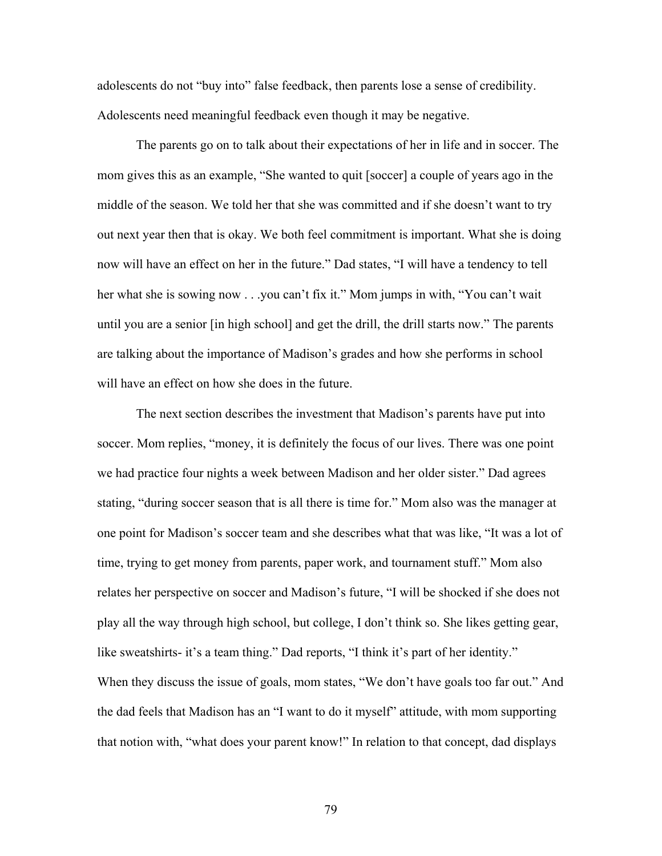adolescents do not "buy into" false feedback, then parents lose a sense of credibility. Adolescents need meaningful feedback even though it may be negative.

 The parents go on to talk about their expectations of her in life and in soccer. The mom gives this as an example, "She wanted to quit [soccer] a couple of years ago in the middle of the season. We told her that she was committed and if she doesn't want to try out next year then that is okay. We both feel commitment is important. What she is doing now will have an effect on her in the future." Dad states, "I will have a tendency to tell her what she is sowing now . . .you can't fix it." Mom jumps in with, "You can't wait until you are a senior [in high school] and get the drill, the drill starts now." The parents are talking about the importance of Madison's grades and how she performs in school will have an effect on how she does in the future.

 The next section describes the investment that Madison's parents have put into soccer. Mom replies, "money, it is definitely the focus of our lives. There was one point we had practice four nights a week between Madison and her older sister." Dad agrees stating, "during soccer season that is all there is time for." Mom also was the manager at one point for Madison's soccer team and she describes what that was like, "It was a lot of time, trying to get money from parents, paper work, and tournament stuff." Mom also relates her perspective on soccer and Madison's future, "I will be shocked if she does not play all the way through high school, but college, I don't think so. She likes getting gear, like sweatshirts- it's a team thing." Dad reports, "I think it's part of her identity." When they discuss the issue of goals, mom states, "We don't have goals too far out." And the dad feels that Madison has an "I want to do it myself" attitude, with mom supporting that notion with, "what does your parent know!" In relation to that concept, dad displays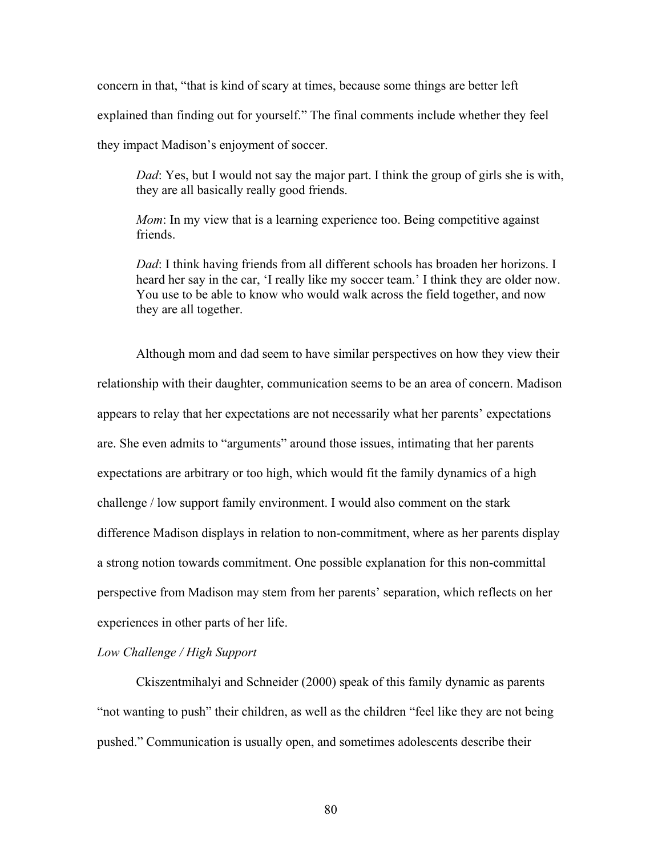concern in that, "that is kind of scary at times, because some things are better left explained than finding out for yourself." The final comments include whether they feel they impact Madison's enjoyment of soccer.

*Dad*: Yes, but I would not say the major part. I think the group of girls she is with, they are all basically really good friends.

*Mom*: In my view that is a learning experience too. Being competitive against friends.

*Dad*: I think having friends from all different schools has broaden her horizons. I heard her say in the car, 'I really like my soccer team.' I think they are older now. You use to be able to know who would walk across the field together, and now they are all together.

Although mom and dad seem to have similar perspectives on how they view their relationship with their daughter, communication seems to be an area of concern. Madison appears to relay that her expectations are not necessarily what her parents' expectations are. She even admits to "arguments" around those issues, intimating that her parents expectations are arbitrary or too high, which would fit the family dynamics of a high challenge / low support family environment. I would also comment on the stark difference Madison displays in relation to non-commitment, where as her parents display a strong notion towards commitment. One possible explanation for this non-committal perspective from Madison may stem from her parents' separation, which reflects on her experiences in other parts of her life.

# *Low Challenge / High Support*

 Ckiszentmihalyi and Schneider (2000) speak of this family dynamic as parents "not wanting to push" their children, as well as the children "feel like they are not being pushed." Communication is usually open, and sometimes adolescents describe their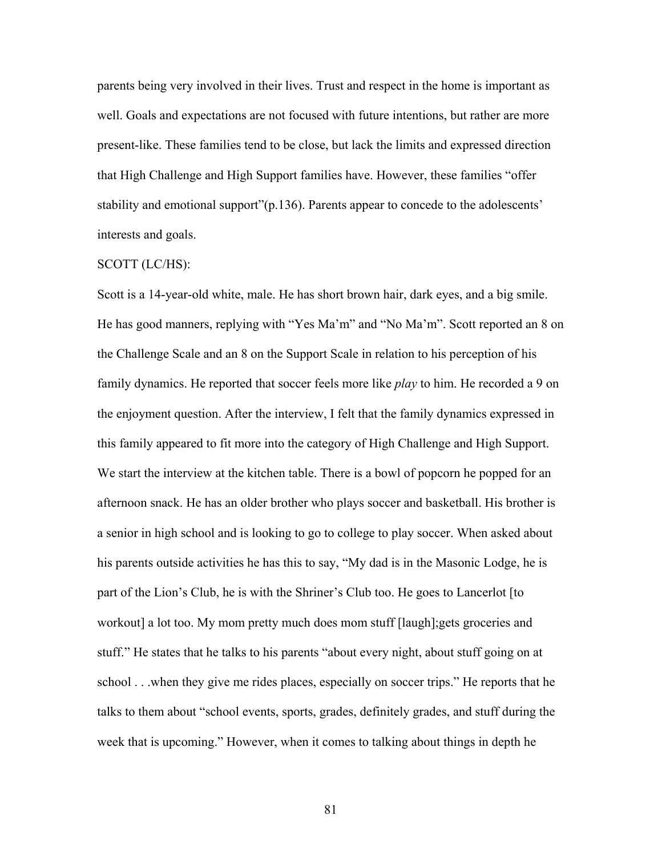parents being very involved in their lives. Trust and respect in the home is important as well. Goals and expectations are not focused with future intentions, but rather are more present-like. These families tend to be close, but lack the limits and expressed direction that High Challenge and High Support families have. However, these families "offer stability and emotional support"(p.136). Parents appear to concede to the adolescents' interests and goals.

## SCOTT (LC/HS):

Scott is a 14-year-old white, male. He has short brown hair, dark eyes, and a big smile. He has good manners, replying with "Yes Ma'm" and "No Ma'm". Scott reported an 8 on the Challenge Scale and an 8 on the Support Scale in relation to his perception of his family dynamics. He reported that soccer feels more like *play* to him. He recorded a 9 on the enjoyment question. After the interview, I felt that the family dynamics expressed in this family appeared to fit more into the category of High Challenge and High Support. We start the interview at the kitchen table. There is a bowl of popcorn he popped for an afternoon snack. He has an older brother who plays soccer and basketball. His brother is a senior in high school and is looking to go to college to play soccer. When asked about his parents outside activities he has this to say, "My dad is in the Masonic Lodge, he is part of the Lion's Club, he is with the Shriner's Club too. He goes to Lancerlot [to workout] a lot too. My mom pretty much does mom stuff [laugh];gets groceries and stuff." He states that he talks to his parents "about every night, about stuff going on at school . . .when they give me rides places, especially on soccer trips." He reports that he talks to them about "school events, sports, grades, definitely grades, and stuff during the week that is upcoming." However, when it comes to talking about things in depth he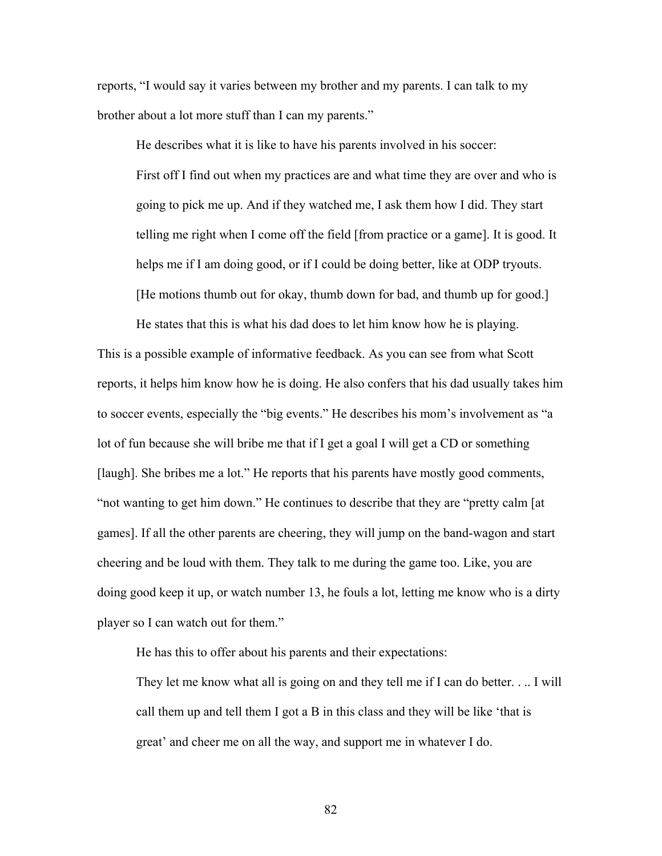reports, "I would say it varies between my brother and my parents. I can talk to my brother about a lot more stuff than I can my parents."

 He describes what it is like to have his parents involved in his soccer: First off I find out when my practices are and what time they are over and who is going to pick me up. And if they watched me, I ask them how I did. They start telling me right when I come off the field [from practice or a game]. It is good. It helps me if I am doing good, or if I could be doing better, like at ODP tryouts. [He motions thumb out for okay, thumb down for bad, and thumb up for good.]

He states that this is what his dad does to let him know how he is playing. This is a possible example of informative feedback. As you can see from what Scott reports, it helps him know how he is doing. He also confers that his dad usually takes him to soccer events, especially the "big events." He describes his mom's involvement as "a lot of fun because she will bribe me that if I get a goal I will get a CD or something [laugh]. She bribes me a lot." He reports that his parents have mostly good comments, "not wanting to get him down." He continues to describe that they are "pretty calm [at games]. If all the other parents are cheering, they will jump on the band-wagon and start cheering and be loud with them. They talk to me during the game too. Like, you are doing good keep it up, or watch number 13, he fouls a lot, letting me know who is a dirty player so I can watch out for them."

He has this to offer about his parents and their expectations:

They let me know what all is going on and they tell me if I can do better. . .. I will call them up and tell them I got a B in this class and they will be like 'that is great' and cheer me on all the way, and support me in whatever I do.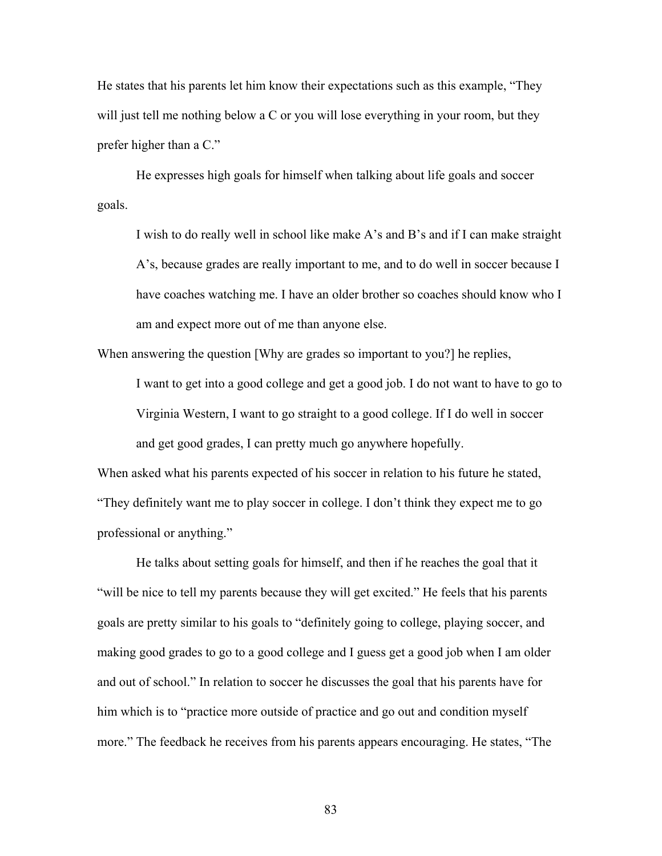He states that his parents let him know their expectations such as this example, "They will just tell me nothing below a C or you will lose everything in your room, but they prefer higher than a C."

He expresses high goals for himself when talking about life goals and soccer goals.

I wish to do really well in school like make A's and B's and if I can make straight A's, because grades are really important to me, and to do well in soccer because I have coaches watching me. I have an older brother so coaches should know who I am and expect more out of me than anyone else.

When answering the question [Why are grades so important to you?] he replies,

I want to get into a good college and get a good job. I do not want to have to go to Virginia Western, I want to go straight to a good college. If I do well in soccer and get good grades, I can pretty much go anywhere hopefully.

When asked what his parents expected of his soccer in relation to his future he stated, "They definitely want me to play soccer in college. I don't think they expect me to go professional or anything."

He talks about setting goals for himself, and then if he reaches the goal that it "will be nice to tell my parents because they will get excited." He feels that his parents goals are pretty similar to his goals to "definitely going to college, playing soccer, and making good grades to go to a good college and I guess get a good job when I am older and out of school." In relation to soccer he discusses the goal that his parents have for him which is to "practice more outside of practice and go out and condition myself more." The feedback he receives from his parents appears encouraging. He states, "The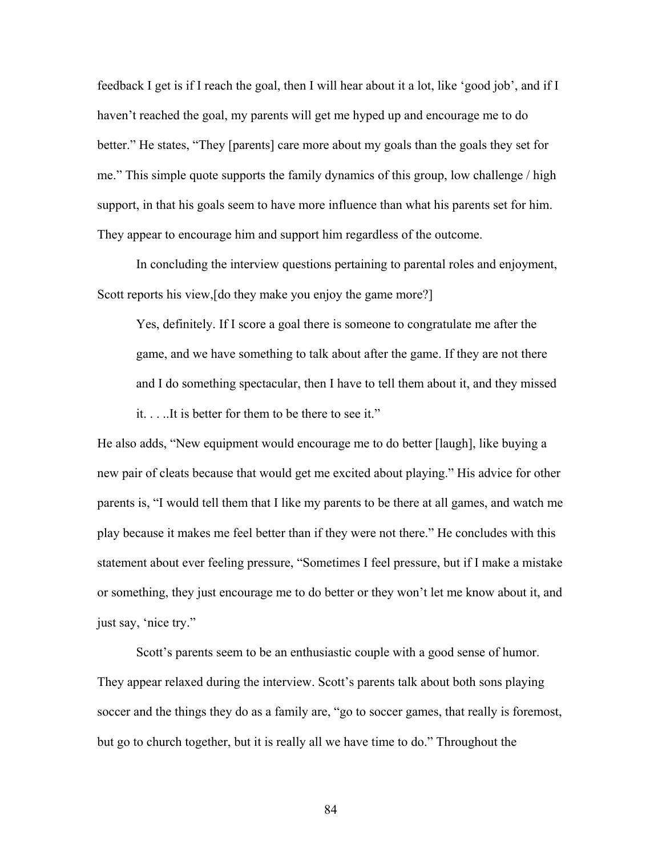feedback I get is if I reach the goal, then I will hear about it a lot, like 'good job', and if I haven't reached the goal, my parents will get me hyped up and encourage me to do better." He states, "They [parents] care more about my goals than the goals they set for me." This simple quote supports the family dynamics of this group, low challenge / high support, in that his goals seem to have more influence than what his parents set for him. They appear to encourage him and support him regardless of the outcome.

 In concluding the interview questions pertaining to parental roles and enjoyment, Scott reports his view, [do they make you enjoy the game more?]

Yes, definitely. If I score a goal there is someone to congratulate me after the game, and we have something to talk about after the game. If they are not there and I do something spectacular, then I have to tell them about it, and they missed it. . . ..It is better for them to be there to see it."

He also adds, "New equipment would encourage me to do better [laugh], like buying a new pair of cleats because that would get me excited about playing." His advice for other parents is, "I would tell them that I like my parents to be there at all games, and watch me play because it makes me feel better than if they were not there." He concludes with this statement about ever feeling pressure, "Sometimes I feel pressure, but if I make a mistake or something, they just encourage me to do better or they won't let me know about it, and just say, 'nice try."

Scott's parents seem to be an enthusiastic couple with a good sense of humor. They appear relaxed during the interview. Scott's parents talk about both sons playing soccer and the things they do as a family are, "go to soccer games, that really is foremost, but go to church together, but it is really all we have time to do." Throughout the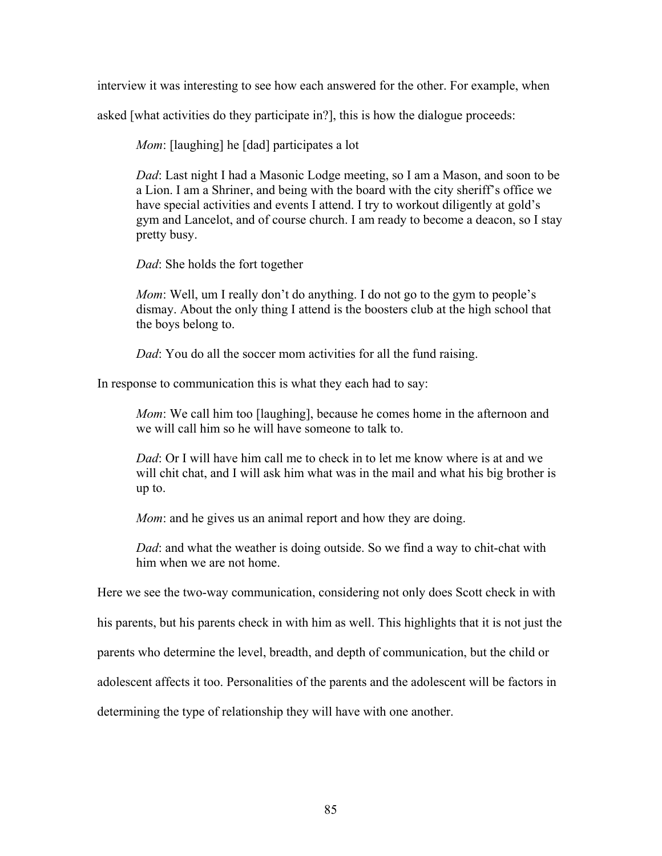interview it was interesting to see how each answered for the other. For example, when

asked [what activities do they participate in?], this is how the dialogue proceeds:

*Mom*: [laughing] he [dad] participates a lot

*Dad*: Last night I had a Masonic Lodge meeting, so I am a Mason, and soon to be a Lion. I am a Shriner, and being with the board with the city sheriff's office we have special activities and events I attend. I try to workout diligently at gold's gym and Lancelot, and of course church. I am ready to become a deacon, so I stay pretty busy.

*Dad*: She holds the fort together

*Mom*: Well, um I really don't do anything. I do not go to the gym to people's dismay. About the only thing I attend is the boosters club at the high school that the boys belong to.

*Dad*: You do all the soccer mom activities for all the fund raising.

In response to communication this is what they each had to say:

*Mom*: We call him too [laughing], because he comes home in the afternoon and we will call him so he will have someone to talk to.

*Dad*: Or I will have him call me to check in to let me know where is at and we will chit chat, and I will ask him what was in the mail and what his big brother is up to.

*Mom*: and he gives us an animal report and how they are doing.

*Dad*: and what the weather is doing outside. So we find a way to chit-chat with him when we are not home.

Here we see the two-way communication, considering not only does Scott check in with

his parents, but his parents check in with him as well. This highlights that it is not just the

parents who determine the level, breadth, and depth of communication, but the child or

adolescent affects it too. Personalities of the parents and the adolescent will be factors in

determining the type of relationship they will have with one another.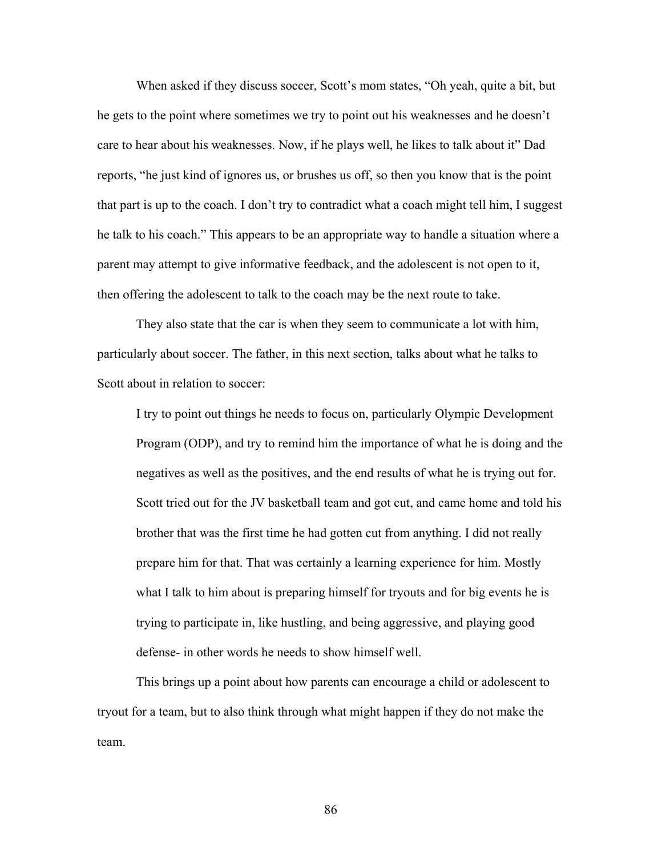When asked if they discuss soccer, Scott's mom states, "Oh yeah, quite a bit, but he gets to the point where sometimes we try to point out his weaknesses and he doesn't care to hear about his weaknesses. Now, if he plays well, he likes to talk about it" Dad reports, "he just kind of ignores us, or brushes us off, so then you know that is the point that part is up to the coach. I don't try to contradict what a coach might tell him, I suggest he talk to his coach." This appears to be an appropriate way to handle a situation where a parent may attempt to give informative feedback, and the adolescent is not open to it, then offering the adolescent to talk to the coach may be the next route to take.

They also state that the car is when they seem to communicate a lot with him, particularly about soccer. The father, in this next section, talks about what he talks to Scott about in relation to soccer:

I try to point out things he needs to focus on, particularly Olympic Development Program (ODP), and try to remind him the importance of what he is doing and the negatives as well as the positives, and the end results of what he is trying out for. Scott tried out for the JV basketball team and got cut, and came home and told his brother that was the first time he had gotten cut from anything. I did not really prepare him for that. That was certainly a learning experience for him. Mostly what I talk to him about is preparing himself for tryouts and for big events he is trying to participate in, like hustling, and being aggressive, and playing good defense- in other words he needs to show himself well.

 This brings up a point about how parents can encourage a child or adolescent to tryout for a team, but to also think through what might happen if they do not make the team.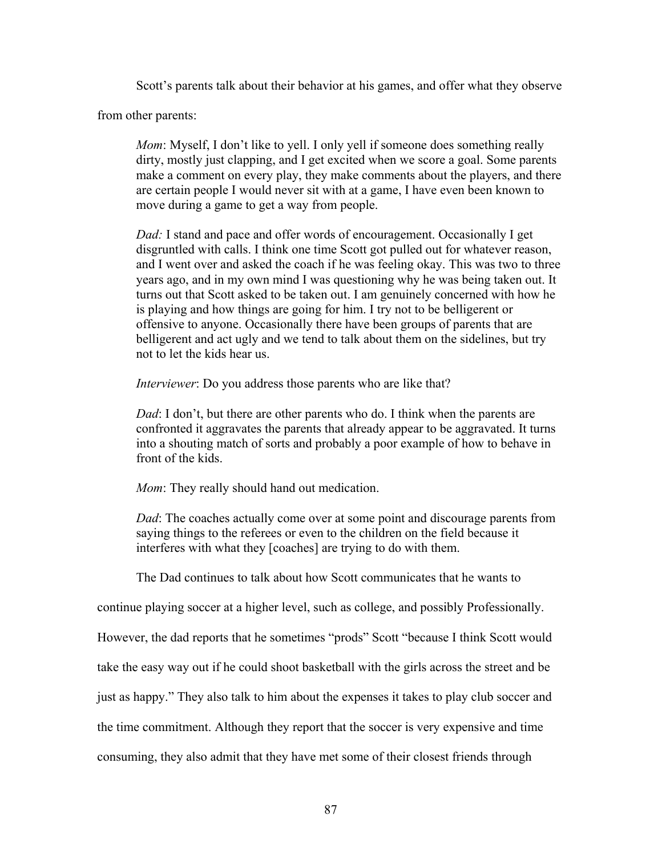Scott's parents talk about their behavior at his games, and offer what they observe

from other parents:

*Mom*: Myself, I don't like to yell. I only yell if someone does something really dirty, mostly just clapping, and I get excited when we score a goal. Some parents make a comment on every play, they make comments about the players, and there are certain people I would never sit with at a game, I have even been known to move during a game to get a way from people.

*Dad:* I stand and pace and offer words of encouragement. Occasionally I get disgruntled with calls. I think one time Scott got pulled out for whatever reason, and I went over and asked the coach if he was feeling okay. This was two to three years ago, and in my own mind I was questioning why he was being taken out. It turns out that Scott asked to be taken out. I am genuinely concerned with how he is playing and how things are going for him. I try not to be belligerent or offensive to anyone. Occasionally there have been groups of parents that are belligerent and act ugly and we tend to talk about them on the sidelines, but try not to let the kids hear us.

*Interviewer*: Do you address those parents who are like that?

*Dad*: I don't, but there are other parents who do. I think when the parents are confronted it aggravates the parents that already appear to be aggravated. It turns into a shouting match of sorts and probably a poor example of how to behave in front of the kids.

*Mom*: They really should hand out medication.

*Dad*: The coaches actually come over at some point and discourage parents from saying things to the referees or even to the children on the field because it interferes with what they [coaches] are trying to do with them.

The Dad continues to talk about how Scott communicates that he wants to

continue playing soccer at a higher level, such as college, and possibly Professionally.

However, the dad reports that he sometimes "prods" Scott "because I think Scott would

take the easy way out if he could shoot basketball with the girls across the street and be

just as happy." They also talk to him about the expenses it takes to play club soccer and

the time commitment. Although they report that the soccer is very expensive and time

consuming, they also admit that they have met some of their closest friends through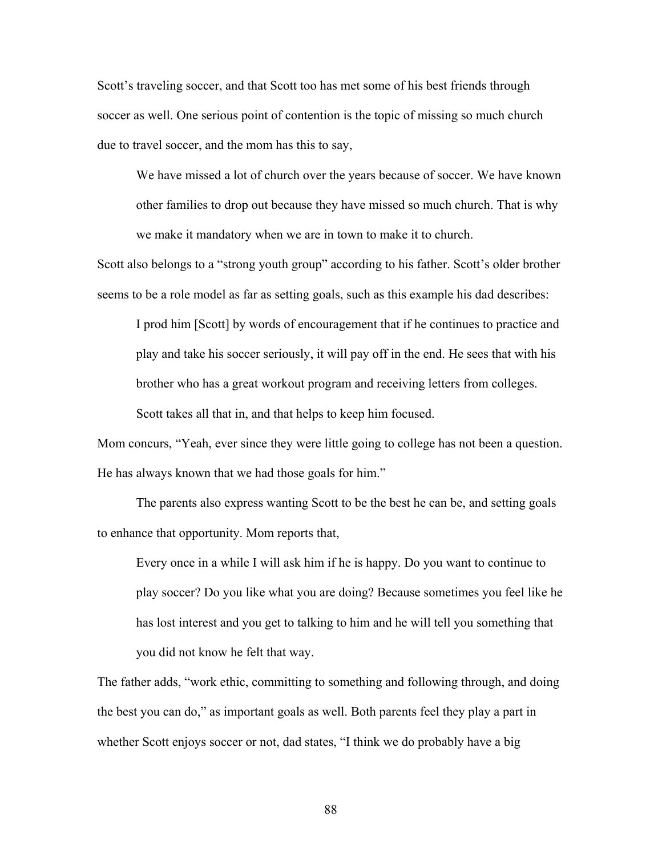Scott's traveling soccer, and that Scott too has met some of his best friends through soccer as well. One serious point of contention is the topic of missing so much church due to travel soccer, and the mom has this to say,

We have missed a lot of church over the years because of soccer. We have known other families to drop out because they have missed so much church. That is why we make it mandatory when we are in town to make it to church.

Scott also belongs to a "strong youth group" according to his father. Scott's older brother seems to be a role model as far as setting goals, such as this example his dad describes:

I prod him [Scott] by words of encouragement that if he continues to practice and play and take his soccer seriously, it will pay off in the end. He sees that with his brother who has a great workout program and receiving letters from colleges. Scott takes all that in, and that helps to keep him focused.

Mom concurs, "Yeah, ever since they were little going to college has not been a question. He has always known that we had those goals for him."

 The parents also express wanting Scott to be the best he can be, and setting goals to enhance that opportunity. Mom reports that,

Every once in a while I will ask him if he is happy. Do you want to continue to play soccer? Do you like what you are doing? Because sometimes you feel like he has lost interest and you get to talking to him and he will tell you something that you did not know he felt that way.

The father adds, "work ethic, committing to something and following through, and doing the best you can do," as important goals as well. Both parents feel they play a part in whether Scott enjoys soccer or not, dad states, "I think we do probably have a big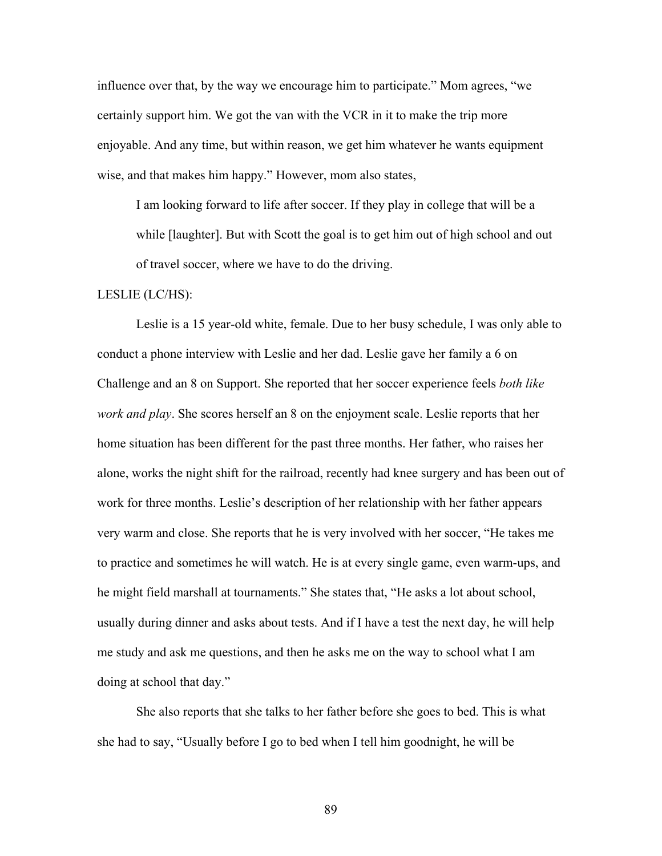influence over that, by the way we encourage him to participate." Mom agrees, "we certainly support him. We got the van with the VCR in it to make the trip more enjoyable. And any time, but within reason, we get him whatever he wants equipment wise, and that makes him happy." However, mom also states,

I am looking forward to life after soccer. If they play in college that will be a while [laughter]. But with Scott the goal is to get him out of high school and out of travel soccer, where we have to do the driving.

# LESLIE (LC/HS):

Leslie is a 15 year-old white, female. Due to her busy schedule, I was only able to conduct a phone interview with Leslie and her dad. Leslie gave her family a 6 on Challenge and an 8 on Support. She reported that her soccer experience feels *both like work and play*. She scores herself an 8 on the enjoyment scale. Leslie reports that her home situation has been different for the past three months. Her father, who raises her alone, works the night shift for the railroad, recently had knee surgery and has been out of work for three months. Leslie's description of her relationship with her father appears very warm and close. She reports that he is very involved with her soccer, "He takes me to practice and sometimes he will watch. He is at every single game, even warm-ups, and he might field marshall at tournaments." She states that, "He asks a lot about school, usually during dinner and asks about tests. And if I have a test the next day, he will help me study and ask me questions, and then he asks me on the way to school what I am doing at school that day."

She also reports that she talks to her father before she goes to bed. This is what she had to say, "Usually before I go to bed when I tell him goodnight, he will be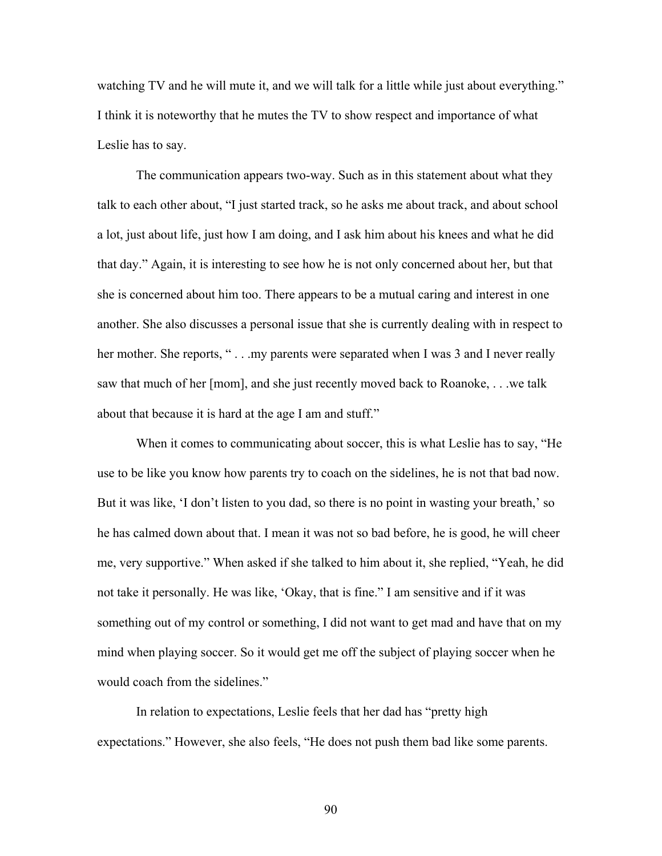watching TV and he will mute it, and we will talk for a little while just about everything." I think it is noteworthy that he mutes the TV to show respect and importance of what Leslie has to say.

 The communication appears two-way. Such as in this statement about what they talk to each other about, "I just started track, so he asks me about track, and about school a lot, just about life, just how I am doing, and I ask him about his knees and what he did that day." Again, it is interesting to see how he is not only concerned about her, but that she is concerned about him too. There appears to be a mutual caring and interest in one another. She also discusses a personal issue that she is currently dealing with in respect to her mother. She reports, "... my parents were separated when I was 3 and I never really saw that much of her [mom], and she just recently moved back to Roanoke, . . .we talk about that because it is hard at the age I am and stuff."

 When it comes to communicating about soccer, this is what Leslie has to say, "He use to be like you know how parents try to coach on the sidelines, he is not that bad now. But it was like, 'I don't listen to you dad, so there is no point in wasting your breath,' so he has calmed down about that. I mean it was not so bad before, he is good, he will cheer me, very supportive." When asked if she talked to him about it, she replied, "Yeah, he did not take it personally. He was like, 'Okay, that is fine." I am sensitive and if it was something out of my control or something, I did not want to get mad and have that on my mind when playing soccer. So it would get me off the subject of playing soccer when he would coach from the sidelines."

 In relation to expectations, Leslie feels that her dad has "pretty high expectations." However, she also feels, "He does not push them bad like some parents.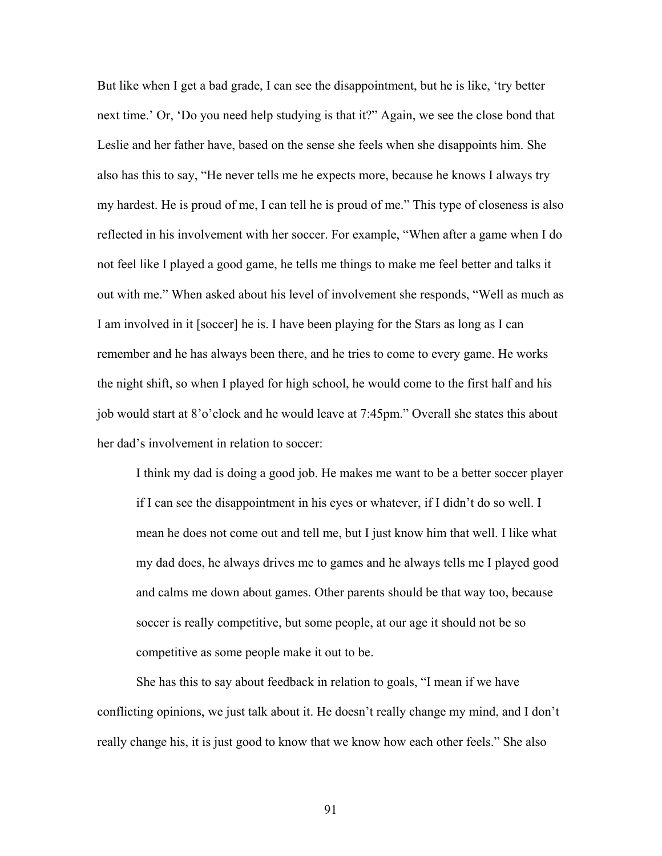But like when I get a bad grade, I can see the disappointment, but he is like, 'try better next time.' Or, 'Do you need help studying is that it?" Again, we see the close bond that Leslie and her father have, based on the sense she feels when she disappoints him. She also has this to say, "He never tells me he expects more, because he knows I always try my hardest. He is proud of me, I can tell he is proud of me." This type of closeness is also reflected in his involvement with her soccer. For example, "When after a game when I do not feel like I played a good game, he tells me things to make me feel better and talks it out with me." When asked about his level of involvement she responds, "Well as much as I am involved in it [soccer] he is. I have been playing for the Stars as long as I can remember and he has always been there, and he tries to come to every game. He works the night shift, so when I played for high school, he would come to the first half and his job would start at 8'o'clock and he would leave at 7:45pm." Overall she states this about her dad's involvement in relation to soccer:

I think my dad is doing a good job. He makes me want to be a better soccer player if I can see the disappointment in his eyes or whatever, if I didn't do so well. I mean he does not come out and tell me, but I just know him that well. I like what my dad does, he always drives me to games and he always tells me I played good and calms me down about games. Other parents should be that way too, because soccer is really competitive, but some people, at our age it should not be so competitive as some people make it out to be.

 She has this to say about feedback in relation to goals, "I mean if we have conflicting opinions, we just talk about it. He doesn't really change my mind, and I don't really change his, it is just good to know that we know how each other feels." She also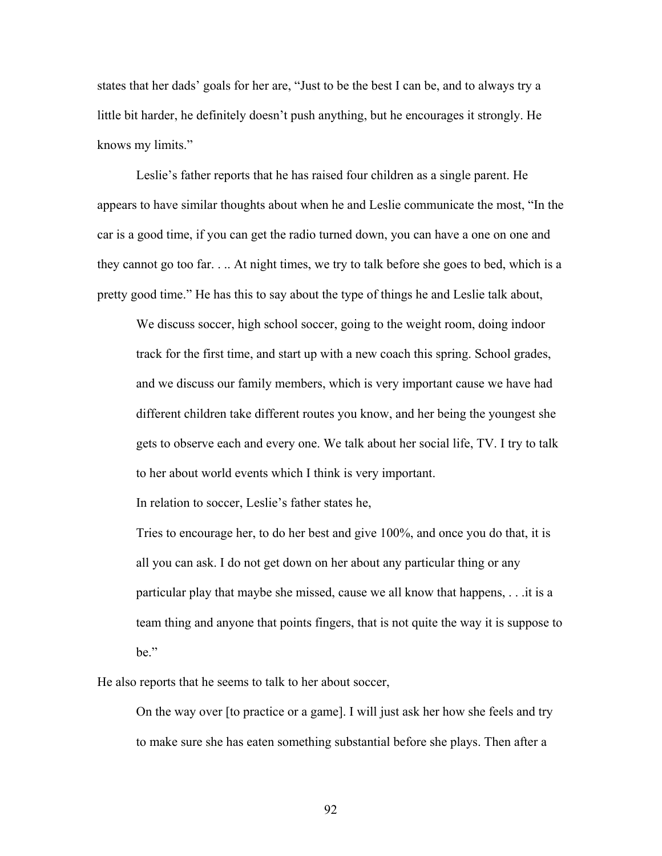states that her dads' goals for her are, "Just to be the best I can be, and to always try a little bit harder, he definitely doesn't push anything, but he encourages it strongly. He knows my limits."

 Leslie's father reports that he has raised four children as a single parent. He appears to have similar thoughts about when he and Leslie communicate the most, "In the car is a good time, if you can get the radio turned down, you can have a one on one and they cannot go too far. . .. At night times, we try to talk before she goes to bed, which is a pretty good time." He has this to say about the type of things he and Leslie talk about,

We discuss soccer, high school soccer, going to the weight room, doing indoor track for the first time, and start up with a new coach this spring. School grades, and we discuss our family members, which is very important cause we have had different children take different routes you know, and her being the youngest she gets to observe each and every one. We talk about her social life, TV. I try to talk to her about world events which I think is very important.

In relation to soccer, Leslie's father states he,

Tries to encourage her, to do her best and give 100%, and once you do that, it is all you can ask. I do not get down on her about any particular thing or any particular play that maybe she missed, cause we all know that happens, . . .it is a team thing and anyone that points fingers, that is not quite the way it is suppose to be."

He also reports that he seems to talk to her about soccer,

On the way over [to practice or a game]. I will just ask her how she feels and try to make sure she has eaten something substantial before she plays. Then after a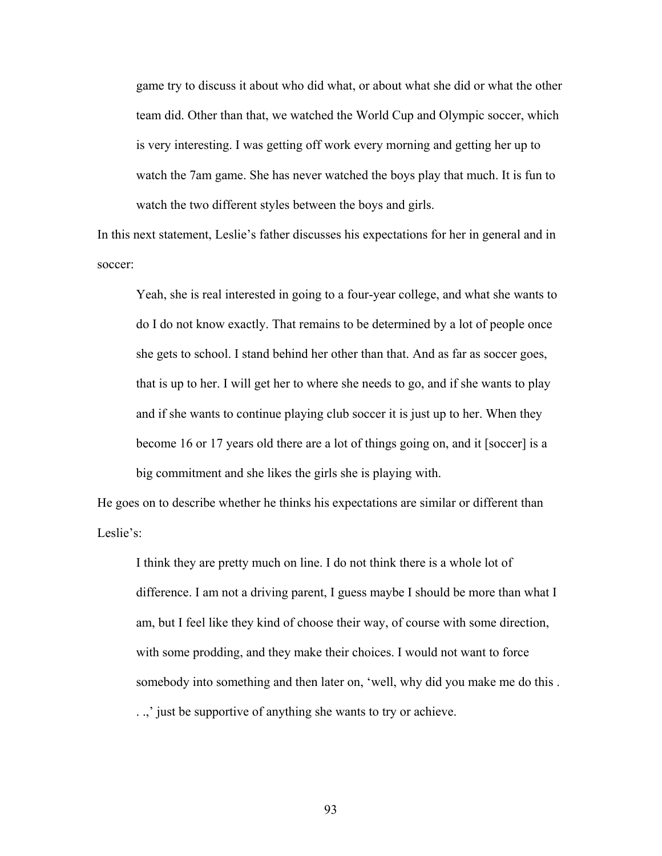game try to discuss it about who did what, or about what she did or what the other team did. Other than that, we watched the World Cup and Olympic soccer, which is very interesting. I was getting off work every morning and getting her up to watch the 7am game. She has never watched the boys play that much. It is fun to watch the two different styles between the boys and girls.

In this next statement, Leslie's father discusses his expectations for her in general and in soccer:

Yeah, she is real interested in going to a four-year college, and what she wants to do I do not know exactly. That remains to be determined by a lot of people once she gets to school. I stand behind her other than that. And as far as soccer goes, that is up to her. I will get her to where she needs to go, and if she wants to play and if she wants to continue playing club soccer it is just up to her. When they become 16 or 17 years old there are a lot of things going on, and it [soccer] is a big commitment and she likes the girls she is playing with.

He goes on to describe whether he thinks his expectations are similar or different than Leslie's:

I think they are pretty much on line. I do not think there is a whole lot of difference. I am not a driving parent, I guess maybe I should be more than what I am, but I feel like they kind of choose their way, of course with some direction, with some prodding, and they make their choices. I would not want to force somebody into something and then later on, 'well, why did you make me do this . . .,' just be supportive of anything she wants to try or achieve.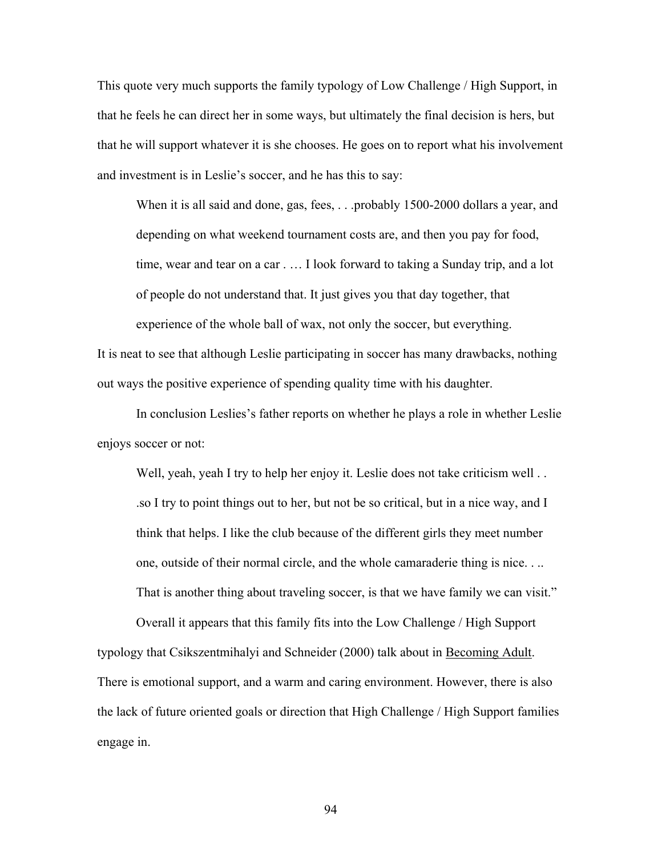This quote very much supports the family typology of Low Challenge / High Support, in that he feels he can direct her in some ways, but ultimately the final decision is hers, but that he will support whatever it is she chooses. He goes on to report what his involvement and investment is in Leslie's soccer, and he has this to say:

When it is all said and done, gas, fees, . . .probably 1500-2000 dollars a year, and depending on what weekend tournament costs are, and then you pay for food, time, wear and tear on a car . … I look forward to taking a Sunday trip, and a lot of people do not understand that. It just gives you that day together, that experience of the whole ball of wax, not only the soccer, but everything.

It is neat to see that although Leslie participating in soccer has many drawbacks, nothing out ways the positive experience of spending quality time with his daughter.

In conclusion Leslies's father reports on whether he plays a role in whether Leslie enjoys soccer or not:

Well, yeah, yeah I try to help her enjoy it. Leslie does not take criticism well ... .so I try to point things out to her, but not be so critical, but in a nice way, and I think that helps. I like the club because of the different girls they meet number one, outside of their normal circle, and the whole camaraderie thing is nice. . .. That is another thing about traveling soccer, is that we have family we can visit."

Overall it appears that this family fits into the Low Challenge / High Support typology that Csikszentmihalyi and Schneider (2000) talk about in Becoming Adult. There is emotional support, and a warm and caring environment. However, there is also the lack of future oriented goals or direction that High Challenge / High Support families engage in.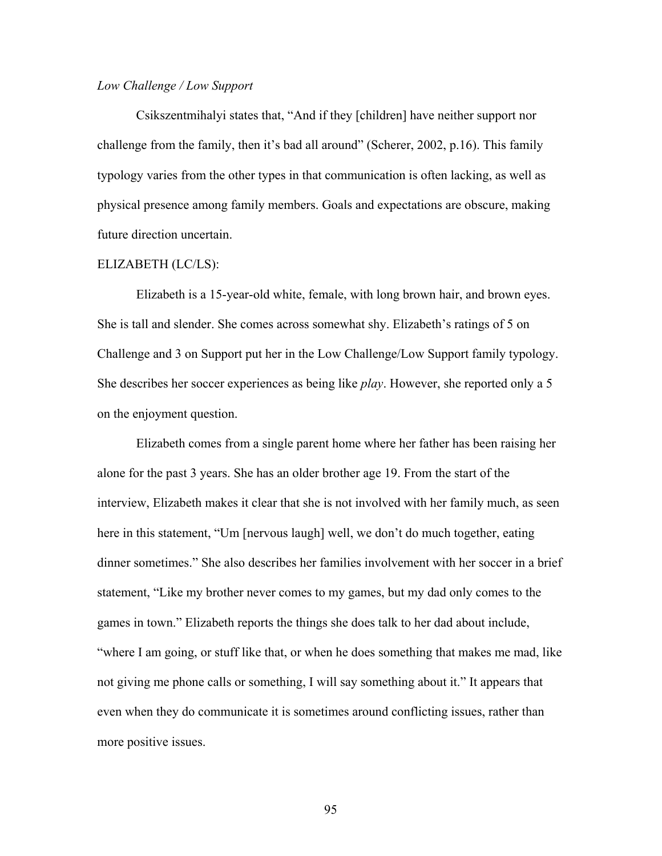## *Low Challenge / Low Support*

Csikszentmihalyi states that, "And if they [children] have neither support nor challenge from the family, then it's bad all around" (Scherer, 2002, p.16). This family typology varies from the other types in that communication is often lacking, as well as physical presence among family members. Goals and expectations are obscure, making future direction uncertain.

### ELIZABETH (LC/LS):

Elizabeth is a 15-year-old white, female, with long brown hair, and brown eyes. She is tall and slender. She comes across somewhat shy. Elizabeth's ratings of 5 on Challenge and 3 on Support put her in the Low Challenge/Low Support family typology. She describes her soccer experiences as being like *play*. However, she reported only a 5 on the enjoyment question.

Elizabeth comes from a single parent home where her father has been raising her alone for the past 3 years. She has an older brother age 19. From the start of the interview, Elizabeth makes it clear that she is not involved with her family much, as seen here in this statement, "Um [nervous laugh] well, we don't do much together, eating dinner sometimes." She also describes her families involvement with her soccer in a brief statement, "Like my brother never comes to my games, but my dad only comes to the games in town." Elizabeth reports the things she does talk to her dad about include, "where I am going, or stuff like that, or when he does something that makes me mad, like not giving me phone calls or something, I will say something about it." It appears that even when they do communicate it is sometimes around conflicting issues, rather than more positive issues.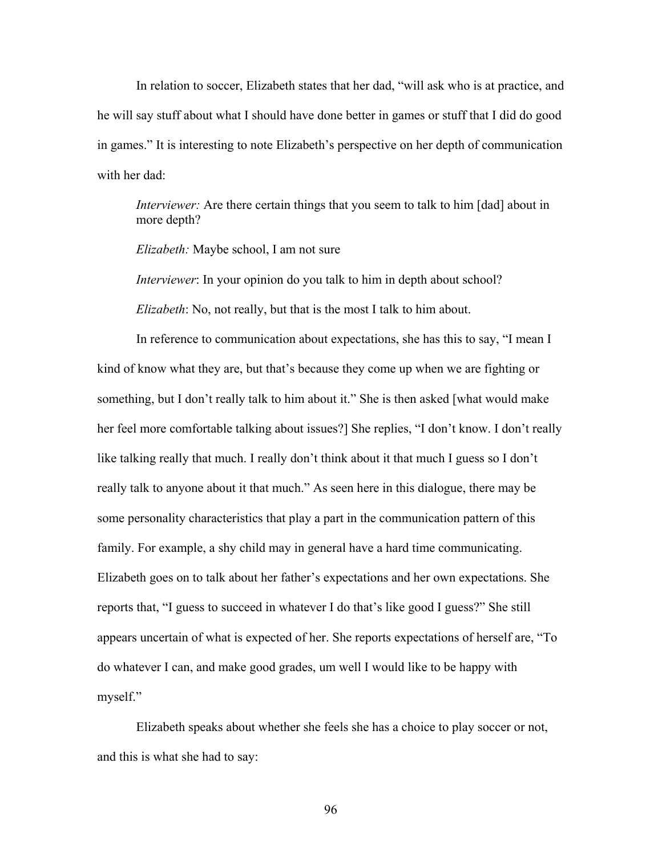In relation to soccer, Elizabeth states that her dad, "will ask who is at practice, and he will say stuff about what I should have done better in games or stuff that I did do good in games." It is interesting to note Elizabeth's perspective on her depth of communication with her dad:

*Interviewer:* Are there certain things that you seem to talk to him [dad] about in more depth?

*Elizabeth:* Maybe school, I am not sure

*Interviewer*: In your opinion do you talk to him in depth about school?

*Elizabeth*: No, not really, but that is the most I talk to him about.

 In reference to communication about expectations, she has this to say, "I mean I kind of know what they are, but that's because they come up when we are fighting or something, but I don't really talk to him about it." She is then asked [what would make her feel more comfortable talking about issues?] She replies, "I don't know. I don't really like talking really that much. I really don't think about it that much I guess so I don't really talk to anyone about it that much." As seen here in this dialogue, there may be some personality characteristics that play a part in the communication pattern of this family. For example, a shy child may in general have a hard time communicating. Elizabeth goes on to talk about her father's expectations and her own expectations. She reports that, "I guess to succeed in whatever I do that's like good I guess?" She still appears uncertain of what is expected of her. She reports expectations of herself are, "To do whatever I can, and make good grades, um well I would like to be happy with myself."

 Elizabeth speaks about whether she feels she has a choice to play soccer or not, and this is what she had to say: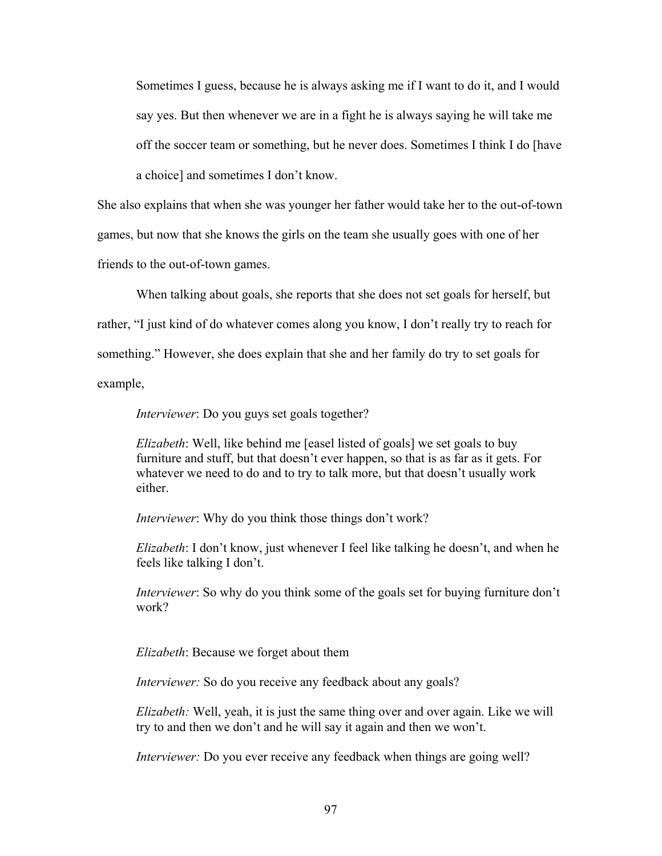Sometimes I guess, because he is always asking me if I want to do it, and I would say yes. But then whenever we are in a fight he is always saying he will take me off the soccer team or something, but he never does. Sometimes I think I do [have a choice] and sometimes I don't know.

She also explains that when she was younger her father would take her to the out-of-town games, but now that she knows the girls on the team she usually goes with one of her friends to the out-of-town games.

 When talking about goals, she reports that she does not set goals for herself, but rather, "I just kind of do whatever comes along you know, I don't really try to reach for something." However, she does explain that she and her family do try to set goals for example,

*Interviewer*: Do you guys set goals together?

*Elizabeth*: Well, like behind me [easel listed of goals] we set goals to buy furniture and stuff, but that doesn't ever happen, so that is as far as it gets. For whatever we need to do and to try to talk more, but that doesn't usually work either.

*Interviewer*: Why do you think those things don't work?

*Elizabeth*: I don't know, just whenever I feel like talking he doesn't, and when he feels like talking I don't.

*Interviewer*: So why do you think some of the goals set for buying furniture don't work?

*Elizabeth*: Because we forget about them

*Interviewer:* So do you receive any feedback about any goals?

*Elizabeth:* Well, yeah, it is just the same thing over and over again. Like we will try to and then we don't and he will say it again and then we won't.

*Interviewer:* Do you ever receive any feedback when things are going well?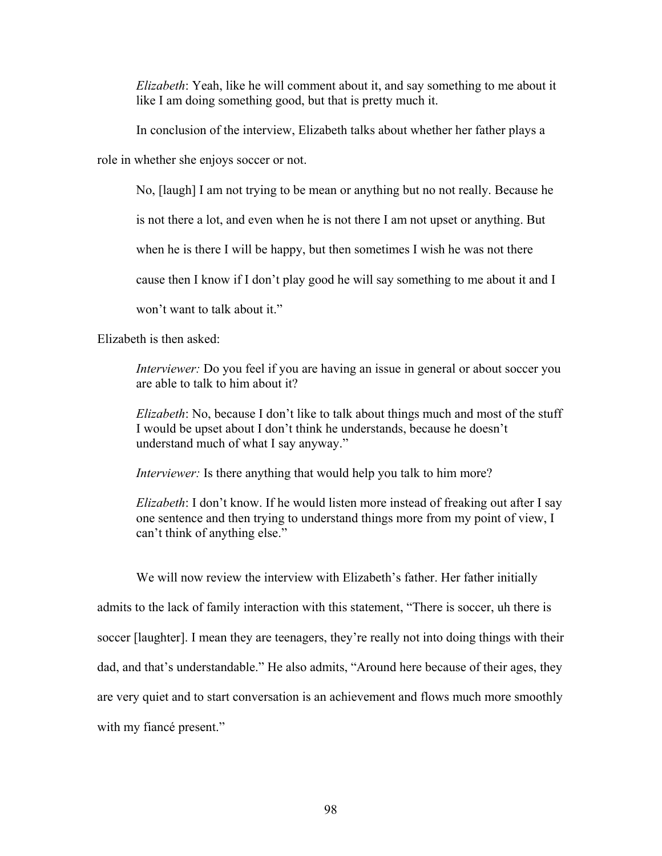*Elizabeth*: Yeah, like he will comment about it, and say something to me about it like I am doing something good, but that is pretty much it.

In conclusion of the interview, Elizabeth talks about whether her father plays a

role in whether she enjoys soccer or not.

No, [laugh] I am not trying to be mean or anything but no not really. Because he

is not there a lot, and even when he is not there I am not upset or anything. But

when he is there I will be happy, but then sometimes I wish he was not there

cause then I know if I don't play good he will say something to me about it and I

won't want to talk about it."

Elizabeth is then asked:

*Interviewer:* Do you feel if you are having an issue in general or about soccer you are able to talk to him about it?

*Elizabeth*: No, because I don't like to talk about things much and most of the stuff I would be upset about I don't think he understands, because he doesn't understand much of what I say anyway."

*Interviewer:* Is there anything that would help you talk to him more?

*Elizabeth*: I don't know. If he would listen more instead of freaking out after I say one sentence and then trying to understand things more from my point of view, I can't think of anything else."

 We will now review the interview with Elizabeth's father. Her father initially admits to the lack of family interaction with this statement, "There is soccer, uh there is soccer [laughter]. I mean they are teenagers, they're really not into doing things with their dad, and that's understandable." He also admits, "Around here because of their ages, they are very quiet and to start conversation is an achievement and flows much more smoothly with my fiance present."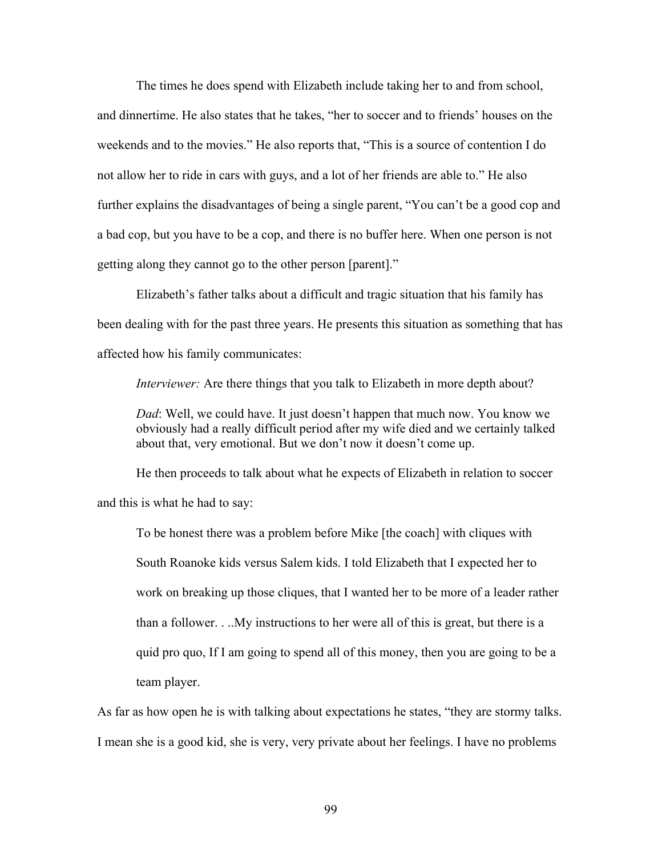The times he does spend with Elizabeth include taking her to and from school, and dinnertime. He also states that he takes, "her to soccer and to friends' houses on the weekends and to the movies." He also reports that, "This is a source of contention I do not allow her to ride in cars with guys, and a lot of her friends are able to." He also further explains the disadvantages of being a single parent, "You can't be a good cop and a bad cop, but you have to be a cop, and there is no buffer here. When one person is not getting along they cannot go to the other person [parent]."

 Elizabeth's father talks about a difficult and tragic situation that his family has been dealing with for the past three years. He presents this situation as something that has affected how his family communicates:

*Interviewer:* Are there things that you talk to Elizabeth in more depth about?

*Dad*: Well, we could have. It just doesn't happen that much now. You know we obviously had a really difficult period after my wife died and we certainly talked about that, very emotional. But we don't now it doesn't come up.

 He then proceeds to talk about what he expects of Elizabeth in relation to soccer and this is what he had to say:

To be honest there was a problem before Mike [the coach] with cliques with South Roanoke kids versus Salem kids. I told Elizabeth that I expected her to work on breaking up those cliques, that I wanted her to be more of a leader rather than a follower. . ..My instructions to her were all of this is great, but there is a quid pro quo, If I am going to spend all of this money, then you are going to be a team player.

As far as how open he is with talking about expectations he states, "they are stormy talks. I mean she is a good kid, she is very, very private about her feelings. I have no problems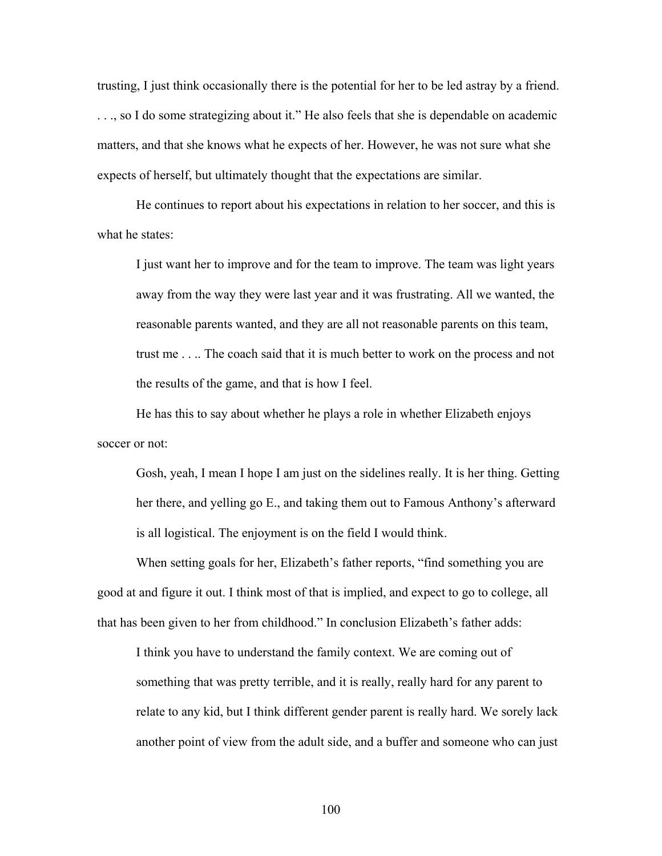trusting, I just think occasionally there is the potential for her to be led astray by a friend. . . ., so I do some strategizing about it." He also feels that she is dependable on academic matters, and that she knows what he expects of her. However, he was not sure what she expects of herself, but ultimately thought that the expectations are similar.

 He continues to report about his expectations in relation to her soccer, and this is what he states:

I just want her to improve and for the team to improve. The team was light years away from the way they were last year and it was frustrating. All we wanted, the reasonable parents wanted, and they are all not reasonable parents on this team, trust me . . .. The coach said that it is much better to work on the process and not the results of the game, and that is how I feel.

He has this to say about whether he plays a role in whether Elizabeth enjoys soccer or not:

Gosh, yeah, I mean I hope I am just on the sidelines really. It is her thing. Getting her there, and yelling go E., and taking them out to Famous Anthony's afterward is all logistical. The enjoyment is on the field I would think.

When setting goals for her, Elizabeth's father reports, "find something you are good at and figure it out. I think most of that is implied, and expect to go to college, all that has been given to her from childhood." In conclusion Elizabeth's father adds:

I think you have to understand the family context. We are coming out of something that was pretty terrible, and it is really, really hard for any parent to relate to any kid, but I think different gender parent is really hard. We sorely lack another point of view from the adult side, and a buffer and someone who can just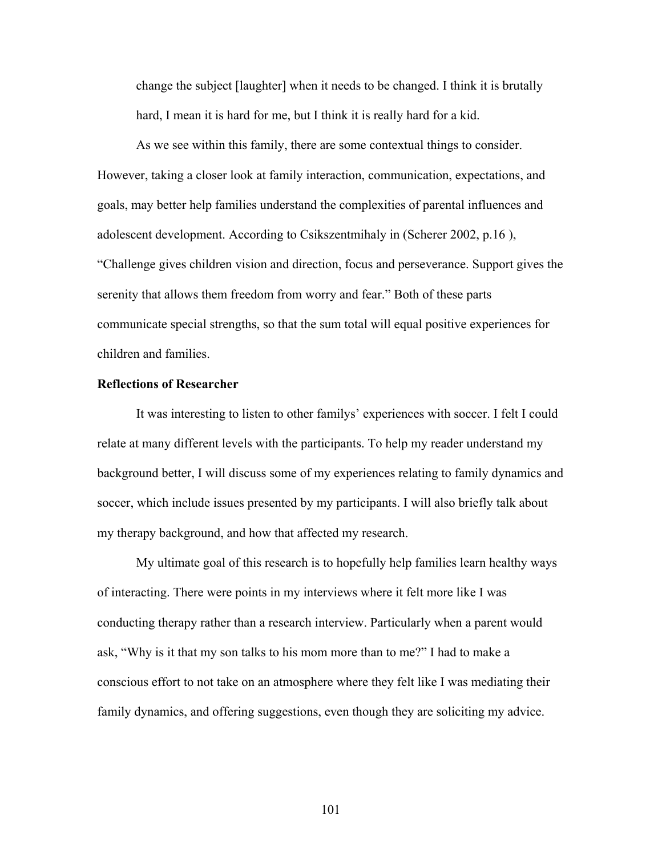change the subject [laughter] when it needs to be changed. I think it is brutally hard, I mean it is hard for me, but I think it is really hard for a kid.

As we see within this family, there are some contextual things to consider. However, taking a closer look at family interaction, communication, expectations, and goals, may better help families understand the complexities of parental influences and adolescent development. According to Csikszentmihaly in (Scherer 2002, p.16 ), "Challenge gives children vision and direction, focus and perseverance. Support gives the serenity that allows them freedom from worry and fear." Both of these parts communicate special strengths, so that the sum total will equal positive experiences for children and families.

### **Reflections of Researcher**

It was interesting to listen to other familys' experiences with soccer. I felt I could relate at many different levels with the participants. To help my reader understand my background better, I will discuss some of my experiences relating to family dynamics and soccer, which include issues presented by my participants. I will also briefly talk about my therapy background, and how that affected my research.

 My ultimate goal of this research is to hopefully help families learn healthy ways of interacting. There were points in my interviews where it felt more like I was conducting therapy rather than a research interview. Particularly when a parent would ask, "Why is it that my son talks to his mom more than to me?" I had to make a conscious effort to not take on an atmosphere where they felt like I was mediating their family dynamics, and offering suggestions, even though they are soliciting my advice.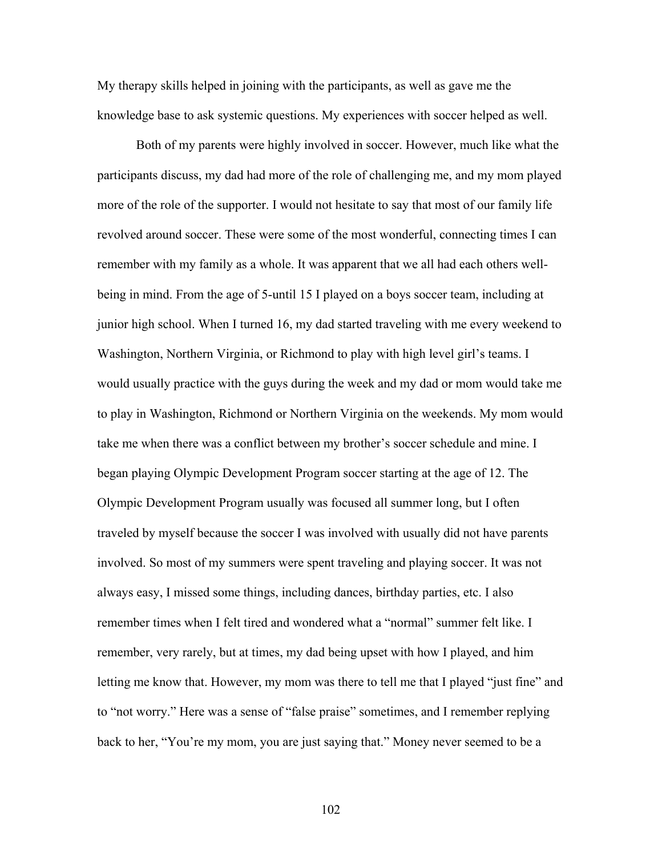My therapy skills helped in joining with the participants, as well as gave me the knowledge base to ask systemic questions. My experiences with soccer helped as well.

Both of my parents were highly involved in soccer. However, much like what the participants discuss, my dad had more of the role of challenging me, and my mom played more of the role of the supporter. I would not hesitate to say that most of our family life revolved around soccer. These were some of the most wonderful, connecting times I can remember with my family as a whole. It was apparent that we all had each others wellbeing in mind. From the age of 5-until 15 I played on a boys soccer team, including at junior high school. When I turned 16, my dad started traveling with me every weekend to Washington, Northern Virginia, or Richmond to play with high level girl's teams. I would usually practice with the guys during the week and my dad or mom would take me to play in Washington, Richmond or Northern Virginia on the weekends. My mom would take me when there was a conflict between my brother's soccer schedule and mine. I began playing Olympic Development Program soccer starting at the age of 12. The Olympic Development Program usually was focused all summer long, but I often traveled by myself because the soccer I was involved with usually did not have parents involved. So most of my summers were spent traveling and playing soccer. It was not always easy, I missed some things, including dances, birthday parties, etc. I also remember times when I felt tired and wondered what a "normal" summer felt like. I remember, very rarely, but at times, my dad being upset with how I played, and him letting me know that. However, my mom was there to tell me that I played "just fine" and to "not worry." Here was a sense of "false praise" sometimes, and I remember replying back to her, "You're my mom, you are just saying that." Money never seemed to be a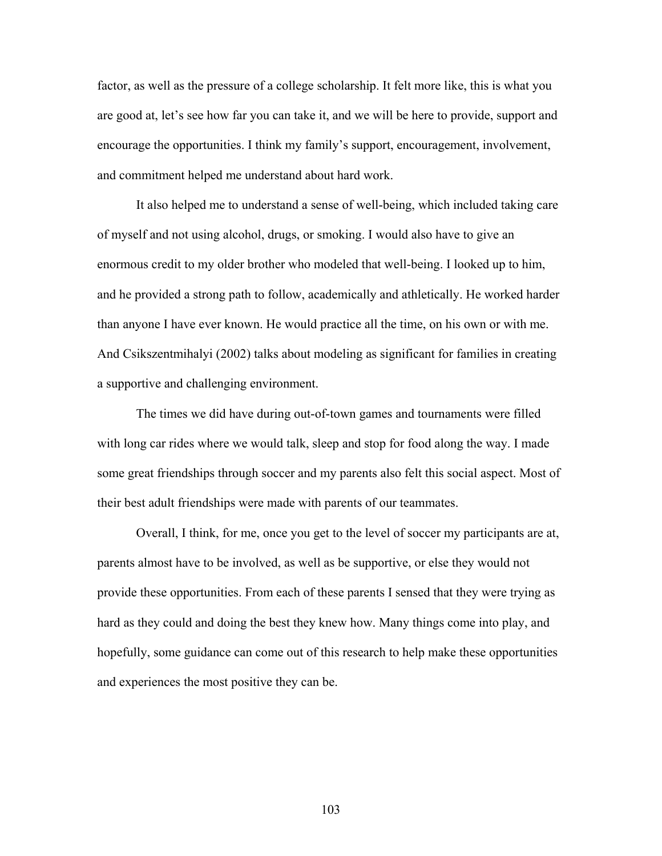factor, as well as the pressure of a college scholarship. It felt more like, this is what you are good at, let's see how far you can take it, and we will be here to provide, support and encourage the opportunities. I think my family's support, encouragement, involvement, and commitment helped me understand about hard work.

It also helped me to understand a sense of well-being, which included taking care of myself and not using alcohol, drugs, or smoking. I would also have to give an enormous credit to my older brother who modeled that well-being. I looked up to him, and he provided a strong path to follow, academically and athletically. He worked harder than anyone I have ever known. He would practice all the time, on his own or with me. And Csikszentmihalyi (2002) talks about modeling as significant for families in creating a supportive and challenging environment.

 The times we did have during out-of-town games and tournaments were filled with long car rides where we would talk, sleep and stop for food along the way. I made some great friendships through soccer and my parents also felt this social aspect. Most of their best adult friendships were made with parents of our teammates.

 Overall, I think, for me, once you get to the level of soccer my participants are at, parents almost have to be involved, as well as be supportive, or else they would not provide these opportunities. From each of these parents I sensed that they were trying as hard as they could and doing the best they knew how. Many things come into play, and hopefully, some guidance can come out of this research to help make these opportunities and experiences the most positive they can be.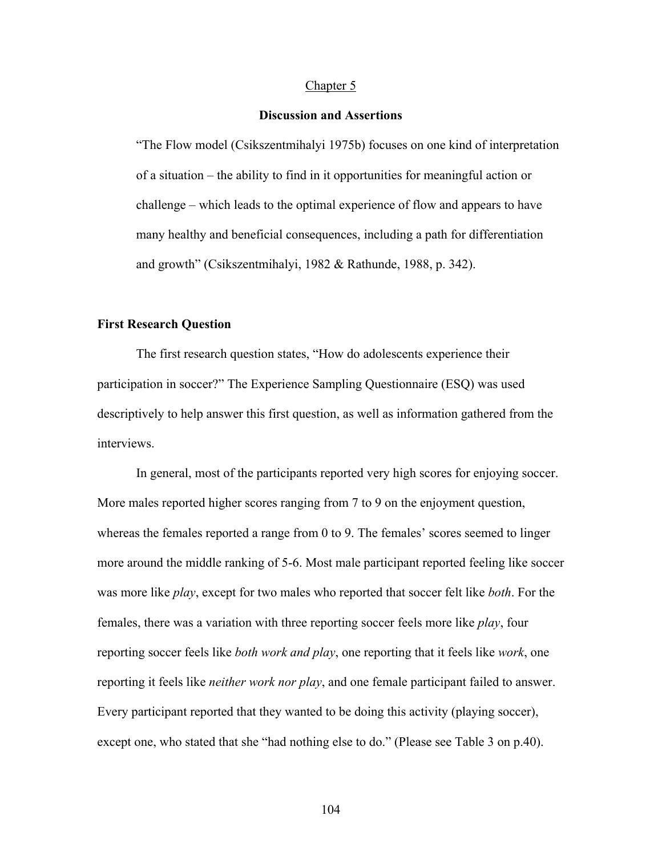#### Chapter 5

#### **Discussion and Assertions**

"The Flow model (Csikszentmihalyi 1975b) focuses on one kind of interpretation of a situation – the ability to find in it opportunities for meaningful action or challenge – which leads to the optimal experience of flow and appears to have many healthy and beneficial consequences, including a path for differentiation and growth" (Csikszentmihalyi, 1982 & Rathunde, 1988, p. 342).

#### **First Research Question**

 The first research question states, "How do adolescents experience their participation in soccer?" The Experience Sampling Questionnaire (ESQ) was used descriptively to help answer this first question, as well as information gathered from the interviews.

In general, most of the participants reported very high scores for enjoying soccer. More males reported higher scores ranging from 7 to 9 on the enjoyment question, whereas the females reported a range from 0 to 9. The females' scores seemed to linger more around the middle ranking of 5-6. Most male participant reported feeling like soccer was more like *play*, except for two males who reported that soccer felt like *both*. For the females, there was a variation with three reporting soccer feels more like *play*, four reporting soccer feels like *both work and play*, one reporting that it feels like *work*, one reporting it feels like *neither work nor play*, and one female participant failed to answer. Every participant reported that they wanted to be doing this activity (playing soccer), except one, who stated that she "had nothing else to do." (Please see Table 3 on p.40).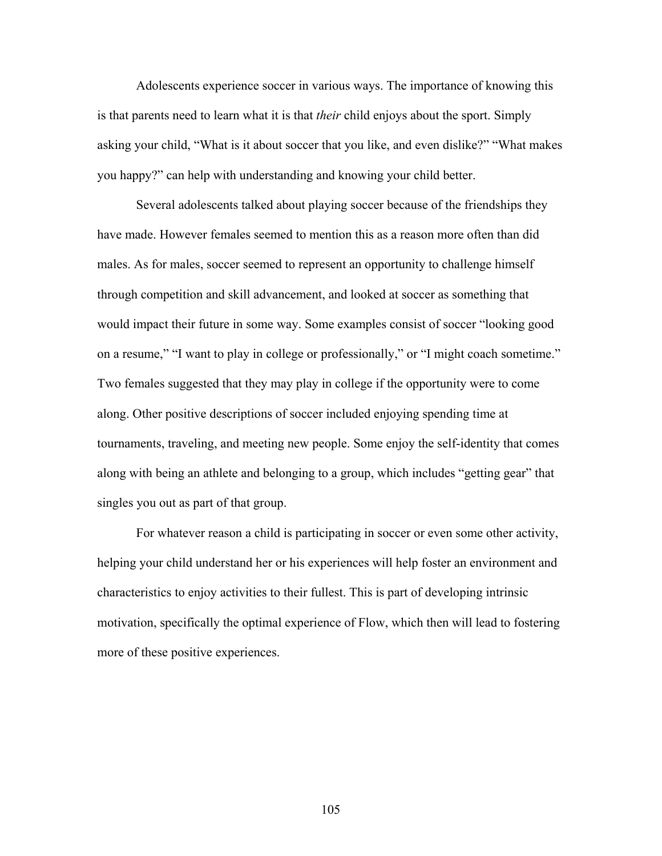Adolescents experience soccer in various ways. The importance of knowing this is that parents need to learn what it is that *their* child enjoys about the sport. Simply asking your child, "What is it about soccer that you like, and even dislike?" "What makes you happy?" can help with understanding and knowing your child better.

Several adolescents talked about playing soccer because of the friendships they have made. However females seemed to mention this as a reason more often than did males. As for males, soccer seemed to represent an opportunity to challenge himself through competition and skill advancement, and looked at soccer as something that would impact their future in some way. Some examples consist of soccer "looking good on a resume," "I want to play in college or professionally," or "I might coach sometime." Two females suggested that they may play in college if the opportunity were to come along. Other positive descriptions of soccer included enjoying spending time at tournaments, traveling, and meeting new people. Some enjoy the self-identity that comes along with being an athlete and belonging to a group, which includes "getting gear" that singles you out as part of that group.

For whatever reason a child is participating in soccer or even some other activity, helping your child understand her or his experiences will help foster an environment and characteristics to enjoy activities to their fullest. This is part of developing intrinsic motivation, specifically the optimal experience of Flow, which then will lead to fostering more of these positive experiences.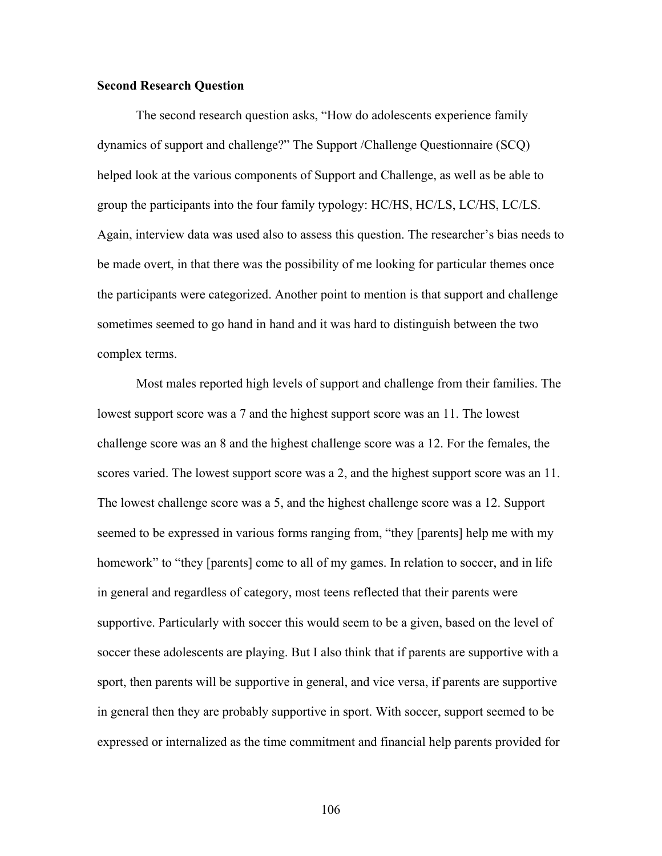#### **Second Research Question**

 The second research question asks, "How do adolescents experience family dynamics of support and challenge?" The Support /Challenge Questionnaire (SCQ) helped look at the various components of Support and Challenge, as well as be able to group the participants into the four family typology: HC/HS, HC/LS, LC/HS, LC/LS. Again, interview data was used also to assess this question. The researcher's bias needs to be made overt, in that there was the possibility of me looking for particular themes once the participants were categorized. Another point to mention is that support and challenge sometimes seemed to go hand in hand and it was hard to distinguish between the two complex terms.

Most males reported high levels of support and challenge from their families. The lowest support score was a 7 and the highest support score was an 11. The lowest challenge score was an 8 and the highest challenge score was a 12. For the females, the scores varied. The lowest support score was a 2, and the highest support score was an 11. The lowest challenge score was a 5, and the highest challenge score was a 12. Support seemed to be expressed in various forms ranging from, "they [parents] help me with my homework" to "they [parents] come to all of my games. In relation to soccer, and in life in general and regardless of category, most teens reflected that their parents were supportive. Particularly with soccer this would seem to be a given, based on the level of soccer these adolescents are playing. But I also think that if parents are supportive with a sport, then parents will be supportive in general, and vice versa, if parents are supportive in general then they are probably supportive in sport. With soccer, support seemed to be expressed or internalized as the time commitment and financial help parents provided for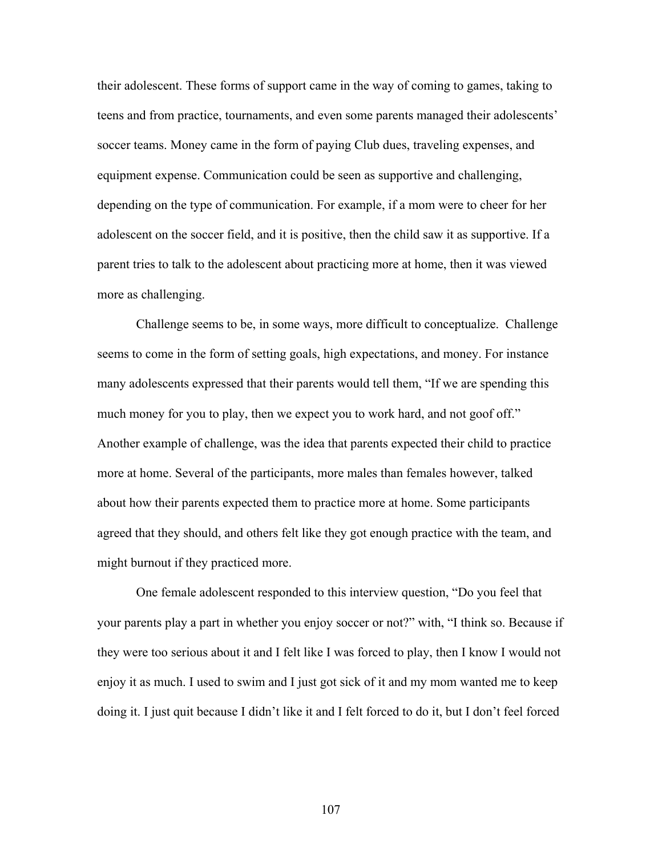their adolescent. These forms of support came in the way of coming to games, taking to teens and from practice, tournaments, and even some parents managed their adolescents' soccer teams. Money came in the form of paying Club dues, traveling expenses, and equipment expense. Communication could be seen as supportive and challenging, depending on the type of communication. For example, if a mom were to cheer for her adolescent on the soccer field, and it is positive, then the child saw it as supportive. If a parent tries to talk to the adolescent about practicing more at home, then it was viewed more as challenging.

Challenge seems to be, in some ways, more difficult to conceptualize. Challenge seems to come in the form of setting goals, high expectations, and money. For instance many adolescents expressed that their parents would tell them, "If we are spending this much money for you to play, then we expect you to work hard, and not goof off." Another example of challenge, was the idea that parents expected their child to practice more at home. Several of the participants, more males than females however, talked about how their parents expected them to practice more at home. Some participants agreed that they should, and others felt like they got enough practice with the team, and might burnout if they practiced more.

One female adolescent responded to this interview question, "Do you feel that your parents play a part in whether you enjoy soccer or not?" with, "I think so. Because if they were too serious about it and I felt like I was forced to play, then I know I would not enjoy it as much. I used to swim and I just got sick of it and my mom wanted me to keep doing it. I just quit because I didn't like it and I felt forced to do it, but I don't feel forced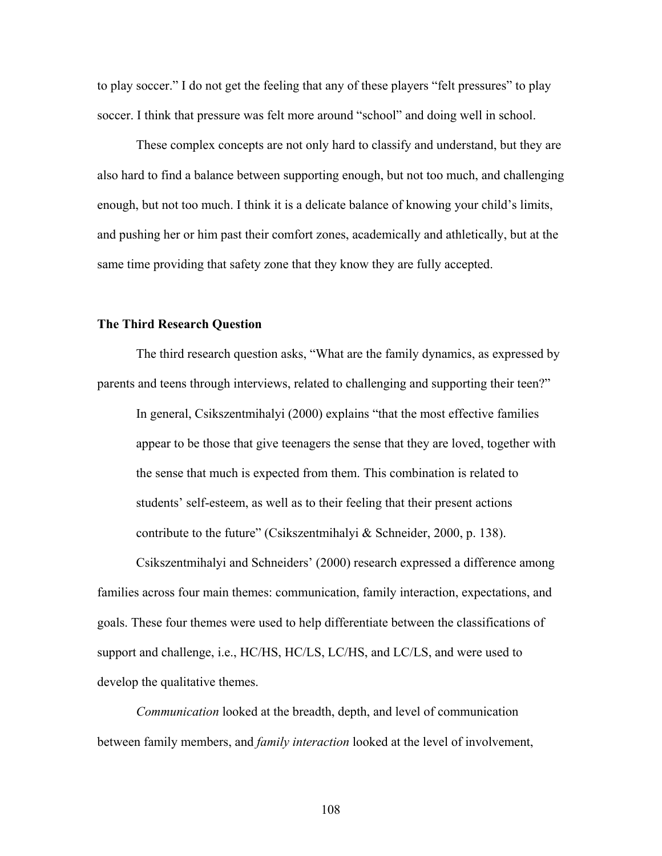to play soccer." I do not get the feeling that any of these players "felt pressures" to play soccer. I think that pressure was felt more around "school" and doing well in school.

 These complex concepts are not only hard to classify and understand, but they are also hard to find a balance between supporting enough, but not too much, and challenging enough, but not too much. I think it is a delicate balance of knowing your child's limits, and pushing her or him past their comfort zones, academically and athletically, but at the same time providing that safety zone that they know they are fully accepted.

#### **The Third Research Question**

 The third research question asks, "What are the family dynamics, as expressed by parents and teens through interviews, related to challenging and supporting their teen?"

In general, Csikszentmihalyi (2000) explains "that the most effective families appear to be those that give teenagers the sense that they are loved, together with the sense that much is expected from them. This combination is related to students' self-esteem, as well as to their feeling that their present actions contribute to the future" (Csikszentmihalyi & Schneider, 2000, p. 138).

Csikszentmihalyi and Schneiders' (2000) research expressed a difference among families across four main themes: communication, family interaction, expectations, and goals. These four themes were used to help differentiate between the classifications of support and challenge, i.e., HC/HS, HC/LS, LC/HS, and LC/LS, and were used to develop the qualitative themes.

*Communication* looked at the breadth, depth, and level of communication between family members, and *family interaction* looked at the level of involvement,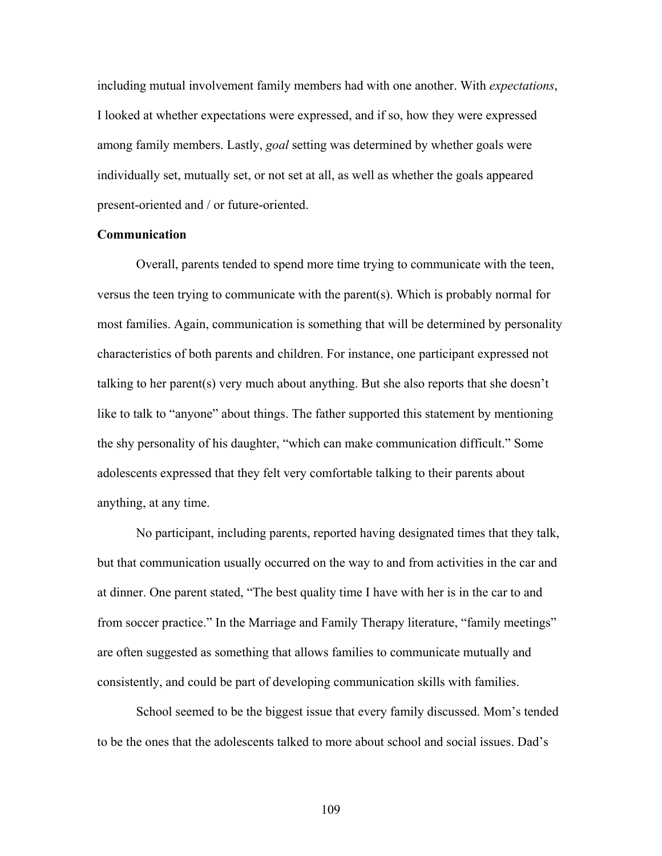including mutual involvement family members had with one another. With *expectations*, I looked at whether expectations were expressed, and if so, how they were expressed among family members. Lastly, *goal* setting was determined by whether goals were individually set, mutually set, or not set at all, as well as whether the goals appeared present-oriented and / or future-oriented.

#### **Communication**

Overall, parents tended to spend more time trying to communicate with the teen, versus the teen trying to communicate with the parent(s). Which is probably normal for most families. Again, communication is something that will be determined by personality characteristics of both parents and children. For instance, one participant expressed not talking to her parent(s) very much about anything. But she also reports that she doesn't like to talk to "anyone" about things. The father supported this statement by mentioning the shy personality of his daughter, "which can make communication difficult." Some adolescents expressed that they felt very comfortable talking to their parents about anything, at any time.

No participant, including parents, reported having designated times that they talk, but that communication usually occurred on the way to and from activities in the car and at dinner. One parent stated, "The best quality time I have with her is in the car to and from soccer practice." In the Marriage and Family Therapy literature, "family meetings" are often suggested as something that allows families to communicate mutually and consistently, and could be part of developing communication skills with families.

School seemed to be the biggest issue that every family discussed. Mom's tended to be the ones that the adolescents talked to more about school and social issues. Dad's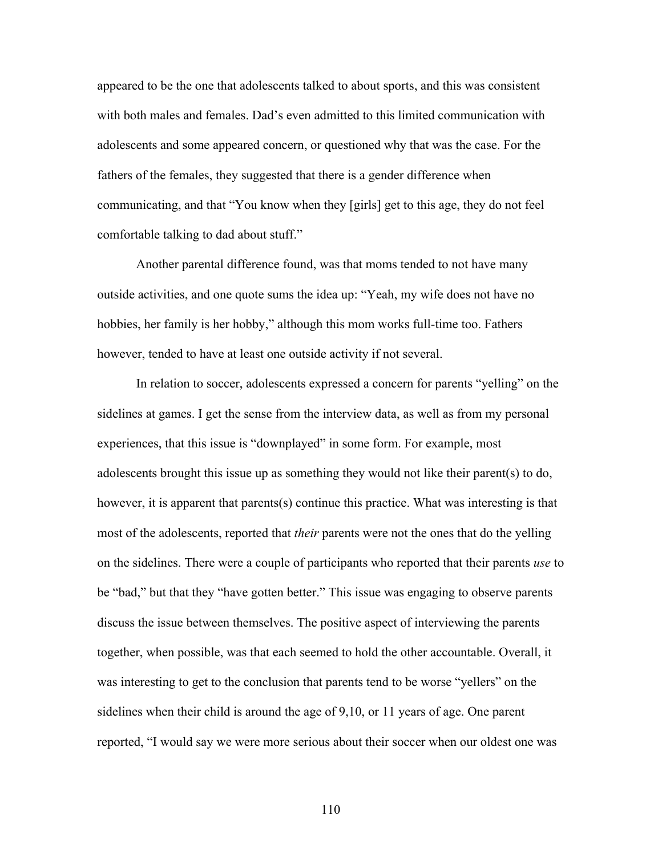appeared to be the one that adolescents talked to about sports, and this was consistent with both males and females. Dad's even admitted to this limited communication with adolescents and some appeared concern, or questioned why that was the case. For the fathers of the females, they suggested that there is a gender difference when communicating, and that "You know when they [girls] get to this age, they do not feel comfortable talking to dad about stuff."

Another parental difference found, was that moms tended to not have many outside activities, and one quote sums the idea up: "Yeah, my wife does not have no hobbies, her family is her hobby," although this mom works full-time too. Fathers however, tended to have at least one outside activity if not several.

In relation to soccer, adolescents expressed a concern for parents "yelling" on the sidelines at games. I get the sense from the interview data, as well as from my personal experiences, that this issue is "downplayed" in some form. For example, most adolescents brought this issue up as something they would not like their parent(s) to do, however, it is apparent that parents(s) continue this practice. What was interesting is that most of the adolescents, reported that *their* parents were not the ones that do the yelling on the sidelines. There were a couple of participants who reported that their parents *use* to be "bad," but that they "have gotten better." This issue was engaging to observe parents discuss the issue between themselves. The positive aspect of interviewing the parents together, when possible, was that each seemed to hold the other accountable. Overall, it was interesting to get to the conclusion that parents tend to be worse "yellers" on the sidelines when their child is around the age of 9,10, or 11 years of age. One parent reported, "I would say we were more serious about their soccer when our oldest one was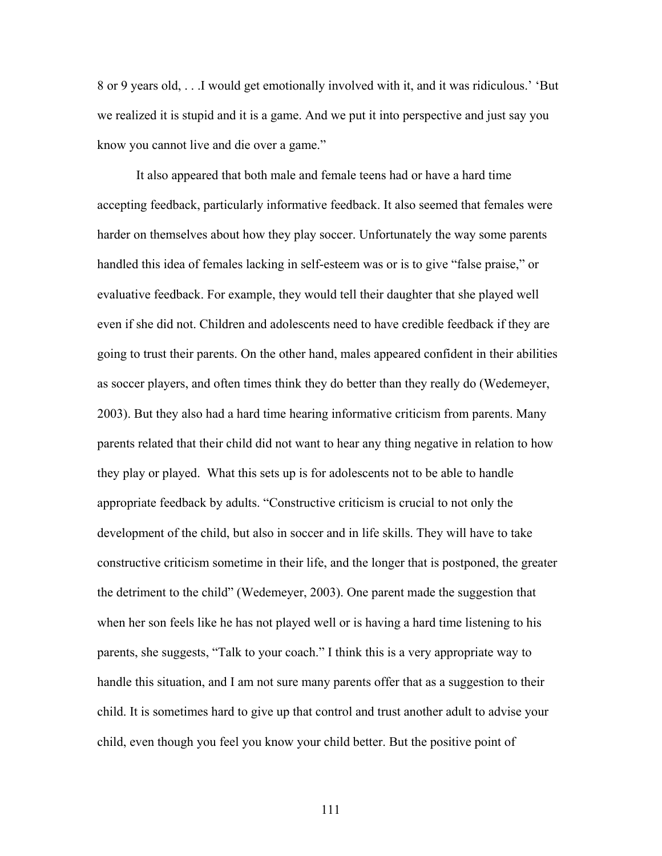8 or 9 years old, . . .I would get emotionally involved with it, and it was ridiculous.' 'But we realized it is stupid and it is a game. And we put it into perspective and just say you know you cannot live and die over a game."

It also appeared that both male and female teens had or have a hard time accepting feedback, particularly informative feedback. It also seemed that females were harder on themselves about how they play soccer. Unfortunately the way some parents handled this idea of females lacking in self-esteem was or is to give "false praise," or evaluative feedback. For example, they would tell their daughter that she played well even if she did not. Children and adolescents need to have credible feedback if they are going to trust their parents. On the other hand, males appeared confident in their abilities as soccer players, and often times think they do better than they really do (Wedemeyer, 2003). But they also had a hard time hearing informative criticism from parents. Many parents related that their child did not want to hear any thing negative in relation to how they play or played. What this sets up is for adolescents not to be able to handle appropriate feedback by adults. "Constructive criticism is crucial to not only the development of the child, but also in soccer and in life skills. They will have to take constructive criticism sometime in their life, and the longer that is postponed, the greater the detriment to the child" (Wedemeyer, 2003). One parent made the suggestion that when her son feels like he has not played well or is having a hard time listening to his parents, she suggests, "Talk to your coach." I think this is a very appropriate way to handle this situation, and I am not sure many parents offer that as a suggestion to their child. It is sometimes hard to give up that control and trust another adult to advise your child, even though you feel you know your child better. But the positive point of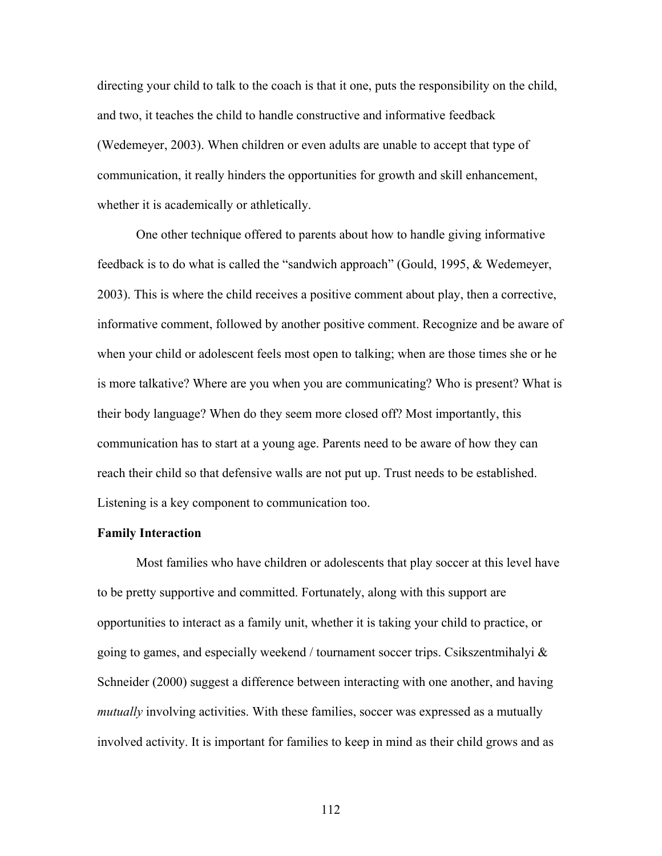directing your child to talk to the coach is that it one, puts the responsibility on the child, and two, it teaches the child to handle constructive and informative feedback (Wedemeyer, 2003). When children or even adults are unable to accept that type of communication, it really hinders the opportunities for growth and skill enhancement, whether it is academically or athletically.

 One other technique offered to parents about how to handle giving informative feedback is to do what is called the "sandwich approach" (Gould, 1995, & Wedemeyer, 2003). This is where the child receives a positive comment about play, then a corrective, informative comment, followed by another positive comment. Recognize and be aware of when your child or adolescent feels most open to talking; when are those times she or he is more talkative? Where are you when you are communicating? Who is present? What is their body language? When do they seem more closed off? Most importantly, this communication has to start at a young age. Parents need to be aware of how they can reach their child so that defensive walls are not put up. Trust needs to be established. Listening is a key component to communication too.

#### **Family Interaction**

Most families who have children or adolescents that play soccer at this level have to be pretty supportive and committed. Fortunately, along with this support are opportunities to interact as a family unit, whether it is taking your child to practice, or going to games, and especially weekend / tournament soccer trips. Csikszentmihalyi  $\&$ Schneider (2000) suggest a difference between interacting with one another, and having *mutually* involving activities. With these families, soccer was expressed as a mutually involved activity. It is important for families to keep in mind as their child grows and as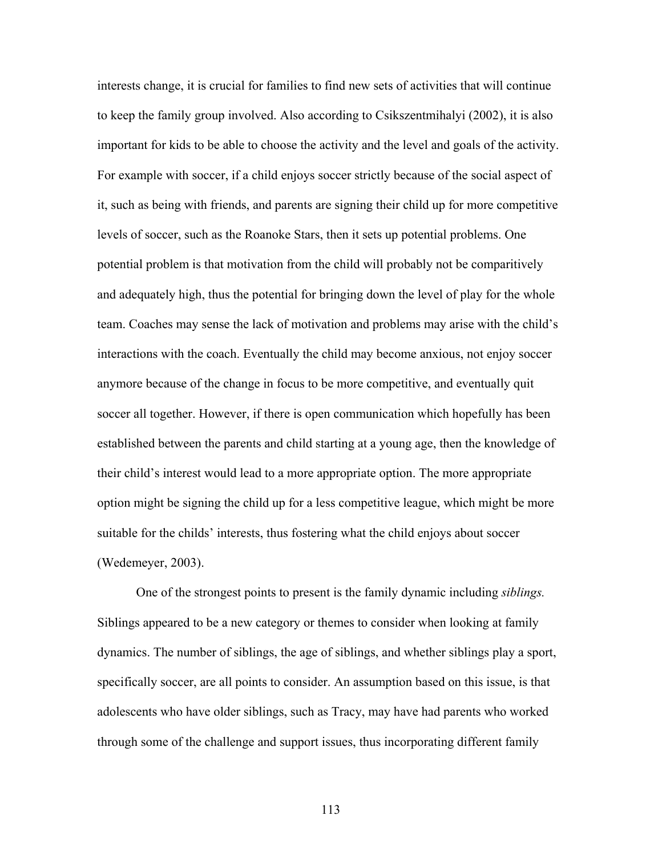interests change, it is crucial for families to find new sets of activities that will continue to keep the family group involved. Also according to Csikszentmihalyi (2002), it is also important for kids to be able to choose the activity and the level and goals of the activity. For example with soccer, if a child enjoys soccer strictly because of the social aspect of it, such as being with friends, and parents are signing their child up for more competitive levels of soccer, such as the Roanoke Stars, then it sets up potential problems. One potential problem is that motivation from the child will probably not be comparitively and adequately high, thus the potential for bringing down the level of play for the whole team. Coaches may sense the lack of motivation and problems may arise with the child's interactions with the coach. Eventually the child may become anxious, not enjoy soccer anymore because of the change in focus to be more competitive, and eventually quit soccer all together. However, if there is open communication which hopefully has been established between the parents and child starting at a young age, then the knowledge of their child's interest would lead to a more appropriate option. The more appropriate option might be signing the child up for a less competitive league, which might be more suitable for the childs' interests, thus fostering what the child enjoys about soccer (Wedemeyer, 2003).

 One of the strongest points to present is the family dynamic including *siblings.* Siblings appeared to be a new category or themes to consider when looking at family dynamics. The number of siblings, the age of siblings, and whether siblings play a sport, specifically soccer, are all points to consider. An assumption based on this issue, is that adolescents who have older siblings, such as Tracy, may have had parents who worked through some of the challenge and support issues, thus incorporating different family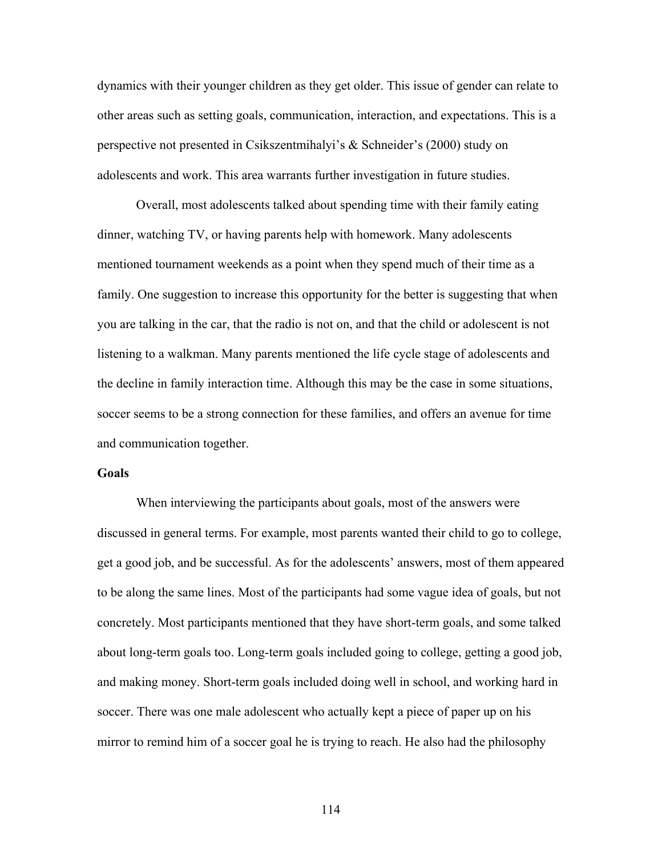dynamics with their younger children as they get older. This issue of gender can relate to other areas such as setting goals, communication, interaction, and expectations. This is a perspective not presented in Csikszentmihalyi's & Schneider's (2000) study on adolescents and work. This area warrants further investigation in future studies.

 Overall, most adolescents talked about spending time with their family eating dinner, watching TV, or having parents help with homework. Many adolescents mentioned tournament weekends as a point when they spend much of their time as a family. One suggestion to increase this opportunity for the better is suggesting that when you are talking in the car, that the radio is not on, and that the child or adolescent is not listening to a walkman. Many parents mentioned the life cycle stage of adolescents and the decline in family interaction time. Although this may be the case in some situations, soccer seems to be a strong connection for these families, and offers an avenue for time and communication together.

#### **Goals**

 When interviewing the participants about goals, most of the answers were discussed in general terms. For example, most parents wanted their child to go to college, get a good job, and be successful. As for the adolescents' answers, most of them appeared to be along the same lines. Most of the participants had some vague idea of goals, but not concretely. Most participants mentioned that they have short-term goals, and some talked about long-term goals too. Long-term goals included going to college, getting a good job, and making money. Short-term goals included doing well in school, and working hard in soccer. There was one male adolescent who actually kept a piece of paper up on his mirror to remind him of a soccer goal he is trying to reach. He also had the philosophy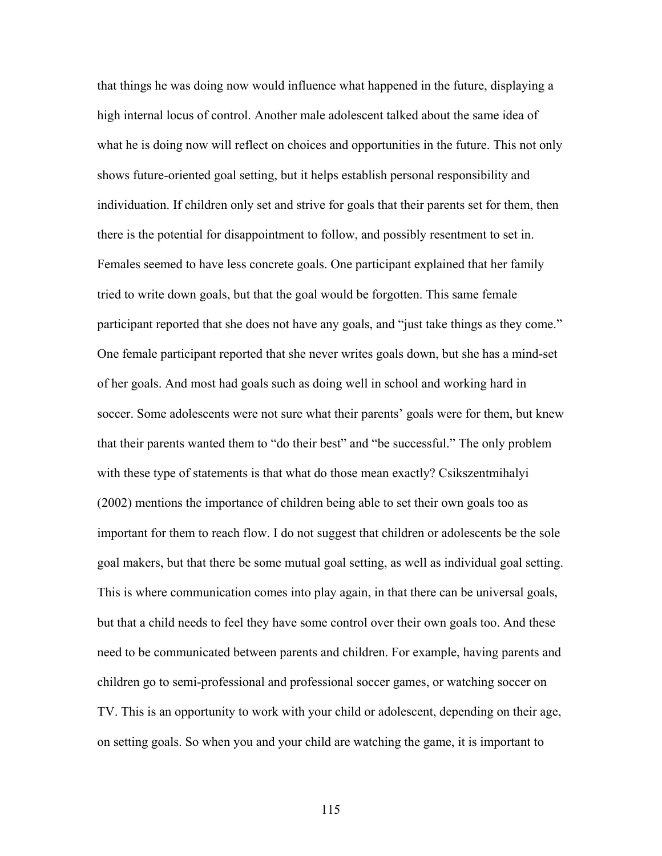that things he was doing now would influence what happened in the future, displaying a high internal locus of control. Another male adolescent talked about the same idea of what he is doing now will reflect on choices and opportunities in the future. This not only shows future-oriented goal setting, but it helps establish personal responsibility and individuation. If children only set and strive for goals that their parents set for them, then there is the potential for disappointment to follow, and possibly resentment to set in. Females seemed to have less concrete goals. One participant explained that her family tried to write down goals, but that the goal would be forgotten. This same female participant reported that she does not have any goals, and "just take things as they come." One female participant reported that she never writes goals down, but she has a mind-set of her goals. And most had goals such as doing well in school and working hard in soccer. Some adolescents were not sure what their parents' goals were for them, but knew that their parents wanted them to "do their best" and "be successful." The only problem with these type of statements is that what do those mean exactly? Csikszentmihalyi (2002) mentions the importance of children being able to set their own goals too as important for them to reach flow. I do not suggest that children or adolescents be the sole goal makers, but that there be some mutual goal setting, as well as individual goal setting. This is where communication comes into play again, in that there can be universal goals, but that a child needs to feel they have some control over their own goals too. And these need to be communicated between parents and children. For example, having parents and children go to semi-professional and professional soccer games, or watching soccer on TV. This is an opportunity to work with your child or adolescent, depending on their age, on setting goals. So when you and your child are watching the game, it is important to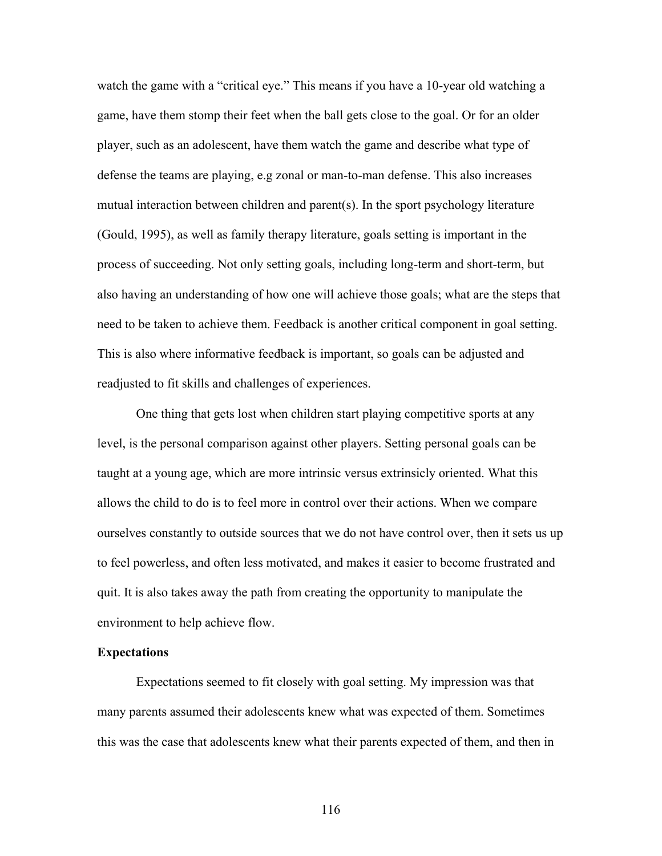watch the game with a "critical eye." This means if you have a 10-year old watching a game, have them stomp their feet when the ball gets close to the goal. Or for an older player, such as an adolescent, have them watch the game and describe what type of defense the teams are playing, e.g zonal or man-to-man defense. This also increases mutual interaction between children and parent(s). In the sport psychology literature (Gould, 1995), as well as family therapy literature, goals setting is important in the process of succeeding. Not only setting goals, including long-term and short-term, but also having an understanding of how one will achieve those goals; what are the steps that need to be taken to achieve them. Feedback is another critical component in goal setting. This is also where informative feedback is important, so goals can be adjusted and readjusted to fit skills and challenges of experiences.

 One thing that gets lost when children start playing competitive sports at any level, is the personal comparison against other players. Setting personal goals can be taught at a young age, which are more intrinsic versus extrinsicly oriented. What this allows the child to do is to feel more in control over their actions. When we compare ourselves constantly to outside sources that we do not have control over, then it sets us up to feel powerless, and often less motivated, and makes it easier to become frustrated and quit. It is also takes away the path from creating the opportunity to manipulate the environment to help achieve flow.

#### **Expectations**

Expectations seemed to fit closely with goal setting. My impression was that many parents assumed their adolescents knew what was expected of them. Sometimes this was the case that adolescents knew what their parents expected of them, and then in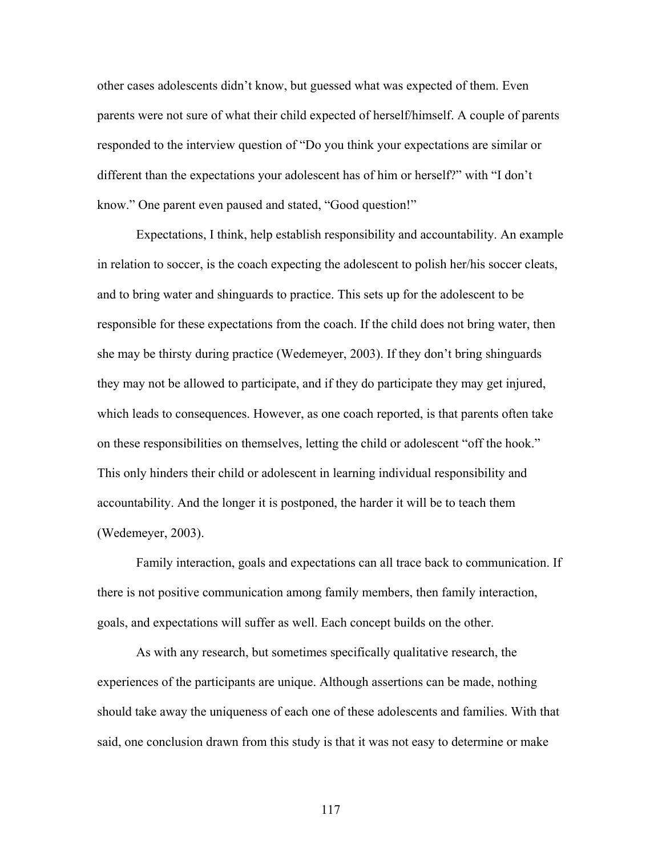other cases adolescents didn't know, but guessed what was expected of them. Even parents were not sure of what their child expected of herself/himself. A couple of parents responded to the interview question of "Do you think your expectations are similar or different than the expectations your adolescent has of him or herself?" with "I don't know." One parent even paused and stated, "Good question!"

 Expectations, I think, help establish responsibility and accountability. An example in relation to soccer, is the coach expecting the adolescent to polish her/his soccer cleats, and to bring water and shinguards to practice. This sets up for the adolescent to be responsible for these expectations from the coach. If the child does not bring water, then she may be thirsty during practice (Wedemeyer, 2003). If they don't bring shinguards they may not be allowed to participate, and if they do participate they may get injured, which leads to consequences. However, as one coach reported, is that parents often take on these responsibilities on themselves, letting the child or adolescent "off the hook." This only hinders their child or adolescent in learning individual responsibility and accountability. And the longer it is postponed, the harder it will be to teach them (Wedemeyer, 2003).

 Family interaction, goals and expectations can all trace back to communication. If there is not positive communication among family members, then family interaction, goals, and expectations will suffer as well. Each concept builds on the other.

As with any research, but sometimes specifically qualitative research, the experiences of the participants are unique. Although assertions can be made, nothing should take away the uniqueness of each one of these adolescents and families. With that said, one conclusion drawn from this study is that it was not easy to determine or make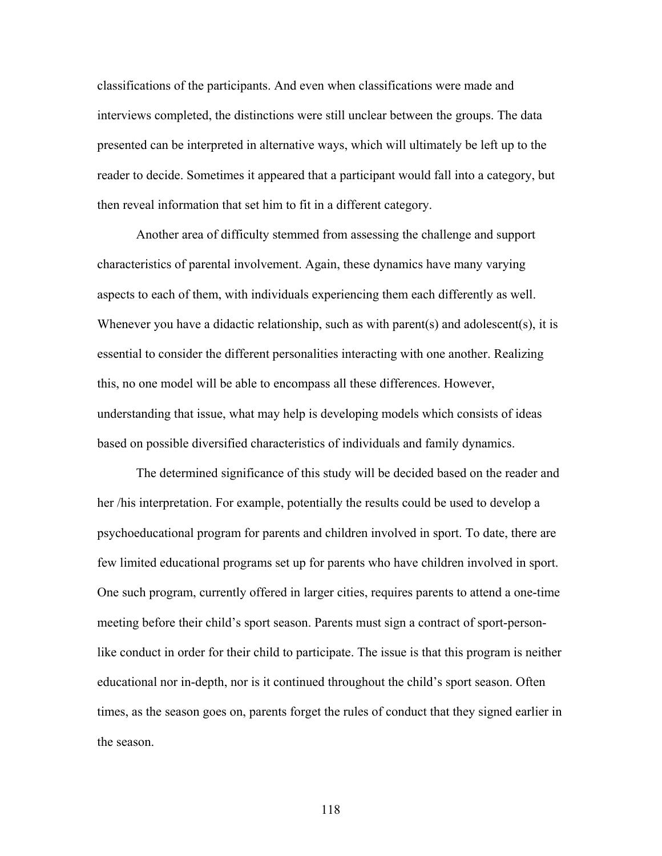classifications of the participants. And even when classifications were made and interviews completed, the distinctions were still unclear between the groups. The data presented can be interpreted in alternative ways, which will ultimately be left up to the reader to decide. Sometimes it appeared that a participant would fall into a category, but then reveal information that set him to fit in a different category.

Another area of difficulty stemmed from assessing the challenge and support characteristics of parental involvement. Again, these dynamics have many varying aspects to each of them, with individuals experiencing them each differently as well. Whenever you have a didactic relationship, such as with parent(s) and adolescent(s), it is essential to consider the different personalities interacting with one another. Realizing this, no one model will be able to encompass all these differences. However, understanding that issue, what may help is developing models which consists of ideas based on possible diversified characteristics of individuals and family dynamics.

The determined significance of this study will be decided based on the reader and her /his interpretation. For example, potentially the results could be used to develop a psychoeducational program for parents and children involved in sport. To date, there are few limited educational programs set up for parents who have children involved in sport. One such program, currently offered in larger cities, requires parents to attend a one-time meeting before their child's sport season. Parents must sign a contract of sport-personlike conduct in order for their child to participate. The issue is that this program is neither educational nor in-depth, nor is it continued throughout the child's sport season. Often times, as the season goes on, parents forget the rules of conduct that they signed earlier in the season.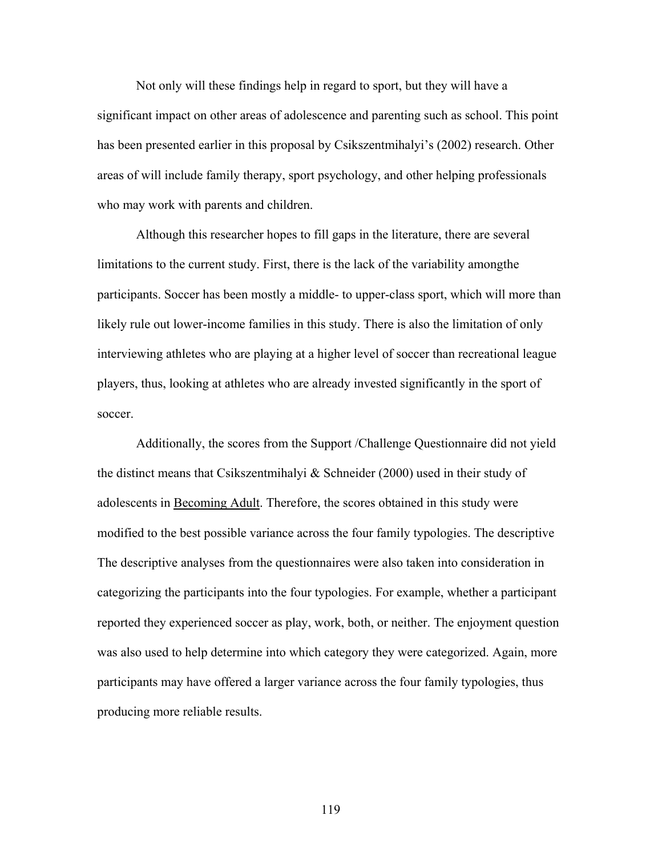Not only will these findings help in regard to sport, but they will have a significant impact on other areas of adolescence and parenting such as school. This point has been presented earlier in this proposal by Csikszentmihalyi's (2002) research. Other areas of will include family therapy, sport psychology, and other helping professionals who may work with parents and children.

Although this researcher hopes to fill gaps in the literature, there are several limitations to the current study. First, there is the lack of the variability amongthe participants. Soccer has been mostly a middle- to upper-class sport, which will more than likely rule out lower-income families in this study. There is also the limitation of only interviewing athletes who are playing at a higher level of soccer than recreational league players, thus, looking at athletes who are already invested significantly in the sport of soccer.

 Additionally, the scores from the Support /Challenge Questionnaire did not yield the distinct means that Csikszentmihalyi  $\&$  Schneider (2000) used in their study of adolescents in Becoming Adult. Therefore, the scores obtained in this study were modified to the best possible variance across the four family typologies. The descriptive The descriptive analyses from the questionnaires were also taken into consideration in categorizing the participants into the four typologies. For example, whether a participant reported they experienced soccer as play, work, both, or neither. The enjoyment question was also used to help determine into which category they were categorized. Again, more participants may have offered a larger variance across the four family typologies, thus producing more reliable results.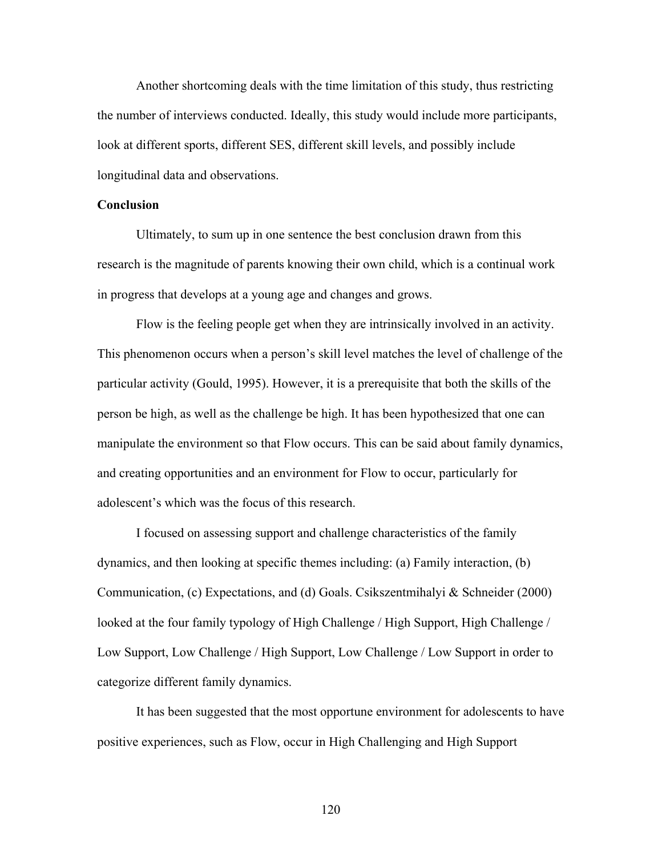Another shortcoming deals with the time limitation of this study, thus restricting the number of interviews conducted. Ideally, this study would include more participants, look at different sports, different SES, different skill levels, and possibly include longitudinal data and observations.

### **Conclusion**

Ultimately, to sum up in one sentence the best conclusion drawn from this research is the magnitude of parents knowing their own child, which is a continual work in progress that develops at a young age and changes and grows.

Flow is the feeling people get when they are intrinsically involved in an activity. This phenomenon occurs when a person's skill level matches the level of challenge of the particular activity (Gould, 1995). However, it is a prerequisite that both the skills of the person be high, as well as the challenge be high. It has been hypothesized that one can manipulate the environment so that Flow occurs. This can be said about family dynamics, and creating opportunities and an environment for Flow to occur, particularly for adolescent's which was the focus of this research.

 I focused on assessing support and challenge characteristics of the family dynamics, and then looking at specific themes including: (a) Family interaction, (b) Communication, (c) Expectations, and (d) Goals. Csikszentmihalyi & Schneider (2000) looked at the four family typology of High Challenge / High Support, High Challenge / Low Support, Low Challenge / High Support, Low Challenge / Low Support in order to categorize different family dynamics.

 It has been suggested that the most opportune environment for adolescents to have positive experiences, such as Flow, occur in High Challenging and High Support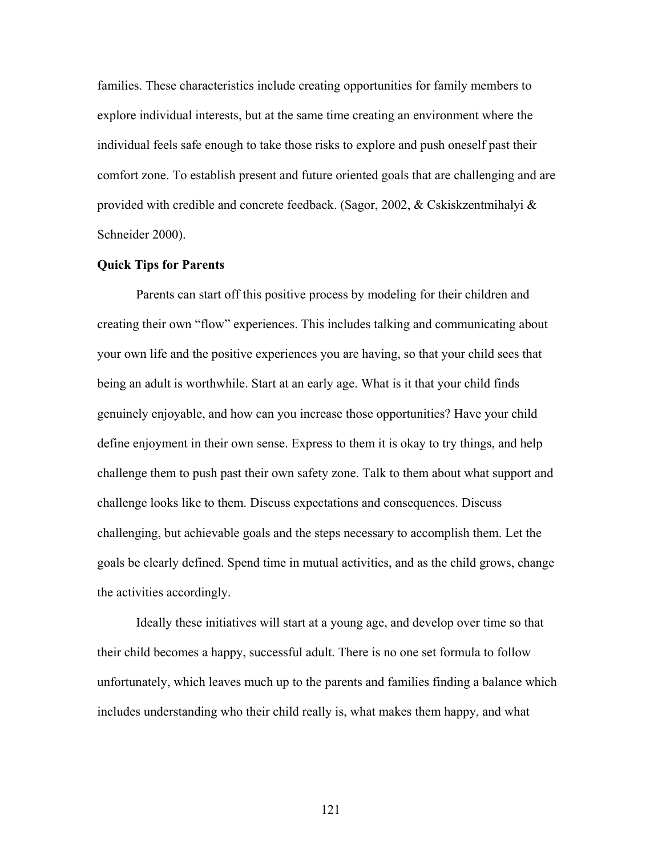families. These characteristics include creating opportunities for family members to explore individual interests, but at the same time creating an environment where the individual feels safe enough to take those risks to explore and push oneself past their comfort zone. To establish present and future oriented goals that are challenging and are provided with credible and concrete feedback. (Sagor, 2002,  $&$  Cskiskzentmihalyi  $&$ Schneider 2000).

#### **Quick Tips for Parents**

 Parents can start off this positive process by modeling for their children and creating their own "flow" experiences. This includes talking and communicating about your own life and the positive experiences you are having, so that your child sees that being an adult is worthwhile. Start at an early age. What is it that your child finds genuinely enjoyable, and how can you increase those opportunities? Have your child define enjoyment in their own sense. Express to them it is okay to try things, and help challenge them to push past their own safety zone. Talk to them about what support and challenge looks like to them. Discuss expectations and consequences. Discuss challenging, but achievable goals and the steps necessary to accomplish them. Let the goals be clearly defined. Spend time in mutual activities, and as the child grows, change the activities accordingly.

 Ideally these initiatives will start at a young age, and develop over time so that their child becomes a happy, successful adult. There is no one set formula to follow unfortunately, which leaves much up to the parents and families finding a balance which includes understanding who their child really is, what makes them happy, and what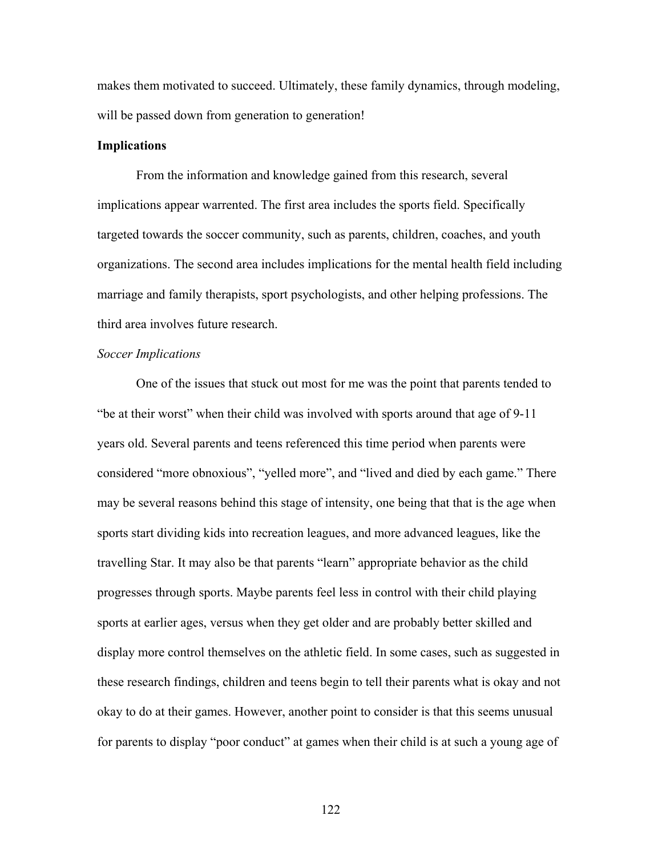makes them motivated to succeed. Ultimately, these family dynamics, through modeling, will be passed down from generation to generation!

#### **Implications**

From the information and knowledge gained from this research, several implications appear warrented. The first area includes the sports field. Specifically targeted towards the soccer community, such as parents, children, coaches, and youth organizations. The second area includes implications for the mental health field including marriage and family therapists, sport psychologists, and other helping professions. The third area involves future research.

#### *Soccer Implications*

One of the issues that stuck out most for me was the point that parents tended to "be at their worst" when their child was involved with sports around that age of 9-11 years old. Several parents and teens referenced this time period when parents were considered "more obnoxious", "yelled more", and "lived and died by each game." There may be several reasons behind this stage of intensity, one being that that is the age when sports start dividing kids into recreation leagues, and more advanced leagues, like the travelling Star. It may also be that parents "learn" appropriate behavior as the child progresses through sports. Maybe parents feel less in control with their child playing sports at earlier ages, versus when they get older and are probably better skilled and display more control themselves on the athletic field. In some cases, such as suggested in these research findings, children and teens begin to tell their parents what is okay and not okay to do at their games. However, another point to consider is that this seems unusual for parents to display "poor conduct" at games when their child is at such a young age of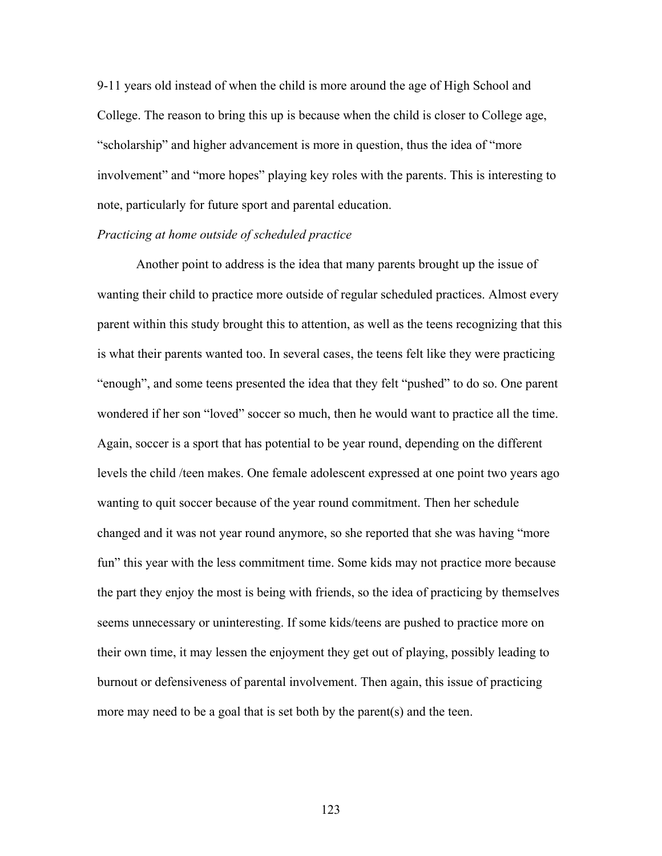9-11 years old instead of when the child is more around the age of High School and College. The reason to bring this up is because when the child is closer to College age, "scholarship" and higher advancement is more in question, thus the idea of "more involvement" and "more hopes" playing key roles with the parents. This is interesting to note, particularly for future sport and parental education.

#### *Practicing at home outside of scheduled practice*

 Another point to address is the idea that many parents brought up the issue of wanting their child to practice more outside of regular scheduled practices. Almost every parent within this study brought this to attention, as well as the teens recognizing that this is what their parents wanted too. In several cases, the teens felt like they were practicing "enough", and some teens presented the idea that they felt "pushed" to do so. One parent wondered if her son "loved" soccer so much, then he would want to practice all the time. Again, soccer is a sport that has potential to be year round, depending on the different levels the child /teen makes. One female adolescent expressed at one point two years ago wanting to quit soccer because of the year round commitment. Then her schedule changed and it was not year round anymore, so she reported that she was having "more fun" this year with the less commitment time. Some kids may not practice more because the part they enjoy the most is being with friends, so the idea of practicing by themselves seems unnecessary or uninteresting. If some kids/teens are pushed to practice more on their own time, it may lessen the enjoyment they get out of playing, possibly leading to burnout or defensiveness of parental involvement. Then again, this issue of practicing more may need to be a goal that is set both by the parent(s) and the teen.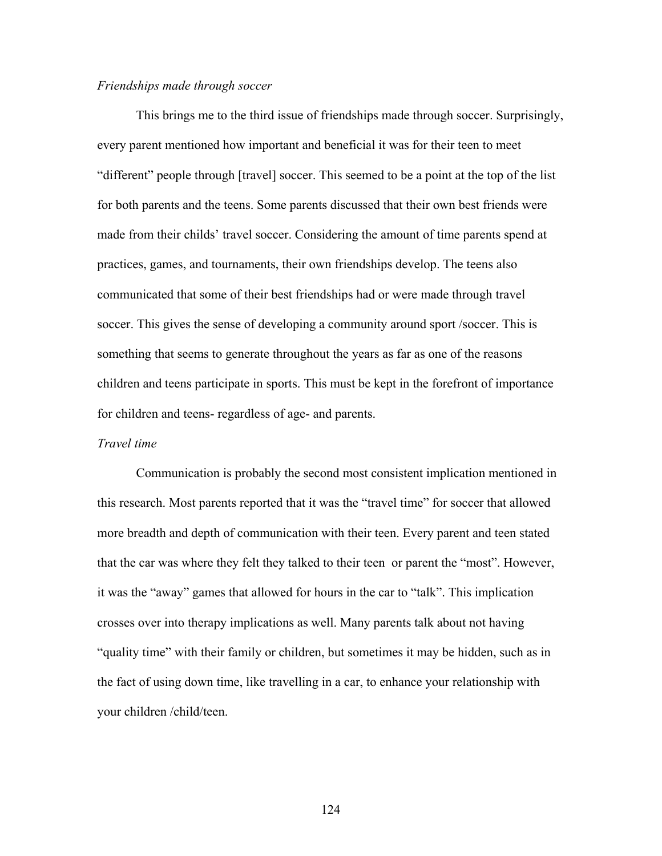#### *Friendships made through soccer*

 This brings me to the third issue of friendships made through soccer. Surprisingly, every parent mentioned how important and beneficial it was for their teen to meet "different" people through [travel] soccer. This seemed to be a point at the top of the list for both parents and the teens. Some parents discussed that their own best friends were made from their childs' travel soccer. Considering the amount of time parents spend at practices, games, and tournaments, their own friendships develop. The teens also communicated that some of their best friendships had or were made through travel soccer. This gives the sense of developing a community around sport /soccer. This is something that seems to generate throughout the years as far as one of the reasons children and teens participate in sports. This must be kept in the forefront of importance for children and teens- regardless of age- and parents.

#### *Travel time*

 Communication is probably the second most consistent implication mentioned in this research. Most parents reported that it was the "travel time" for soccer that allowed more breadth and depth of communication with their teen. Every parent and teen stated that the car was where they felt they talked to their teen or parent the "most". However, it was the "away" games that allowed for hours in the car to "talk". This implication crosses over into therapy implications as well. Many parents talk about not having "quality time" with their family or children, but sometimes it may be hidden, such as in the fact of using down time, like travelling in a car, to enhance your relationship with your children /child/teen.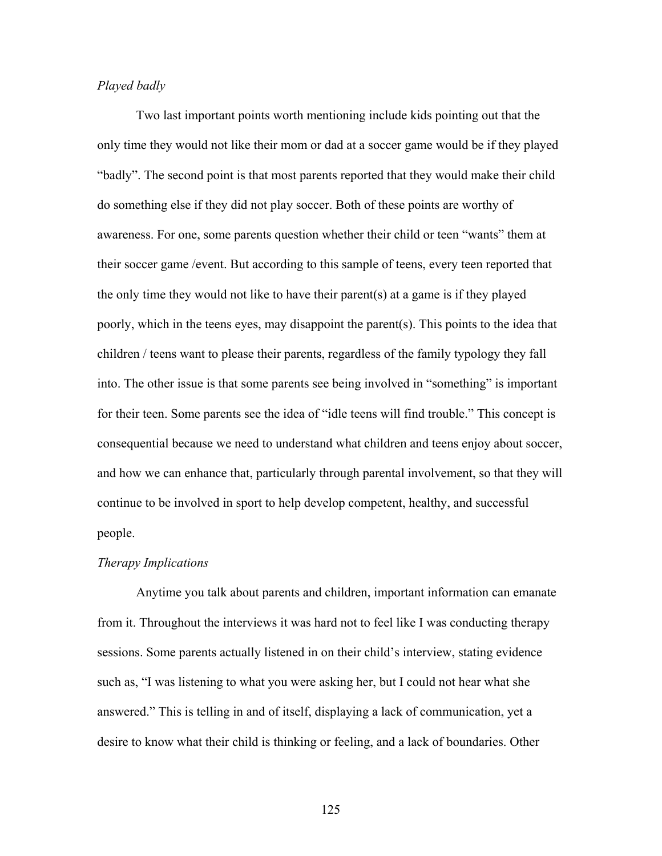#### *Played badly*

Two last important points worth mentioning include kids pointing out that the only time they would not like their mom or dad at a soccer game would be if they played "badly". The second point is that most parents reported that they would make their child do something else if they did not play soccer. Both of these points are worthy of awareness. For one, some parents question whether their child or teen "wants" them at their soccer game /event. But according to this sample of teens, every teen reported that the only time they would not like to have their parent(s) at a game is if they played poorly, which in the teens eyes, may disappoint the parent(s). This points to the idea that children / teens want to please their parents, regardless of the family typology they fall into. The other issue is that some parents see being involved in "something" is important for their teen. Some parents see the idea of "idle teens will find trouble." This concept is consequential because we need to understand what children and teens enjoy about soccer, and how we can enhance that, particularly through parental involvement, so that they will continue to be involved in sport to help develop competent, healthy, and successful people.

#### *Therapy Implications*

 Anytime you talk about parents and children, important information can emanate from it. Throughout the interviews it was hard not to feel like I was conducting therapy sessions. Some parents actually listened in on their child's interview, stating evidence such as, "I was listening to what you were asking her, but I could not hear what she answered." This is telling in and of itself, displaying a lack of communication, yet a desire to know what their child is thinking or feeling, and a lack of boundaries. Other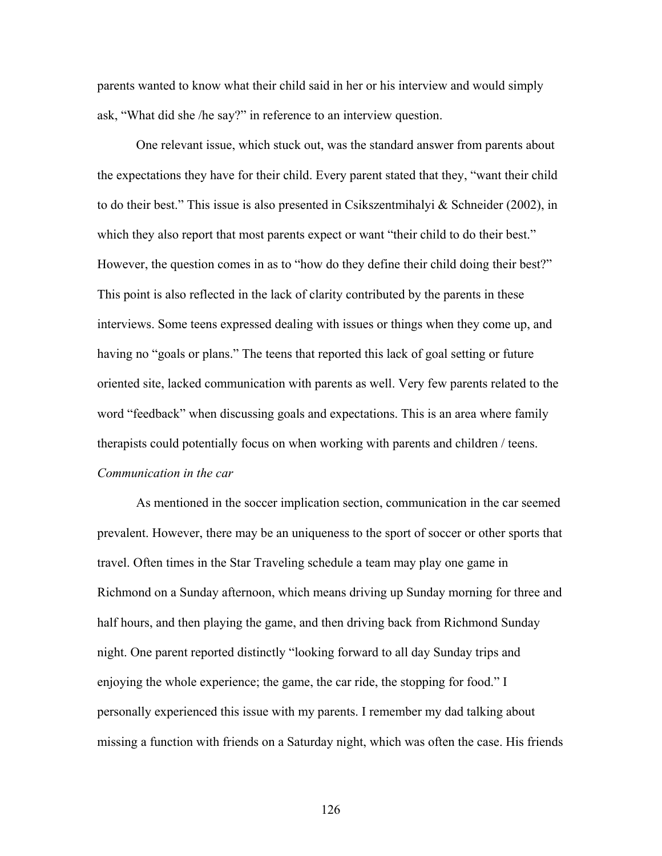parents wanted to know what their child said in her or his interview and would simply ask, "What did she /he say?" in reference to an interview question.

 One relevant issue, which stuck out, was the standard answer from parents about the expectations they have for their child. Every parent stated that they, "want their child to do their best." This issue is also presented in Csikszentmihalyi & Schneider (2002), in which they also report that most parents expect or want "their child to do their best." However, the question comes in as to "how do they define their child doing their best?" This point is also reflected in the lack of clarity contributed by the parents in these interviews. Some teens expressed dealing with issues or things when they come up, and having no "goals or plans." The teens that reported this lack of goal setting or future oriented site, lacked communication with parents as well. Very few parents related to the word "feedback" when discussing goals and expectations. This is an area where family therapists could potentially focus on when working with parents and children / teens. *Communication in the car* 

 As mentioned in the soccer implication section, communication in the car seemed prevalent. However, there may be an uniqueness to the sport of soccer or other sports that travel. Often times in the Star Traveling schedule a team may play one game in Richmond on a Sunday afternoon, which means driving up Sunday morning for three and half hours, and then playing the game, and then driving back from Richmond Sunday night. One parent reported distinctly "looking forward to all day Sunday trips and enjoying the whole experience; the game, the car ride, the stopping for food." I personally experienced this issue with my parents. I remember my dad talking about missing a function with friends on a Saturday night, which was often the case. His friends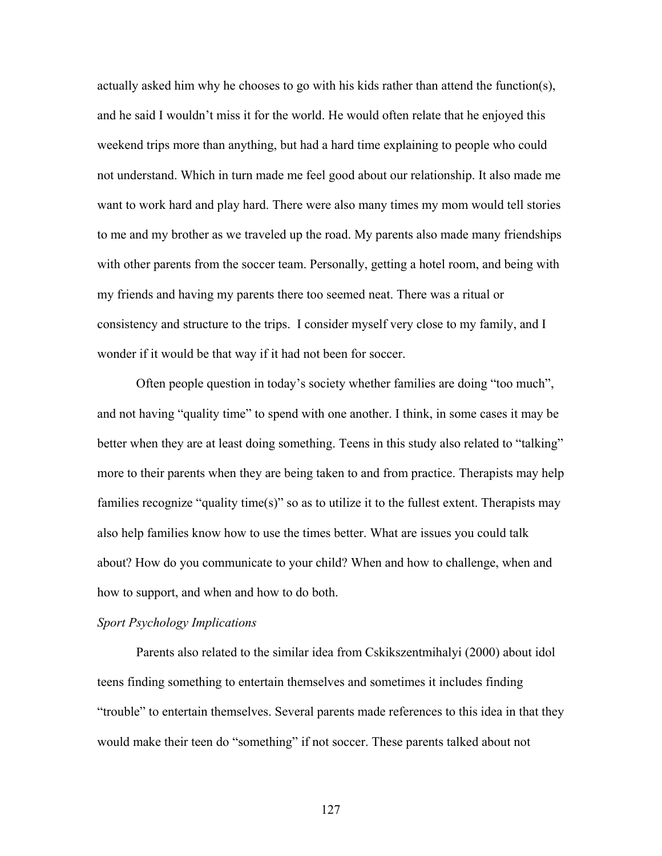actually asked him why he chooses to go with his kids rather than attend the function(s), and he said I wouldn't miss it for the world. He would often relate that he enjoyed this weekend trips more than anything, but had a hard time explaining to people who could not understand. Which in turn made me feel good about our relationship. It also made me want to work hard and play hard. There were also many times my mom would tell stories to me and my brother as we traveled up the road. My parents also made many friendships with other parents from the soccer team. Personally, getting a hotel room, and being with my friends and having my parents there too seemed neat. There was a ritual or consistency and structure to the trips. I consider myself very close to my family, and I wonder if it would be that way if it had not been for soccer.

 Often people question in today's society whether families are doing "too much", and not having "quality time" to spend with one another. I think, in some cases it may be better when they are at least doing something. Teens in this study also related to "talking" more to their parents when they are being taken to and from practice. Therapists may help families recognize "quality time(s)" so as to utilize it to the fullest extent. Therapists may also help families know how to use the times better. What are issues you could talk about? How do you communicate to your child? When and how to challenge, when and how to support, and when and how to do both.

#### *Sport Psychology Implications*

Parents also related to the similar idea from Cskikszentmihalyi (2000) about idol teens finding something to entertain themselves and sometimes it includes finding "trouble" to entertain themselves. Several parents made references to this idea in that they would make their teen do "something" if not soccer. These parents talked about not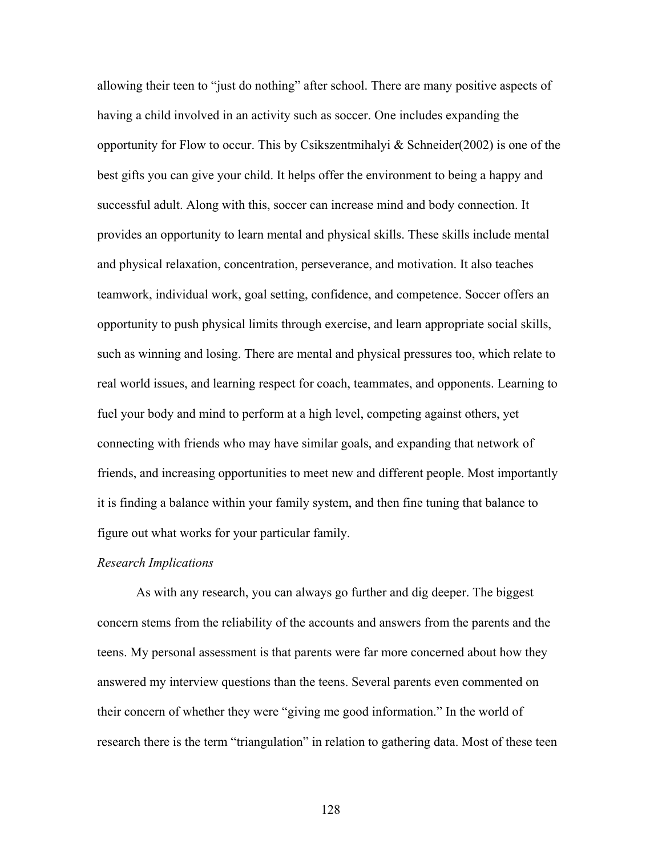allowing their teen to "just do nothing" after school. There are many positive aspects of having a child involved in an activity such as soccer. One includes expanding the opportunity for Flow to occur. This by Csikszentmihalyi & Schneider(2002) is one of the best gifts you can give your child. It helps offer the environment to being a happy and successful adult. Along with this, soccer can increase mind and body connection. It provides an opportunity to learn mental and physical skills. These skills include mental and physical relaxation, concentration, perseverance, and motivation. It also teaches teamwork, individual work, goal setting, confidence, and competence. Soccer offers an opportunity to push physical limits through exercise, and learn appropriate social skills, such as winning and losing. There are mental and physical pressures too, which relate to real world issues, and learning respect for coach, teammates, and opponents. Learning to fuel your body and mind to perform at a high level, competing against others, yet connecting with friends who may have similar goals, and expanding that network of friends, and increasing opportunities to meet new and different people. Most importantly it is finding a balance within your family system, and then fine tuning that balance to figure out what works for your particular family.

#### *Research Implications*

As with any research, you can always go further and dig deeper. The biggest concern stems from the reliability of the accounts and answers from the parents and the teens. My personal assessment is that parents were far more concerned about how they answered my interview questions than the teens. Several parents even commented on their concern of whether they were "giving me good information." In the world of research there is the term "triangulation" in relation to gathering data. Most of these teen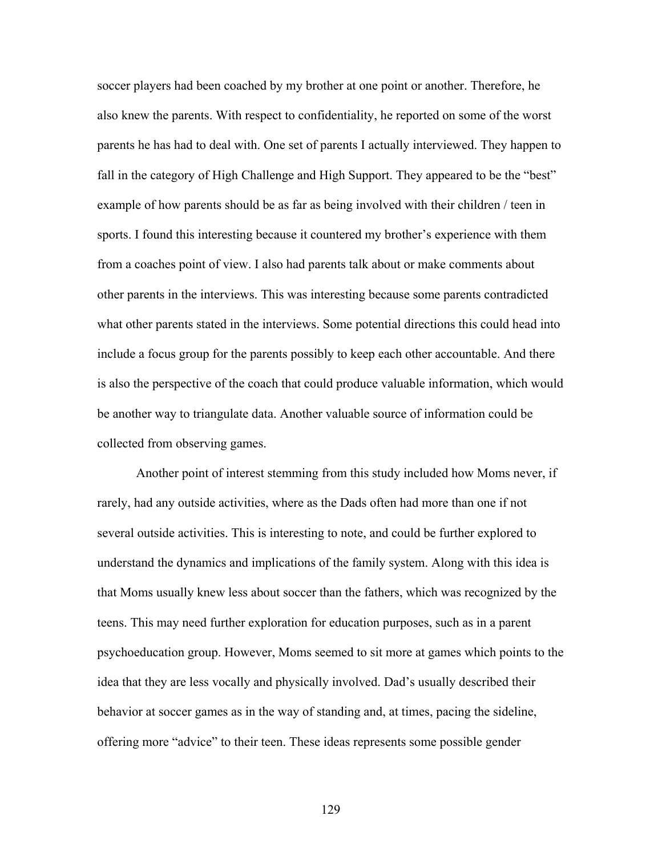soccer players had been coached by my brother at one point or another. Therefore, he also knew the parents. With respect to confidentiality, he reported on some of the worst parents he has had to deal with. One set of parents I actually interviewed. They happen to fall in the category of High Challenge and High Support. They appeared to be the "best" example of how parents should be as far as being involved with their children / teen in sports. I found this interesting because it countered my brother's experience with them from a coaches point of view. I also had parents talk about or make comments about other parents in the interviews. This was interesting because some parents contradicted what other parents stated in the interviews. Some potential directions this could head into include a focus group for the parents possibly to keep each other accountable. And there is also the perspective of the coach that could produce valuable information, which would be another way to triangulate data. Another valuable source of information could be collected from observing games.

Another point of interest stemming from this study included how Moms never, if rarely, had any outside activities, where as the Dads often had more than one if not several outside activities. This is interesting to note, and could be further explored to understand the dynamics and implications of the family system. Along with this idea is that Moms usually knew less about soccer than the fathers, which was recognized by the teens. This may need further exploration for education purposes, such as in a parent psychoeducation group. However, Moms seemed to sit more at games which points to the idea that they are less vocally and physically involved. Dad's usually described their behavior at soccer games as in the way of standing and, at times, pacing the sideline, offering more "advice" to their teen. These ideas represents some possible gender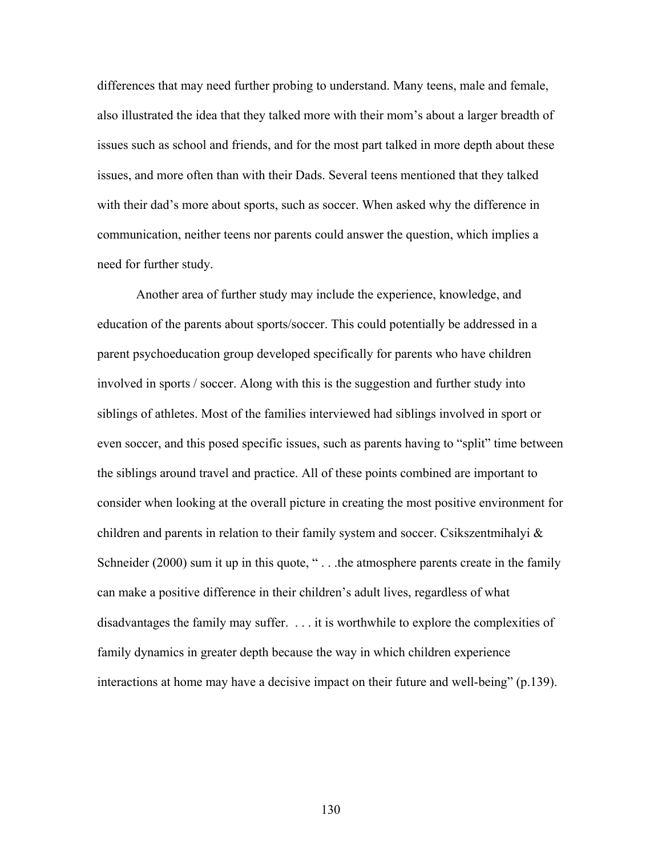differences that may need further probing to understand. Many teens, male and female, also illustrated the idea that they talked more with their mom's about a larger breadth of issues such as school and friends, and for the most part talked in more depth about these issues, and more often than with their Dads. Several teens mentioned that they talked with their dad's more about sports, such as soccer. When asked why the difference in communication, neither teens nor parents could answer the question, which implies a need for further study.

Another area of further study may include the experience, knowledge, and education of the parents about sports/soccer. This could potentially be addressed in a parent psychoeducation group developed specifically for parents who have children involved in sports / soccer. Along with this is the suggestion and further study into siblings of athletes. Most of the families interviewed had siblings involved in sport or even soccer, and this posed specific issues, such as parents having to "split" time between the siblings around travel and practice. All of these points combined are important to consider when looking at the overall picture in creating the most positive environment for children and parents in relation to their family system and soccer. Csikszentmihalyi  $\&$ Schneider (2000) sum it up in this quote, "... the atmosphere parents create in the family can make a positive difference in their children's adult lives, regardless of what disadvantages the family may suffer. . . . it is worthwhile to explore the complexities of family dynamics in greater depth because the way in which children experience interactions at home may have a decisive impact on their future and well-being" (p.139).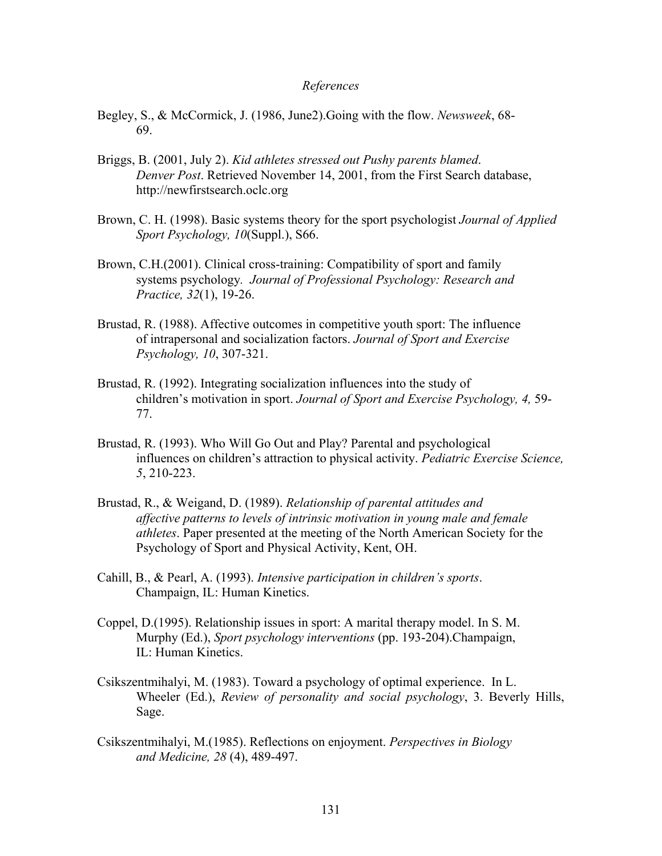#### *References*

- Begley, S., & McCormick, J. (1986, June2).Going with the flow. *Newsweek*, 68- 69.
- Briggs, B. (2001, July 2). *Kid athletes stressed out Pushy parents blamed*. *Denver Post*. Retrieved November 14, 2001, from the First Search database, http://newfirstsearch.oclc.org
- Brown, C. H. (1998). Basic systems theory for the sport psychologist *Journal of Applied Sport Psychology, 10*(Suppl.), S66.
- Brown, C.H.(2001). Clinical cross-training: Compatibility of sport and family systems psychology*. Journal of Professional Psychology: Research and Practice, 32*(1), 19-26.
- Brustad, R. (1988). Affective outcomes in competitive youth sport: The influence of intrapersonal and socialization factors. *Journal of Sport and Exercise Psychology, 10*, 307-321.
- Brustad, R. (1992). Integrating socialization influences into the study of children's motivation in sport. *Journal of Sport and Exercise Psychology, 4,* 59- 77.
- Brustad, R. (1993). Who Will Go Out and Play? Parental and psychological influences on children's attraction to physical activity. *Pediatric Exercise Science, 5*, 210-223.
- Brustad, R., & Weigand, D. (1989). *Relationship of parental attitudes and affective patterns to levels of intrinsic motivation in young male and female athletes*. Paper presented at the meeting of the North American Society for the Psychology of Sport and Physical Activity, Kent, OH.
- Cahill, B., & Pearl, A. (1993). *Intensive participation in children's sports*. Champaign, IL: Human Kinetics.
- Coppel, D.(1995). Relationship issues in sport: A marital therapy model. In S. M. Murphy (Ed.), *Sport psychology interventions* (pp. 193-204).Champaign, IL: Human Kinetics.
- Csikszentmihalyi, M. (1983). Toward a psychology of optimal experience. In L. Wheeler (Ed.), *Review of personality and social psychology*, 3. Beverly Hills, Sage.
- Csikszentmihalyi, M.(1985). Reflections on enjoyment. *Perspectives in Biology and Medicine, 28* (4), 489-497.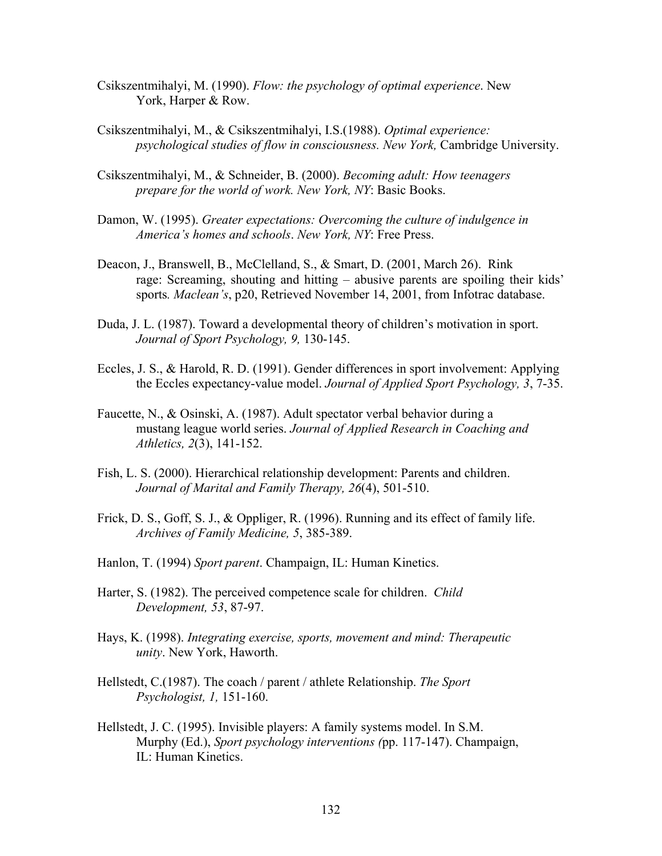- Csikszentmihalyi, M. (1990). *Flow: the psychology of optimal experience*. New York, Harper & Row.
- Csikszentmihalyi, M., & Csikszentmihalyi, I.S.(1988). *Optimal experience: psychological studies of flow in consciousness. New York,* Cambridge University.
- Csikszentmihalyi, M., & Schneider, B. (2000). *Becoming adult: How teenagers prepare for the world of work. New York, NY*: Basic Books.
- Damon, W. (1995). *Greater expectations: Overcoming the culture of indulgence in America's homes and schools*. *New York, NY*: Free Press.
- Deacon, J., Branswell, B., McClelland, S., & Smart, D. (2001, March 26). Rink rage: Screaming, shouting and hitting – abusive parents are spoiling their kids' sports*. Maclean's*, p20, Retrieved November 14, 2001, from Infotrac database.
- Duda, J. L. (1987). Toward a developmental theory of children's motivation in sport. *Journal of Sport Psychology, 9,* 130-145.
- Eccles, J. S., & Harold, R. D. (1991). Gender differences in sport involvement: Applying the Eccles expectancy-value model. *Journal of Applied Sport Psychology, 3*, 7-35.
- Faucette, N., & Osinski, A. (1987). Adult spectator verbal behavior during a mustang league world series. *Journal of Applied Research in Coaching and Athletics, 2*(3), 141-152.
- Fish, L. S. (2000). Hierarchical relationship development: Parents and children. *Journal of Marital and Family Therapy, 26*(4), 501-510.
- Frick, D. S., Goff, S. J., & Oppliger, R. (1996). Running and its effect of family life. *Archives of Family Medicine, 5*, 385-389.
- Hanlon, T. (1994) *Sport parent*. Champaign, IL: Human Kinetics.
- Harter, S. (1982). The perceived competence scale for children. *Child Development, 53*, 87-97.
- Hays, K. (1998). *Integrating exercise, sports, movement and mind: Therapeutic unity*. New York, Haworth.
- Hellstedt, C.(1987). The coach / parent / athlete Relationship. *The Sport Psychologist, 1,* 151-160.
- Hellstedt, J. C. (1995). Invisible players: A family systems model. In S.M. Murphy (Ed.), *Sport psychology interventions (*pp. 117-147). Champaign, IL: Human Kinetics.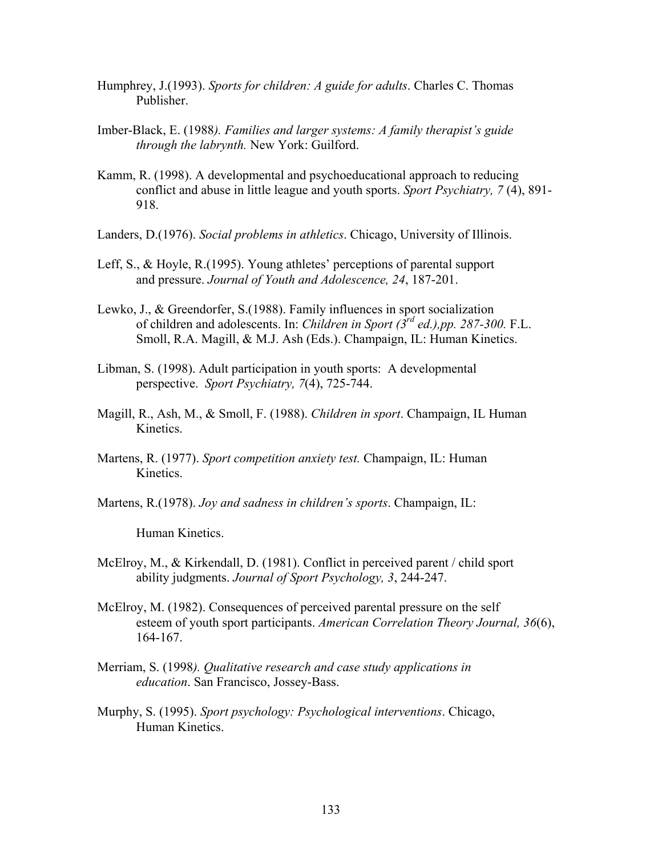- Humphrey, J.(1993). *Sports for children: A guide for adults*. Charles C. Thomas Publisher.
- Imber-Black, E. (1988*). Families and larger systems: A family therapist's guide through the labrynth.* New York: Guilford.
- Kamm, R. (1998). A developmental and psychoeducational approach to reducing conflict and abuse in little league and youth sports. *Sport Psychiatry, 7* (4), 891- 918.
- Landers, D.(1976). *Social problems in athletics*. Chicago, University of Illinois.
- Leff, S., & Hoyle, R.(1995). Young athletes' perceptions of parental support and pressure. *Journal of Youth and Adolescence, 24*, 187-201.
- Lewko, J., & Greendorfer, S.(1988). Family influences in sport socialization of children and adolescents. In: *Children in Sport (3rd ed.),pp. 287-300.* F.L. Smoll, R.A. Magill, & M.J. Ash (Eds.). Champaign, IL: Human Kinetics.
- Libman, S. (1998). Adult participation in youth sports: A developmental perspective. *Sport Psychiatry, 7*(4), 725-744.
- Magill, R., Ash, M., & Smoll, F. (1988). *Children in sport*. Champaign, IL Human Kinetics.
- Martens, R. (1977). *Sport competition anxiety test.* Champaign, IL: Human Kinetics.
- Martens, R.(1978). *Joy and sadness in children's sports*. Champaign, IL:

Human Kinetics.

- McElroy, M., & Kirkendall, D. (1981). Conflict in perceived parent / child sport ability judgments. *Journal of Sport Psychology, 3*, 244-247.
- McElroy, M. (1982). Consequences of perceived parental pressure on the self esteem of youth sport participants. *American Correlation Theory Journal, 36*(6), 164-167.
- Merriam, S. (1998*). Qualitative research and case study applications in education*. San Francisco, Jossey-Bass.
- Murphy, S. (1995). *Sport psychology: Psychological interventions*. Chicago, Human Kinetics.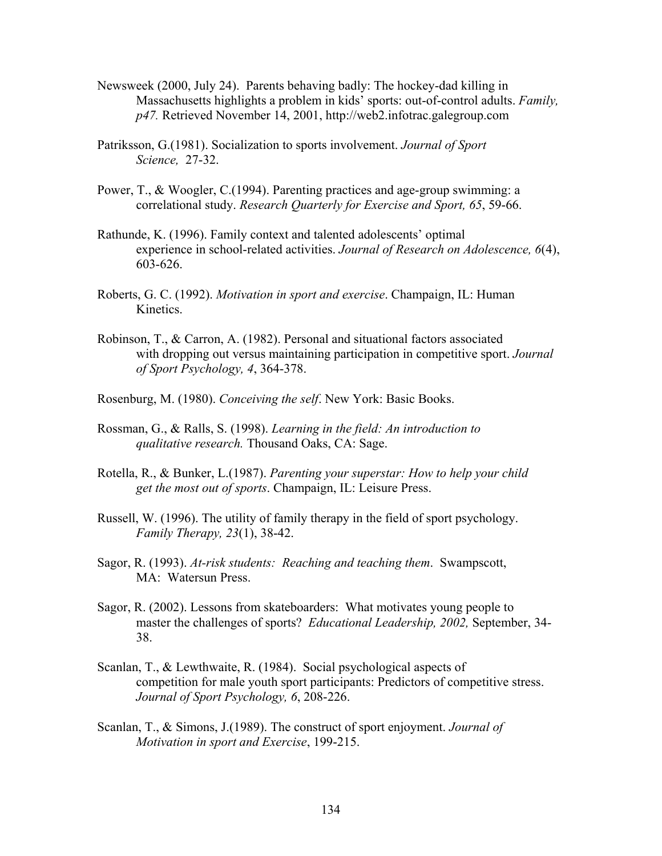- Newsweek (2000, July 24). Parents behaving badly: The hockey-dad killing in Massachusetts highlights a problem in kids' sports: out-of-control adults. *Family, p47.* Retrieved November 14, 2001, http://web2.infotrac.galegroup.com
- Patriksson, G.(1981). Socialization to sports involvement. *Journal of Sport Science,* 27-32.
- Power, T., & Woogler, C.(1994). Parenting practices and age-group swimming: a correlational study. *Research Quarterly for Exercise and Sport, 65*, 59-66.
- Rathunde, K. (1996). Family context and talented adolescents' optimal experience in school-related activities. *Journal of Research on Adolescence, 6*(4), 603-626.
- Roberts, G. C. (1992). *Motivation in sport and exercise*. Champaign, IL: Human Kinetics.
- Robinson, T., & Carron, A. (1982). Personal and situational factors associated with dropping out versus maintaining participation in competitive sport. *Journal of Sport Psychology, 4*, 364-378.
- Rosenburg, M. (1980). *Conceiving the self*. New York: Basic Books.
- Rossman, G., & Ralls, S. (1998). *Learning in the field: An introduction to qualitative research.* Thousand Oaks, CA: Sage.
- Rotella, R., & Bunker, L.(1987). *Parenting your superstar: How to help your child get the most out of sports*. Champaign, IL: Leisure Press.
- Russell, W. (1996). The utility of family therapy in the field of sport psychology. *Family Therapy, 23*(1), 38-42.
- Sagor, R. (1993). *At-risk students: Reaching and teaching them*. Swampscott, MA: Watersun Press.
- Sagor, R. (2002). Lessons from skateboarders: What motivates young people to master the challenges of sports? *Educational Leadership, 2002,* September, 34- 38.
- Scanlan, T., & Lewthwaite, R. (1984). Social psychological aspects of competition for male youth sport participants: Predictors of competitive stress. *Journal of Sport Psychology, 6*, 208-226.
- Scanlan, T., & Simons, J.(1989). The construct of sport enjoyment. *Journal of Motivation in sport and Exercise*, 199-215.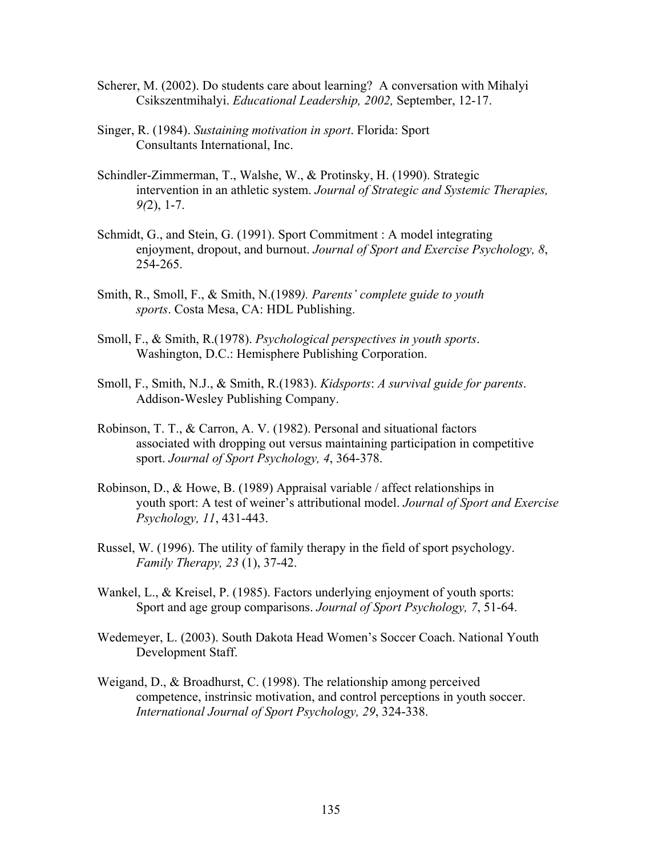- Scherer, M. (2002). Do students care about learning? A conversation with Mihalyi Csikszentmihalyi. *Educational Leadership, 2002,* September, 12-17.
- Singer, R. (1984). *Sustaining motivation in sport*. Florida: Sport Consultants International, Inc.
- Schindler-Zimmerman, T., Walshe, W., & Protinsky, H. (1990). Strategic intervention in an athletic system. *Journal of Strategic and Systemic Therapies, 9(*2), 1-7.
- Schmidt, G., and Stein, G. (1991). Sport Commitment : A model integrating enjoyment, dropout, and burnout. *Journal of Sport and Exercise Psychology, 8*, 254-265.
- Smith, R., Smoll, F., & Smith, N.(1989*). Parents' complete guide to youth sports*. Costa Mesa, CA: HDL Publishing.
- Smoll, F., & Smith, R.(1978). *Psychological perspectives in youth sports*. Washington, D.C.: Hemisphere Publishing Corporation.
- Smoll, F., Smith, N.J., & Smith, R.(1983). *Kidsports*: *A survival guide for parents*. Addison-Wesley Publishing Company.
- Robinson, T. T., & Carron, A. V. (1982). Personal and situational factors associated with dropping out versus maintaining participation in competitive sport. *Journal of Sport Psychology, 4*, 364-378.
- Robinson, D., & Howe, B. (1989) Appraisal variable / affect relationships in youth sport: A test of weiner's attributional model. *Journal of Sport and Exercise Psychology, 11*, 431-443.
- Russel, W. (1996). The utility of family therapy in the field of sport psychology. *Family Therapy, 23* (1), 37-42.
- Wankel, L., & Kreisel, P. (1985). Factors underlying enjoyment of youth sports: Sport and age group comparisons. *Journal of Sport Psychology, 7*, 51-64.
- Wedemeyer, L. (2003). South Dakota Head Women's Soccer Coach. National Youth Development Staff.
- Weigand, D., & Broadhurst, C. (1998). The relationship among perceived competence, instrinsic motivation, and control perceptions in youth soccer. *International Journal of Sport Psychology, 29*, 324-338.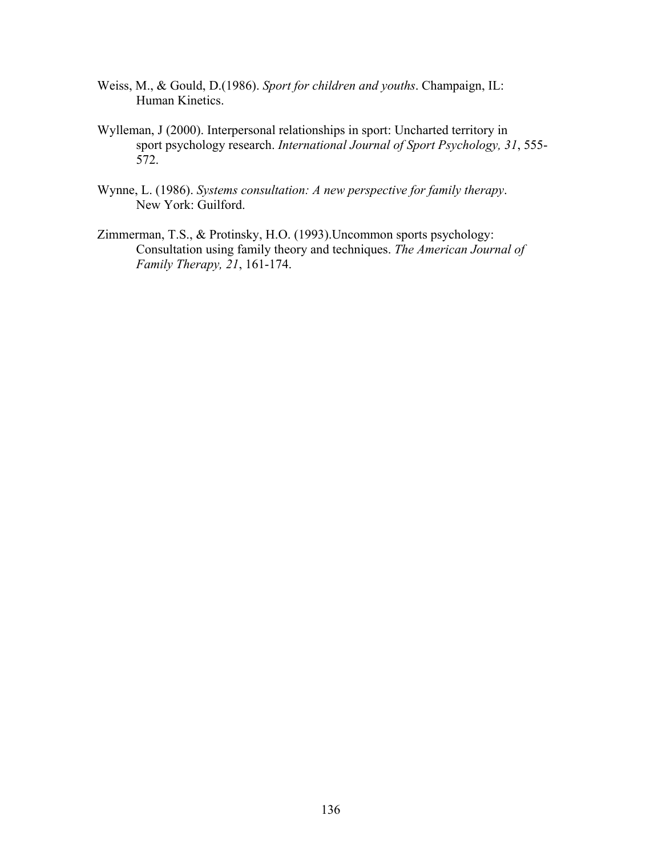- Weiss, M., & Gould, D.(1986). *Sport for children and youths*. Champaign, IL: Human Kinetics.
- Wylleman, J (2000). Interpersonal relationships in sport: Uncharted territory in sport psychology research. *International Journal of Sport Psychology, 31*, 555- 572.
- Wynne, L. (1986). *Systems consultation: A new perspective for family therapy*. New York: Guilford.
- Zimmerman, T.S., & Protinsky, H.O. (1993).Uncommon sports psychology: Consultation using family theory and techniques. *The American Journal of Family Therapy, 21*, 161-174.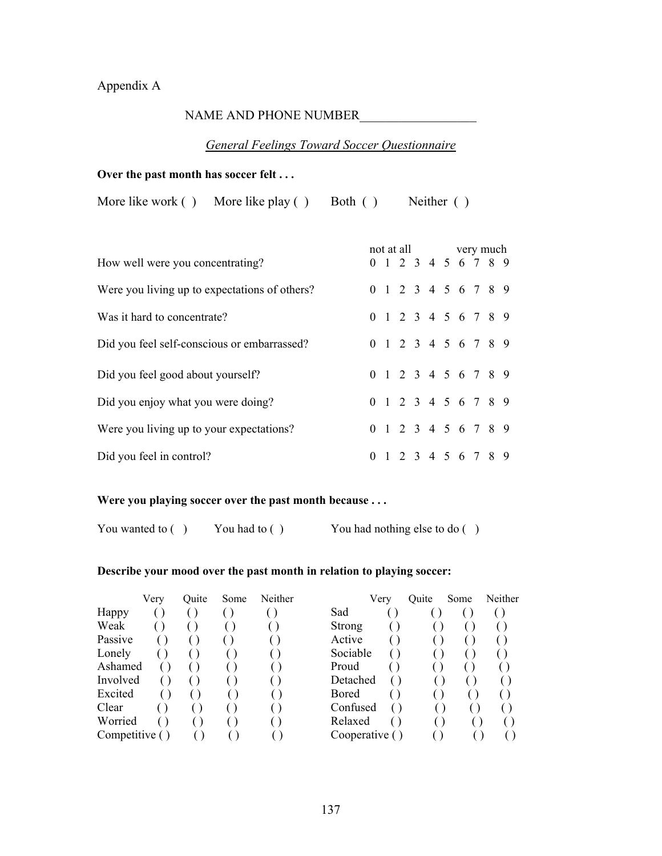# Appendix A

## NAME AND PHONE NUMBER\_\_\_\_\_\_\_\_\_\_\_\_\_\_\_\_\_\_

## *General Feelings Toward Soccer Questionnaire*

#### **Over the past month has soccer felt . . .**

More like work ( ) More like play ( ) Both ( ) Neither ( )

| How well were you concentrating?              |  |  | not at all very much<br>0 1 2 3 4 5 6 7 8 9 |  |  |  |
|-----------------------------------------------|--|--|---------------------------------------------|--|--|--|
| Were you living up to expectations of others? |  |  | 0 1 2 3 4 5 6 7 8 9                         |  |  |  |
| Was it hard to concentrate?                   |  |  | 0 1 2 3 4 5 6 7 8 9                         |  |  |  |
| Did you feel self-conscious or embarrassed?   |  |  | 0 1 2 3 4 5 6 7 8 9                         |  |  |  |
| Did you feel good about yourself?             |  |  | 0 1 2 3 4 5 6 7 8 9                         |  |  |  |
| Did you enjoy what you were doing?            |  |  | 0 1 2 3 4 5 6 7 8 9                         |  |  |  |
| Were you living up to your expectations?      |  |  | 0 1 2 3 4 5 6 7 8 9                         |  |  |  |
| Did you feel in control?                      |  |  | 0 1 2 3 4 5 6 7 8 9                         |  |  |  |

### **Were you playing soccer over the past month because . . .**

You wanted to ( ) You had to ( ) You had nothing else to do ( )

#### **Describe your mood over the past month in relation to playing soccer:**

|               | Very | Quite | Some | Neither |          | Very           | Quite | Some | Neither |
|---------------|------|-------|------|---------|----------|----------------|-------|------|---------|
| Happy         |      |       |      |         | Sad      |                |       |      |         |
| Weak          |      |       |      |         | Strong   |                |       |      |         |
| Passive       |      |       |      |         | Active   |                |       |      |         |
| Lonely        |      |       |      |         | Sociable |                |       |      |         |
| Ashamed       |      |       |      |         | Proud    |                |       |      |         |
| Involved      |      |       |      |         | Detached |                |       |      |         |
| Excited       |      |       |      |         | Bored    |                |       |      |         |
| Clear         |      |       |      |         | Confused |                |       |      |         |
| Worried       |      |       |      |         | Relaxed  |                |       |      |         |
| Competitive ( |      |       |      |         |          | Cooperative () |       |      |         |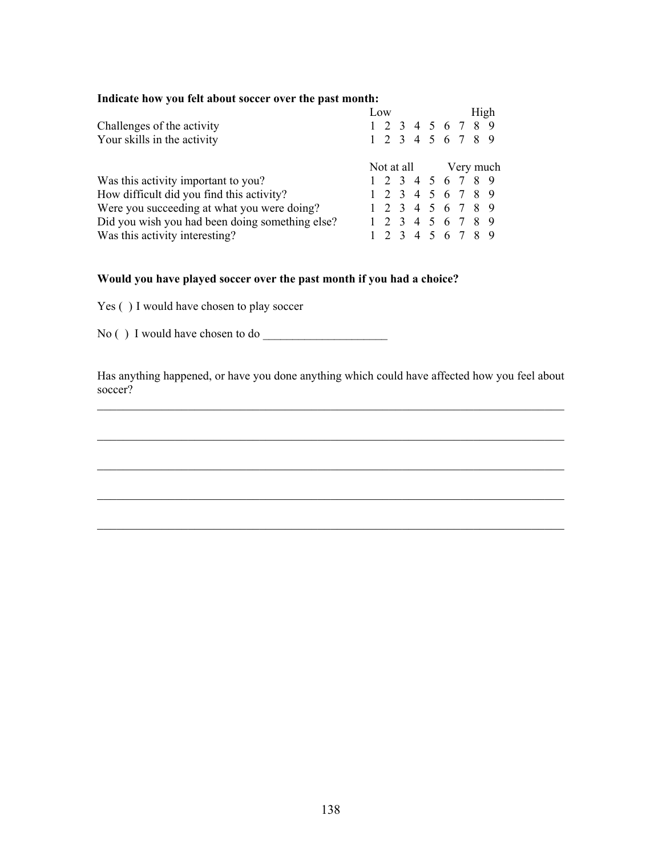### **Indicate how you felt about soccer over the past month:**

|                                                 |                      | Low |  |                   |  |  | High |  |
|-------------------------------------------------|----------------------|-----|--|-------------------|--|--|------|--|
| Challenges of the activity                      |                      |     |  | 1 2 3 4 5 6 7 8 9 |  |  |      |  |
| Your skills in the activity                     |                      |     |  | 1 2 3 4 5 6 7 8 9 |  |  |      |  |
|                                                 | Not at all Very much |     |  |                   |  |  |      |  |
| Was this activity important to you?             |                      |     |  | 1 2 3 4 5 6 7 8 9 |  |  |      |  |
| How difficult did you find this activity?       |                      |     |  | 1 2 3 4 5 6 7 8 9 |  |  |      |  |
| Were you succeeding at what you were doing?     |                      |     |  | 1 2 3 4 5 6 7 8 9 |  |  |      |  |
| Did you wish you had been doing something else? |                      |     |  | 1 2 3 4 5 6 7 8 9 |  |  |      |  |
| Was this activity interesting?                  |                      |     |  | 1 2 3 4 5 6 7 8 9 |  |  |      |  |

### **Would you have played soccer over the past month if you had a choice?**

Yes () I would have chosen to play soccer

No ( ) I would have chosen to do \_\_\_\_\_\_\_\_\_\_\_\_\_\_\_\_\_\_\_\_\_

Has anything happened, or have you done anything which could have affected how you feel about soccer?

 $\mathcal{L}_\text{max}$  , and the contribution of the contribution of the contribution of the contribution of the contribution of the contribution of the contribution of the contribution of the contribution of the contribution of t

 $\mathcal{L}_\text{max} = \mathcal{L}_\text{max} = \mathcal{L}_\text{max} = \mathcal{L}_\text{max} = \mathcal{L}_\text{max} = \mathcal{L}_\text{max} = \mathcal{L}_\text{max} = \mathcal{L}_\text{max} = \mathcal{L}_\text{max} = \mathcal{L}_\text{max} = \mathcal{L}_\text{max} = \mathcal{L}_\text{max} = \mathcal{L}_\text{max} = \mathcal{L}_\text{max} = \mathcal{L}_\text{max} = \mathcal{L}_\text{max} = \mathcal{L}_\text{max} = \mathcal{L}_\text{max} = \mathcal{$ 

 $\mathcal{L}_\text{max}$  , and the contribution of the contribution of the contribution of the contribution of the contribution of the contribution of the contribution of the contribution of the contribution of the contribution of t

 $\mathcal{L}_\text{max}$  , and the contribution of the contribution of the contribution of the contribution of the contribution of the contribution of the contribution of the contribution of the contribution of the contribution of t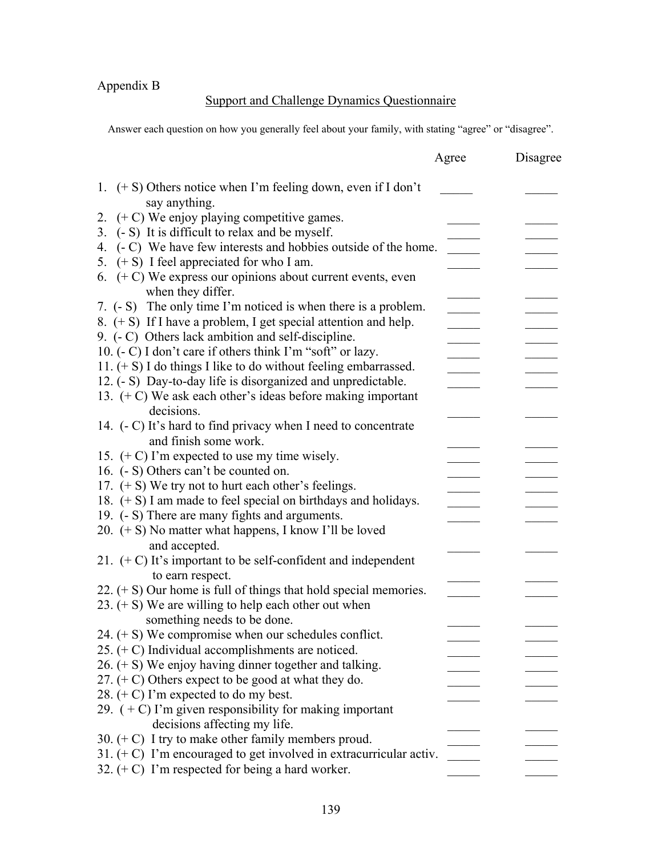Appendix B

# Support and Challenge Dynamics Questionnaire

Answer each question on how you generally feel about your family, with stating "agree" or "disagree".

|                                                                       | Agree | Disagree |
|-----------------------------------------------------------------------|-------|----------|
| 1. $(+ S)$ Others notice when I'm feeling down, even if I don't       |       |          |
| say anything.                                                         |       |          |
| 2. $(+ C)$ We enjoy playing competitive games.                        |       |          |
| (- S) It is difficult to relax and be myself.<br>3.                   |       |          |
| (- C) We have few interests and hobbies outside of the home.<br>4.    |       |          |
| $(+ S)$ I feel appreciated for who I am.<br>5.                        |       |          |
| 6. $(+ C)$ We express our opinions about current events, even         |       |          |
| when they differ.                                                     |       |          |
| 7. (- S) The only time I'm noticed is when there is a problem.        |       |          |
| 8. $(+ S)$ If I have a problem, I get special attention and help.     |       |          |
| 9. (- C) Others lack ambition and self-discipline.                    |       |          |
| 10. (- C) I don't care if others think I'm "soft" or lazy.            |       |          |
| 11. $(+ S)$ I do things I like to do without feeling embarrassed.     |       |          |
| 12. (- S) Day-to-day life is disorganized and unpredictable.          |       |          |
| 13. $(+ C)$ We ask each other's ideas before making important         |       |          |
| decisions.                                                            |       |          |
| 14. (- C) It's hard to find privacy when I need to concentrate        |       |          |
| and finish some work.                                                 |       |          |
| 15. $(+ C)$ I'm expected to use my time wisely.                       |       |          |
| 16. (- S) Others can't be counted on.                                 |       |          |
| 17. $(+ S)$ We try not to hurt each other's feelings.                 |       |          |
| 18. $(+ S)$ I am made to feel special on birthdays and holidays.      |       |          |
| 19. (- S) There are many fights and arguments.                        |       |          |
| 20. $(+ S)$ No matter what happens, I know I'll be loved              |       |          |
| and accepted.                                                         |       |          |
| 21. $(+ C)$ It's important to be self-confident and independent       |       |          |
| to earn respect.                                                      |       |          |
| 22. $(+ S)$ Our home is full of things that hold special memories.    |       |          |
| 23. $(+)$ We are willing to help each other out when                  |       |          |
| something needs to be done.                                           |       |          |
| 24. $(+ S)$ We compromise when our schedules conflict.                |       |          |
| 25. $(+ C)$ Individual accomplishments are noticed.                   |       |          |
| 26. $(+ S)$ We enjoy having dinner together and talking.              |       |          |
| 27. $( + C)$ Others expect to be good at what they do.                |       |          |
| 28. $(+ C)$ I'm expected to do my best.                               |       |          |
| 29. $(+ C)$ I'm given responsibility for making important             |       |          |
| decisions affecting my life.                                          |       |          |
| 30. $( + C)$ I try to make other family members proud.                |       |          |
| 31. $( + C)$ I'm encouraged to get involved in extracurricular activ. |       |          |
| 32. $( + C)$ I'm respected for being a hard worker.                   |       |          |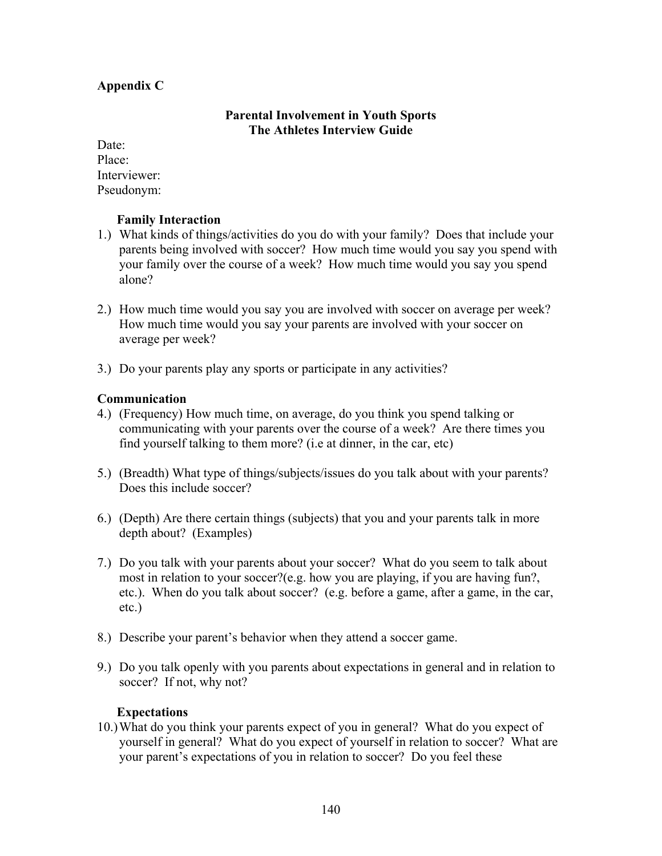# **Appendix C**

### **Parental Involvement in Youth Sports The Athletes Interview Guide**

Date: Place: Interviewer: Pseudonym:

### **Family Interaction**

- 1.) What kinds of things/activities do you do with your family? Does that include your parents being involved with soccer? How much time would you say you spend with your family over the course of a week? How much time would you say you spend alone?
- 2.) How much time would you say you are involved with soccer on average per week? How much time would you say your parents are involved with your soccer on average per week?
- 3.) Do your parents play any sports or participate in any activities?

### **Communication**

- 4.) (Frequency) How much time, on average, do you think you spend talking or communicating with your parents over the course of a week? Are there times you find yourself talking to them more? (i.e at dinner, in the car, etc)
- 5.) (Breadth) What type of things/subjects/issues do you talk about with your parents? Does this include soccer?
- 6.) (Depth) Are there certain things (subjects) that you and your parents talk in more depth about? (Examples)
- 7.) Do you talk with your parents about your soccer? What do you seem to talk about most in relation to your soccer?(e.g. how you are playing, if you are having fun?, etc.). When do you talk about soccer? (e.g. before a game, after a game, in the car, etc.)
- 8.) Describe your parent's behavior when they attend a soccer game.
- 9.) Do you talk openly with you parents about expectations in general and in relation to soccer? If not, why not?

### **Expectations**

10.)What do you think your parents expect of you in general? What do you expect of yourself in general? What do you expect of yourself in relation to soccer? What are your parent's expectations of you in relation to soccer? Do you feel these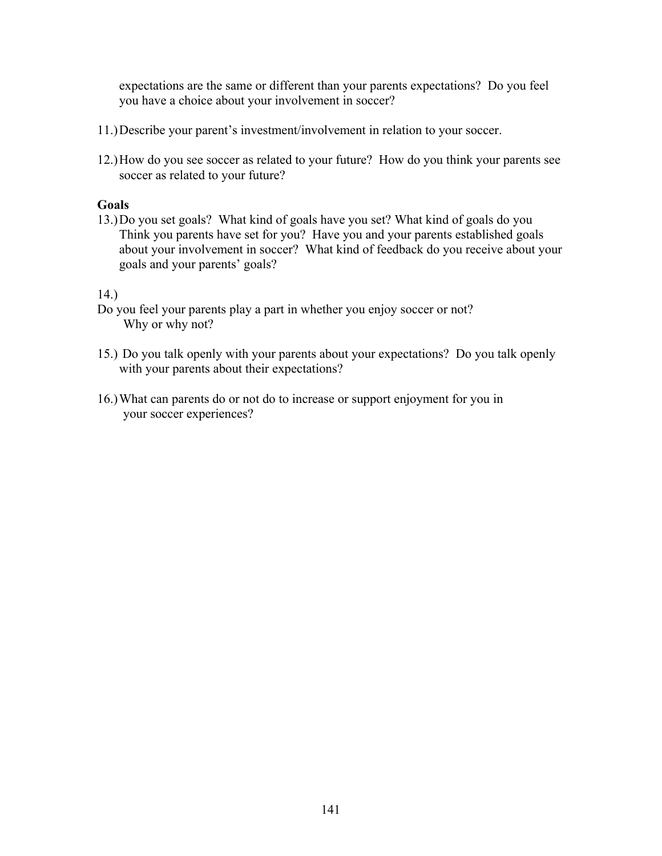expectations are the same or different than your parents expectations? Do you feel you have a choice about your involvement in soccer?

- 11.)Describe your parent's investment/involvement in relation to your soccer.
- 12.)How do you see soccer as related to your future? How do you think your parents see soccer as related to your future?

#### **Goals**

13.)Do you set goals? What kind of goals have you set? What kind of goals do you Think you parents have set for you? Have you and your parents established goals about your involvement in soccer? What kind of feedback do you receive about your goals and your parents' goals?

#### 14.)

- Do you feel your parents play a part in whether you enjoy soccer or not? Why or why not?
- 15.) Do you talk openly with your parents about your expectations? Do you talk openly with your parents about their expectations?
- 16.)What can parents do or not do to increase or support enjoyment for you in your soccer experiences?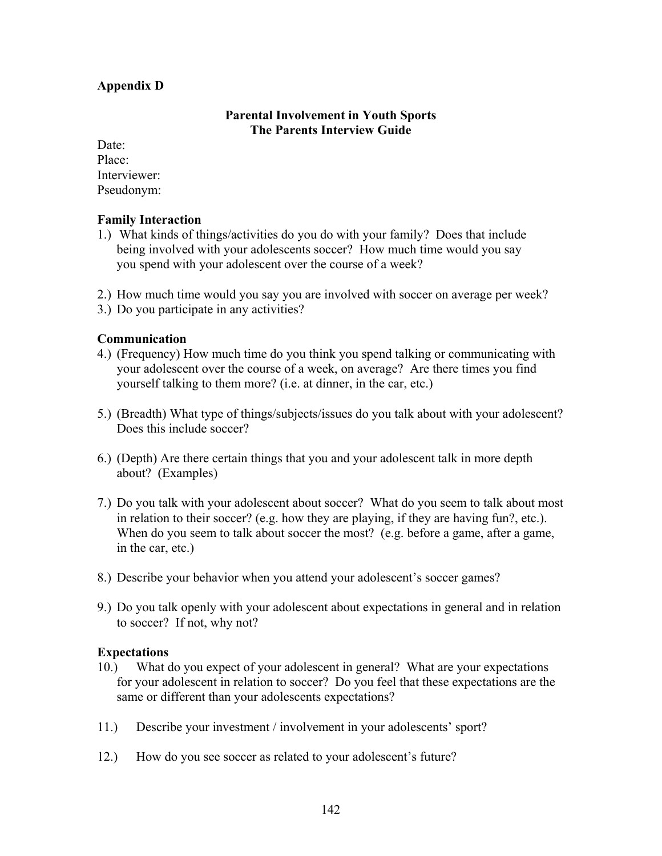# **Appendix D**

# **Parental Involvement in Youth Sports The Parents Interview Guide**

Date: Place: Interviewer: Pseudonym:

# **Family Interaction**

- 1.) What kinds of things/activities do you do with your family? Does that include being involved with your adolescents soccer? How much time would you say you spend with your adolescent over the course of a week?
- 2.) How much time would you say you are involved with soccer on average per week?
- 3.) Do you participate in any activities?

# **Communication**

- 4.) (Frequency) How much time do you think you spend talking or communicating with your adolescent over the course of a week, on average? Are there times you find yourself talking to them more? (i.e. at dinner, in the car, etc.)
- 5.) (Breadth) What type of things/subjects/issues do you talk about with your adolescent? Does this include soccer?
- 6.) (Depth) Are there certain things that you and your adolescent talk in more depth about? (Examples)
- 7.) Do you talk with your adolescent about soccer? What do you seem to talk about most in relation to their soccer? (e.g. how they are playing, if they are having fun?, etc.). When do you seem to talk about soccer the most? (e.g. before a game, after a game, in the car, etc.)
- 8.) Describe your behavior when you attend your adolescent's soccer games?
- 9.) Do you talk openly with your adolescent about expectations in general and in relation to soccer? If not, why not?

## **Expectations**

- 10.) What do you expect of your adolescent in general? What are your expectations for your adolescent in relation to soccer? Do you feel that these expectations are the same or different than your adolescents expectations?
- 11.) Describe your investment / involvement in your adolescents' sport?
- 12.) How do you see soccer as related to your adolescent's future?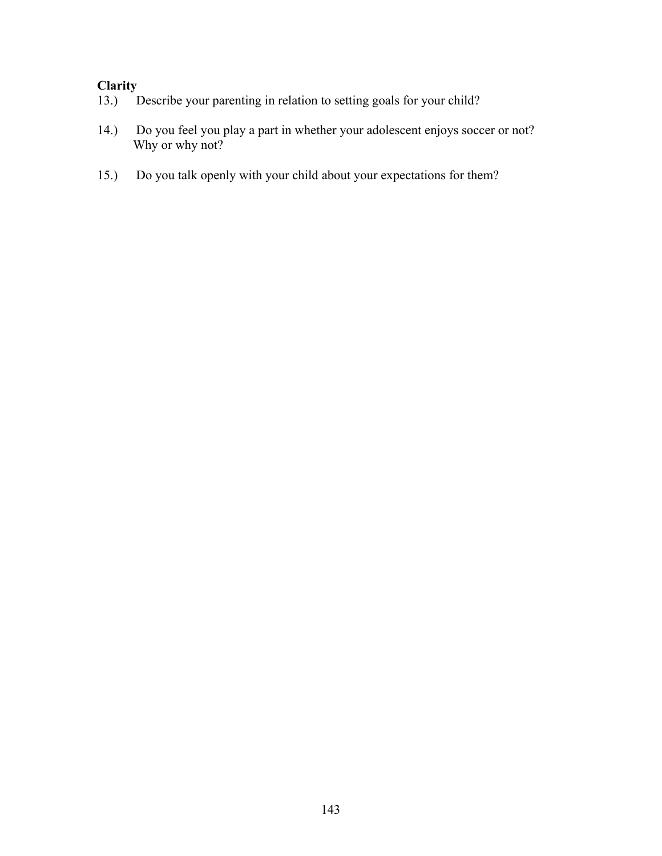# **Clarity** 13.) I

- Describe your parenting in relation to setting goals for your child?
- 14.) Do you feel you play a part in whether your adolescent enjoys soccer or not? Why or why not?
- 15.) Do you talk openly with your child about your expectations for them?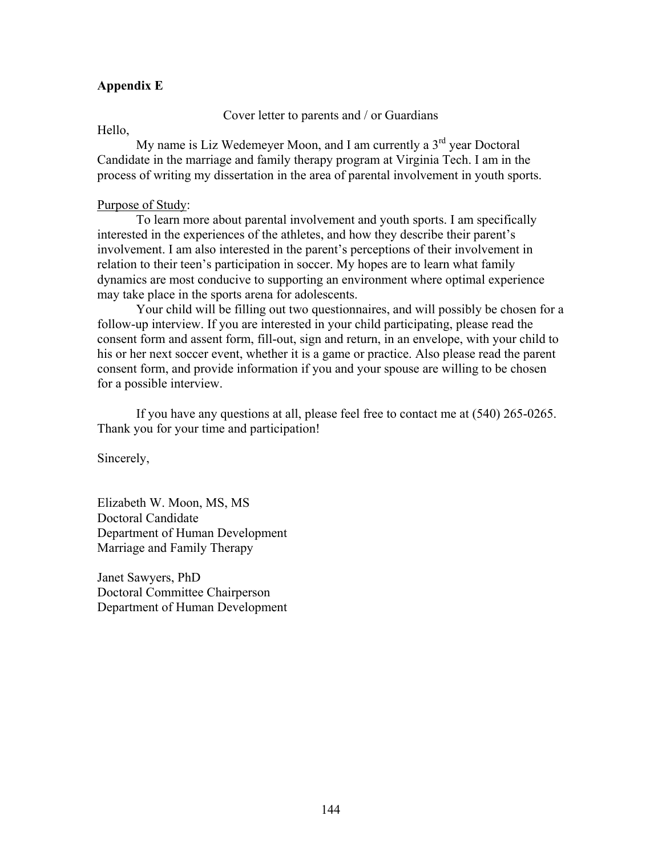# **Appendix E**

Cover letter to parents and / or Guardians

Hello,

My name is Liz Wedemeyer Moon, and I am currently a  $3<sup>rd</sup>$  year Doctoral Candidate in the marriage and family therapy program at Virginia Tech. I am in the process of writing my dissertation in the area of parental involvement in youth sports.

#### Purpose of Study:

To learn more about parental involvement and youth sports. I am specifically interested in the experiences of the athletes, and how they describe their parent's involvement. I am also interested in the parent's perceptions of their involvement in relation to their teen's participation in soccer. My hopes are to learn what family dynamics are most conducive to supporting an environment where optimal experience may take place in the sports arena for adolescents.

 Your child will be filling out two questionnaires, and will possibly be chosen for a follow-up interview. If you are interested in your child participating, please read the consent form and assent form, fill-out, sign and return, in an envelope, with your child to his or her next soccer event, whether it is a game or practice. Also please read the parent consent form, and provide information if you and your spouse are willing to be chosen for a possible interview.

If you have any questions at all, please feel free to contact me at (540) 265-0265. Thank you for your time and participation!

Sincerely,

Elizabeth W. Moon, MS, MS Doctoral Candidate Department of Human Development Marriage and Family Therapy

Janet Sawyers, PhD Doctoral Committee Chairperson Department of Human Development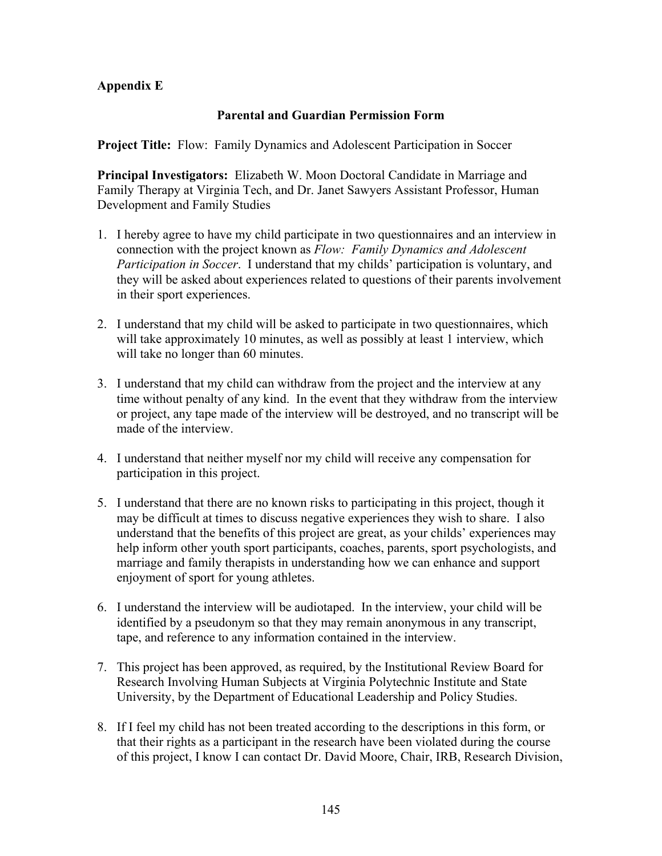# **Appendix E**

# **Parental and Guardian Permission Form**

**Project Title:** Flow: Family Dynamics and Adolescent Participation in Soccer

**Principal Investigators:** Elizabeth W. Moon Doctoral Candidate in Marriage and Family Therapy at Virginia Tech, and Dr. Janet Sawyers Assistant Professor, Human Development and Family Studies

- 1. I hereby agree to have my child participate in two questionnaires and an interview in connection with the project known as *Flow: Family Dynamics and Adolescent Participation in Soccer*. I understand that my childs' participation is voluntary, and they will be asked about experiences related to questions of their parents involvement in their sport experiences.
- 2. I understand that my child will be asked to participate in two questionnaires, which will take approximately 10 minutes, as well as possibly at least 1 interview, which will take no longer than 60 minutes.
- 3. I understand that my child can withdraw from the project and the interview at any time without penalty of any kind. In the event that they withdraw from the interview or project, any tape made of the interview will be destroyed, and no transcript will be made of the interview.
- 4. I understand that neither myself nor my child will receive any compensation for participation in this project.
- 5. I understand that there are no known risks to participating in this project, though it may be difficult at times to discuss negative experiences they wish to share. I also understand that the benefits of this project are great, as your childs' experiences may help inform other youth sport participants, coaches, parents, sport psychologists, and marriage and family therapists in understanding how we can enhance and support enjoyment of sport for young athletes.
- 6. I understand the interview will be audiotaped. In the interview, your child will be identified by a pseudonym so that they may remain anonymous in any transcript, tape, and reference to any information contained in the interview.
- 7. This project has been approved, as required, by the Institutional Review Board for Research Involving Human Subjects at Virginia Polytechnic Institute and State University, by the Department of Educational Leadership and Policy Studies.
- 8. If I feel my child has not been treated according to the descriptions in this form, or that their rights as a participant in the research have been violated during the course of this project, I know I can contact Dr. David Moore, Chair, IRB, Research Division,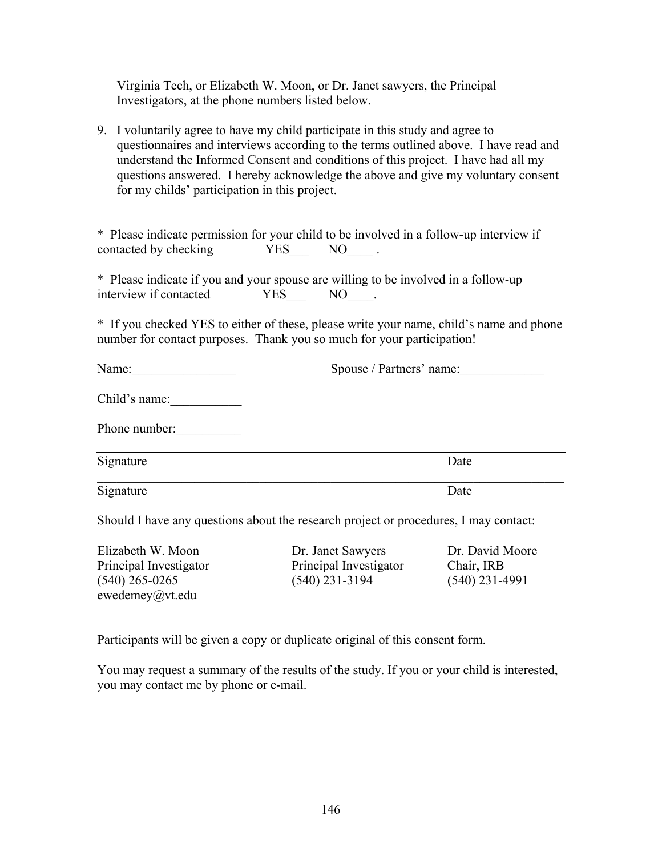Virginia Tech, or Elizabeth W. Moon, or Dr. Janet sawyers, the Principal Investigators, at the phone numbers listed below.

9. I voluntarily agree to have my child participate in this study and agree to questionnaires and interviews according to the terms outlined above. I have read and understand the Informed Consent and conditions of this project. I have had all my questions answered. I hereby acknowledge the above and give my voluntary consent for my childs' participation in this project.

\* Please indicate permission for your child to be involved in a follow-up interview if contacted by checking  $YES$  NO .

\* Please indicate if you and your spouse are willing to be involved in a follow-up interview if contacted YES NO TO NO.

\* If you checked YES to either of these, please write your name, child's name and phone number for contact purposes. Thank you so much for your participation!

| Name:               | Spouse / Partners' name:                                                                                                          |
|---------------------|-----------------------------------------------------------------------------------------------------------------------------------|
| Child's name:       |                                                                                                                                   |
| Phone number:       |                                                                                                                                   |
| Signature           | Date                                                                                                                              |
| Signature           | Date                                                                                                                              |
| $\sim$ 1 1 $\sim$ 1 | 그 사람들은 그 사람들은 아이들이 아니라 아이들이 아니라 아이들이 아니라 아이들이 아니라 아이들이 아니라 아이들이 아니라 아이들이 아니라 아이들이 아니라 아이들이 아니라 아이들이 아니라 아이들이 아니라<br>$\sim$ $\sim$ |

Should I have any questions about the research project or procedures, I may contact:

Elizabeth W. Moon Dr. Janet Sawyers Dr. David Moore ewedemey@vt.edu

Principal Investigator Principal Investigator Chair, IRB (540) 265-0265 (540) 231-3194 (540) 231-4991

Participants will be given a copy or duplicate original of this consent form.

You may request a summary of the results of the study. If you or your child is interested, you may contact me by phone or e-mail.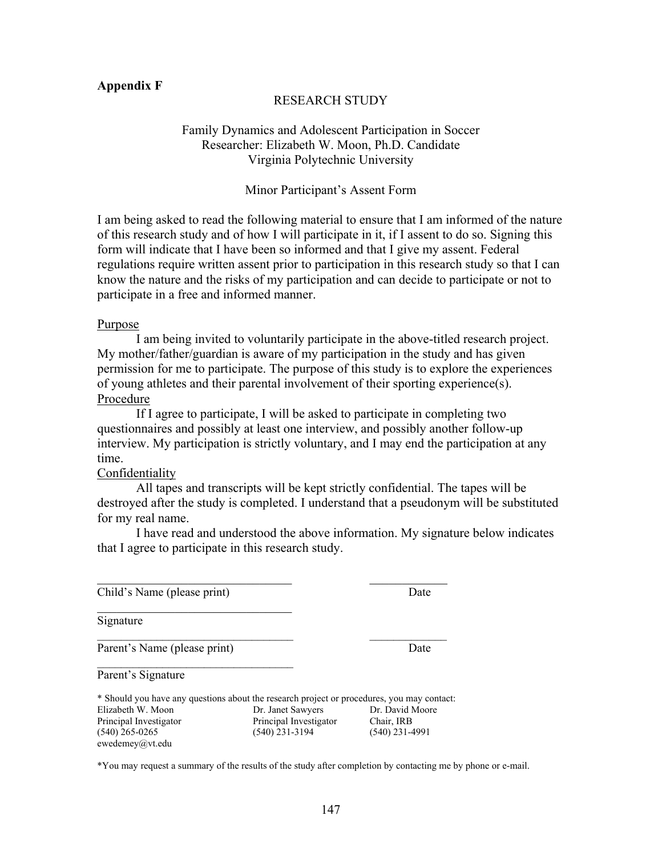#### **Appendix F**

#### RESEARCH STUDY

# Family Dynamics and Adolescent Participation in Soccer Researcher: Elizabeth W. Moon, Ph.D. Candidate Virginia Polytechnic University

#### Minor Participant's Assent Form

I am being asked to read the following material to ensure that I am informed of the nature of this research study and of how I will participate in it, if I assent to do so. Signing this form will indicate that I have been so informed and that I give my assent. Federal regulations require written assent prior to participation in this research study so that I can know the nature and the risks of my participation and can decide to participate or not to participate in a free and informed manner.

#### Purpose

 I am being invited to voluntarily participate in the above-titled research project. My mother/father/guardian is aware of my participation in the study and has given permission for me to participate. The purpose of this study is to explore the experiences of young athletes and their parental involvement of their sporting experience(s). Procedure

 If I agree to participate, I will be asked to participate in completing two questionnaires and possibly at least one interview, and possibly another follow-up interview. My participation is strictly voluntary, and I may end the participation at any time.

#### **Confidentiality**

 All tapes and transcripts will be kept strictly confidential. The tapes will be destroyed after the study is completed. I understand that a pseudonym will be substituted for my real name.

 I have read and understood the above information. My signature below indicates that I agree to participate in this research study.

Child's Name (please print) Date

 $\mathcal{L}_\text{max}$  , where  $\mathcal{L}_\text{max}$  and  $\mathcal{L}_\text{max}$ 

 $\mathcal{L}_\text{max}$ 

Signature

Parent's Name (please print) Date

Parent's Signature

| * Should you have any questions about the research project or procedures, you may contact: |                        |                  |  |  |
|--------------------------------------------------------------------------------------------|------------------------|------------------|--|--|
| Elizabeth W. Moon                                                                          | Dr. Janet Sawyers      | Dr. David Moore  |  |  |
| Principal Investigator                                                                     | Principal Investigator | Chair. IRB       |  |  |
| $(540)$ 265-0265                                                                           | $(540)$ 231-3194       | $(540)$ 231-4991 |  |  |
| ewedemey@vt.edu                                                                            |                        |                  |  |  |

 $\mathcal{L}_\text{max}$  and the contract of the contract of the contract of the contract of the contract of the contract of the contract of the contract of the contract of the contract of the contract of the contract of the contrac

\_\_\_\_\_\_\_\_\_\_\_\_\_\_\_\_\_\_\_\_\_\_\_\_\_\_\_\_\_\_\_\_\_ \_\_\_\_\_\_\_\_\_\_\_\_\_

\*You may request a summary of the results of the study after completion by contacting me by phone or e-mail.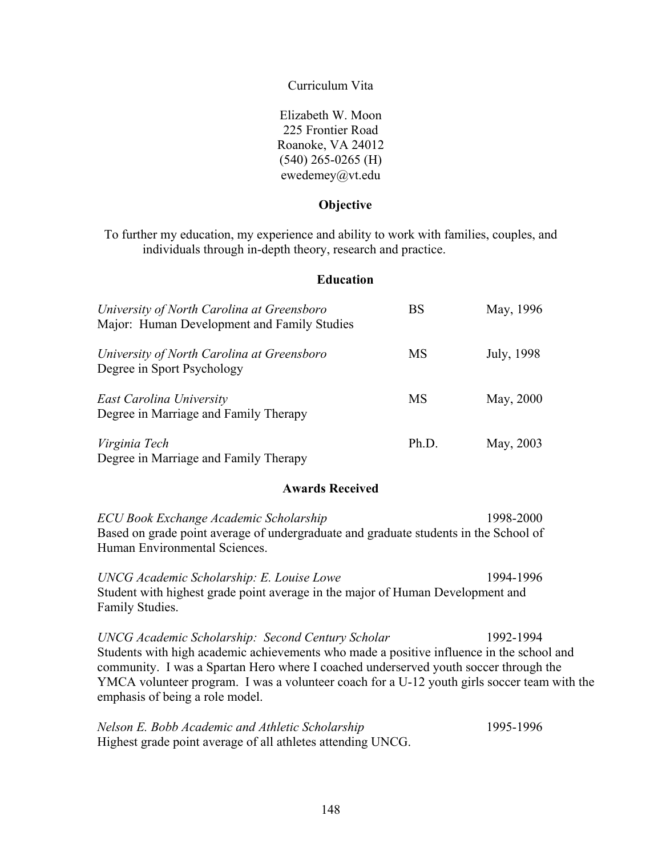Curriculum Vita

Elizabeth W. Moon 225 Frontier Road Roanoke, VA 24012 (540) 265-0265 (H) ewedemey@vt.edu

# **Objective**

To further my education, my experience and ability to work with families, couples, and individuals through in-depth theory, research and practice.

# **Education**

| University of North Carolina at Greensboro<br>Major: Human Development and Family Studies                                                                                                                                                                                                                                                                                                   | <b>BS</b> | May, 1996  |  |  |
|---------------------------------------------------------------------------------------------------------------------------------------------------------------------------------------------------------------------------------------------------------------------------------------------------------------------------------------------------------------------------------------------|-----------|------------|--|--|
| University of North Carolina at Greensboro<br>Degree in Sport Psychology                                                                                                                                                                                                                                                                                                                    | <b>MS</b> | July, 1998 |  |  |
| East Carolina University<br>Degree in Marriage and Family Therapy                                                                                                                                                                                                                                                                                                                           | <b>MS</b> | May, 2000  |  |  |
| Virginia Tech<br>Degree in Marriage and Family Therapy                                                                                                                                                                                                                                                                                                                                      | Ph.D.     | May, 2003  |  |  |
| <b>Awards Received</b>                                                                                                                                                                                                                                                                                                                                                                      |           |            |  |  |
| ECU Book Exchange Academic Scholarship<br>Based on grade point average of undergraduate and graduate students in the School of<br>Human Environmental Sciences.                                                                                                                                                                                                                             |           | 1998-2000  |  |  |
| UNCG Academic Scholarship: E. Louise Lowe<br>1994-1996<br>Student with highest grade point average in the major of Human Development and<br>Family Studies.                                                                                                                                                                                                                                 |           |            |  |  |
| <b>UNCG Academic Scholarship: Second Century Scholar</b><br>1992-1994<br>Students with high academic achievements who made a positive influence in the school and<br>community. I was a Spartan Hero where I coached underserved youth soccer through the<br>YMCA volunteer program. I was a volunteer coach for a U-12 youth girls soccer team with the<br>emphasis of being a role model. |           |            |  |  |

| Nelson E. Bobb Academic and Athletic Scholarship            | 1995-1996 |
|-------------------------------------------------------------|-----------|
| Highest grade point average of all athletes attending UNCG. |           |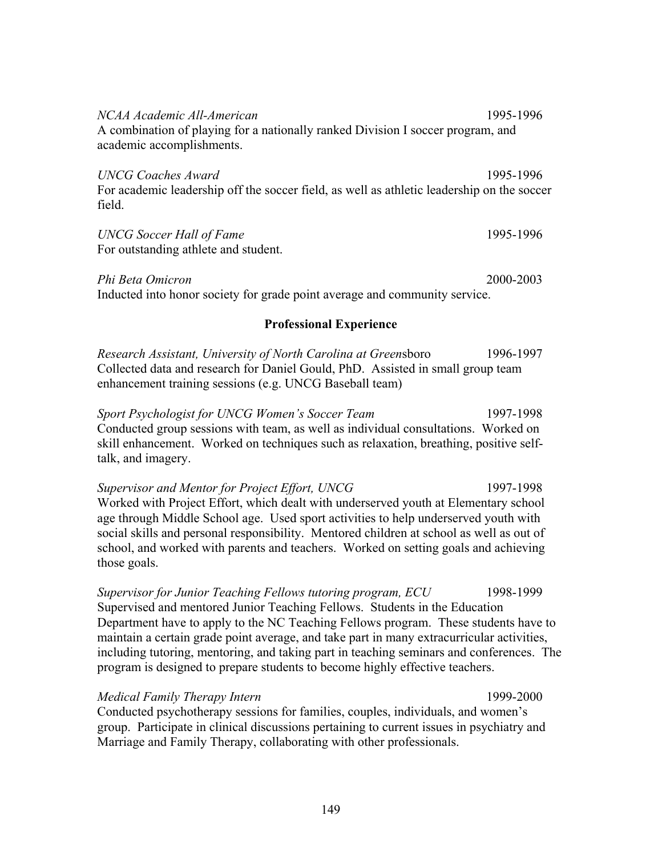*NCAA Academic All-American* 1995-1996 A combination of playing for a nationally ranked Division I soccer program, and academic accomplishments.

*UNCG Coaches Award* 1995-1996 For academic leadership off the soccer field, as well as athletic leadership on the soccer field.

# *UNCG Soccer Hall of Fame* 1995-1996

For outstanding athlete and student.

*Phi Beta Omicron* 2000-2003 Inducted into honor society for grade point average and community service.

# **Professional Experience**

*Research Assistant, University of North Carolina at Green*sboro 1996-1997 Collected data and research for Daniel Gould, PhD. Assisted in small group team enhancement training sessions (e.g. UNCG Baseball team)

*Sport Psychologist for UNCG Women's Soccer Team* 1997-1998 Conducted group sessions with team, as well as individual consultations. Worked on skill enhancement. Worked on techniques such as relaxation, breathing, positive selftalk, and imagery.

*Supervisor and Mentor for Project Effort, UNCG* 1997-1998 Worked with Project Effort, which dealt with underserved youth at Elementary school age through Middle School age. Used sport activities to help underserved youth with social skills and personal responsibility. Mentored children at school as well as out of school, and worked with parents and teachers. Worked on setting goals and achieving those goals.

*Supervisor for Junior Teaching Fellows tutoring program, ECU* 1998-1999 Supervised and mentored Junior Teaching Fellows. Students in the Education Department have to apply to the NC Teaching Fellows program. These students have to maintain a certain grade point average, and take part in many extracurricular activities, including tutoring, mentoring, and taking part in teaching seminars and conferences. The program is designed to prepare students to become highly effective teachers.

# *Medical Family Therapy Intern* 1999-2000

Conducted psychotherapy sessions for families, couples, individuals, and women's group. Participate in clinical discussions pertaining to current issues in psychiatry and Marriage and Family Therapy, collaborating with other professionals.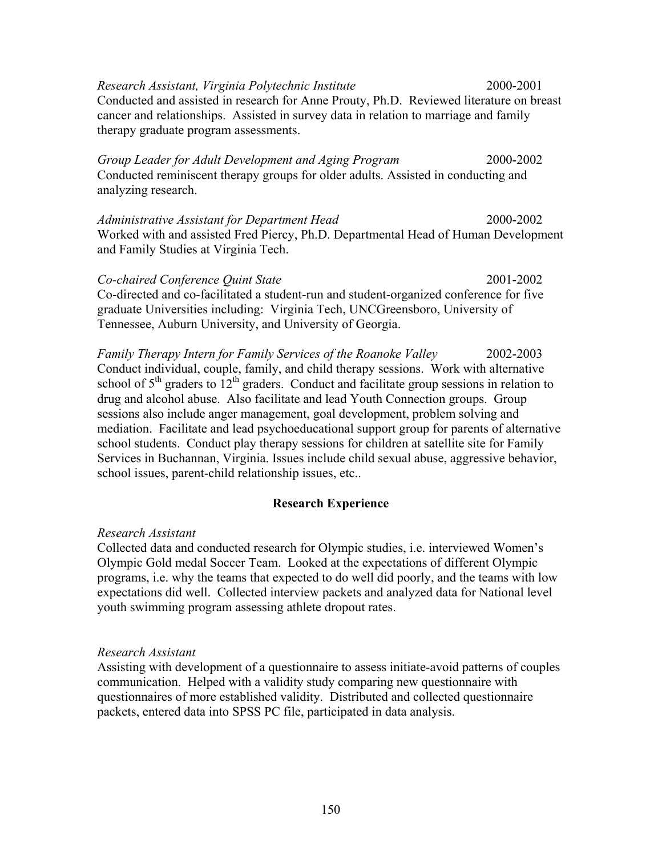*Research Assistant, Virginia Polytechnic Institute* 2000-2001 Conducted and assisted in research for Anne Prouty, Ph.D. Reviewed literature on breast cancer and relationships. Assisted in survey data in relation to marriage and family therapy graduate program assessments.

*Group Leader for Adult Development and Aging Program* 2000-2002 Conducted reminiscent therapy groups for older adults. Assisted in conducting and analyzing research.

*Administrative Assistant for Department Head* 2000-2002 Worked with and assisted Fred Piercy, Ph.D. Departmental Head of Human Development and Family Studies at Virginia Tech.

*Co-chaired Conference Quint State* 2001-2002 Co-directed and co-facilitated a student-run and student-organized conference for five graduate Universities including: Virginia Tech, UNCGreensboro, University of Tennessee, Auburn University, and University of Georgia.

*Family Therapy Intern for Family Services of the Roanoke Valley* 2002-2003 Conduct individual, couple, family, and child therapy sessions. Work with alternative school of  $5<sup>th</sup>$  graders to  $12<sup>th</sup>$  graders. Conduct and facilitate group sessions in relation to drug and alcohol abuse. Also facilitate and lead Youth Connection groups. Group sessions also include anger management, goal development, problem solving and mediation. Facilitate and lead psychoeducational support group for parents of alternative school students. Conduct play therapy sessions for children at satellite site for Family Services in Buchannan, Virginia. Issues include child sexual abuse, aggressive behavior, school issues, parent-child relationship issues, etc..

## **Research Experience**

#### *Research Assistant*

Collected data and conducted research for Olympic studies, i.e. interviewed Women's Olympic Gold medal Soccer Team. Looked at the expectations of different Olympic programs, i.e. why the teams that expected to do well did poorly, and the teams with low expectations did well. Collected interview packets and analyzed data for National level youth swimming program assessing athlete dropout rates.

#### *Research Assistant*

Assisting with development of a questionnaire to assess initiate-avoid patterns of couples communication. Helped with a validity study comparing new questionnaire with questionnaires of more established validity. Distributed and collected questionnaire packets, entered data into SPSS PC file, participated in data analysis.